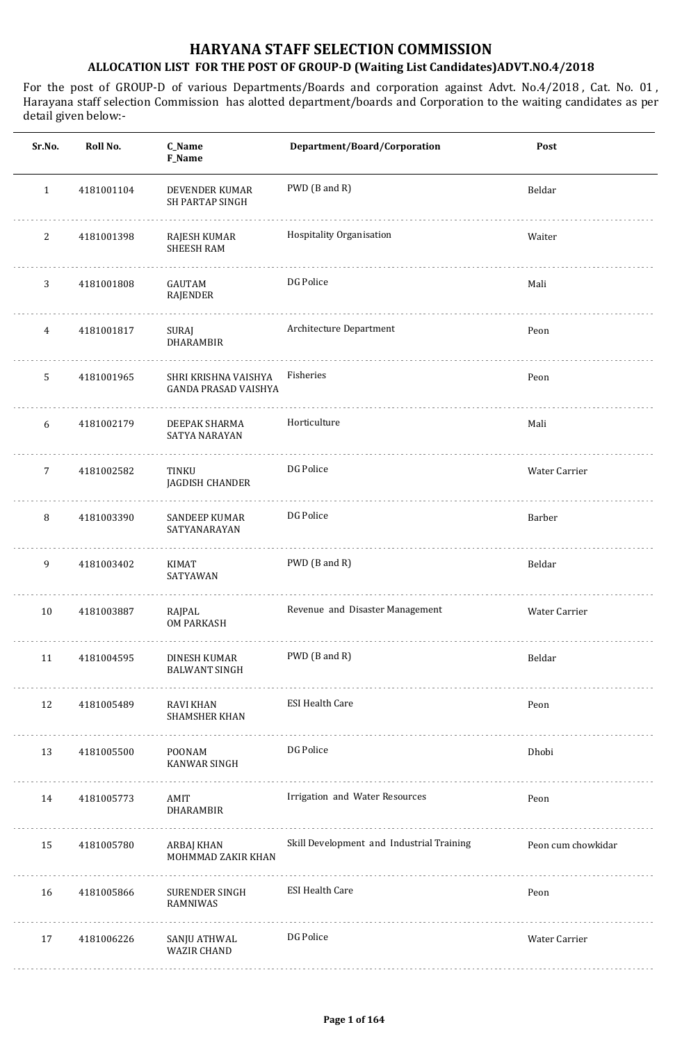#### **HARYANA STAFF SELECTION COMMISSION**

#### **ALLOCATION LIST FOR THE POST OF GROUP-D (Waiting List Candidates)ADVT.NO.4/2018**

| Sr.No.         | Roll No.   | C_Name<br>F_Name                                    | Department/Board/Corporation              | Post               |
|----------------|------------|-----------------------------------------------------|-------------------------------------------|--------------------|
| $\mathbf{1}$   | 4181001104 | DEVENDER KUMAR<br>SH PARTAP SINGH                   | PWD (B and R)                             | Beldar             |
| 2              | 4181001398 | RAJESH KUMAR<br><b>SHEESH RAM</b>                   | Hospitality Organisation                  | Waiter             |
| 3              | 4181001808 | GAUTAM<br>RAJENDER                                  | DG Police                                 | Mali               |
| 4              | 4181001817 | SURAJ<br>DHARAMBIR                                  | Architecture Department                   | Peon               |
| 5              | 4181001965 | SHRI KRISHNA VAISHYA<br><b>GANDA PRASAD VAISHYA</b> | Fisheries                                 | Peon               |
| 6              | 4181002179 | DEEPAK SHARMA<br>SATYA NARAYAN                      | Horticulture                              | Mali               |
| $\overline{7}$ | 4181002582 | TINKU<br>JAGDISH CHANDER                            | DG Police                                 | Water Carrier      |
| 8              | 4181003390 | <b>SANDEEP KUMAR</b><br>SATYANARAYAN                | DG Police                                 | Barber             |
| 9              | 4181003402 | <b>KIMAT</b><br>SATYAWAN                            | PWD (B and R)                             | Beldar             |
| 10             | 4181003887 | RAJPAL<br><b>OM PARKASH</b>                         | Revenue and Disaster Management           | Water Carrier      |
| 11             | 4181004595 | DINESH KUMAR<br><b>BALWANT SINGH</b>                | PWD (B and R)                             | Beldar             |
| 12             | 4181005489 | RAVI KHAN<br>SHAMSHER KHAN                          | <b>ESI Health Care</b>                    | Peon               |
| 13             | 4181005500 | POONAM<br>KANWAR SINGH                              | DG Police                                 | Dhobi              |
| 14             | 4181005773 | AMIT<br>DHARAMBIR                                   | Irrigation and Water Resources            | Peon               |
| 15             | 4181005780 | ARBAJ KHAN<br>MOHMMAD ZAKIR KHAN                    | Skill Development and Industrial Training | Peon cum chowkidar |
| 16             | 4181005866 | SURENDER SINGH<br>RAMNIWAS                          | <b>ESI Health Care</b>                    | Peon               |
| 17             | 4181006226 | SANJU ATHWAL<br><b>WAZIR CHAND</b>                  | DG Police                                 | Water Carrier      |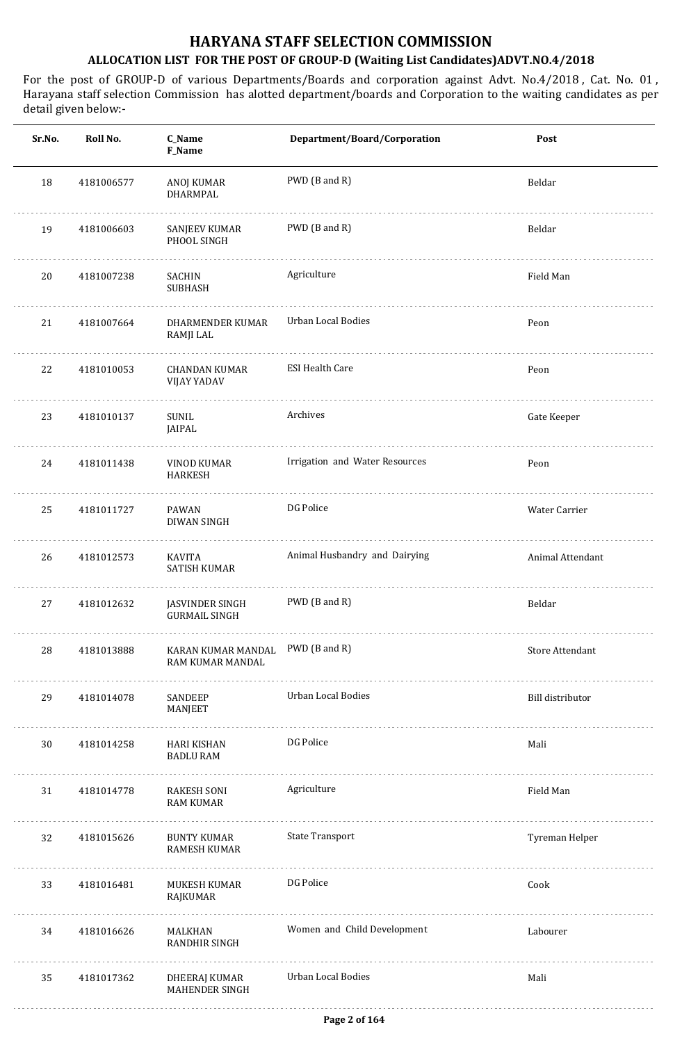| Sr.No. | Roll No.   | C_Name<br>F_Name                                          | Department/Board/Corporation   | Post                    |
|--------|------------|-----------------------------------------------------------|--------------------------------|-------------------------|
| 18     | 4181006577 | ANOJ KUMAR<br>DHARMPAL                                    | PWD (B and R)                  | Beldar                  |
| 19     | 4181006603 | SANJEEV KUMAR<br>PHOOL SINGH                              | PWD (B and R)                  | Beldar                  |
| 20     | 4181007238 | SACHIN<br><b>SUBHASH</b>                                  | Agriculture                    | Field Man               |
| 21     | 4181007664 | DHARMENDER KUMAR<br>RAMJI LAL                             | Urban Local Bodies             | Peon                    |
| 22     | 4181010053 | <b>CHANDAN KUMAR</b><br>VIJAY YADAV                       | <b>ESI Health Care</b>         | Peon                    |
| 23     | 4181010137 | SUNIL<br>JAIPAL                                           | Archives                       | Gate Keeper             |
| 24     | 4181011438 | VINOD KUMAR<br><b>HARKESH</b>                             | Irrigation and Water Resources | Peon                    |
| 25     | 4181011727 | PAWAN<br>DIWAN SINGH                                      | DG Police                      | Water Carrier           |
| 26     | 4181012573 | KAVITA<br><b>SATISH KUMAR</b>                             | Animal Husbandry and Dairying  | Animal Attendant        |
| 27     | 4181012632 | JASVINDER SINGH<br><b>GURMAIL SINGH</b>                   | PWD (B and R)                  | Beldar                  |
| 28     | 4181013888 | KARAN KUMAR MANDAL PWD (B and R)<br>RAM KUMAR MANDAL<br>. |                                | Store Attendant         |
| 29     | 4181014078 | SANDEEP<br>MANJEET                                        | Urban Local Bodies             | <b>Bill distributor</b> |
| 30     | 4181014258 | HARI KISHAN<br><b>BADLU RAM</b>                           | DG Police                      | Mali                    |
| 31     | 4181014778 | RAKESH SONI<br><b>RAM KUMAR</b>                           | Agriculture                    | Field Man               |
| 32     | 4181015626 | BUNTY KUMAR<br>RAMESH KUMAR                               | <b>State Transport</b>         | Tyreman Helper          |
| 33     | 4181016481 | MUKESH KUMAR<br>RAJKUMAR                                  | DG Police                      | Cook                    |
| 34     | 4181016626 | MALKHAN<br>RANDHIR SINGH                                  | Women and Child Development    | Labourer                |
| 35     | 4181017362 | DHEERAJ KUMAR<br>MAHENDER SINGH                           | Urban Local Bodies             | Mali                    |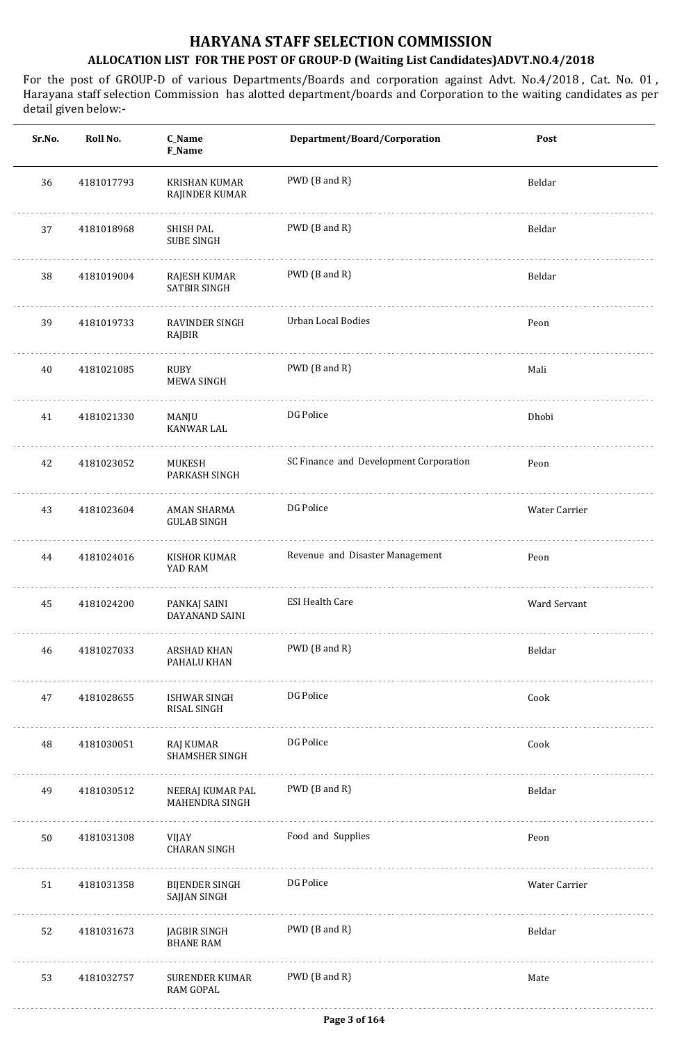| Sr.No. | Roll No.   | C_Name<br>F_Name                          | Department/Board/Corporation           | Post          |
|--------|------------|-------------------------------------------|----------------------------------------|---------------|
| 36     | 4181017793 | <b>KRISHAN KUMAR</b><br>RAJINDER KUMAR    | PWD (B and R)                          | Beldar        |
| 37     | 4181018968 | SHISH PAL<br><b>SUBE SINGH</b>            | PWD (B and R)                          | Beldar        |
| 38     | 4181019004 | RAJESH KUMAR<br>SATBIR SINGH              | PWD (B and R)                          | Beldar        |
| 39     | 4181019733 | RAVINDER SINGH<br>RAJBIR                  | Urban Local Bodies                     | Peon          |
| 40     | 4181021085 | RUBY<br>MEWA SINGH                        | PWD (B and R)                          | Mali          |
| 41     | 4181021330 | MANJU<br>KANWAR LAL                       | DG Police                              | Dhobi         |
| 42     | 4181023052 | MUKESH<br>PARKASH SINGH                   | SC Finance and Development Corporation | Peon          |
| 43     | 4181023604 | AMAN SHARMA<br><b>GULAB SINGH</b>         | DG Police                              | Water Carrier |
| 44     | 4181024016 | KISHOR KUMAR<br>YAD RAM                   | Revenue and Disaster Management        | Peon          |
| 45     | 4181024200 | PANKAJ SAINI<br>DAYANAND SAINI            | <b>ESI Health Care</b>                 | Ward Servant  |
| 46     | 4181027033 | <b>ARSHAD KHAN</b><br>PAHALU KHAN         | PWD (B and R)                          | Beldar        |
| 47     | 4181028655 | <b>ISHWAR SINGH</b><br><b>RISAL SINGH</b> | DG Police                              | Cook          |
| 48     | 4181030051 | RAJ KUMAR<br><b>SHAMSHER SINGH</b>        | DG Police                              | Cook          |
| 49     | 4181030512 | NEERAJ KUMAR PAL<br>MAHENDRA SINGH        | PWD (B and R)                          | Beldar        |
| 50     | 4181031308 | VIJAY<br><b>CHARAN SINGH</b>              | Food and Supplies                      | Peon          |
| 51     | 4181031358 | <b>BIJENDER SINGH</b><br>SAJJAN SINGH     | DG Police                              | Water Carrier |
| 52     | 4181031673 | JAGBIR SINGH<br><b>BHANE RAM</b>          | PWD (B and R)                          | Beldar        |
| 53     | 4181032757 | SURENDER KUMAR<br><b>RAM GOPAL</b>        | PWD (B and R)                          | Mate          |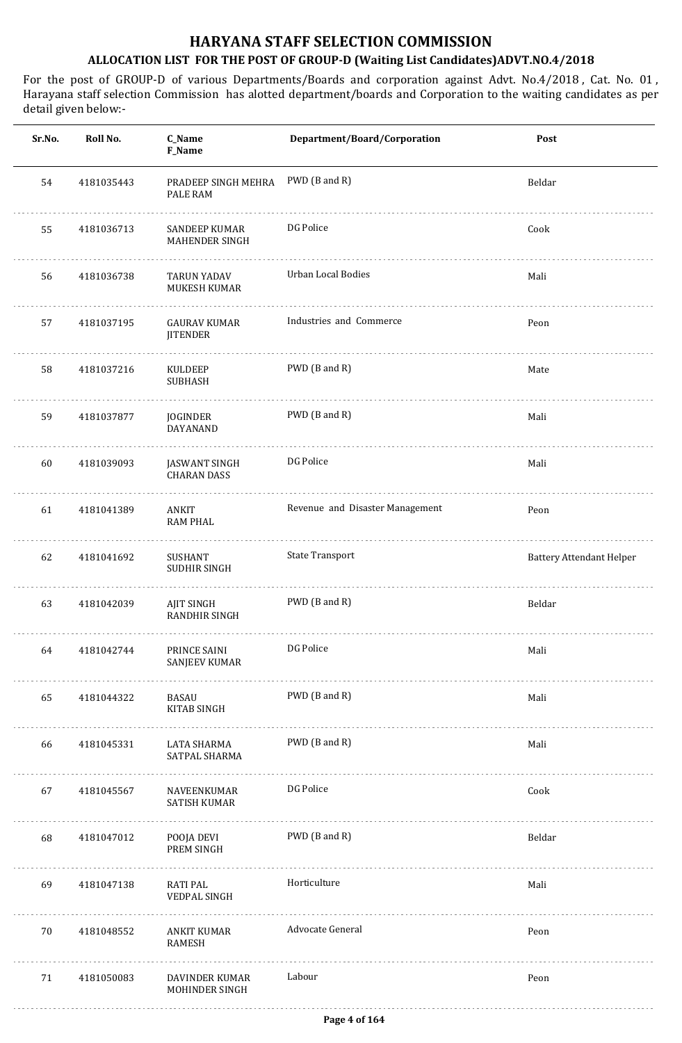| Sr.No. | Roll No.   | C_Name<br>F_Name                       | Department/Board/Corporation    | Post                            |
|--------|------------|----------------------------------------|---------------------------------|---------------------------------|
| 54     | 4181035443 | PRADEEP SINGH MEHRA<br>PALE RAM        | PWD (B and R)                   | Beldar                          |
| 55     | 4181036713 | SANDEEP KUMAR<br>MAHENDER SINGH        | DG Police                       | Cook                            |
| 56     | 4181036738 | <b>TARUN YADAV</b><br>MUKESH KUMAR     | Urban Local Bodies              | Mali                            |
| 57     | 4181037195 | <b>GAURAV KUMAR</b><br><b>JITENDER</b> | Industries and Commerce         | Peon                            |
| 58     | 4181037216 | KULDEEP<br><b>SUBHASH</b>              | PWD (B and R)                   | Mate                            |
| 59     | 4181037877 | JOGINDER<br>DAYANAND                   | PWD (B and R)                   | Mali                            |
| 60     | 4181039093 | JASWANT SINGH<br><b>CHARAN DASS</b>    | DG Police                       | Mali                            |
| 61     | 4181041389 | ANKIT<br><b>RAM PHAL</b>               | Revenue and Disaster Management | Peon                            |
| 62     | 4181041692 | SUSHANT<br>SUDHIR SINGH                | <b>State Transport</b>          | <b>Battery Attendant Helper</b> |
| 63     | 4181042039 | AJIT SINGH<br>RANDHIR SINGH            | PWD (B and R)                   | Beldar                          |
| 64     | 4181042744 | PRINCE SAINI<br>SANJEEV KUMAR<br>.     | DG Police                       | Mali                            |
| 65     | 4181044322 | BASAU<br>KITAB SINGH                   | PWD (B and R)                   | Mali                            |
| 66     | 4181045331 | LATA SHARMA<br>SATPAL SHARMA           | PWD (B and R)                   | Mali                            |
| 67     | 4181045567 | NAVEENKUMAR<br>SATISH KUMAR            | DG Police                       | Cook                            |
| 68     | 4181047012 | POOJA DEVI<br>PREM SINGH               | PWD (B and R)                   | Beldar                          |
| 69     | 4181047138 | RATI PAL<br>VEDPAL SINGH               | Horticulture                    | Mali                            |
| 70     | 4181048552 | ANKIT KUMAR<br>RAMESH                  | Advocate General                | Peon                            |
| 71     | 4181050083 | DAVINDER KUMAR<br>MOHINDER SINGH       | Labour                          | Peon                            |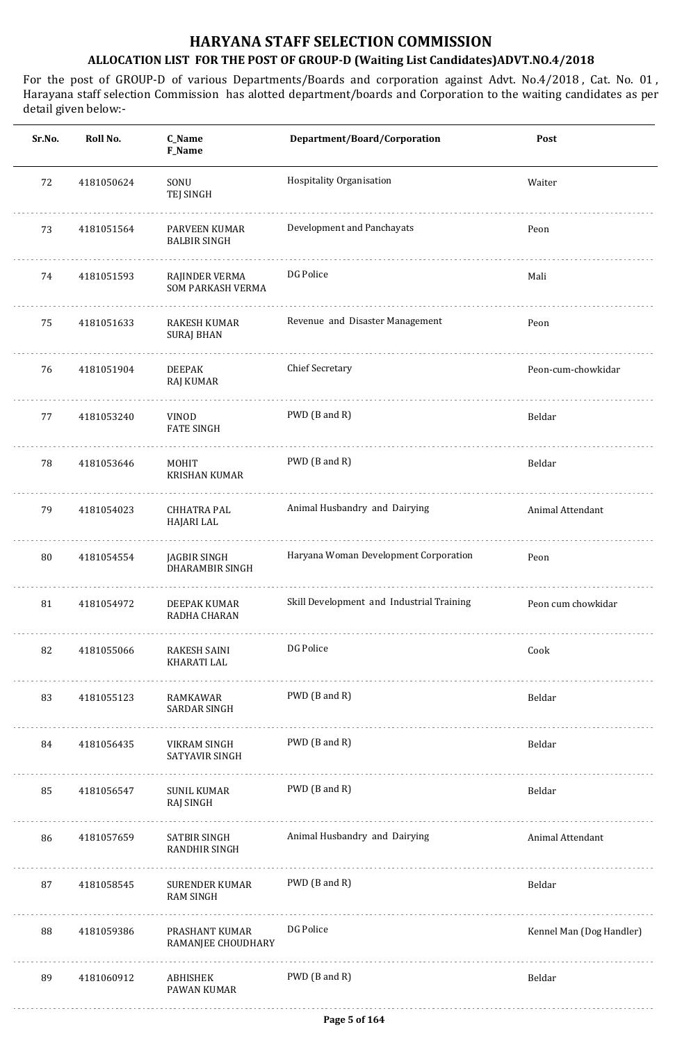| Sr.No. | Roll No.   | C_Name<br>F_Name                         | Department/Board/Corporation              | Post                     |
|--------|------------|------------------------------------------|-------------------------------------------|--------------------------|
| 72     | 4181050624 | SONU<br>TEJ SINGH                        | Hospitality Organisation                  | Waiter                   |
| 73     | 4181051564 | PARVEEN KUMAR<br><b>BALBIR SINGH</b>     | Development and Panchayats                | Peon                     |
| 74     | 4181051593 | RAJINDER VERMA<br>SOM PARKASH VERMA      | DG Police                                 | Mali                     |
| 75     | 4181051633 | <b>RAKESH KUMAR</b><br><b>SURAJ BHAN</b> | Revenue and Disaster Management           | Peon                     |
| 76     | 4181051904 | <b>DEEPAK</b><br>RAJ KUMAR               | <b>Chief Secretary</b>                    | Peon-cum-chowkidar       |
| 77     | 4181053240 | <b>VINOD</b><br><b>FATE SINGH</b>        | PWD (B and R)                             | Beldar                   |
| 78     | 4181053646 | <b>MOHIT</b><br><b>KRISHAN KUMAR</b>     | PWD (B and R)                             | Beldar                   |
| 79     | 4181054023 | <b>CHHATRA PAL</b><br>HAJARI LAL         | Animal Husbandry and Dairying             | Animal Attendant         |
| 80     | 4181054554 | JAGBIR SINGH<br>DHARAMBIR SINGH          | Haryana Woman Development Corporation     | Peon                     |
| 81     | 4181054972 | DEEPAK KUMAR<br>RADHA CHARAN             | Skill Development and Industrial Training | Peon cum chowkidar       |
| 82     | 4181055066 | <b>RAKESH SAINI</b><br>KHARATI LAL       | DG Police                                 | Cook                     |
| 83     | 4181055123 | RAMKAWAR<br>SARDAR SINGH                 | PWD (B and R)                             | Beldar                   |
| 84     | 4181056435 | VIKRAM SINGH<br>SATYAVIR SINGH           | PWD (B and R)                             | Beldar                   |
| 85     | 4181056547 | <b>SUNIL KUMAR</b><br>RAJ SINGH          | PWD (B and R)                             | Beldar                   |
| 86     | 4181057659 | SATBIR SINGH<br>RANDHIR SINGH            | Animal Husbandry and Dairying             | Animal Attendant         |
| 87     | 4181058545 | SURENDER KUMAR<br><b>RAM SINGH</b>       | PWD (B and R)                             | Beldar                   |
| 88     | 4181059386 | PRASHANT KUMAR<br>RAMANJEE CHOUDHARY     | DG Police                                 | Kennel Man (Dog Handler) |
| 89     | 4181060912 | ABHISHEK<br>PAWAN KUMAR                  | PWD (B and R)                             | Beldar                   |
|        |            |                                          |                                           |                          |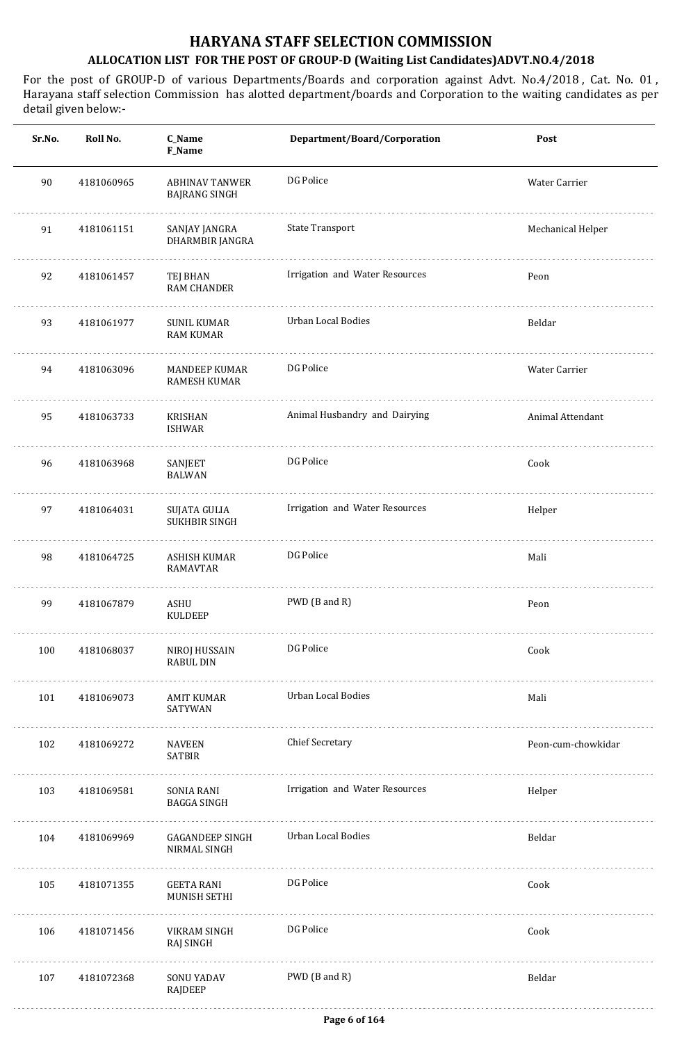| Sr.No. | Roll No.   | C_Name<br>F_Name                              | Department/Board/Corporation   | Post               |
|--------|------------|-----------------------------------------------|--------------------------------|--------------------|
| 90     | 4181060965 | <b>ABHINAV TANWER</b><br><b>BAJRANG SINGH</b> | DG Police                      | Water Carrier      |
| 91     | 4181061151 | SANJAY JANGRA<br>DHARMBIR JANGRA              | <b>State Transport</b>         | Mechanical Helper  |
| 92     | 4181061457 | TEJ BHAN<br><b>RAM CHANDER</b>                | Irrigation and Water Resources | Peon               |
| 93     | 4181061977 | <b>SUNIL KUMAR</b><br><b>RAM KUMAR</b>        | Urban Local Bodies             | Beldar             |
| 94     | 4181063096 | <b>MANDEEP KUMAR</b><br><b>RAMESH KUMAR</b>   | DG Police                      | Water Carrier      |
| 95     | 4181063733 | KRISHAN<br><b>ISHWAR</b>                      | Animal Husbandry and Dairying  | Animal Attendant   |
| 96     | 4181063968 | SANJEET<br><b>BALWAN</b>                      | DG Police                      | Cook               |
| 97     | 4181064031 | <b>SUJATA GULIA</b><br>SUKHBIR SINGH          | Irrigation and Water Resources | Helper             |
| 98     | 4181064725 | ASHISH KUMAR<br><b>RAMAVTAR</b>               | DG Police                      | Mali               |
| 99     | 4181067879 | ASHU<br><b>KULDEEP</b>                        | PWD (B and R)                  | Peon               |
| 100    | 4181068037 | NIROJ HUSSAIN<br><b>RABUL DIN</b>             | DG Police                      | Cook               |
| 101    | 4181069073 | AMIT KUMAR<br>SATYWAN                         | Urban Local Bodies             | Mali               |
| 102    | 4181069272 | <b>NAVEEN</b><br><b>SATBIR</b>                | <b>Chief Secretary</b>         | Peon-cum-chowkidar |
| 103    | 4181069581 | SONIA RANI<br>BAGGA SINGH                     | Irrigation and Water Resources | Helper             |
| 104    | 4181069969 | GAGANDEEP SINGH<br>NIRMAL SINGH               | Urban Local Bodies             | Beldar             |
| 105    | 4181071355 | GEETA RANI<br>MUNISH SETHI                    | DG Police                      | Cook               |
| 106    | 4181071456 | VIKRAM SINGH<br>RAJ SINGH                     | DG Police                      | Cook               |
| 107    | 4181072368 | SONU YADAV<br>RAJDEEP                         | PWD (B and R)                  | Beldar             |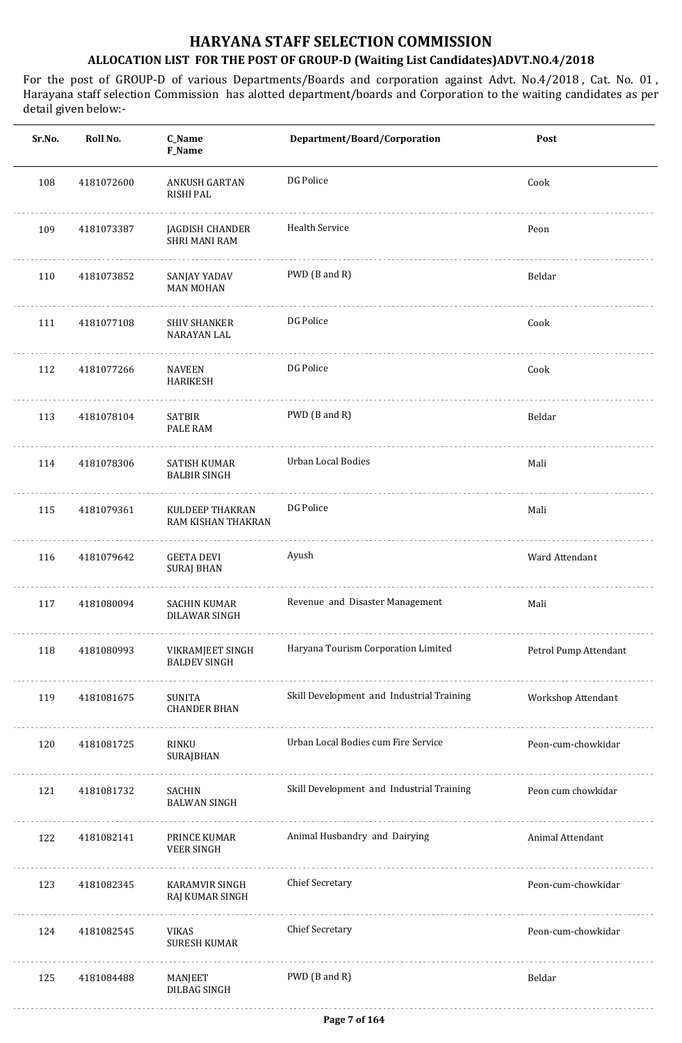| Sr.No. | Roll No.   | C_Name<br>F_Name                             | Department/Board/Corporation              | Post                  |
|--------|------------|----------------------------------------------|-------------------------------------------|-----------------------|
| 108    | 4181072600 | <b>ANKUSH GARTAN</b><br><b>RISHI PAL</b>     | DG Police                                 | Cook                  |
| 109    | 4181073387 | JAGDISH CHANDER<br><b>SHRI MANI RAM</b>      | <b>Health Service</b>                     | Peon                  |
| 110    | 4181073852 | SANJAY YADAV<br><b>MAN MOHAN</b>             | PWD (B and R)                             | Beldar                |
| 111    | 4181077108 | <b>SHIV SHANKER</b><br>NARAYAN LAL           | DG Police                                 | Cook                  |
| 112    | 4181077266 | NAVEEN<br><b>HARIKESH</b>                    | DG Police                                 | Cook                  |
| 113    | 4181078104 | <b>SATBIR</b><br>PALE RAM                    | PWD (B and R)                             | Beldar                |
| 114    | 4181078306 | SATISH KUMAR<br><b>BALBIR SINGH</b>          | Urban Local Bodies                        | Mali                  |
| 115    | 4181079361 | KULDEEP THAKRAN<br>RAM KISHAN THAKRAN        | DG Police                                 | Mali                  |
| 116    | 4181079642 | <b>GEETA DEVI</b><br>SURAJ BHAN              | Ayush                                     | Ward Attendant        |
| 117    | 4181080094 | <b>SACHIN KUMAR</b><br>DILAWAR SINGH         | Revenue and Disaster Management           | Mali                  |
| 118    | 4181080993 | VIKRAMJEET SINGH<br><b>BALDEV SINGH</b><br>. | Haryana Tourism Corporation Limited       | Petrol Pump Attendant |
| 119    | 4181081675 | SUNITA<br><b>CHANDER BHAN</b>                | Skill Development and Industrial Training | Workshop Attendant    |
| 120    | 4181081725 | RINKU<br>SURAJBHAN                           | Urban Local Bodies cum Fire Service       | Peon-cum-chowkidar    |
| 121    | 4181081732 | SACHIN<br><b>BALWAN SINGH</b>                | Skill Development and Industrial Training | Peon cum chowkidar    |
| 122    | 4181082141 | PRINCE KUMAR<br><b>VEER SINGH</b>            | Animal Husbandry and Dairying             | Animal Attendant      |
| 123    | 4181082345 | KARAMVIR SINGH<br>RAJ KUMAR SINGH            | Chief Secretary                           | Peon-cum-chowkidar    |
| 124    | 4181082545 | <b>VIKAS</b><br><b>SURESH KUMAR</b>          | Chief Secretary                           | Peon-cum-chowkidar    |
| 125    | 4181084488 | MANJEET<br>DILBAG SINGH                      | PWD (B and R)                             | Beldar                |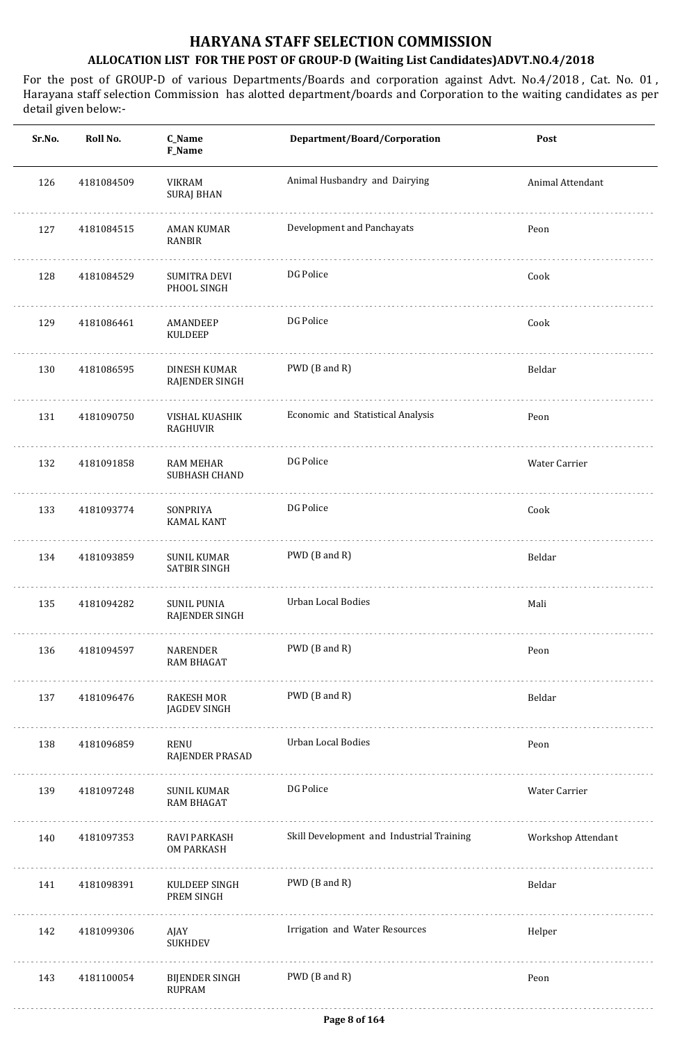| Sr.No. | Roll No.   | C_Name<br>F_Name                          | Department/Board/Corporation              | Post               |
|--------|------------|-------------------------------------------|-------------------------------------------|--------------------|
| 126    | 4181084509 | <b>VIKRAM</b><br><b>SURAJ BHAN</b>        | Animal Husbandry and Dairying             | Animal Attendant   |
| 127    | 4181084515 | <b>AMAN KUMAR</b><br><b>RANBIR</b>        | Development and Panchayats                | Peon               |
| 128    | 4181084529 | SUMITRA DEVI<br>PHOOL SINGH               | DG Police                                 | Cook               |
| 129    | 4181086461 | AMANDEEP<br>KULDEEP                       | DG Police                                 | Cook               |
| 130    | 4181086595 | <b>DINESH KUMAR</b><br>RAJENDER SINGH     | PWD (B and R)                             | Beldar             |
| 131    | 4181090750 | VISHAL KUASHIK<br><b>RAGHUVIR</b>         | Economic and Statistical Analysis         | Peon               |
| 132    | 4181091858 | <b>RAM MEHAR</b><br><b>SUBHASH CHAND</b>  | DG Police                                 | Water Carrier      |
| 133    | 4181093774 | SONPRIYA<br><b>KAMAL KANT</b>             | DG Police                                 | Cook               |
| 134    | 4181093859 | <b>SUNIL KUMAR</b><br><b>SATBIR SINGH</b> | PWD (B and R)                             | Beldar             |
| 135    | 4181094282 | <b>SUNIL PUNIA</b><br>RAJENDER SINGH      | <b>Urban Local Bodies</b>                 | Mali               |
| 136    | 4181094597 | NARENDER<br><b>RAM BHAGAT</b>             | PWD (B and R)                             | Peon               |
| 137    | 4181096476 | RAKESH MOR<br>JAGDEV SINGH                | PWD (B and R)                             | Beldar             |
| 138    | 4181096859 | RENU<br>RAJENDER PRASAD                   | Urban Local Bodies                        | Peon               |
| 139    | 4181097248 | SUNIL KUMAR<br><b>RAM BHAGAT</b>          | DG Police                                 | Water Carrier      |
| 140    | 4181097353 | RAVI PARKASH<br><b>OM PARKASH</b>         | Skill Development and Industrial Training | Workshop Attendant |
| 141    | 4181098391 | KULDEEP SINGH<br>PREM SINGH               | PWD (B and R)                             | Beldar             |
| 142    | 4181099306 | AJAY<br><b>SUKHDEV</b>                    | Irrigation and Water Resources            | Helper             |
| 143    | 4181100054 | <b>BIJENDER SINGH</b><br><b>RUPRAM</b>    | PWD (B and R)                             | Peon               |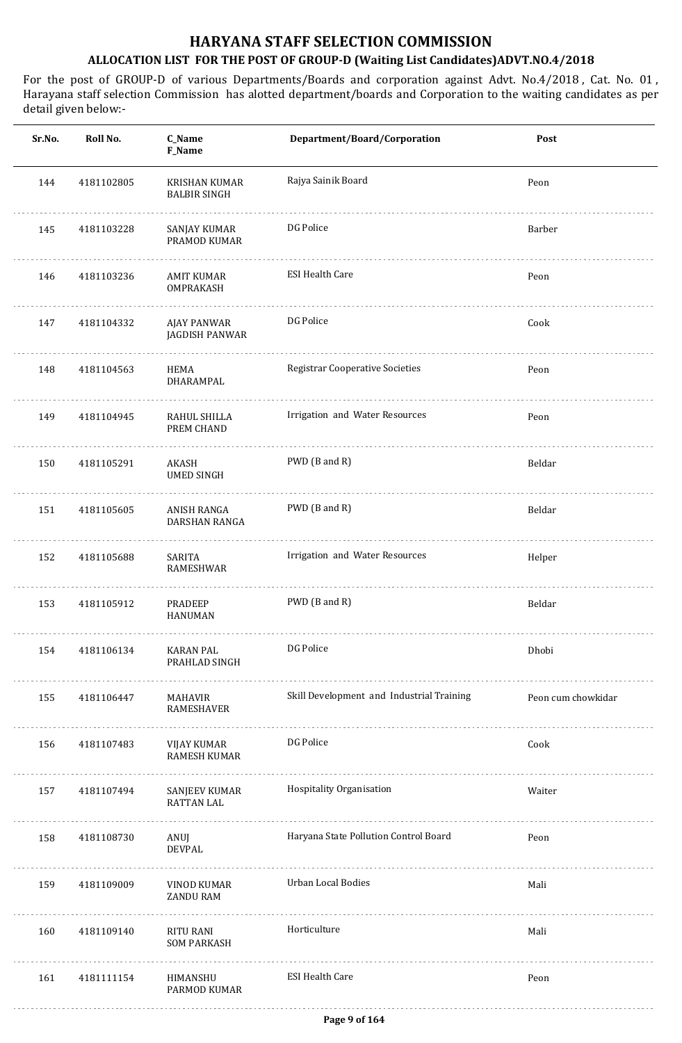| Sr.No. | Roll No.   | C_Name<br>F_Name                     | Department/Board/Corporation              | Post               |
|--------|------------|--------------------------------------|-------------------------------------------|--------------------|
| 144    | 4181102805 | KRISHAN KUMAR<br><b>BALBIR SINGH</b> | Rajya Sainik Board                        | Peon               |
| 145    | 4181103228 | SANJAY KUMAR<br>PRAMOD KUMAR         | DG Police                                 | Barber             |
| 146    | 4181103236 | AMIT KUMAR<br>OMPRAKASH              | <b>ESI Health Care</b>                    | Peon               |
| 147    | 4181104332 | AJAY PANWAR<br>JAGDISH PANWAR        | DG Police                                 | Cook               |
| 148    | 4181104563 | HEMA<br>DHARAMPAL                    | <b>Registrar Cooperative Societies</b>    | Peon               |
| 149    | 4181104945 | RAHUL SHILLA<br>PREM CHAND           | Irrigation and Water Resources            | Peon               |
| 150    | 4181105291 | AKASH<br><b>UMED SINGH</b>           | PWD (B and R)                             | Beldar             |
| 151    | 4181105605 | ANISH RANGA<br>DARSHAN RANGA         | PWD (B and R)                             | Beldar             |
| 152    | 4181105688 | SARITA<br>RAMESHWAR                  | Irrigation and Water Resources            | Helper             |
| 153    | 4181105912 | <b>PRADEEP</b><br>HANUMAN            | PWD (B and R)                             | Beldar             |
| 154    | 4181106134 | <b>KARAN PAL</b><br>PRAHLAD SINGH    | DG Police                                 | Dhobi              |
| 155    | 4181106447 | MAHAVIR<br>RAMESHAVER                | Skill Development and Industrial Training | Peon cum chowkidar |
| 156    | 4181107483 | VIJAY KUMAR<br><b>RAMESH KUMAR</b>   | DG Police                                 | Cook               |
| 157    | 4181107494 | SANJEEV KUMAR<br><b>RATTAN LAL</b>   | Hospitality Organisation                  | Waiter             |
| 158    | 4181108730 | ANUJ<br><b>DEVPAL</b>                | Haryana State Pollution Control Board     | Peon               |
| 159    | 4181109009 | VINOD KUMAR<br>ZANDU RAM             | Urban Local Bodies                        | Mali               |
| 160    | 4181109140 | RITU RANI<br><b>SOM PARKASH</b>      | Horticulture                              | Mali               |
| 161    | 4181111154 | HIMANSHU<br>PARMOD KUMAR             | <b>ESI Health Care</b>                    | Peon               |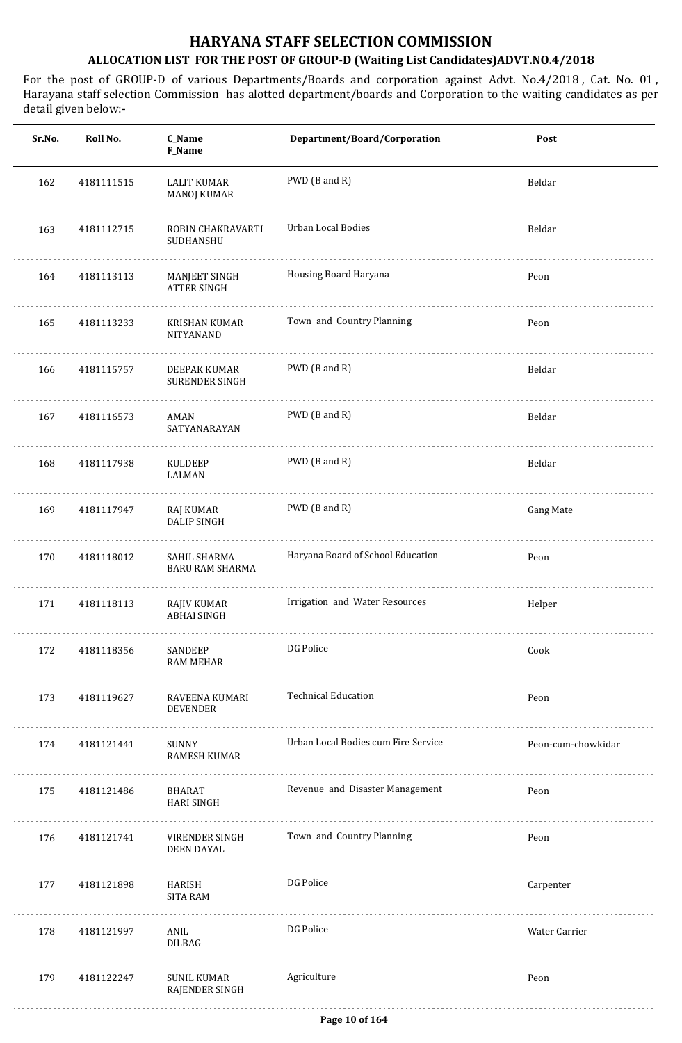| Sr.No. | Roll No.   | C_Name<br>F_Name                         | Department/Board/Corporation        | Post               |
|--------|------------|------------------------------------------|-------------------------------------|--------------------|
| 162    | 4181111515 | <b>LALIT KUMAR</b><br><b>MANOJ KUMAR</b> | PWD (B and R)                       | Beldar             |
| 163    | 4181112715 | ROBIN CHAKRAVARTI<br>SUDHANSHU           | Urban Local Bodies                  | Beldar             |
| 164    | 4181113113 | MANJEET SINGH<br><b>ATTER SINGH</b>      | Housing Board Haryana               | Peon               |
| 165    | 4181113233 | KRISHAN KUMAR<br>NITYANAND               | Town and Country Planning           | Peon               |
| 166    | 4181115757 | DEEPAK KUMAR<br>SURENDER SINGH           | PWD (B and R)                       | Beldar             |
| 167    | 4181116573 | AMAN<br>SATYANARAYAN                     | PWD (B and R)                       | Beldar             |
| 168    | 4181117938 | KULDEEP<br>LALMAN                        | PWD (B and R)                       | Beldar             |
| 169    | 4181117947 | RAJ KUMAR<br><b>DALIP SINGH</b>          | PWD (B and R)                       | <b>Gang Mate</b>   |
| 170    | 4181118012 | SAHIL SHARMA<br><b>BARU RAM SHARMA</b>   | Haryana Board of School Education   | Peon               |
| 171    | 4181118113 | <b>RAJIV KUMAR</b><br><b>ABHAI SINGH</b> | Irrigation and Water Resources      | Helper             |
| 172    | 4181118356 | SANDEEP<br>RAM MEHAR                     | DG Police                           | Cook               |
| 173    | 4181119627 | RAVEENA KUMARI<br><b>DEVENDER</b>        | <b>Technical Education</b>          | Peon               |
| 174    | 4181121441 | SUNNY<br>RAMESH KUMAR                    | Urban Local Bodies cum Fire Service | Peon-cum-chowkidar |
| 175    | 4181121486 | BHARAT<br>HARI SINGH                     | Revenue and Disaster Management     | Peon               |
| 176    | 4181121741 | VIRENDER SINGH<br>DEEN DAYAL             | Town and Country Planning           | Peon               |
| 177    | 4181121898 | HARISH<br>SITA RAM                       | DG Police                           | Carpenter          |
| 178    | 4181121997 | ANIL<br>DILBAG                           | DG Police                           | Water Carrier      |
| 179    | 4181122247 | <b>SUNIL KUMAR</b><br>RAJENDER SINGH     | Agriculture                         | Peon               |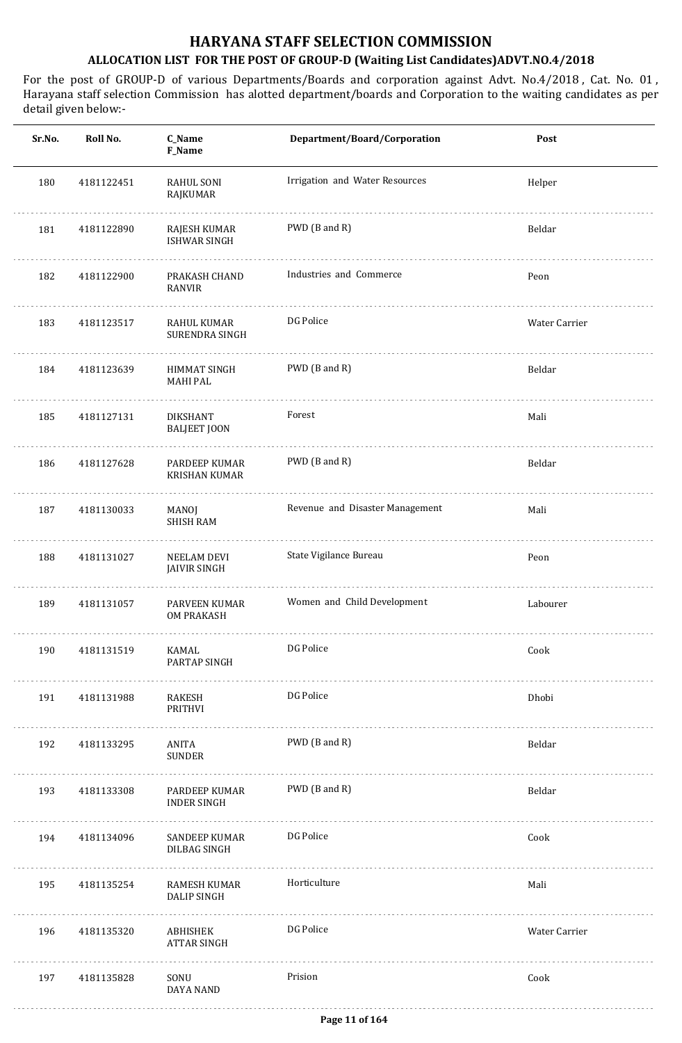| Sr.No. | Roll No.   | C_Name<br>F_Name                       | Department/Board/Corporation    | Post          |
|--------|------------|----------------------------------------|---------------------------------|---------------|
| 180    | 4181122451 | RAHUL SONI<br>RAJKUMAR                 | Irrigation and Water Resources  | Helper        |
| 181    | 4181122890 | RAJESH KUMAR<br><b>ISHWAR SINGH</b>    | PWD (B and R)                   | Beldar        |
| 182    | 4181122900 | PRAKASH CHAND<br><b>RANVIR</b>         | Industries and Commerce         | Peon          |
| 183    | 4181123517 | RAHUL KUMAR<br>SURENDRA SINGH          | DG Police                       | Water Carrier |
| 184    | 4181123639 | HIMMAT SINGH<br><b>MAHI PAL</b>        | PWD (B and R)                   | Beldar        |
| 185    | 4181127131 | <b>DIKSHANT</b><br><b>BALJEET JOON</b> | Forest                          | Mali          |
| 186    | 4181127628 | PARDEEP KUMAR<br><b>KRISHAN KUMAR</b>  | PWD (B and R)                   | Beldar        |
| 187    | 4181130033 | MANOJ<br><b>SHISH RAM</b>              | Revenue and Disaster Management | Mali          |
| 188    | 4181131027 | NEELAM DEVI<br><b>JAIVIR SINGH</b>     | State Vigilance Bureau          | Peon          |
| 189    | 4181131057 | PARVEEN KUMAR<br><b>OM PRAKASH</b>     | Women and Child Development     | Labourer      |
| 190    | 4181131519 | KAMAL<br>PARTAP SINGH<br>.             | DG Police                       | Cook          |
| 191    | 4181131988 | RAKESH<br>PRITHVI                      | DG Police                       | Dhobi         |
| 192    | 4181133295 | ANITA<br><b>SUNDER</b>                 | PWD (B and R)                   | Beldar        |
| 193    | 4181133308 | PARDEEP KUMAR<br><b>INDER SINGH</b>    | PWD (B and R)                   | Beldar        |
| 194    | 4181134096 | SANDEEP KUMAR<br>DILBAG SINGH          | DG Police                       | Cook          |
| 195    | 4181135254 | RAMESH KUMAR<br>DALIP SINGH            | Horticulture                    | Mali          |
| 196    | 4181135320 | ABHISHEK<br><b>ATTAR SINGH</b>         | DG Police                       | Water Carrier |
| 197    | 4181135828 | SONU<br>DAYA NAND                      | Prision                         | Cook          |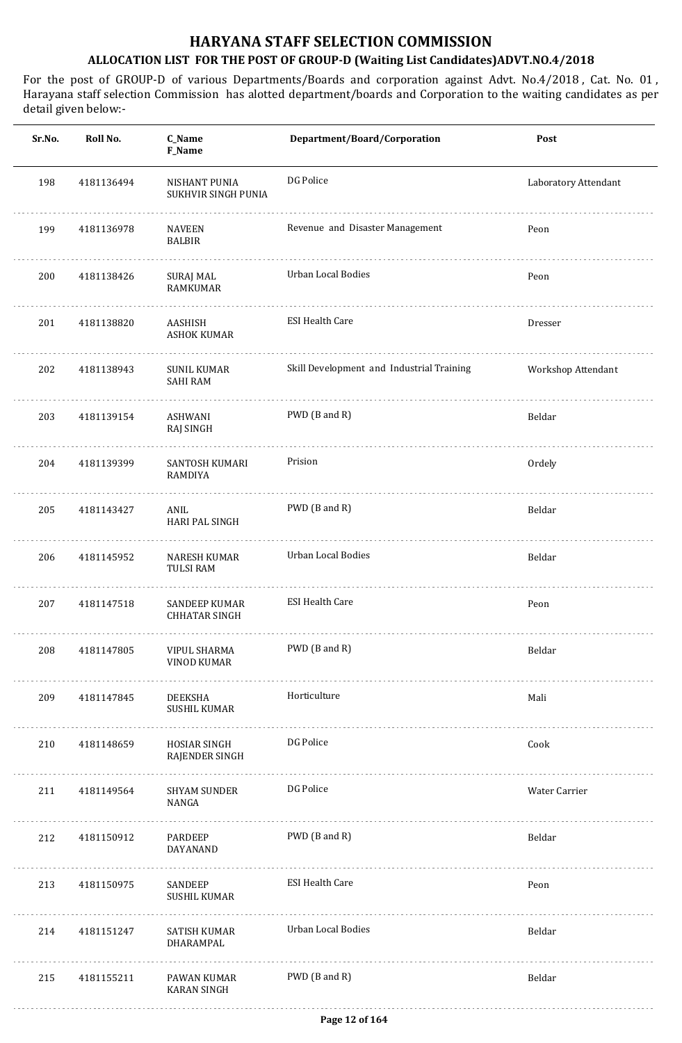| Sr.No. | Roll No.   | C_Name<br>F_Name                      | Department/Board/Corporation              | Post                 |
|--------|------------|---------------------------------------|-------------------------------------------|----------------------|
| 198    | 4181136494 | NISHANT PUNIA<br>SUKHVIR SINGH PUNIA  | DG Police                                 | Laboratory Attendant |
| 199    | 4181136978 | <b>NAVEEN</b><br><b>BALBIR</b>        | Revenue and Disaster Management           | Peon                 |
| 200    | 4181138426 | SURAJ MAL<br><b>RAMKUMAR</b>          | Urban Local Bodies                        | Peon                 |
| 201    | 4181138820 | AASHISH<br><b>ASHOK KUMAR</b>         | <b>ESI Health Care</b>                    | Dresser              |
| 202    | 4181138943 | <b>SUNIL KUMAR</b><br><b>SAHI RAM</b> | Skill Development and Industrial Training | Workshop Attendant   |
| 203    | 4181139154 | ASHWANI<br>RAJ SINGH                  | PWD (B and R)                             | Beldar               |
| 204    | 4181139399 | SANTOSH KUMARI<br>RAMDIYA             | Prision                                   | Ordely               |
| 205    | 4181143427 | ANIL<br><b>HARI PAL SINGH</b>         | PWD (B and R)                             | Beldar               |
| 206    | 4181145952 | NARESH KUMAR<br><b>TULSI RAM</b>      | Urban Local Bodies                        | Beldar               |
| 207    | 4181147518 | SANDEEP KUMAR<br><b>CHHATAR SINGH</b> | <b>ESI Health Care</b>                    | Peon                 |
| 208    | 4181147805 | VIPUL SHARMA<br><b>VINOD KUMAR</b>    | PWD (B and R)                             | Beldar               |
| 209    | 4181147845 | DEEKSHA<br><b>SUSHIL KUMAR</b>        | Horticulture                              | Mali                 |
| 210    | 4181148659 | HOSIAR SINGH<br>RAJENDER SINGH        | DG Police                                 | Cook                 |
| 211    | 4181149564 | SHYAM SUNDER<br>NANGA                 | DG Police                                 | Water Carrier        |
| 212    | 4181150912 | PARDEEP<br>DAYANAND                   | PWD (B and R)                             | Beldar               |
| 213    | 4181150975 | SANDEEP<br><b>SUSHIL KUMAR</b>        | <b>ESI Health Care</b>                    | Peon                 |
| 214    | 4181151247 | SATISH KUMAR<br>DHARAMPAL             | Urban Local Bodies                        | Beldar               |
| 215    | 4181155211 | PAWAN KUMAR<br><b>KARAN SINGH</b>     | PWD (B and R)                             | Beldar               |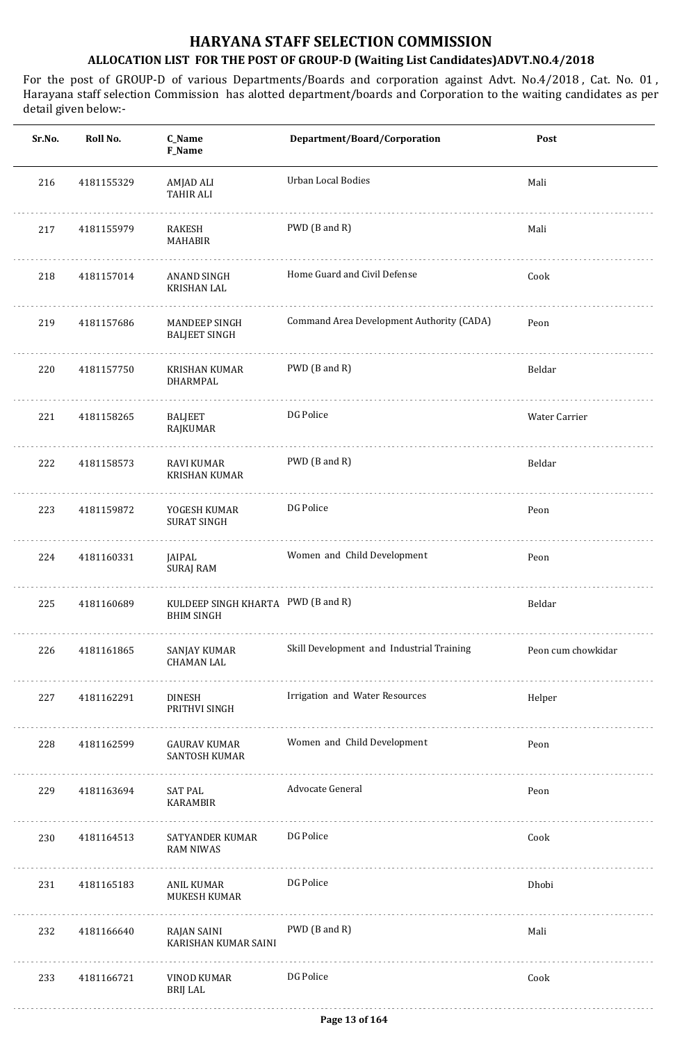| Roll No.<br>Sr.No. | C_Name<br>F_Name                             | Department/Board/Corporation              | Post                               |
|--------------------|----------------------------------------------|-------------------------------------------|------------------------------------|
| 4181155329         | AMJAD ALI<br><b>TAHIR ALI</b>                | <b>Urban Local Bodies</b>                 | Mali                               |
| 4181155979         | RAKESH<br><b>MAHABIR</b>                     | PWD (B and R)                             | Mali                               |
| 4181157014         | ANAND SINGH<br><b>KRISHAN LAL</b>            | Home Guard and Civil Defense              | Cook                               |
| 4181157686         | <b>MANDEEP SINGH</b><br><b>BALJEET SINGH</b> | Command Area Development Authority (CADA) | Peon                               |
| 4181157750         | KRISHAN KUMAR<br>DHARMPAL                    | PWD (B and R)                             | Beldar                             |
| 4181158265         | <b>BALJEET</b><br>RAJKUMAR                   | DG Police                                 | Water Carrier                      |
| 4181158573         | RAVI KUMAR<br><b>KRISHAN KUMAR</b>           | PWD (B and R)                             | Beldar                             |
| 4181159872         | YOGESH KUMAR<br><b>SURAT SINGH</b>           | DG Police                                 | Peon                               |
| 4181160331         | JAIPAL<br>SURAJ RAM                          | Women and Child Development               | Peon                               |
| 4181160689         | <b>BHIM SINGH</b>                            |                                           | Beldar                             |
| 4181161865         | SANJAY KUMAR<br><b>CHAMAN LAL</b>            | Skill Development and Industrial Training | Peon cum chowkidar                 |
| 4181162291         | DINESH<br>PRITHVI SINGH                      | Irrigation and Water Resources            | Helper                             |
| 4181162599         | GAURAV KUMAR<br>SANTOSH KUMAR                | Women and Child Development               | Peon                               |
| 4181163694         | <b>SAT PAL</b><br>KARAMBIR                   | Advocate General                          | Peon                               |
| 4181164513         | SATYANDER KUMAR<br><b>RAM NIWAS</b>          | DG Police                                 | Cook                               |
| 4181165183         | ANIL KUMAR<br>MUKESH KUMAR                   | DG Police                                 | Dhobi                              |
| 4181166640         | RAJAN SAINI<br>KARISHAN KUMAR SAINI          | PWD (B and R)                             | Mali                               |
| 4181166721         | VINOD KUMAR<br><b>BRIJ LAL</b>               | DG Police                                 | Cook                               |
|                    |                                              |                                           | KULDEEP SINGH KHARTA PWD (B and R) |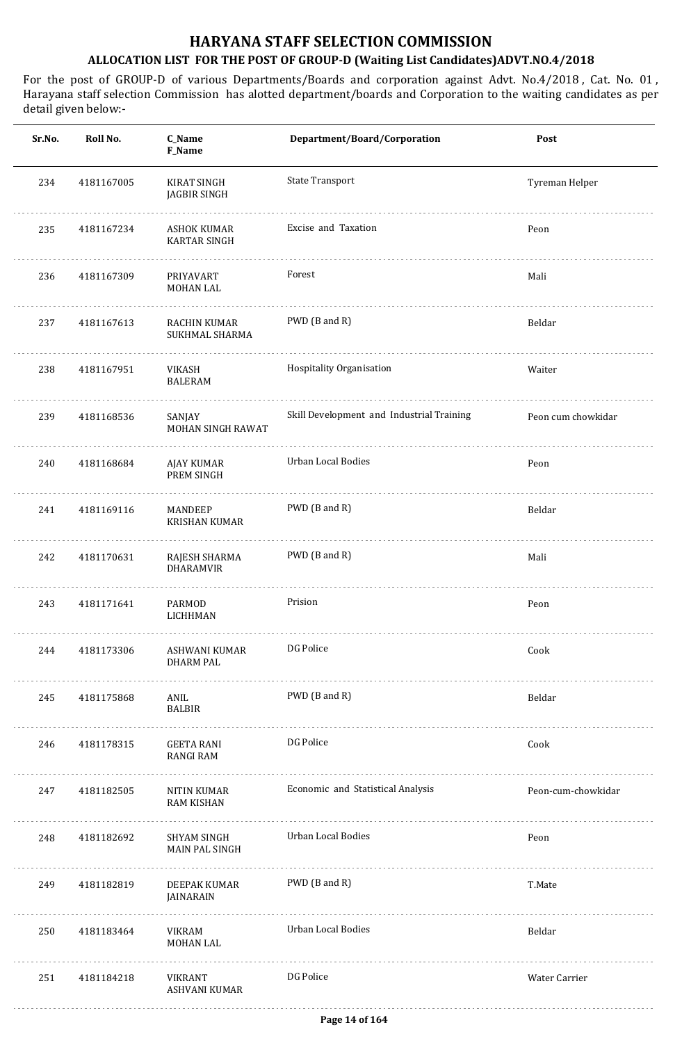| Sr.No. | Roll No.   | C_Name<br>F_Name                          | Department/Board/Corporation              | Post               |
|--------|------------|-------------------------------------------|-------------------------------------------|--------------------|
| 234    | 4181167005 | KIRAT SINGH<br>JAGBIR SINGH               | <b>State Transport</b>                    | Tyreman Helper     |
| 235    | 4181167234 | <b>ASHOK KUMAR</b><br><b>KARTAR SINGH</b> | Excise and Taxation                       | Peon               |
| 236    | 4181167309 | PRIYAVART<br>MOHAN LAL                    | Forest                                    | Mali               |
| 237    | 4181167613 | RACHIN KUMAR<br>SUKHMAL SHARMA            | PWD (B and R)                             | Beldar             |
| 238    | 4181167951 | VIKASH<br><b>BALERAM</b>                  | Hospitality Organisation                  | Waiter             |
| 239    | 4181168536 | SANJAY<br>MOHAN SINGH RAWAT               | Skill Development and Industrial Training | Peon cum chowkidar |
| 240    | 4181168684 | AJAY KUMAR<br>PREM SINGH                  | Urban Local Bodies                        | Peon               |
| 241    | 4181169116 | MANDEEP<br><b>KRISHAN KUMAR</b>           | PWD (B and R)                             | Beldar             |
| 242    | 4181170631 | RAJESH SHARMA<br>DHARAMVIR                | PWD (B and R)                             | Mali               |
| 243    | 4181171641 | PARMOD<br>LICHHMAN                        | Prision                                   | Peon               |
| 244    | 4181173306 | ASHWANI KUMAR<br><b>DHARM PAL</b>         | DG Police                                 | Cook               |
| 245    | 4181175868 | ANIL<br><b>BALBIR</b>                     | PWD (B and R)                             | Beldar             |
| 246    | 4181178315 | GEETA RANI<br>RANGI RAM                   | DG Police                                 | Cook               |
| 247    | 4181182505 | NITIN KUMAR<br><b>RAM KISHAN</b>          | Economic and Statistical Analysis         | Peon-cum-chowkidar |
| 248    | 4181182692 | SHYAM SINGH<br>MAIN PAL SINGH             | Urban Local Bodies                        | Peon               |
| 249    | 4181182819 | DEEPAK KUMAR<br>JAINARAIN                 | PWD (B and R)                             | T.Mate             |
| 250    | 4181183464 | VIKRAM<br>MOHAN LAL                       | Urban Local Bodies                        | Beldar             |
| 251    | 4181184218 | VIKRANT<br>ASHVANI KUMAR                  | DG Police                                 | Water Carrier      |
|        |            |                                           |                                           |                    |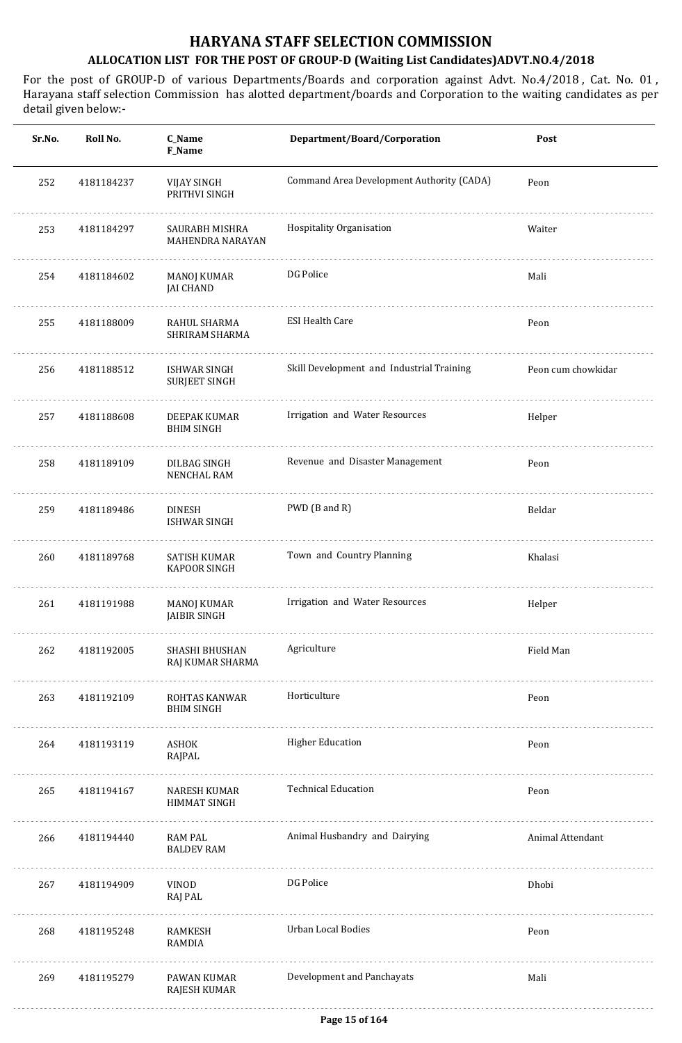| Sr.No. | Roll No.   | C_Name<br>F_Name                            | Department/Board/Corporation              | Post               |
|--------|------------|---------------------------------------------|-------------------------------------------|--------------------|
| 252    | 4181184237 | <b>VIJAY SINGH</b><br>PRITHVI SINGH         | Command Area Development Authority (CADA) | Peon               |
| 253    | 4181184297 | SAURABH MISHRA<br>MAHENDRA NARAYAN          | Hospitality Organisation                  | Waiter             |
| 254    | 4181184602 | MANOJ KUMAR<br><b>JAI CHAND</b>             | DG Police                                 | Mali               |
| 255    | 4181188009 | RAHUL SHARMA<br>SHRIRAM SHARMA              | <b>ESI Health Care</b>                    | Peon               |
| 256    | 4181188512 | <b>ISHWAR SINGH</b><br><b>SURJEET SINGH</b> | Skill Development and Industrial Training | Peon cum chowkidar |
| 257    | 4181188608 | <b>DEEPAK KUMAR</b><br><b>BHIM SINGH</b>    | Irrigation and Water Resources            | Helper             |
| 258    | 4181189109 | DILBAG SINGH<br><b>NENCHAL RAM</b>          | Revenue and Disaster Management           | Peon               |
| 259    | 4181189486 | <b>DINESH</b><br><b>ISHWAR SINGH</b>        | PWD (B and R)                             | Beldar             |
| 260    | 4181189768 | SATISH KUMAR<br><b>KAPOOR SINGH</b>         | Town and Country Planning                 | Khalasi            |
| 261    | 4181191988 | <b>MANOJ KUMAR</b><br><b>JAIBIR SINGH</b>   | Irrigation and Water Resources            | Helper             |
| 262    | 4181192005 | <b>SHASHI BHUSHAN</b><br>RAJ KUMAR SHARMA   | Agriculture                               | Field Man          |
| 263    | 4181192109 | ROHTAS KANWAR<br><b>BHIM SINGH</b>          | Horticulture                              | Peon               |
| 264    | 4181193119 | ASHOK<br>RAJPAL                             | <b>Higher Education</b>                   | Peon               |
| 265    | 4181194167 | NARESH KUMAR<br>HIMMAT SINGH                | <b>Technical Education</b>                | Peon               |
| 266    | 4181194440 | RAM PAL<br><b>BALDEV RAM</b>                | Animal Husbandry and Dairying             | Animal Attendant   |
| 267    | 4181194909 | VINOD<br>RAJ PAL                            | DG Police                                 | Dhobi              |
| 268    | 4181195248 | RAMKESH<br>RAMDIA                           | <b>Urban Local Bodies</b>                 | Peon               |
| 269    | 4181195279 | PAWAN KUMAR<br>RAJESH KUMAR                 | Development and Panchayats                | Mali               |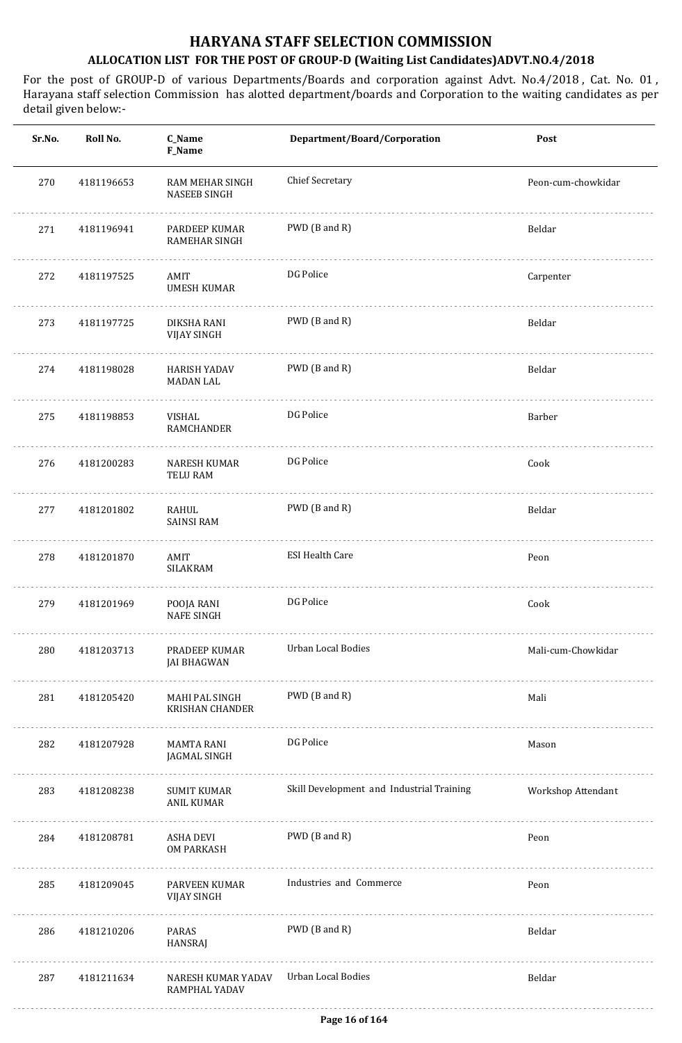| Sr.No. | Roll No.   | C_Name<br>F_Name                         | Department/Board/Corporation              | Post               |
|--------|------------|------------------------------------------|-------------------------------------------|--------------------|
| 270    | 4181196653 | RAM MEHAR SINGH<br><b>NASEEB SINGH</b>   | <b>Chief Secretary</b>                    | Peon-cum-chowkidar |
| 271    | 4181196941 | PARDEEP KUMAR<br><b>RAMEHAR SINGH</b>    | PWD (B and R)                             | Beldar             |
| 272    | 4181197525 | AMIT<br><b>UMESH KUMAR</b>               | DG Police                                 | Carpenter          |
| 273    | 4181197725 | DIKSHA RANI<br><b>VIJAY SINGH</b>        | PWD (B and R)                             | Beldar             |
| 274    | 4181198028 | <b>HARISH YADAV</b><br><b>MADAN LAL</b>  | PWD (B and R)                             | Beldar             |
| 275    | 4181198853 | VISHAL<br>RAMCHANDER                     | DG Police                                 | Barber             |
| 276    | 4181200283 | <b>NARESH KUMAR</b><br><b>TELU RAM</b>   | DG Police                                 | Cook               |
| 277    | 4181201802 | RAHUL<br><b>SAINSI RAM</b>               | PWD (B and R)                             | Beldar             |
| 278    | 4181201870 | AMIT<br><b>SILAKRAM</b>                  | <b>ESI Health Care</b>                    | Peon               |
| 279    | 4181201969 | POOJA RANI<br><b>NAFE SINGH</b>          | DG Police                                 | Cook               |
| 280    | 4181203713 | PRADEEP KUMAR<br><b>JAI BHAGWAN</b>      | Urban Local Bodies                        | Mali-cum-Chowkidar |
| 281    | 4181205420 | MAHI PAL SINGH<br><b>KRISHAN CHANDER</b> | PWD (B and R)                             | Mali               |
| 282    | 4181207928 | MAMTA RANI<br>JAGMAL SINGH               | DG Police                                 | Mason              |
| 283    | 4181208238 | SUMIT KUMAR<br>ANIL KUMAR                | Skill Development and Industrial Training | Workshop Attendant |
| 284    | 4181208781 | ASHA DEVI<br><b>OM PARKASH</b>           | PWD (B and R)                             | Peon               |
| 285    | 4181209045 | PARVEEN KUMAR<br><b>VIJAY SINGH</b>      | Industries and Commerce                   | Peon               |
| 286    | 4181210206 | PARAS<br>HANSRAJ                         | PWD (B and R)                             | Beldar             |
| 287    | 4181211634 | NARESH KUMAR YADAV<br>RAMPHAL YADAV      | Urban Local Bodies                        | Beldar             |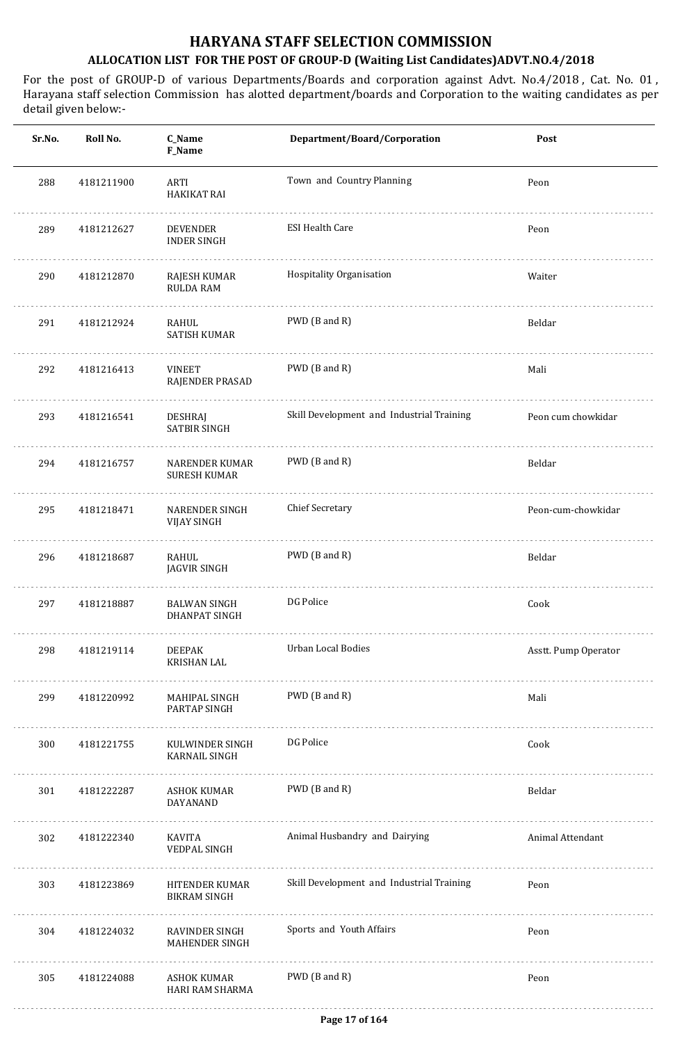| Sr.No. | Roll No.   | C_Name<br>F_Name                      | Department/Board/Corporation              | Post                 |
|--------|------------|---------------------------------------|-------------------------------------------|----------------------|
| 288    | 4181211900 | ARTI<br><b>HAKIKAT RAI</b>            | Town and Country Planning                 | Peon                 |
| 289    | 4181212627 | DEVENDER<br><b>INDER SINGH</b>        | <b>ESI Health Care</b>                    | Peon                 |
| 290    | 4181212870 | RAJESH KUMAR<br><b>RULDA RAM</b>      | Hospitality Organisation                  | Waiter               |
| 291    | 4181212924 | RAHUL<br><b>SATISH KUMAR</b>          | PWD (B and R)                             | Beldar               |
| 292    | 4181216413 | <b>VINEET</b><br>RAJENDER PRASAD      | PWD (B and R)                             | Mali                 |
| 293    | 4181216541 | <b>DESHRAJ</b><br><b>SATBIR SINGH</b> | Skill Development and Industrial Training | Peon cum chowkidar   |
| 294    | 4181216757 | NARENDER KUMAR<br><b>SURESH KUMAR</b> | PWD (B and R)                             | Beldar               |
| 295    | 4181218471 | NARENDER SINGH<br><b>VIJAY SINGH</b>  | <b>Chief Secretary</b>                    | Peon-cum-chowkidar   |
| 296    | 4181218687 | RAHUL<br><b>JAGVIR SINGH</b>          | PWD (B and R)                             | Beldar               |
| 297    | 4181218887 | <b>BALWAN SINGH</b><br>DHANPAT SINGH  | DG Police                                 | Cook                 |
| 298    | 4181219114 | DEEPAK<br>KRISHAN LAL                 | Urban Local Bodies                        | Asstt. Pump Operator |
| 299    | 4181220992 | MAHIPAL SINGH<br>PARTAP SINGH         | PWD (B and R)                             | Mali                 |
| 300    | 4181221755 | KULWINDER SINGH<br>KARNAIL SINGH      | DG Police                                 | Cook                 |
| 301    | 4181222287 | ASHOK KUMAR<br>DAYANAND               | PWD (B and R)                             | Beldar               |
| 302    | 4181222340 | KAVITA<br>VEDPAL SINGH                | Animal Husbandry and Dairying             | Animal Attendant     |
| 303    | 4181223869 | HITENDER KUMAR<br><b>BIKRAM SINGH</b> | Skill Development and Industrial Training | Peon                 |
| 304    | 4181224032 | RAVINDER SINGH<br>MAHENDER SINGH      | Sports and Youth Affairs                  | Peon                 |
| 305    | 4181224088 | ASHOK KUMAR<br>HARI RAM SHARMA        | PWD (B and R)                             | Peon                 |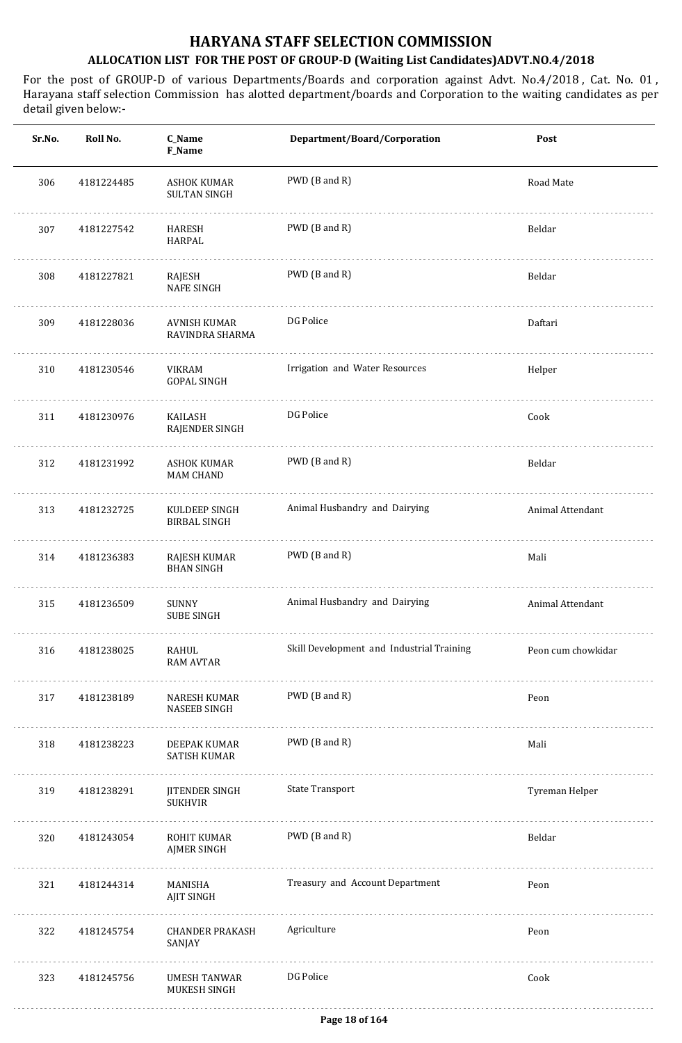| Sr.No. | Roll No.   | C_Name<br>F_Name                          | Department/Board/Corporation              | Post               |
|--------|------------|-------------------------------------------|-------------------------------------------|--------------------|
| 306    | 4181224485 | <b>ASHOK KUMAR</b><br><b>SULTAN SINGH</b> | PWD (B and R)                             | Road Mate          |
| 307    | 4181227542 | HARESH<br>HARPAL                          | PWD (B and R)                             | Beldar             |
| 308    | 4181227821 | RAJESH<br><b>NAFE SINGH</b>               | PWD (B and R)                             | Beldar             |
| 309    | 4181228036 | AVNISH KUMAR<br>RAVINDRA SHARMA           | DG Police                                 | Daftari            |
| 310    | 4181230546 | VIKRAM<br><b>GOPAL SINGH</b>              | Irrigation and Water Resources            | Helper             |
| 311    | 4181230976 | KAILASH<br>RAJENDER SINGH                 | DG Police                                 | Cook               |
| 312    | 4181231992 | ASHOK KUMAR<br><b>MAM CHAND</b>           | PWD (B and R)                             | Beldar             |
| 313    | 4181232725 | KULDEEP SINGH<br><b>BIRBAL SINGH</b>      | Animal Husbandry and Dairying             | Animal Attendant   |
| 314    | 4181236383 | RAJESH KUMAR<br><b>BHAN SINGH</b>         | PWD (B and R)                             | Mali               |
| 315    | 4181236509 | <b>SUNNY</b><br><b>SUBE SINGH</b>         | Animal Husbandry and Dairying             | Animal Attendant   |
| 316    | 4181238025 | RAHUL<br><b>RAM AVTAR</b>                 | Skill Development and Industrial Training | Peon cum chowkidar |
| 317    | 4181238189 | NARESH KUMAR<br>NASEEB SINGH              | PWD (B and R)                             | Peon               |
| 318    | 4181238223 | DEEPAK KUMAR<br>SATISH KUMAR              | PWD (B and R)                             | Mali               |
| 319    | 4181238291 | JITENDER SINGH<br><b>SUKHVIR</b>          | <b>State Transport</b>                    | Tyreman Helper     |
| 320    | 4181243054 | ROHIT KUMAR<br><b>AJMER SINGH</b>         | PWD (B and R)                             | Beldar             |
| 321    | 4181244314 | MANISHA<br><b>AJIT SINGH</b>              | Treasury and Account Department           | Peon               |
| 322    | 4181245754 | <b>CHANDER PRAKASH</b><br>SANJAY          | Agriculture                               | Peon               |
| 323    | 4181245756 | <b>UMESH TANWAR</b><br>MUKESH SINGH       | DG Police                                 | Cook               |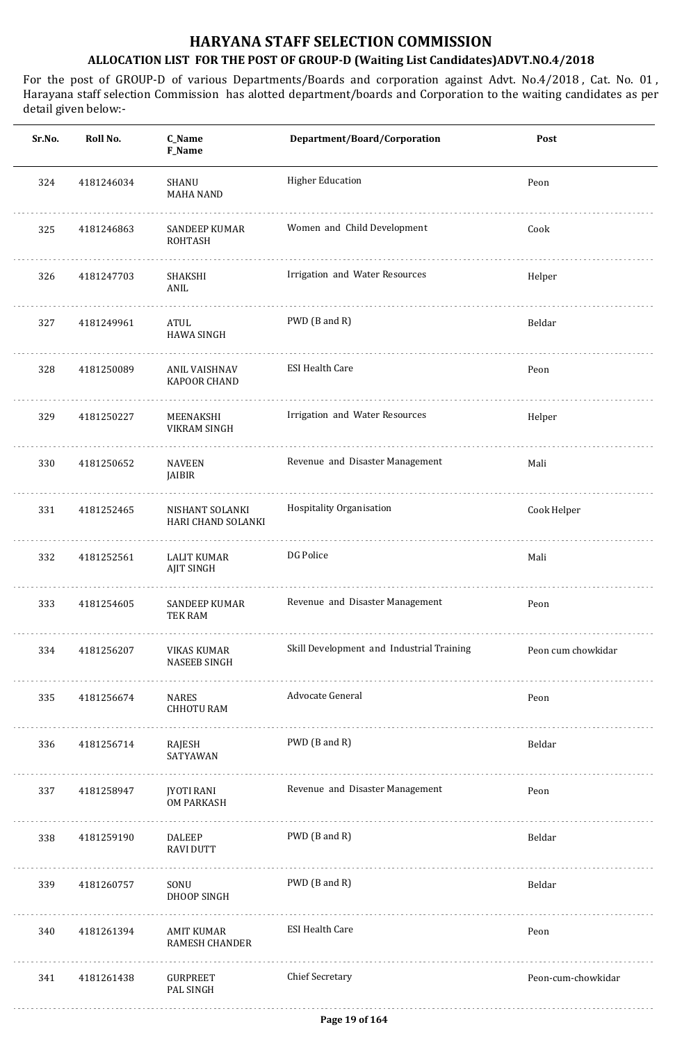| Roll No.   | C_Name<br>F_Name                       | Department/Board/Corporation              | Post               |
|------------|----------------------------------------|-------------------------------------------|--------------------|
| 4181246034 | SHANU<br><b>MAHA NAND</b>              | <b>Higher Education</b>                   | Peon               |
| 4181246863 | <b>SANDEEP KUMAR</b><br><b>ROHTASH</b> | Women and Child Development               | Cook               |
| 4181247703 | SHAKSHI<br>ANIL                        | Irrigation and Water Resources            | Helper             |
| 4181249961 | ATUL<br><b>HAWA SINGH</b>              | PWD (B and R)                             | Beldar             |
| 4181250089 | ANIL VAISHNAV<br>KAPOOR CHAND          | <b>ESI Health Care</b>                    | Peon               |
| 4181250227 | MEENAKSHI<br>VIKRAM SINGH              | Irrigation and Water Resources            | Helper             |
| 4181250652 | NAVEEN<br>JAIBIR                       | Revenue and Disaster Management           | Mali               |
| 4181252465 | NISHANT SOLANKI<br>HARI CHAND SOLANKI  | Hospitality Organisation                  | Cook Helper        |
| 4181252561 | LALIT KUMAR<br>AJIT SINGH              | DG Police                                 | Mali               |
| 4181254605 | <b>SANDEEP KUMAR</b><br>TEK RAM        | Revenue and Disaster Management           | Peon               |
| 4181256207 | VIKAS KUMAR<br><b>NASEEB SINGH</b>     | Skill Development and Industrial Training | Peon cum chowkidar |
| 4181256674 | NARES<br><b>CHHOTU RAM</b>             | Advocate General                          | Peon               |
| 4181256714 | RAJESH<br>SATYAWAN                     | PWD (B and R)                             | Beldar             |
| 4181258947 | JYOTI RANI<br><b>OM PARKASH</b>        | Revenue and Disaster Management           | Peon               |
| 4181259190 | <b>DALEEP</b><br><b>RAVI DUTT</b>      | PWD (B and R)                             | Beldar             |
| 4181260757 | SONU<br>DHOOP SINGH                    | PWD (B and R)                             | Beldar             |
| 4181261394 | AMIT KUMAR<br>RAMESH CHANDER           | <b>ESI Health Care</b>                    | Peon               |
| 4181261438 | GURPREET<br>PAL SINGH                  | <b>Chief Secretary</b>                    | Peon-cum-chowkidar |
|            |                                        |                                           |                    |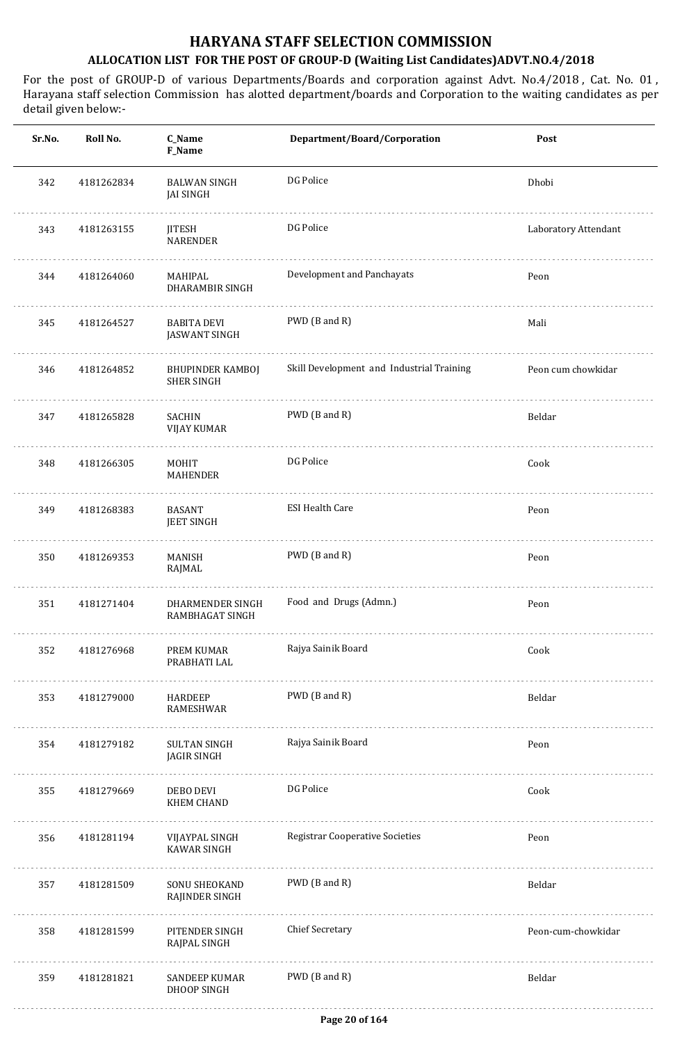| Sr.No. | Roll No.   | C_Name<br>F_Name                             | Department/Board/Corporation              | Post                 |
|--------|------------|----------------------------------------------|-------------------------------------------|----------------------|
| 342    | 4181262834 | <b>BALWAN SINGH</b><br><b>JAI SINGH</b>      | DG Police                                 | Dhobi                |
| 343    | 4181263155 | <b>JITESH</b><br><b>NARENDER</b>             | DG Police                                 | Laboratory Attendant |
| 344    | 4181264060 | MAHIPAL<br>DHARAMBIR SINGH                   | Development and Panchayats                | Peon                 |
| 345    | 4181264527 | <b>BABITA DEVI</b><br><b>JASWANT SINGH</b>   | PWD (B and R)                             | Mali                 |
| 346    | 4181264852 | <b>BHUPINDER KAMBOJ</b><br><b>SHER SINGH</b> | Skill Development and Industrial Training | Peon cum chowkidar   |
| 347    | 4181265828 | SACHIN<br><b>VIJAY KUMAR</b>                 | PWD (B and R)                             | Beldar               |
| 348    | 4181266305 | MOHIT<br><b>MAHENDER</b>                     | DG Police                                 | Cook                 |
| 349    | 4181268383 | <b>BASANT</b><br><b>JEET SINGH</b>           | <b>ESI Health Care</b>                    | Peon                 |
| 350    | 4181269353 | <b>MANISH</b><br>RAJMAL                      | PWD (B and R)                             | Peon                 |
| 351    | 4181271404 | DHARMENDER SINGH<br>RAMBHAGAT SINGH          | Food and Drugs (Admn.)                    | Peon                 |
| 352    | 4181276968 | PREM KUMAR<br>PRABHATI LAL                   | Rajya Sainik Board                        | Cook                 |
| 353    | 4181279000 | HARDEEP<br><b>RAMESHWAR</b>                  | PWD (B and R)                             | Beldar               |
| 354    | 4181279182 | <b>SULTAN SINGH</b><br><b>JAGIR SINGH</b>    | Rajya Sainik Board                        | Peon                 |
| 355    | 4181279669 | DEBO DEVI<br><b>KHEM CHAND</b>               | DG Police                                 | Cook                 |
| 356    | 4181281194 | VIJAYPAL SINGH<br><b>KAWAR SINGH</b>         | <b>Registrar Cooperative Societies</b>    | Peon                 |
| 357    | 4181281509 | SONU SHEOKAND<br>RAJINDER SINGH              | PWD (B and R)                             | Beldar               |
| 358    | 4181281599 | PITENDER SINGH<br>RAJPAL SINGH               | <b>Chief Secretary</b>                    | Peon-cum-chowkidar   |
| 359    | 4181281821 | <b>SANDEEP KUMAR</b><br>DHOOP SINGH          | PWD (B and R)                             | Beldar               |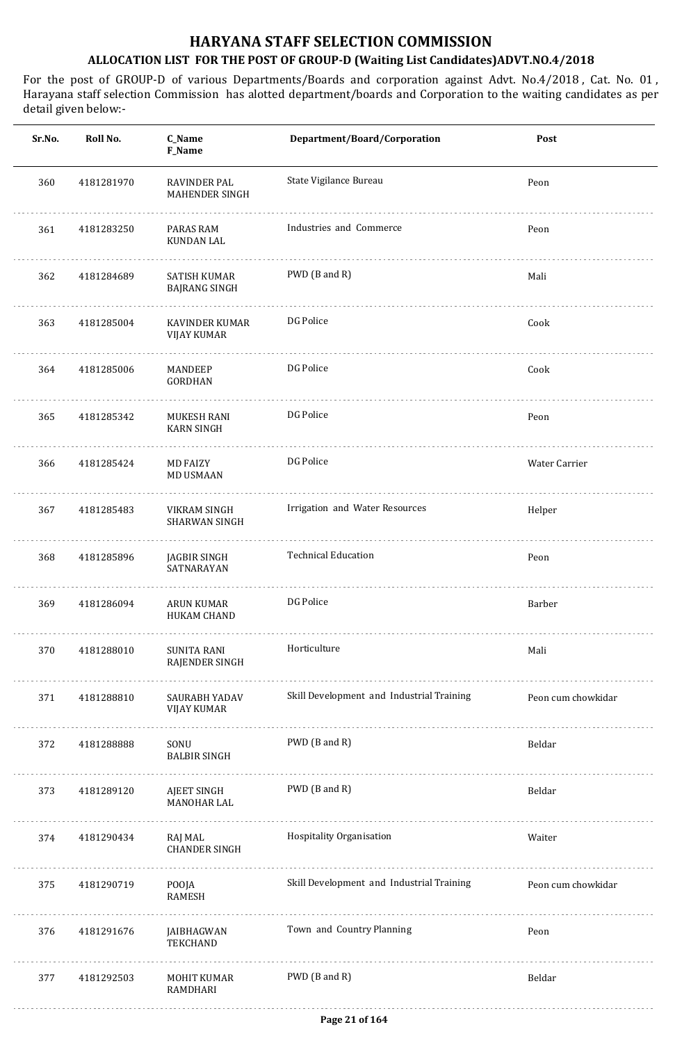| Sr.No. | Roll No.   | C_Name<br>F_Name                            | Department/Board/Corporation              | Post               |
|--------|------------|---------------------------------------------|-------------------------------------------|--------------------|
| 360    | 4181281970 | RAVINDER PAL<br>MAHENDER SINGH              | State Vigilance Bureau                    | Peon               |
| 361    | 4181283250 | PARAS RAM<br>KUNDAN LAL                     | Industries and Commerce                   | Peon               |
| 362    | 4181284689 | <b>SATISH KUMAR</b><br><b>BAJRANG SINGH</b> | PWD (B and R)                             | Mali               |
| 363    | 4181285004 | KAVINDER KUMAR<br><b>VIJAY KUMAR</b>        | DG Police                                 | Cook               |
| 364    | 4181285006 | MANDEEP<br><b>GORDHAN</b>                   | DG Police                                 | Cook               |
| 365    | 4181285342 | <b>MUKESH RANI</b><br><b>KARN SINGH</b>     | DG Police                                 | Peon               |
| 366    | 4181285424 | <b>MD FAIZY</b><br><b>MD USMAAN</b>         | DG Police                                 | Water Carrier      |
| 367    | 4181285483 | VIKRAM SINGH<br>SHARWAN SINGH               | Irrigation and Water Resources            | Helper             |
| 368    | 4181285896 | JAGBIR SINGH<br>SATNARAYAN                  | <b>Technical Education</b>                | Peon               |
| 369    | 4181286094 | <b>ARUN KUMAR</b><br><b>HUKAM CHAND</b>     | DG Police                                 | Barber             |
| 370    | 4181288010 | <b>SUNITA RANI</b><br>RAJENDER SINGH        | Horticulture                              | Mali               |
| 371    | 4181288810 | SAURABH YADAV<br><b>VIJAY KUMAR</b>         | Skill Development and Industrial Training | Peon cum chowkidar |
| 372    | 4181288888 | SONU<br><b>BALBIR SINGH</b>                 | PWD (B and R)                             | Beldar             |
| 373    | 4181289120 | AJEET SINGH<br>MANOHAR LAL                  | PWD (B and R)                             | Beldar             |
| 374    | 4181290434 | RAJ MAL<br><b>CHANDER SINGH</b><br>.        | Hospitality Organisation                  | Waiter             |
| 375    | 4181290719 | POOJA<br>RAMESH                             | Skill Development and Industrial Training | Peon cum chowkidar |
| 376    | 4181291676 | JAIBHAGWAN<br><b>TEKCHAND</b>               | Town and Country Planning                 | Peon               |
| 377    | 4181292503 | MOHIT KUMAR<br>RAMDHARI                     | PWD (B and R)                             | Beldar             |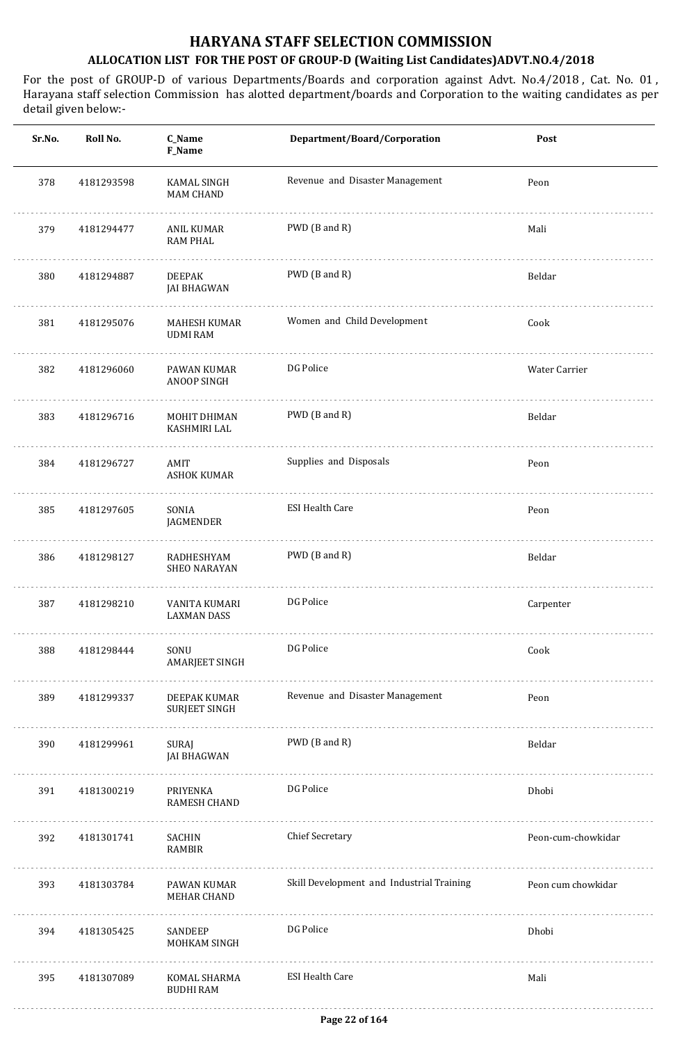| Sr.No. | Roll No.   | C_Name<br>F_Name                    | Department/Board/Corporation              | Post               |
|--------|------------|-------------------------------------|-------------------------------------------|--------------------|
| 378    | 4181293598 | KAMAL SINGH<br><b>MAM CHAND</b>     | Revenue and Disaster Management           | Peon               |
| 379    | 4181294477 | ANIL KUMAR<br><b>RAM PHAL</b>       | PWD (B and R)                             | Mali               |
| 380    | 4181294887 | <b>DEEPAK</b><br><b>JAI BHAGWAN</b> | PWD (B and R)                             | Beldar             |
| 381    | 4181295076 | MAHESH KUMAR<br><b>UDMI RAM</b>     | Women and Child Development               | Cook               |
| 382    | 4181296060 | PAWAN KUMAR<br>ANOOP SINGH          | DG Police                                 | Water Carrier      |
| 383    | 4181296716 | MOHIT DHIMAN<br>KASHMIRI LAL        | PWD (B and R)                             | Beldar             |
| 384    | 4181296727 | AMIT<br><b>ASHOK KUMAR</b>          | Supplies and Disposals                    | Peon               |
| 385    | 4181297605 | SONIA<br>JAGMENDER                  | <b>ESI Health Care</b>                    | Peon               |
| 386    | 4181298127 | RADHESHYAM<br><b>SHEO NARAYAN</b>   | PWD (B and R)                             | Beldar             |
| 387    | 4181298210 | VANITA KUMARI<br><b>LAXMAN DASS</b> | DG Police                                 | Carpenter          |
| 388    | 4181298444 | SONU<br>AMARJEET SINGH<br>.         | DG Police                                 | Cook               |
| 389    | 4181299337 | DEEPAK KUMAR<br>SURJEET SINGH       | Revenue and Disaster Management           | Peon               |
| 390    | 4181299961 | SURAJ<br><b>JAI BHAGWAN</b>         | PWD (B and R)                             | Beldar             |
| 391    | 4181300219 | PRIYENKA<br>RAMESH CHAND            | DG Police                                 | Dhobi              |
| 392    | 4181301741 | SACHIN<br><b>RAMBIR</b>             | <b>Chief Secretary</b>                    | Peon-cum-chowkidar |
| 393    | 4181303784 | PAWAN KUMAR<br>MEHAR CHAND          | Skill Development and Industrial Training | Peon cum chowkidar |
| 394    | 4181305425 | SANDEEP<br>MOHKAM SINGH             | DG Police                                 | Dhobi              |
| 395    | 4181307089 | KOMAL SHARMA<br><b>BUDHI RAM</b>    | <b>ESI Health Care</b>                    | Mali               |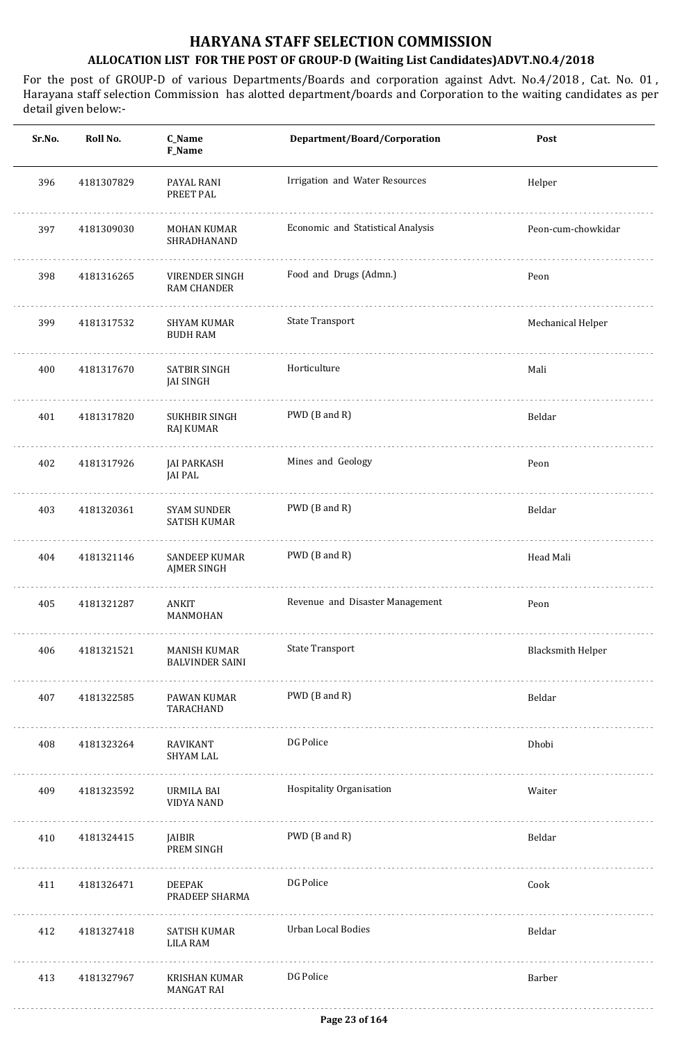| Sr.No. | Roll No.   | C_Name<br>F_Name                           | Department/Board/Corporation      | Post                     |
|--------|------------|--------------------------------------------|-----------------------------------|--------------------------|
| 396    | 4181307829 | PAYAL RANI<br>PREET PAL                    | Irrigation and Water Resources    | Helper                   |
| 397    | 4181309030 | <b>MOHAN KUMAR</b><br>SHRADHANAND          | Economic and Statistical Analysis | Peon-cum-chowkidar       |
| 398    | 4181316265 | VIRENDER SINGH<br><b>RAM CHANDER</b>       | Food and Drugs (Admn.)            | Peon                     |
| 399    | 4181317532 | <b>SHYAM KUMAR</b><br><b>BUDH RAM</b>      | <b>State Transport</b>            | Mechanical Helper        |
| 400    | 4181317670 | SATBIR SINGH<br><b>JAI SINGH</b>           | Horticulture                      | Mali                     |
| 401    | 4181317820 | SUKHBIR SINGH<br>RAJ KUMAR                 | PWD (B and R)                     | Beldar                   |
| 402    | 4181317926 | <b>JAI PARKASH</b><br>JAI PAL              | Mines and Geology                 | Peon                     |
| 403    | 4181320361 | <b>SYAM SUNDER</b><br><b>SATISH KUMAR</b>  | PWD (B and R)                     | Beldar                   |
| 404    | 4181321146 | <b>SANDEEP KUMAR</b><br><b>AJMER SINGH</b> | PWD (B and R)                     | Head Mali                |
| 405    | 4181321287 | <b>ANKIT</b><br>MANMOHAN                   | Revenue and Disaster Management   | Peon                     |
| 406    | 4181321521 | MANISH KUMAR<br><b>BALVINDER SAINI</b>     | <b>State Transport</b>            | <b>Blacksmith Helper</b> |
| 407    | 4181322585 | PAWAN KUMAR<br>TARACHAND                   | PWD (B and R)                     | Beldar                   |
| 408    | 4181323264 | RAVIKANT<br><b>SHYAM LAL</b>               | DG Police                         | Dhobi                    |
| 409    | 4181323592 | URMILA BAI<br><b>VIDYA NAND</b>            | Hospitality Organisation          | Waiter                   |
| 410    | 4181324415 | JAIBIR<br>PREM SINGH                       | PWD (B and R)                     | Beldar                   |
| 411    | 4181326471 | <b>DEEPAK</b><br>PRADEEP SHARMA            | DG Police                         | Cook                     |
| 412    | 4181327418 | SATISH KUMAR<br><b>LILA RAM</b>            | <b>Urban Local Bodies</b>         | Beldar                   |
| 413    | 4181327967 | KRISHAN KUMAR<br><b>MANGAT RAI</b>         | DG Police                         | Barber                   |
|        |            |                                            |                                   |                          |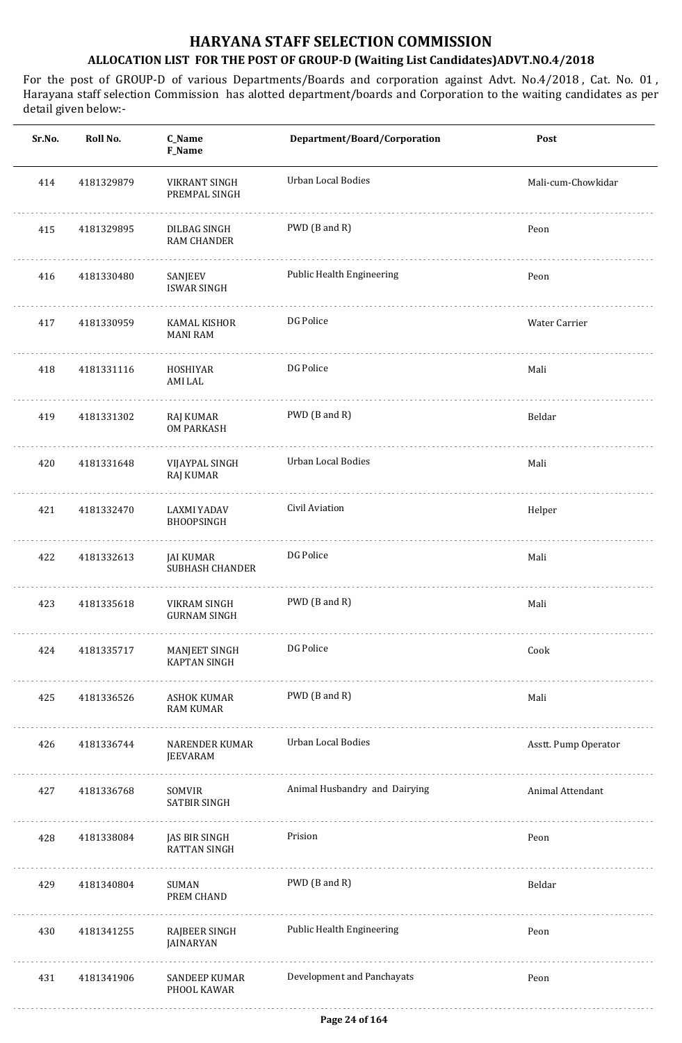| Sr.No. | Roll No.   | C_Name<br>F_Name                     | Department/Board/Corporation  | Post                 |
|--------|------------|--------------------------------------|-------------------------------|----------------------|
| 414    | 4181329879 | VIKRANT SINGH<br>PREMPAL SINGH       | Urban Local Bodies            | Mali-cum-Chowkidar   |
| 415    | 4181329895 | DILBAG SINGH<br><b>RAM CHANDER</b>   | PWD (B and R)                 | Peon                 |
| 416    | 4181330480 | SANJEEV<br><b>ISWAR SINGH</b>        | Public Health Engineering     | Peon                 |
| 417    | 4181330959 | KAMAL KISHOR<br><b>MANI RAM</b>      | DG Police                     | Water Carrier        |
| 418    | 4181331116 | HOSHIYAR<br><b>AMI LAL</b>           | DG Police                     | Mali                 |
| 419    | 4181331302 | RAJ KUMAR<br><b>OM PARKASH</b>       | PWD (B and R)                 | Beldar               |
| 420    | 4181331648 | VIJAYPAL SINGH<br>RAJ KUMAR          | Urban Local Bodies            | Mali                 |
| 421    | 4181332470 | LAXMI YADAV<br>BHOOPSINGH            | Civil Aviation                | Helper               |
| 422    | 4181332613 | JAI KUMAR<br><b>SUBHASH CHANDER</b>  | DG Police                     | Mali                 |
| 423    | 4181335618 | VIKRAM SINGH<br><b>GURNAM SINGH</b>  | PWD (B and R)                 | Mali                 |
| 424    | 4181335717 | MANJEET SINGH<br><b>KAPTAN SINGH</b> | DG Police                     | Cook                 |
| 425    | 4181336526 | ASHOK KUMAR<br><b>RAM KUMAR</b>      | PWD (B and R)                 | Mali                 |
| 426    | 4181336744 | NARENDER KUMAR<br>JEEVARAM           | Urban Local Bodies            | Asstt. Pump Operator |
| 427    | 4181336768 | SOMVIR<br>SATBIR SINGH               | Animal Husbandry and Dairying | Animal Attendant     |
| 428    | 4181338084 | JAS BIR SINGH<br>RATTAN SINGH        | Prision                       | Peon                 |
| 429    | 4181340804 | SUMAN<br>PREM CHAND                  | PWD (B and R)                 | Beldar               |
| 430    | 4181341255 | RAJBEER SINGH<br>JAINARYAN           | Public Health Engineering     | Peon                 |
| 431    | 4181341906 | SANDEEP KUMAR<br>PHOOL KAWAR         | Development and Panchayats    | Peon                 |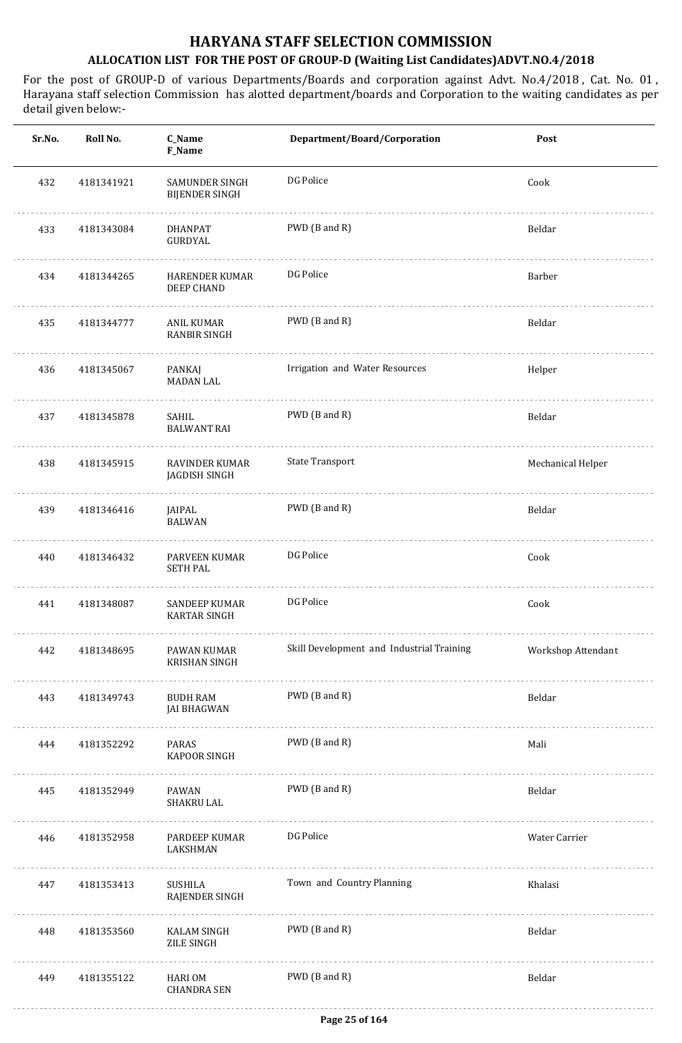| Sr.No. | Roll No.   | C_Name<br>F_Name                        | Department/Board/Corporation              | Post               |
|--------|------------|-----------------------------------------|-------------------------------------------|--------------------|
| 432    | 4181341921 | SAMUNDER SINGH<br><b>BIJENDER SINGH</b> | DG Police                                 | Cook               |
| 433    | 4181343084 | <b>DHANPAT</b><br>GURDYAL               | PWD (B and R)                             | Beldar             |
| 434    | 4181344265 | HARENDER KUMAR<br><b>DEEP CHAND</b>     | DG Police                                 | Barber             |
| 435    | 4181344777 | ANIL KUMAR<br>RANBIR SINGH              | PWD (B and R)                             | Beldar             |
| 436    | 4181345067 | PANKAJ<br><b>MADAN LAL</b>              | Irrigation and Water Resources            | Helper             |
| 437    | 4181345878 | SAHIL<br><b>BALWANT RAI</b>             | PWD (B and R)                             | Beldar             |
| 438    | 4181345915 | RAVINDER KUMAR<br>JAGDISH SINGH         | <b>State Transport</b>                    | Mechanical Helper  |
| 439    | 4181346416 | JAIPAL<br><b>BALWAN</b>                 | PWD (B and R)                             | Beldar             |
| 440    | 4181346432 | PARVEEN KUMAR<br><b>SETH PAL</b>        | DG Police                                 | Cook               |
| 441    | 4181348087 | SANDEEP KUMAR<br>KARTAR SINGH           | DG Police                                 | Cook               |
| 442    | 4181348695 | PAWAN KUMAR<br><b>KRISHAN SINGH</b>     | Skill Development and Industrial Training | Workshop Attendant |
| 443    | 4181349743 | <b>BUDH RAM</b><br><b>JAI BHAGWAN</b>   | PWD (B and R)                             | Beldar             |
| 444    | 4181352292 | PARAS<br>KAPOOR SINGH                   | PWD (B and R)                             | Mali               |
| 445    | 4181352949 | PAWAN<br>SHAKRU LAL                     | PWD (B and R)                             | Beldar             |
| 446    | 4181352958 | PARDEEP KUMAR<br>LAKSHMAN               | DG Police                                 | Water Carrier      |
| 447    | 4181353413 | SUSHILA<br>RAJENDER SINGH               | Town and Country Planning                 | Khalasi            |
| 448    | 4181353560 | <b>KALAM SINGH</b><br>ZILE SINGH        | PWD (B and R)                             | Beldar             |
| 449    | 4181355122 | HARI OM<br><b>CHANDRA SEN</b>           | PWD (B and R)                             | Beldar             |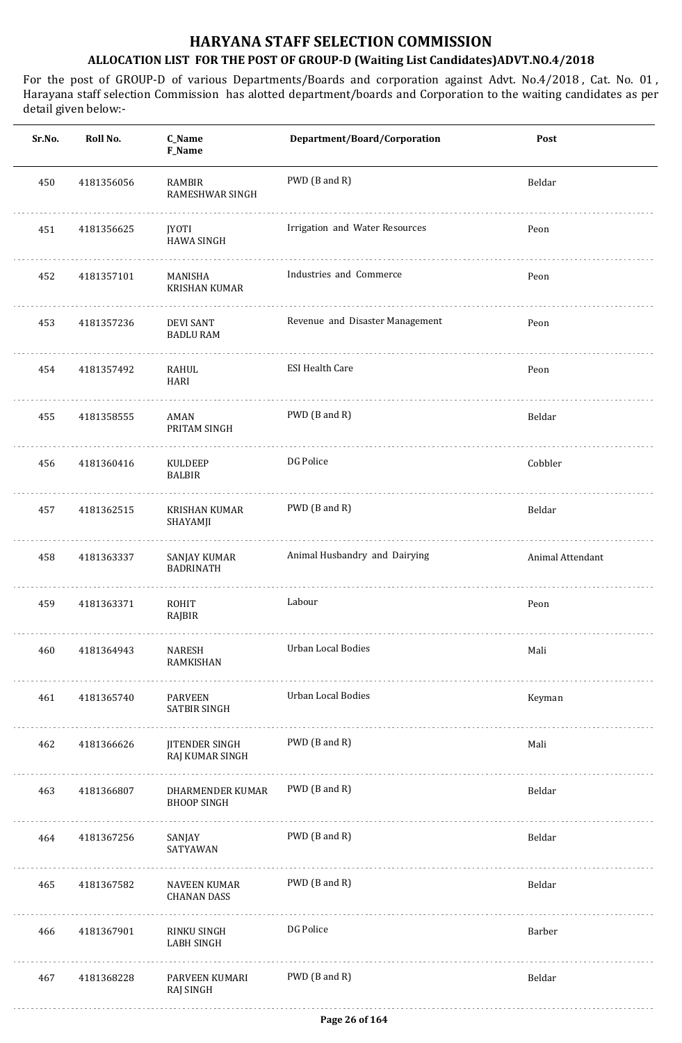| Sr.No. | Roll No.   | C_Name<br>F_Name                         | Department/Board/Corporation    | Post             |
|--------|------------|------------------------------------------|---------------------------------|------------------|
| 450    | 4181356056 | RAMBIR<br>RAMESHWAR SINGH                | PWD (B and R)                   | Beldar           |
| 451    | 4181356625 | <b>JYOTI</b><br><b>HAWA SINGH</b>        | Irrigation and Water Resources  | Peon             |
| 452    | 4181357101 | MANISHA<br><b>KRISHAN KUMAR</b>          | Industries and Commerce         | Peon             |
| 453    | 4181357236 | <b>DEVI SANT</b><br><b>BADLU RAM</b>     | Revenue and Disaster Management | Peon             |
| 454    | 4181357492 | RAHUL<br>HARI                            | <b>ESI Health Care</b>          | Peon             |
| 455    | 4181358555 | AMAN<br>PRITAM SINGH                     | PWD (B and R)                   | Beldar           |
| 456    | 4181360416 | KULDEEP<br><b>BALBIR</b>                 | DG Police                       | Cobbler          |
| 457    | 4181362515 | <b>KRISHAN KUMAR</b><br>SHAYAMJI<br>.    | PWD (B and R)                   | Beldar           |
| 458    | 4181363337 | SANJAY KUMAR<br><b>BADRINATH</b>         | Animal Husbandry and Dairying   | Animal Attendant |
| 459    | 4181363371 | ROHIT<br>RAJBIR                          | Labour                          | Peon             |
| 460    | 4181364943 | NARESH<br>RAMKISHAN                      | Urban Local Bodies              | Mali             |
| 461    | 4181365740 | <b>PARVEEN</b><br><b>SATBIR SINGH</b>    | Urban Local Bodies              | Keyman           |
| 462    | 4181366626 | <b>JITENDER SINGH</b><br>RAJ KUMAR SINGH | PWD (B and R)                   | Mali             |
| 463    | 4181366807 | DHARMENDER KUMAR<br><b>BHOOP SINGH</b>   | PWD (B and R)                   | Beldar           |
| 464    | 4181367256 | SANJAY<br>SATYAWAN                       | PWD (B and R)                   | Beldar           |
| 465    | 4181367582 | NAVEEN KUMAR<br><b>CHANAN DASS</b>       | PWD (B and R)                   | Beldar           |
| 466    | 4181367901 | RINKU SINGH<br><b>LABH SINGH</b>         | DG Police                       | Barber           |
| 467    | 4181368228 | PARVEEN KUMARI<br>RAJ SINGH              | PWD (B and R)                   | Beldar           |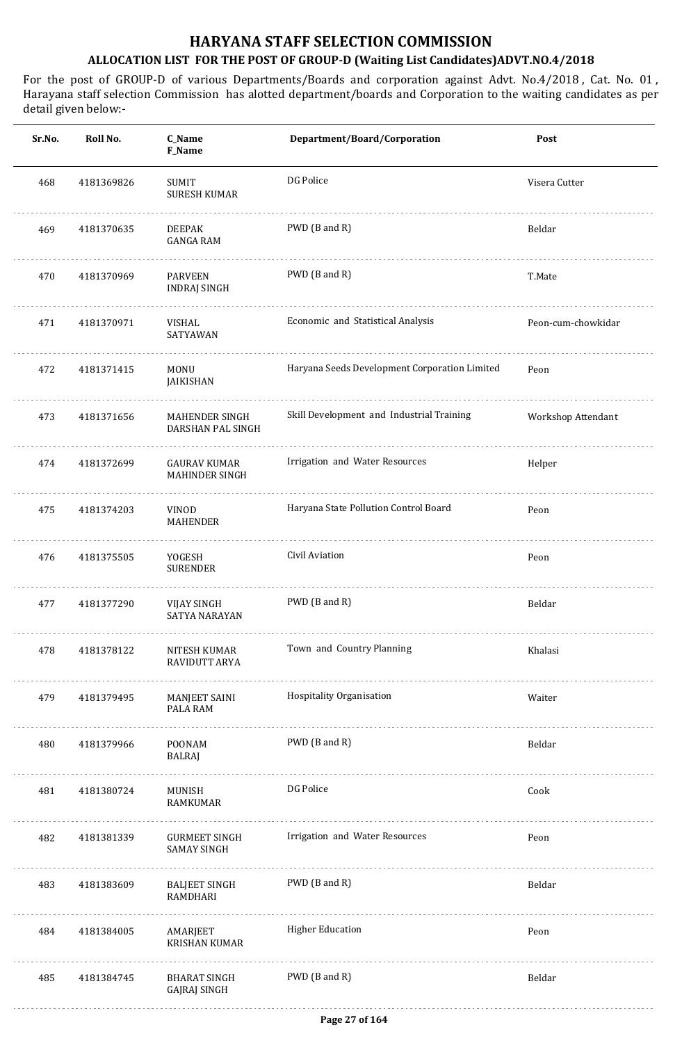| Sr.No. | Roll No.   | C_Name<br>F_Name                             | Department/Board/Corporation                  | Post               |
|--------|------------|----------------------------------------------|-----------------------------------------------|--------------------|
| 468    | 4181369826 | SUMIT<br><b>SURESH KUMAR</b>                 | DG Police                                     | Visera Cutter      |
| 469    | 4181370635 | <b>DEEPAK</b><br><b>GANGA RAM</b>            | PWD (B and R)                                 | Beldar             |
| 470    | 4181370969 | <b>PARVEEN</b><br>INDRAJ SINGH               | PWD (B and R)                                 | T.Mate             |
| 471    | 4181370971 | VISHAL<br>SATYAWAN                           | Economic and Statistical Analysis             | Peon-cum-chowkidar |
| 472    | 4181371415 | <b>MONU</b><br>JAIKISHAN                     | Haryana Seeds Development Corporation Limited | Peon               |
| 473    | 4181371656 | MAHENDER SINGH<br>DARSHAN PAL SINGH          | Skill Development and Industrial Training     | Workshop Attendant |
| 474    | 4181372699 | <b>GAURAV KUMAR</b><br><b>MAHINDER SINGH</b> | Irrigation and Water Resources                | Helper             |
| 475    | 4181374203 | <b>VINOD</b><br><b>MAHENDER</b>              | Haryana State Pollution Control Board         | Peon               |
| 476    | 4181375505 | YOGESH<br><b>SURENDER</b>                    | Civil Aviation                                | Peon               |
| 477    | 4181377290 | <b>VIJAY SINGH</b><br>SATYA NARAYAN          | PWD (B and R)                                 | Beldar             |
| 478    | 4181378122 | NITESH KUMAR<br>RAVIDUTT ARYA                | Town and Country Planning                     | Khalasi            |
| 479    | 4181379495 | MANJEET SAINI<br>PALA RAM                    | Hospitality Organisation                      | Waiter             |
| 480    | 4181379966 | POONAM<br>BALRAJ                             | PWD (B and R)                                 | Beldar             |
| 481    | 4181380724 | MUNISH<br><b>RAMKUMAR</b>                    | DG Police                                     | Cook               |
| 482    | 4181381339 | <b>GURMEET SINGH</b><br><b>SAMAY SINGH</b>   | Irrigation and Water Resources                | Peon               |
| 483    | 4181383609 | <b>BALJEET SINGH</b><br>RAMDHARI             | PWD (B and R)                                 | Beldar             |
| 484    | 4181384005 | AMARJEET<br><b>KRISHAN KUMAR</b>             | <b>Higher Education</b>                       | Peon               |
| 485    | 4181384745 | <b>BHARAT SINGH</b><br>GAJRAJ SINGH          | PWD (B and R)                                 | Beldar             |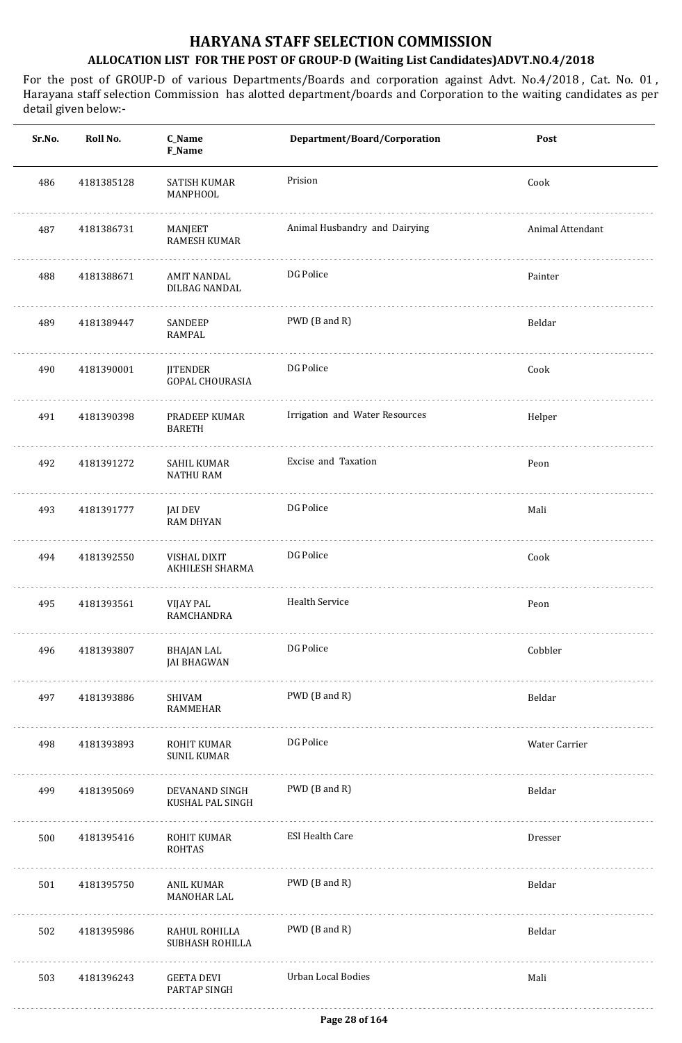| Sr.No. | Roll No.   | C_Name<br>F_Name                          | Department/Board/Corporation   | Post             |
|--------|------------|-------------------------------------------|--------------------------------|------------------|
| 486    | 4181385128 | <b>SATISH KUMAR</b><br>MANPHOOL           | Prision                        | Cook             |
| 487    | 4181386731 | MANJEET<br>RAMESH KUMAR                   | Animal Husbandry and Dairying  | Animal Attendant |
| 488    | 4181388671 | <b>AMIT NANDAL</b><br>DILBAG NANDAL       | DG Police                      | Painter          |
| 489    | 4181389447 | SANDEEP<br>RAMPAL                         | PWD (B and R)                  | Beldar           |
| 490    | 4181390001 | <b>JITENDER</b><br><b>GOPAL CHOURASIA</b> | DG Police                      | Cook             |
| 491    | 4181390398 | PRADEEP KUMAR<br><b>BARETH</b>            | Irrigation and Water Resources | Helper           |
| 492    | 4181391272 | SAHIL KUMAR<br><b>NATHU RAM</b>           | Excise and Taxation            | Peon             |
| 493    | 4181391777 | <b>JAI DEV</b><br><b>RAM DHYAN</b>        | DG Police                      | Mali             |
| 494    | 4181392550 | VISHAL DIXIT<br>AKHILESH SHARMA           | DG Police                      | Cook             |
| 495    | 4181393561 | VIJAY PAL<br>RAMCHANDRA                   | Health Service                 | Peon             |
| 496    | 4181393807 | BHAJAN LAL<br><b>JAI BHAGWAN</b>          | DG Police                      | Cobbler          |
| 497    | 4181393886 | SHIVAM<br>RAMMEHAR                        | PWD (B and R)                  | Beldar           |
| 498    | 4181393893 | ROHIT KUMAR<br><b>SUNIL KUMAR</b>         | DG Police                      | Water Carrier    |
| 499    | 4181395069 | DEVANAND SINGH<br>KUSHAL PAL SINGH        | PWD (B and R)                  | Beldar           |
| 500    | 4181395416 | ROHIT KUMAR<br><b>ROHTAS</b>              | <b>ESI Health Care</b>         | Dresser          |
| 501    | 4181395750 | ANIL KUMAR<br>MANOHAR LAL                 | PWD (B and R)                  | Beldar           |
| 502    | 4181395986 | RAHUL ROHILLA<br>SUBHASH ROHILLA          | PWD (B and R)                  | Beldar           |
| 503    | 4181396243 | <b>GEETA DEVI</b><br>PARTAP SINGH         | Urban Local Bodies             | Mali             |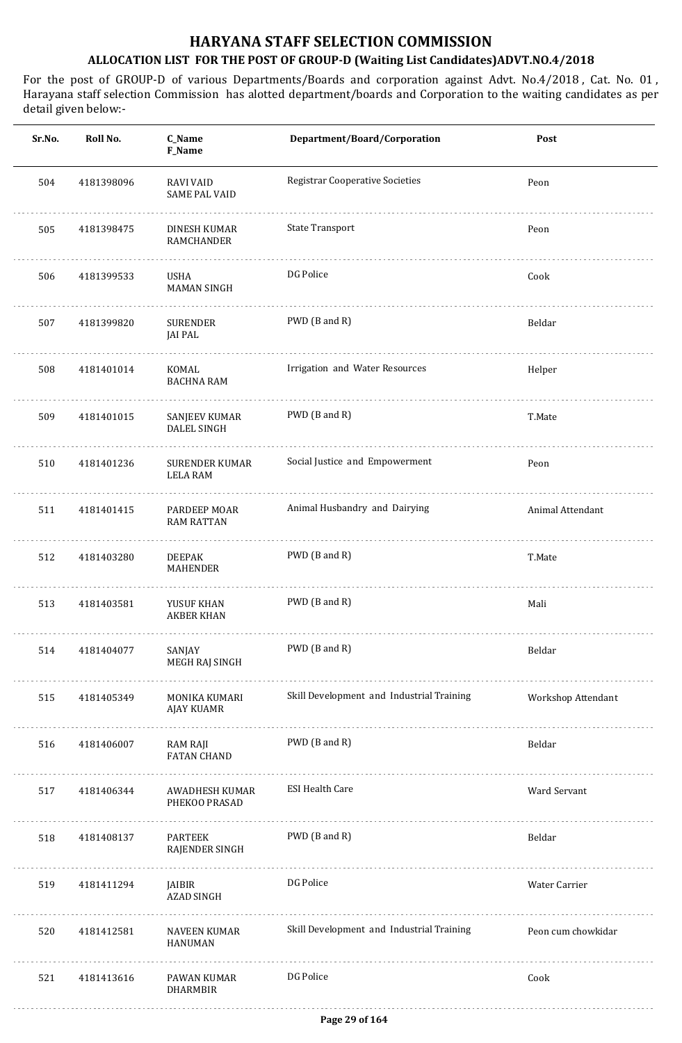| Sr.No. | Roll No.   | C_Name<br>F_Name                         | Department/Board/Corporation              | Post               |
|--------|------------|------------------------------------------|-------------------------------------------|--------------------|
| 504    | 4181398096 | <b>RAVI VAID</b><br><b>SAME PAL VAID</b> | <b>Registrar Cooperative Societies</b>    | Peon               |
| 505    | 4181398475 | DINESH KUMAR<br><b>RAMCHANDER</b>        | State Transport                           | Peon               |
| 506    | 4181399533 | USHA<br><b>MAMAN SINGH</b>               | DG Police                                 | Cook               |
| 507    | 4181399820 | <b>SURENDER</b><br>JAI PAL               | PWD (B and R)                             | Beldar             |
| 508    | 4181401014 | KOMAL<br><b>BACHNA RAM</b>               | Irrigation and Water Resources            | Helper             |
| 509    | 4181401015 | SANJEEV KUMAR<br><b>DALEL SINGH</b>      | PWD (B and R)                             | T.Mate             |
| 510    | 4181401236 | <b>SURENDER KUMAR</b><br><b>LELA RAM</b> | Social Justice and Empowerment            | Peon               |
| 511    | 4181401415 | PARDEEP MOAR<br><b>RAM RATTAN</b>        | Animal Husbandry and Dairying             | Animal Attendant   |
| 512    | 4181403280 | <b>DEEPAK</b><br>MAHENDER                | PWD (B and R)                             | T.Mate             |
| 513    | 4181403581 | YUSUF KHAN<br><b>AKBER KHAN</b>          | PWD (B and R)                             | Mali               |
| 514    | 4181404077 | SANJAY<br>MEGH RAJ SINGH<br>.            | PWD (B and R)                             | Beldar             |
| 515    | 4181405349 | MONIKA KUMARI<br>AJAY KUAMR              | Skill Development and Industrial Training | Workshop Attendant |
| 516    | 4181406007 | RAM RAJI<br><b>FATAN CHAND</b>           | PWD (B and R)                             | Beldar             |
| 517    | 4181406344 | AWADHESH KUMAR<br>PHEKOO PRASAD          | <b>ESI Health Care</b>                    | Ward Servant       |
| 518    | 4181408137 | <b>PARTEEK</b><br>RAJENDER SINGH         | PWD (B and R)                             | Beldar             |
| 519    | 4181411294 | JAIBIR<br>AZAD SINGH                     | DG Police                                 | Water Carrier      |
| 520    | 4181412581 | NAVEEN KUMAR<br><b>HANUMAN</b>           | Skill Development and Industrial Training | Peon cum chowkidar |
| 521    | 4181413616 | PAWAN KUMAR<br><b>DHARMBIR</b>           | DG Police                                 | Cook               |
|        |            |                                          |                                           |                    |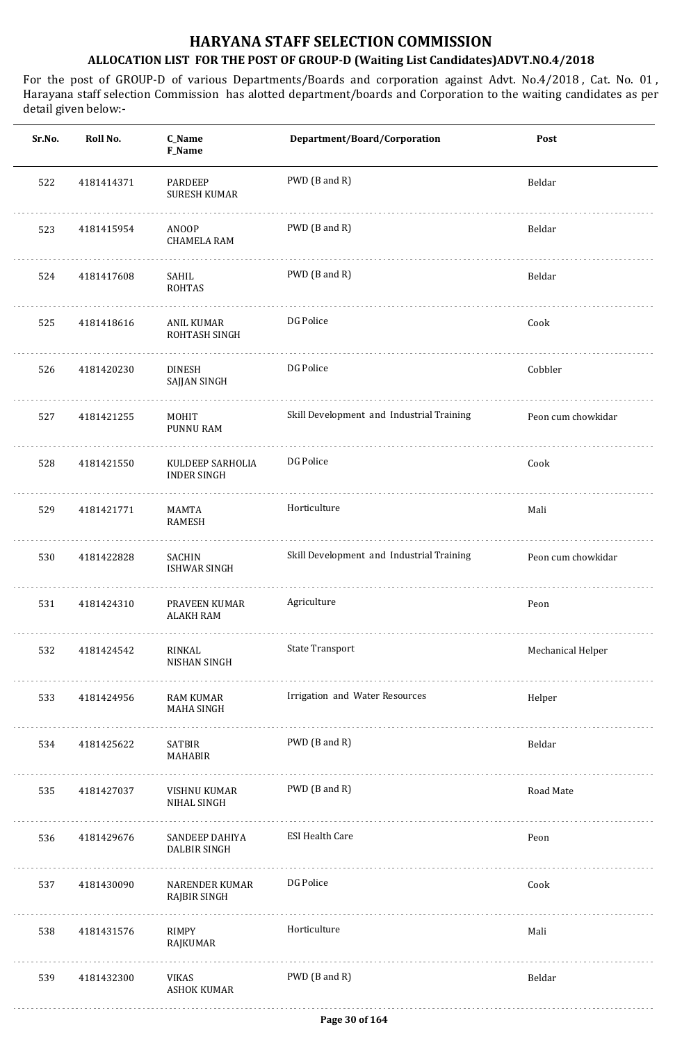| Sr.No. | Roll No.   | C_Name<br>F_Name                       | Department/Board/Corporation              | Post               |
|--------|------------|----------------------------------------|-------------------------------------------|--------------------|
| 522    | 4181414371 | PARDEEP<br><b>SURESH KUMAR</b>         | PWD (B and R)                             | Beldar             |
| 523    | 4181415954 | ANOOP<br><b>CHAMELA RAM</b>            | PWD (B and R)                             | Beldar             |
| 524    | 4181417608 | SAHIL<br><b>ROHTAS</b>                 | PWD (B and R)                             | Beldar             |
| 525    | 4181418616 | ANIL KUMAR<br>ROHTASH SINGH            | DG Police                                 | Cook               |
| 526    | 4181420230 | <b>DINESH</b><br>SAJJAN SINGH          | DG Police                                 | Cobbler            |
| 527    | 4181421255 | <b>MOHIT</b><br>PUNNU RAM              | Skill Development and Industrial Training | Peon cum chowkidar |
| 528    | 4181421550 | KULDEEP SARHOLIA<br><b>INDER SINGH</b> | DG Police                                 | Cook               |
| 529    | 4181421771 | MAMTA<br><b>RAMESH</b>                 | Horticulture                              | Mali               |
| 530    | 4181422828 | <b>SACHIN</b><br>ISHWAR SINGH          | Skill Development and Industrial Training | Peon cum chowkidar |
| 531    | 4181424310 | PRAVEEN KUMAR<br><b>ALAKH RAM</b>      | Agriculture                               | Peon               |
| 532    | 4181424542 | RINKAL<br>NISHAN SINGH                 | <b>State Transport</b>                    | Mechanical Helper  |
| 533    | 4181424956 | RAM KUMAR<br>MAHA SINGH                | Irrigation and Water Resources            | Helper             |
| 534    | 4181425622 | SATBIR<br>MAHABIR                      | PWD (B and R)                             | Beldar             |
| 535    | 4181427037 | VISHNU KUMAR<br>NIHAL SINGH            | PWD (B and R)                             | Road Mate          |
| 536    | 4181429676 | SANDEEP DAHIYA<br><b>DALBIR SINGH</b>  | <b>ESI Health Care</b>                    | Peon               |
| 537    | 4181430090 | NARENDER KUMAR<br>RAJBIR SINGH         | DG Police                                 | Cook               |
| 538    | 4181431576 | RIMPY<br>RAJKUMAR                      | Horticulture                              | Mali               |
| 539    | 4181432300 | <b>VIKAS</b><br><b>ASHOK KUMAR</b>     | PWD (B and R)                             | Beldar             |
|        |            |                                        |                                           |                    |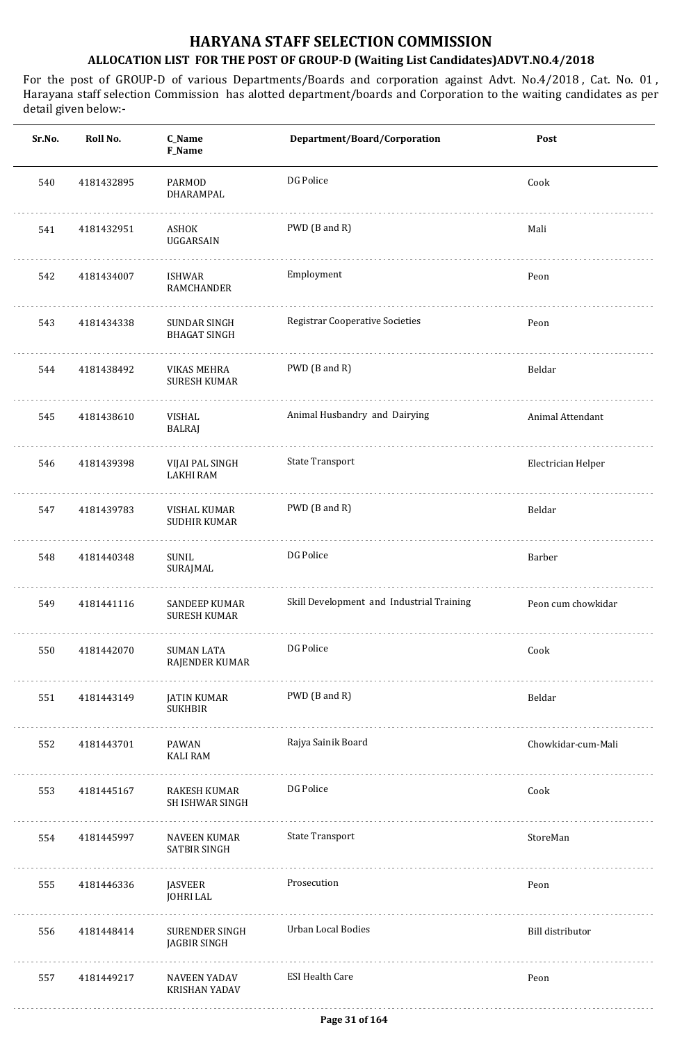| Animal Attendant   |
|--------------------|
| Electrician Helper |
|                    |
|                    |
| Peon cum chowkidar |
|                    |
|                    |
| Chowkidar-cum-Mali |
|                    |
|                    |
|                    |
|                    |
|                    |
|                    |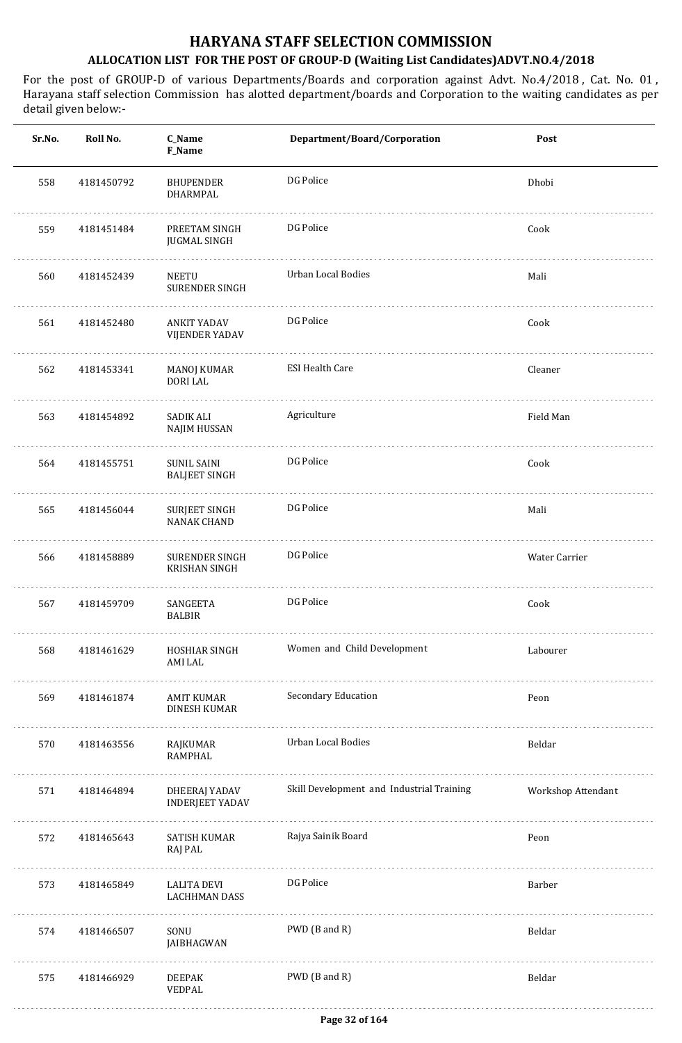| Sr.No. | Roll No.   | C_Name<br>F_Name                              | Department/Board/Corporation              | Post               |
|--------|------------|-----------------------------------------------|-------------------------------------------|--------------------|
| 558    | 4181450792 | <b>BHUPENDER</b><br>DHARMPAL                  | DG Police                                 | Dhobi              |
| 559    | 4181451484 | PREETAM SINGH<br><b>JUGMAL SINGH</b>          | DG Police                                 | Cook               |
| 560    | 4181452439 | NEETU<br><b>SURENDER SINGH</b>                | Urban Local Bodies                        | Mali               |
| 561    | 4181452480 | ANKIT YADAV<br><b>VIJENDER YADAV</b>          | DG Police                                 | Cook               |
| 562    | 4181453341 | MANOJ KUMAR<br><b>DORI LAL</b>                | <b>ESI Health Care</b>                    | Cleaner            |
| 563    | 4181454892 | <b>SADIK ALI</b><br>NAJIM HUSSAN              | Agriculture                               | Field Man          |
| 564    | 4181455751 | <b>SUNIL SAINI</b><br><b>BALJEET SINGH</b>    | DG Police                                 | Cook               |
| 565    | 4181456044 | <b>SURJEET SINGH</b><br><b>NANAK CHAND</b>    | DG Police                                 | Mali               |
| 566    | 4181458889 | <b>SURENDER SINGH</b><br><b>KRISHAN SINGH</b> | DG Police                                 | Water Carrier      |
| 567    | 4181459709 | SANGEETA<br><b>BALBIR</b>                     | DG Police                                 | Cook               |
| 568    | 4181461629 | HOSHIAR SINGH<br>AMI LAL                      | Women and Child Development               | Labourer           |
| 569    | 4181461874 | AMIT KUMAR<br>DINESH KUMAR                    | Secondary Education                       | Peon               |
| 570    | 4181463556 | RAJKUMAR<br><b>RAMPHAL</b>                    | Urban Local Bodies                        | Beldar             |
| 571    | 4181464894 | DHEERAJ YADAV<br><b>INDERJEET YADAV</b>       | Skill Development and Industrial Training | Workshop Attendant |
| 572    | 4181465643 | SATISH KUMAR<br>RAJ PAL                       | Rajya Sainik Board                        | Peon               |
| 573    | 4181465849 | LALITA DEVI<br><b>LACHHMAN DASS</b>           | DG Police                                 | Barber             |
| 574    | 4181466507 | SONU<br>JAIBHAGWAN                            | PWD (B and R)                             | Beldar             |
| 575    | 4181466929 | <b>DEEPAK</b><br>VEDPAL                       | PWD (B and R)                             | Beldar             |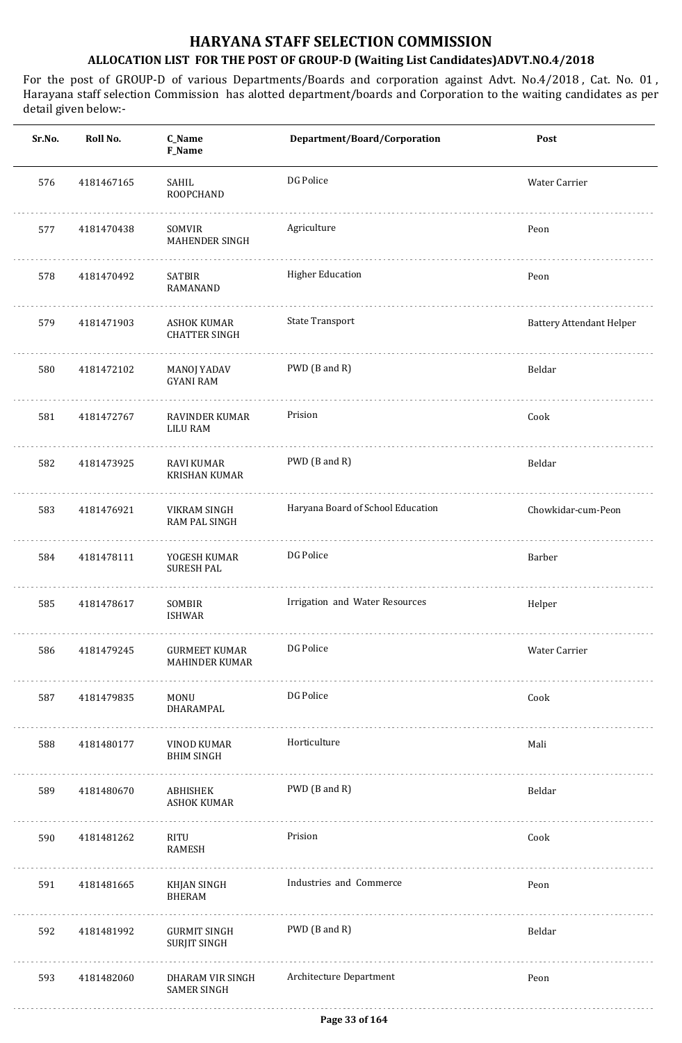| Sr.No. | Roll No.   | C_Name<br>F_Name                           | Department/Board/Corporation      | Post                            |
|--------|------------|--------------------------------------------|-----------------------------------|---------------------------------|
| 576    | 4181467165 | SAHIL<br>ROOPCHAND                         | DG Police                         | Water Carrier                   |
| 577    | 4181470438 | SOMVIR<br><b>MAHENDER SINGH</b>            | Agriculture                       | Peon                            |
| 578    | 4181470492 | <b>SATBIR</b><br>RAMANAND                  | <b>Higher Education</b>           | Peon                            |
| 579    | 4181471903 | ASHOK KUMAR<br><b>CHATTER SINGH</b>        | <b>State Transport</b>            | <b>Battery Attendant Helper</b> |
| 580    | 4181472102 | <b>MANOJ YADAV</b><br><b>GYANI RAM</b>     | PWD (B and R)                     | Beldar                          |
| 581    | 4181472767 | RAVINDER KUMAR<br><b>LILU RAM</b>          | Prision                           | Cook                            |
| 582    | 4181473925 | RAVI KUMAR<br><b>KRISHAN KUMAR</b>         | PWD (B and R)                     | Beldar                          |
| 583    | 4181476921 | VIKRAM SINGH<br>RAM PAL SINGH              | Haryana Board of School Education | Chowkidar-cum-Peon              |
| 584    | 4181478111 | YOGESH KUMAR<br><b>SURESH PAL</b>          | DG Police                         | Barber                          |
| 585    | 4181478617 | SOMBIR<br><b>ISHWAR</b>                    | Irrigation and Water Resources    | Helper                          |
| 586    | 4181479245 | GURMEET KUMAR<br>MAHINDER KUMAR            | DG Police                         | Water Carrier                   |
| 587    | 4181479835 | MONU<br>DHARAMPAL                          | DG Police                         | Cook                            |
| 588    | 4181480177 | VINOD KUMAR<br><b>BHIM SINGH</b>           | Horticulture                      | Mali                            |
| 589    | 4181480670 | ABHISHEK<br><b>ASHOK KUMAR</b>             | PWD (B and R)                     | Beldar                          |
| 590    | 4181481262 | RITU<br>RAMESH                             | Prision                           | Cook                            |
| 591    | 4181481665 | KHJAN SINGH<br><b>BHERAM</b>               | Industries and Commerce           | Peon                            |
| 592    | 4181481992 | <b>GURMIT SINGH</b><br><b>SURJIT SINGH</b> | PWD (B and R)                     | Beldar                          |
| 593    | 4181482060 | DHARAM VIR SINGH<br><b>SAMER SINGH</b>     | Architecture Department           | Peon                            |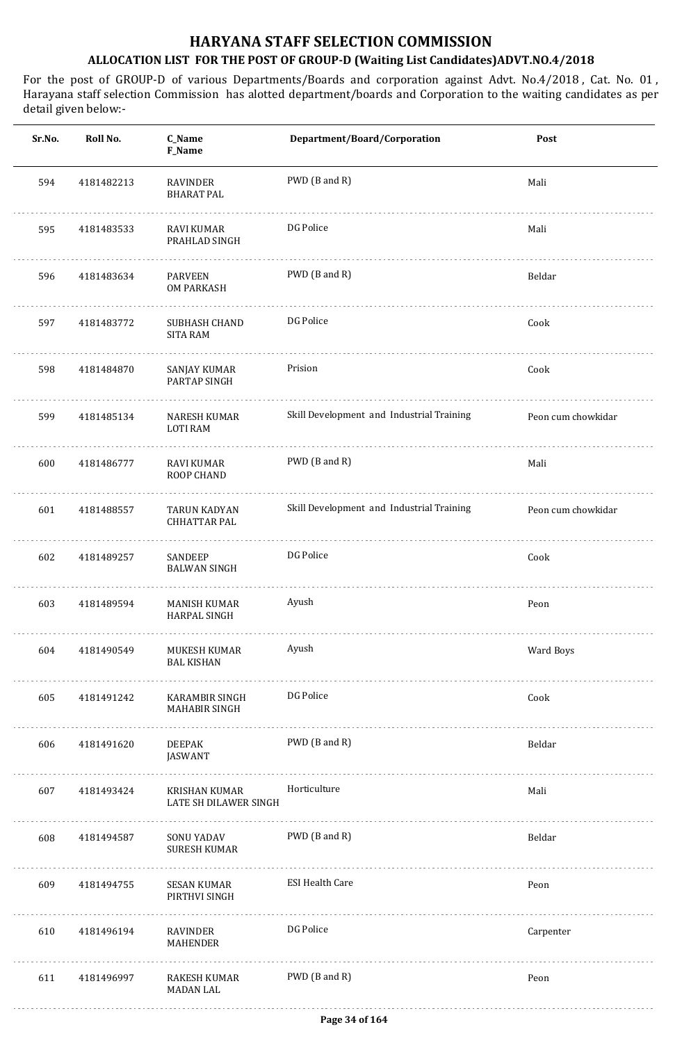| Sr.No. | Roll No.   | C_Name<br>F_Name                       | Department/Board/Corporation              | Post               |
|--------|------------|----------------------------------------|-------------------------------------------|--------------------|
| 594    | 4181482213 | <b>RAVINDER</b><br><b>BHARAT PAL</b>   | PWD (B and R)                             | Mali               |
| 595    | 4181483533 | RAVI KUMAR<br>PRAHLAD SINGH            | DG Police                                 | Mali               |
| 596    | 4181483634 | PARVEEN<br>OM PARKASH                  | PWD (B and R)                             | Beldar             |
| 597    | 4181483772 | SUBHASH CHAND<br><b>SITA RAM</b>       | DG Police                                 | Cook               |
| 598    | 4181484870 | SANJAY KUMAR<br>PARTAP SINGH           | Prision                                   | Cook               |
| 599    | 4181485134 | NARESH KUMAR<br><b>LOTI RAM</b>        | Skill Development and Industrial Training | Peon cum chowkidar |
| 600    | 4181486777 | RAVI KUMAR<br>ROOP CHAND               | PWD (B and R)                             | Mali               |
| 601    | 4181488557 | TARUN KADYAN<br><b>CHHATTAR PAL</b>    | Skill Development and Industrial Training | Peon cum chowkidar |
| 602    | 4181489257 | SANDEEP<br><b>BALWAN SINGH</b>         | DG Police                                 | Cook               |
| 603    | 4181489594 | <b>MANISH KUMAR</b><br>HARPAL SINGH    | Ayush                                     | Peon               |
| 604    | 4181490549 | MUKESH KUMAR<br><b>BAL KISHAN</b>      | Ayush                                     | Ward Boys          |
| 605    | 4181491242 | <b>KARAMBIR SINGH</b><br>MAHABIR SINGH | DG Police                                 | Cook               |
| 606    | 4181491620 | DEEPAK<br><b>JASWANT</b>               | PWD (B and R)                             | Beldar             |
| 607    | 4181493424 | KRISHAN KUMAR<br>LATE SH DILAWER SINGH | Horticulture                              | Mali               |
| 608    | 4181494587 | SONU YADAV<br><b>SURESH KUMAR</b>      | PWD (B and R)                             | Beldar             |
| 609    | 4181494755 | SESAN KUMAR<br>PIRTHVI SINGH           | <b>ESI Health Care</b>                    | Peon               |
| 610    | 4181496194 | RAVINDER<br>MAHENDER                   | DG Police                                 | Carpenter          |
| 611    | 4181496997 | RAKESH KUMAR<br><b>MADAN LAL</b>       | PWD (B and R)                             | Peon               |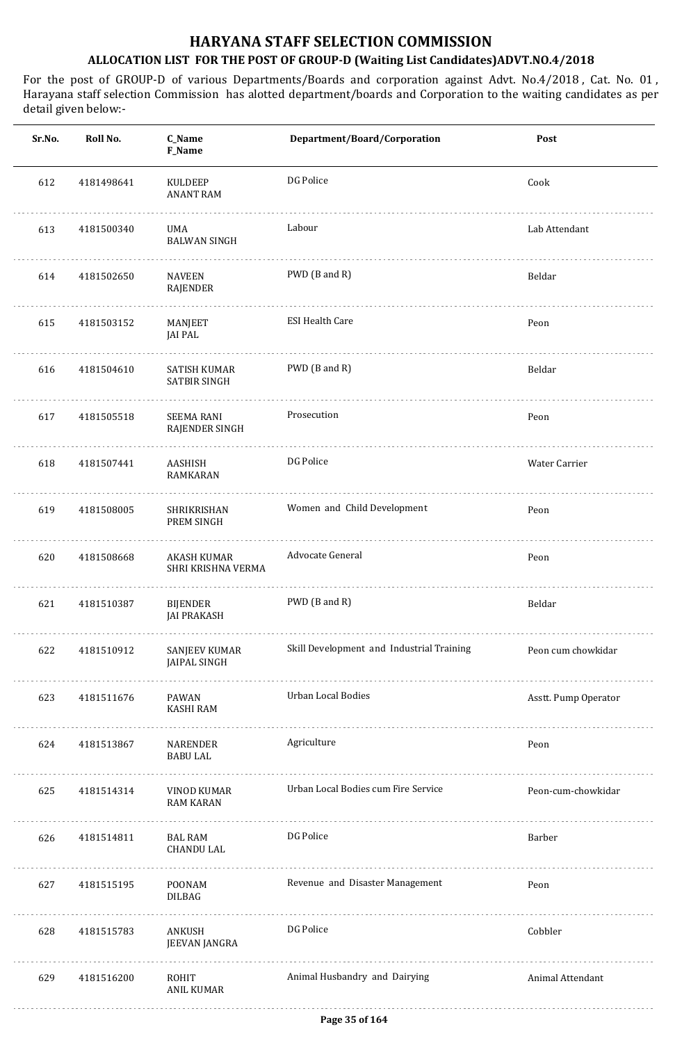| Sr.No. | Roll No.   | C_Name<br>F_Name                      | Department/Board/Corporation              | Post                 |
|--------|------------|---------------------------------------|-------------------------------------------|----------------------|
| 612    | 4181498641 | <b>KULDEEP</b><br><b>ANANT RAM</b>    | DG Police                                 | Cook                 |
| 613    | 4181500340 | UMA<br><b>BALWAN SINGH</b>            | Labour                                    | Lab Attendant        |
| 614    | 4181502650 | <b>NAVEEN</b><br>RAJENDER             | PWD (B and R)                             | Beldar               |
| 615    | 4181503152 | MANJEET<br><b>JAI PAL</b>             | <b>ESI Health Care</b>                    | Peon                 |
| 616    | 4181504610 | SATISH KUMAR<br><b>SATBIR SINGH</b>   | PWD (B and R)                             | Beldar               |
| 617    | 4181505518 | <b>SEEMA RANI</b><br>RAJENDER SINGH   | Prosecution                               | Peon                 |
| 618    | 4181507441 | AASHISH<br>RAMKARAN                   | DG Police                                 | Water Carrier        |
| 619    | 4181508005 | SHRIKRISHAN<br>PREM SINGH             | Women and Child Development               | Peon                 |
| 620    | 4181508668 | AKASH KUMAR<br>SHRI KRISHNA VERMA     | Advocate General                          | Peon                 |
| 621    | 4181510387 | <b>BIJENDER</b><br><b>JAI PRAKASH</b> | PWD (B and R)                             | Beldar               |
| 622    | 4181510912 | SANJEEV KUMAR<br><b>JAIPAL SINGH</b>  | Skill Development and Industrial Training | Peon cum chowkidar   |
| 623    | 4181511676 | PAWAN<br><b>KASHI RAM</b>             | Urban Local Bodies                        | Asstt. Pump Operator |
| 624    | 4181513867 | NARENDER<br><b>BABU LAL</b>           | Agriculture                               | Peon                 |
| 625    | 4181514314 | VINOD KUMAR<br><b>RAM KARAN</b>       | Urban Local Bodies cum Fire Service       | Peon-cum-chowkidar   |
| 626    | 4181514811 | BAL RAM<br><b>CHANDU LAL</b>          | DG Police                                 | Barber               |
| 627    | 4181515195 | POONAM<br>DILBAG                      | Revenue and Disaster Management           | Peon                 |
| 628    | 4181515783 | ANKUSH<br>JEEVAN JANGRA               | DG Police                                 | Cobbler              |
| 629    | 4181516200 | ROHIT<br>ANIL KUMAR                   | Animal Husbandry and Dairying             | Animal Attendant     |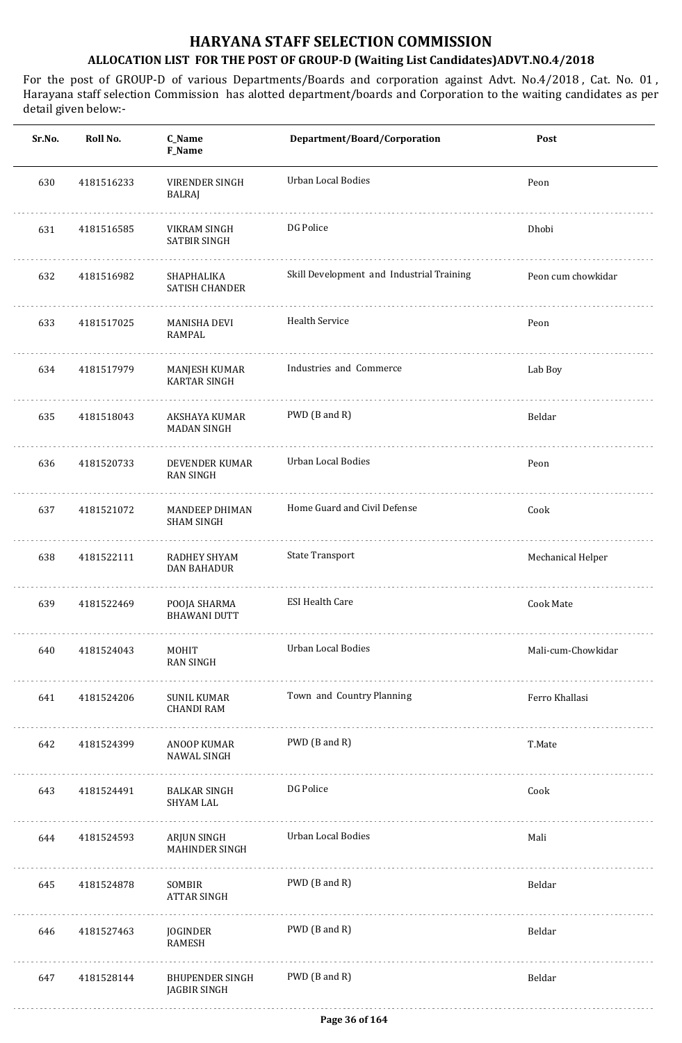| Sr.No. | Roll No.   | C_Name<br>F_Name                        | Department/Board/Corporation              | Post               |
|--------|------------|-----------------------------------------|-------------------------------------------|--------------------|
| 630    | 4181516233 | VIRENDER SINGH<br>BALRAJ                | Urban Local Bodies                        | Peon               |
| 631    | 4181516585 | VIKRAM SINGH<br>SATBIR SINGH            | DG Police                                 | Dhobi              |
| 632    | 4181516982 | SHAPHALIKA<br>SATISH CHANDER            | Skill Development and Industrial Training | Peon cum chowkidar |
| 633    | 4181517025 | <b>MANISHA DEVI</b><br>RAMPAL           | Health Service                            | Peon               |
| 634    | 4181517979 | MANJESH KUMAR<br><b>KARTAR SINGH</b>    | Industries and Commerce                   | Lab Boy            |
| 635    | 4181518043 | AKSHAYA KUMAR<br><b>MADAN SINGH</b>     | PWD (B and R)                             | Beldar             |
| 636    | 4181520733 | DEVENDER KUMAR<br>RAN SINGH             | Urban Local Bodies                        | Peon               |
| 637    | 4181521072 | MANDEEP DHIMAN<br><b>SHAM SINGH</b>     | Home Guard and Civil Defense              | Cook               |
| 638    | 4181522111 | RADHEY SHYAM<br><b>DAN BAHADUR</b>      | <b>State Transport</b>                    | Mechanical Helper  |
| 639    | 4181522469 | POOJA SHARMA<br><b>BHAWANI DUTT</b>     | <b>ESI Health Care</b>                    | Cook Mate          |
| 640    | 4181524043 | MOHIT<br><b>RAN SINGH</b>               | <b>Urban Local Bodies</b>                 | Mali-cum-Chowkidar |
| 641    | 4181524206 | <b>SUNIL KUMAR</b><br><b>CHANDI RAM</b> | Town and Country Planning                 | Ferro Khallasi     |
| 642    | 4181524399 | ANOOP KUMAR<br>NAWAL SINGH              | PWD (B and R)                             | T.Mate             |
| 643    | 4181524491 | <b>BALKAR SINGH</b><br><b>SHYAM LAL</b> | DG Police                                 | Cook               |
| 644    | 4181524593 | ARJUN SINGH<br><b>MAHINDER SINGH</b>    | <b>Urban Local Bodies</b>                 | Mali               |
| 645    | 4181524878 | SOMBIR<br><b>ATTAR SINGH</b>            | PWD (B and R)                             | Beldar             |
| 646    | 4181527463 | JOGINDER<br><b>RAMESH</b>               | PWD (B and R)                             | Beldar             |
| 647    | 4181528144 | <b>BHUPENDER SINGH</b><br>JAGBIR SINGH  | PWD (B and R)                             | Beldar             |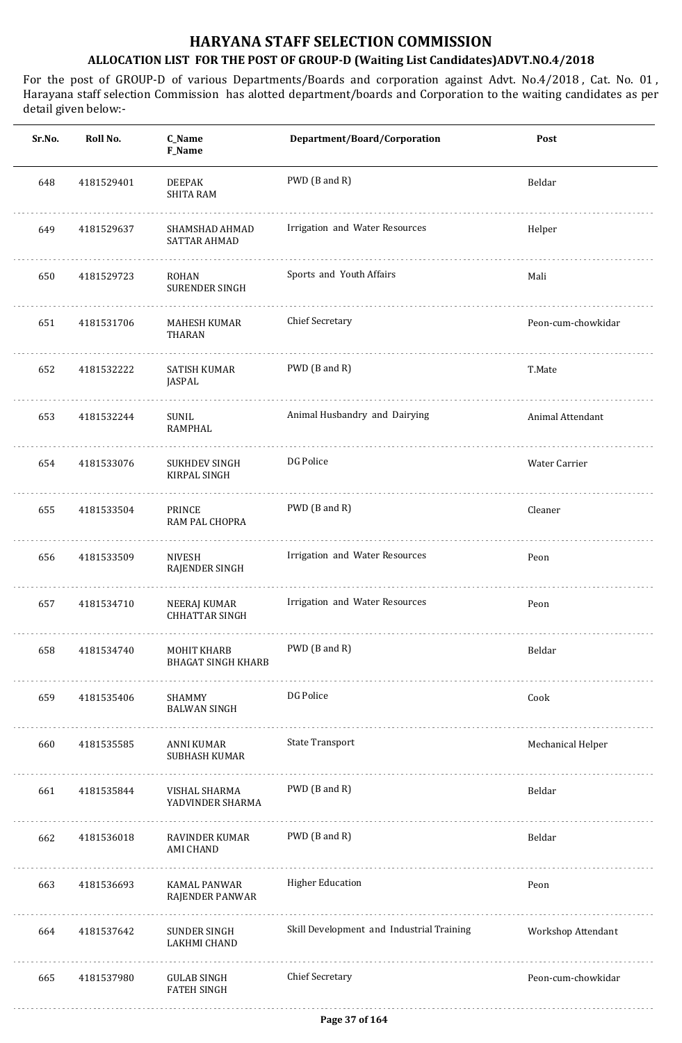| Sr.No. | Roll No.   | C_Name<br><b>F_Name</b>                  | Department/Board/Corporation              | Post               |
|--------|------------|------------------------------------------|-------------------------------------------|--------------------|
| 648    | 4181529401 | <b>DEEPAK</b><br><b>SHITA RAM</b>        | PWD (B and R)                             | Beldar             |
| 649    | 4181529637 | SHAMSHAD AHMAD<br>SATTAR AHMAD           | Irrigation and Water Resources            | Helper             |
| 650    | 4181529723 | ROHAN<br><b>SURENDER SINGH</b>           | Sports and Youth Affairs                  | Mali               |
| 651    | 4181531706 | MAHESH KUMAR<br><b>THARAN</b>            | <b>Chief Secretary</b>                    | Peon-cum-chowkidar |
| 652    | 4181532222 | SATISH KUMAR<br>JASPAL                   | PWD (B and R)                             | T.Mate             |
| 653    | 4181532244 | SUNIL<br><b>RAMPHAL</b>                  | Animal Husbandry and Dairying             | Animal Attendant   |
| 654    | 4181533076 | SUKHDEV SINGH<br>KIRPAL SINGH            | DG Police                                 | Water Carrier      |
| 655    | 4181533504 | PRINCE<br>RAM PAL CHOPRA                 | PWD (B and R)                             | Cleaner            |
| 656    | 4181533509 | <b>NIVESH</b><br>RAJENDER SINGH          | Irrigation and Water Resources            | Peon               |
| 657    | 4181534710 | NEERAJ KUMAR<br><b>CHHATTAR SINGH</b>    | Irrigation and Water Resources            | Peon               |
| 658    | 4181534740 | MOHIT KHARB<br><b>BHAGAT SINGH KHARB</b> | PWD (B and R)                             | Beldar             |
| 659    | 4181535406 | SHAMMY<br><b>BALWAN SINGH</b>            | DG Police                                 | Cook               |
| 660    | 4181535585 | <b>ANNI KUMAR</b><br>SUBHASH KUMAR       | <b>State Transport</b>                    | Mechanical Helper  |
| 661    | 4181535844 | VISHAL SHARMA<br>YADVINDER SHARMA        | PWD (B and R)                             | Beldar             |
| 662    | 4181536018 | RAVINDER KUMAR<br>AMI CHAND              | PWD (B and R)                             | Beldar             |
| 663    | 4181536693 | <b>KAMAL PANWAR</b><br>RAJENDER PANWAR   | <b>Higher Education</b>                   | Peon               |
| 664    | 4181537642 | SUNDER SINGH<br>LAKHMI CHAND             | Skill Development and Industrial Training | Workshop Attendant |
| 665    | 4181537980 | <b>GULAB SINGH</b><br><b>FATEH SINGH</b> | <b>Chief Secretary</b>                    | Peon-cum-chowkidar |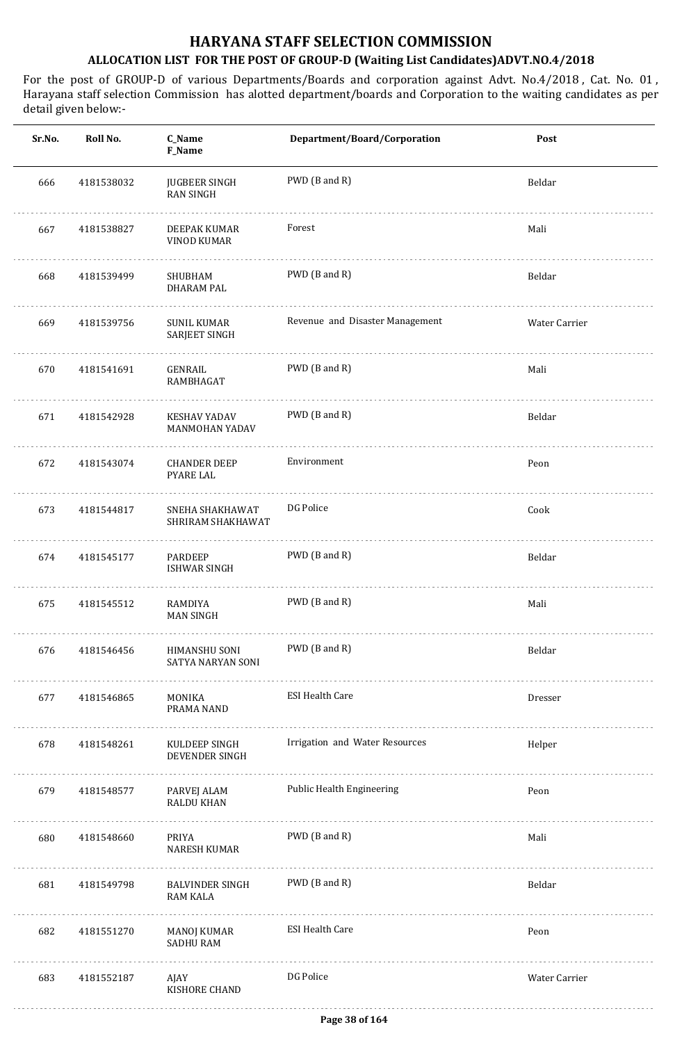| Sr.No. | Roll No.   | C_Name<br>F_Name                        | Department/Board/Corporation     | Post          |
|--------|------------|-----------------------------------------|----------------------------------|---------------|
| 666    | 4181538032 | <b>JUGBEER SINGH</b><br>RAN SINGH       | PWD (B and R)                    | Beldar        |
| 667    | 4181538827 | DEEPAK KUMAR<br>VINOD KUMAR             | Forest                           | Mali          |
| 668    | 4181539499 | SHUBHAM<br>DHARAM PAL                   | PWD (B and R)                    | Beldar        |
| 669    | 4181539756 | SUNIL KUMAR<br>SARJEET SINGH            | Revenue and Disaster Management  | Water Carrier |
| 670    | 4181541691 | GENRAIL<br>RAMBHAGAT                    | PWD (B and R)                    | Mali          |
| 671    | 4181542928 | <b>KESHAV YADAV</b><br>MANMOHAN YADAV   | PWD (B and R)                    | Beldar        |
| 672    | 4181543074 | <b>CHANDER DEEP</b><br>PYARE LAL        | Environment                      | Peon          |
| 673    | 4181544817 | SNEHA SHAKHAWAT<br>SHRIRAM SHAKHAWAT    | DG Police                        | Cook          |
| 674    | 4181545177 | PARDEEP<br>ISHWAR SINGH                 | PWD (B and R)                    | Beldar        |
| 675    | 4181545512 | RAMDIYA<br><b>MAN SINGH</b>             | PWD (B and R)                    | Mali          |
| 676    | 4181546456 | HIMANSHU SONI<br>SATYA NARYAN SONI<br>. | PWD (B and R)                    | Beldar        |
| 677    | 4181546865 | MONIKA<br>PRAMA NAND                    | <b>ESI Health Care</b>           | Dresser       |
| 678    | 4181548261 | KULDEEP SINGH<br>DEVENDER SINGH<br>.    | Irrigation and Water Resources   | Helper        |
| 679    | 4181548577 | PARVEJ ALAM<br><b>RALDU KHAN</b>        | <b>Public Health Engineering</b> | Peon          |
| 680    | 4181548660 | PRIYA<br>NARESH KUMAR                   | PWD (B and R)                    | Mali          |
| 681    | 4181549798 | <b>BALVINDER SINGH</b><br>RAM KALA      | PWD (B and R)                    | Beldar        |
| 682    | 4181551270 | MANOJ KUMAR<br><b>SADHU RAM</b>         | <b>ESI Health Care</b>           | Peon          |
| 683    | 4181552187 | AJAY<br>KISHORE CHAND                   | DG Police                        | Water Carrier |
|        |            |                                         |                                  |               |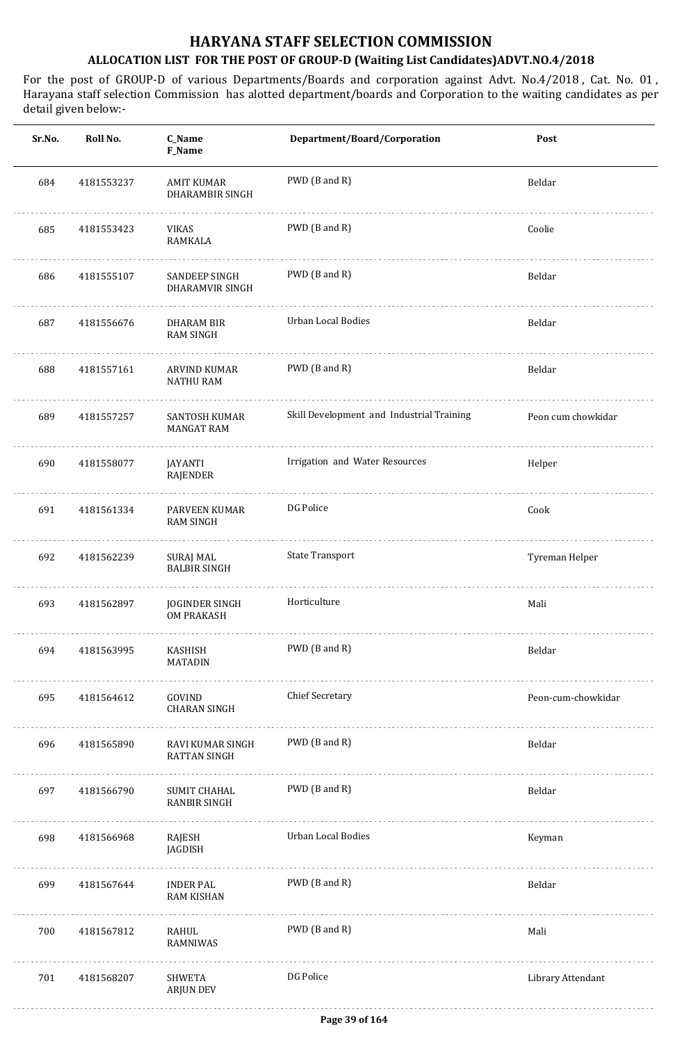| Sr.No. | Roll No.   | C_Name<br>F_Name                           | Department/Board/Corporation              | Post               |
|--------|------------|--------------------------------------------|-------------------------------------------|--------------------|
| 684    | 4181553237 | <b>AMIT KUMAR</b><br>DHARAMBIR SINGH       | PWD (B and R)                             | Beldar             |
| 685    | 4181553423 | <b>VIKAS</b><br><b>RAMKALA</b>             | PWD (B and R)                             | Coolie             |
| 686    | 4181555107 | SANDEEP SINGH<br>DHARAMVIR SINGH           | PWD (B and R)                             | Beldar             |
| 687    | 4181556676 | DHARAM BIR<br><b>RAM SINGH</b>             | Urban Local Bodies                        | Beldar             |
| 688    | 4181557161 | ARVIND KUMAR<br><b>NATHU RAM</b>           | PWD (B and R)                             | Beldar             |
| 689    | 4181557257 | SANTOSH KUMAR<br><b>MANGAT RAM</b>         | Skill Development and Industrial Training | Peon cum chowkidar |
| 690    | 4181558077 | JAYANTI<br>RAJENDER                        | Irrigation and Water Resources            | Helper             |
| 691    | 4181561334 | PARVEEN KUMAR<br><b>RAM SINGH</b>          | DG Police                                 | Cook               |
| 692    | 4181562239 | <b>SURAJ MAL</b><br><b>BALBIR SINGH</b>    | <b>State Transport</b>                    | Tyreman Helper     |
| 693    | 4181562897 | <b>JOGINDER SINGH</b><br><b>OM PRAKASH</b> | Horticulture                              | Mali               |
| 694    | 4181563995 | KASHISH<br>MATADIN                         | PWD (B and R)                             | Beldar             |
| 695    | 4181564612 | GOVIND<br>CHARAN SINGH                     | <b>Chief Secretary</b>                    | Peon-cum-chowkidar |
| 696    | 4181565890 | RAVI KUMAR SINGH<br><b>RATTAN SINGH</b>    | PWD (B and R)                             | Beldar             |
| 697    | 4181566790 | SUMIT CHAHAL<br>RANBIR SINGH               | PWD (B and R)                             | Beldar             |
| 698    | 4181566968 | RAJESH<br>JAGDISH                          | Urban Local Bodies                        | Keyman             |
| 699    | 4181567644 | INDER PAL<br><b>RAM KISHAN</b>             | PWD (B and R)                             | Beldar             |
| 700    | 4181567812 | RAHUL<br>RAMNIWAS                          | PWD (B and R)                             | Mali               |
| 701    | 4181568207 | SHWETA<br><b>ARJUN DEV</b>                 | DG Police                                 | Library Attendant  |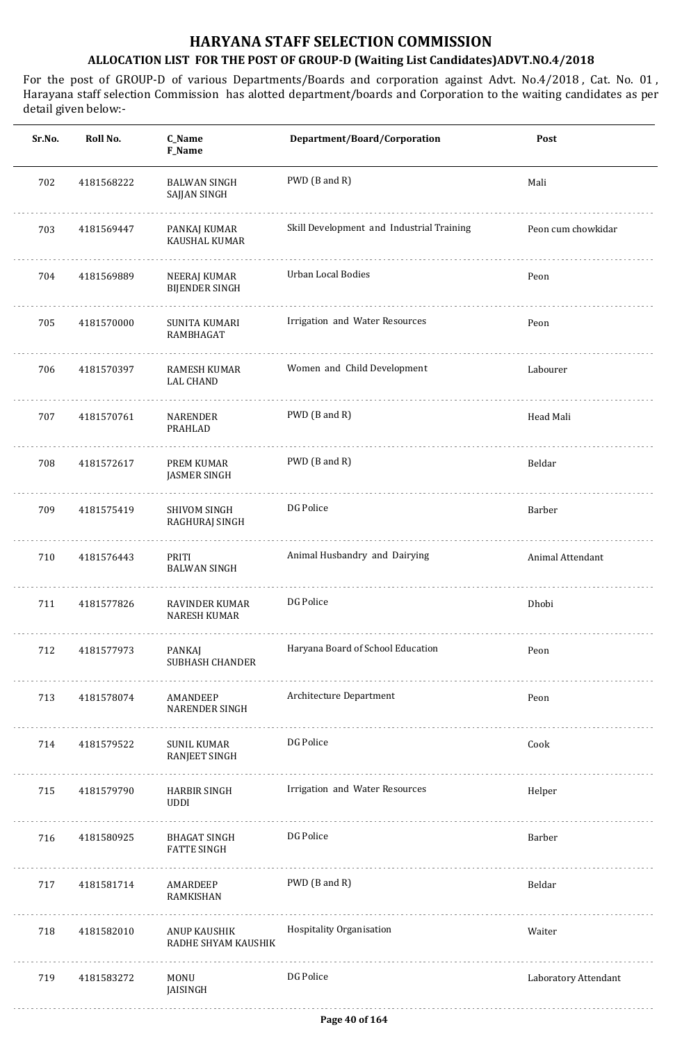| Sr.No. | Roll No.   | C_Name<br>F_Name                        | Department/Board/Corporation              | Post                 |
|--------|------------|-----------------------------------------|-------------------------------------------|----------------------|
| 702    | 4181568222 | <b>BALWAN SINGH</b><br>SAJJAN SINGH     | PWD (B and R)                             | Mali                 |
| 703    | 4181569447 | PANKAJ KUMAR<br>KAUSHAL KUMAR           | Skill Development and Industrial Training | Peon cum chowkidar   |
| 704    | 4181569889 | NEERAJ KUMAR<br><b>BIJENDER SINGH</b>   | Urban Local Bodies                        | Peon                 |
| 705    | 4181570000 | SUNITA KUMARI<br>RAMBHAGAT              | Irrigation and Water Resources            | Peon                 |
| 706    | 4181570397 | <b>RAMESH KUMAR</b><br><b>LAL CHAND</b> | Women and Child Development               | Labourer             |
| 707    | 4181570761 | NARENDER<br>PRAHLAD                     | PWD (B and R)                             | Head Mali            |
| 708    | 4181572617 | PREM KUMAR<br><b>JASMER SINGH</b>       | PWD (B and R)                             | Beldar               |
| 709    | 4181575419 | SHIVOM SINGH<br>RAGHURAJ SINGH          | DG Police                                 | Barber               |
| 710    | 4181576443 | PRITI<br><b>BALWAN SINGH</b>            | Animal Husbandry and Dairying             | Animal Attendant     |
| 711    | 4181577826 | RAVINDER KUMAR<br><b>NARESH KUMAR</b>   | DG Police                                 | Dhobi                |
| 712    | 4181577973 | PANKAJ<br>SUBHASH CHANDER               | Haryana Board of School Education         | Peon                 |
| 713    | 4181578074 | AMANDEEP<br><b>NARENDER SINGH</b>       | Architecture Department                   | Peon                 |
| 714    | 4181579522 | SUNIL KUMAR<br>RANJEET SINGH            | DG Police                                 | Cook                 |
| 715    | 4181579790 | <b>HARBIR SINGH</b><br>UDDI             | Irrigation and Water Resources            | Helper               |
| 716    | 4181580925 | BHAGAT SINGH<br><b>FATTE SINGH</b>      | DG Police                                 | Barber               |
| 717    | 4181581714 | AMARDEEP<br>RAMKISHAN                   | PWD (B and R)                             | Beldar               |
| 718    | 4181582010 | ANUP KAUSHIK<br>RADHE SHYAM KAUSHIK     | Hospitality Organisation                  | Waiter               |
| 719    | 4181583272 | MONU<br>JAISINGH                        | DG Police                                 | Laboratory Attendant |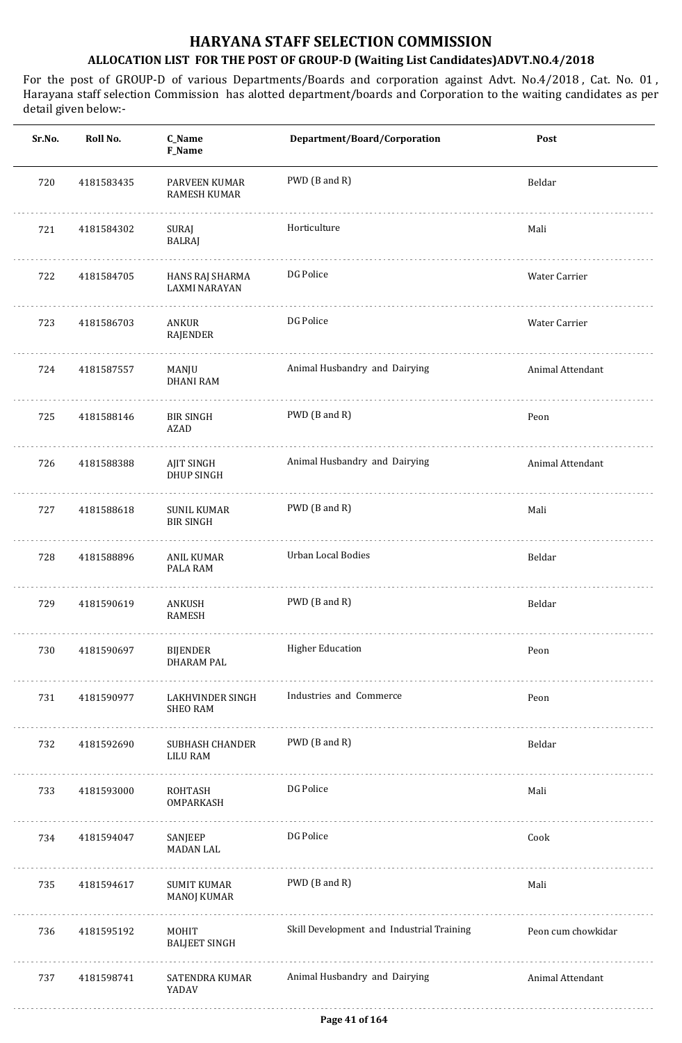| Sr.No. | Roll No.   | C_Name<br>F_Name                        | Department/Board/Corporation              | Post               |
|--------|------------|-----------------------------------------|-------------------------------------------|--------------------|
| 720    | 4181583435 | PARVEEN KUMAR<br>RAMESH KUMAR           | PWD (B and R)                             | Beldar             |
| 721    | 4181584302 | SURAJ<br><b>BALRAJ</b>                  | Horticulture                              | Mali               |
| 722    | 4181584705 | HANS RAJ SHARMA<br><b>LAXMI NARAYAN</b> | DG Police                                 | Water Carrier      |
| 723    | 4181586703 | ANKUR<br>RAJENDER                       | DG Police                                 | Water Carrier      |
| 724    | 4181587557 | MANJU<br><b>DHANI RAM</b>               | Animal Husbandry and Dairying             | Animal Attendant   |
| 725    | 4181588146 | <b>BIR SINGH</b><br><b>AZAD</b>         | PWD (B and R)                             | Peon               |
| 726    | 4181588388 | AJIT SINGH<br><b>DHUP SINGH</b>         | Animal Husbandry and Dairying             | Animal Attendant   |
| 727    | 4181588618 | <b>SUNIL KUMAR</b><br><b>BIR SINGH</b>  | PWD (B and R)                             | Mali               |
| 728    | 4181588896 | ANIL KUMAR<br>PALA RAM                  | Urban Local Bodies                        | Beldar             |
| 729    | 4181590619 | ANKUSH<br><b>RAMESH</b>                 | PWD (B and R)                             | Beldar             |
| 730    | 4181590697 | BIJENDER<br><b>DHARAM PAL</b>           | <b>Higher Education</b>                   | Peon               |
| 731    | 4181590977 | LAKHVINDER SINGH<br><b>SHEO RAM</b>     | Industries and Commerce                   | Peon               |
| 732    | 4181592690 | SUBHASH CHANDER<br><b>LILU RAM</b>      | PWD (B and R)                             | Beldar             |
| 733    | 4181593000 | ROHTASH<br>OMPARKASH                    | DG Police                                 | Mali               |
| 734    | 4181594047 | SANJEEP<br><b>MADAN LAL</b>             | DG Police                                 | Cook               |
| 735    | 4181594617 | SUMIT KUMAR<br><b>MANOJ KUMAR</b>       | PWD (B and R)                             | Mali               |
| 736    | 4181595192 | <b>MOHIT</b><br><b>BALJEET SINGH</b>    | Skill Development and Industrial Training | Peon cum chowkidar |
| 737    | 4181598741 | SATENDRA KUMAR<br>YADAV                 | Animal Husbandry and Dairying             | Animal Attendant   |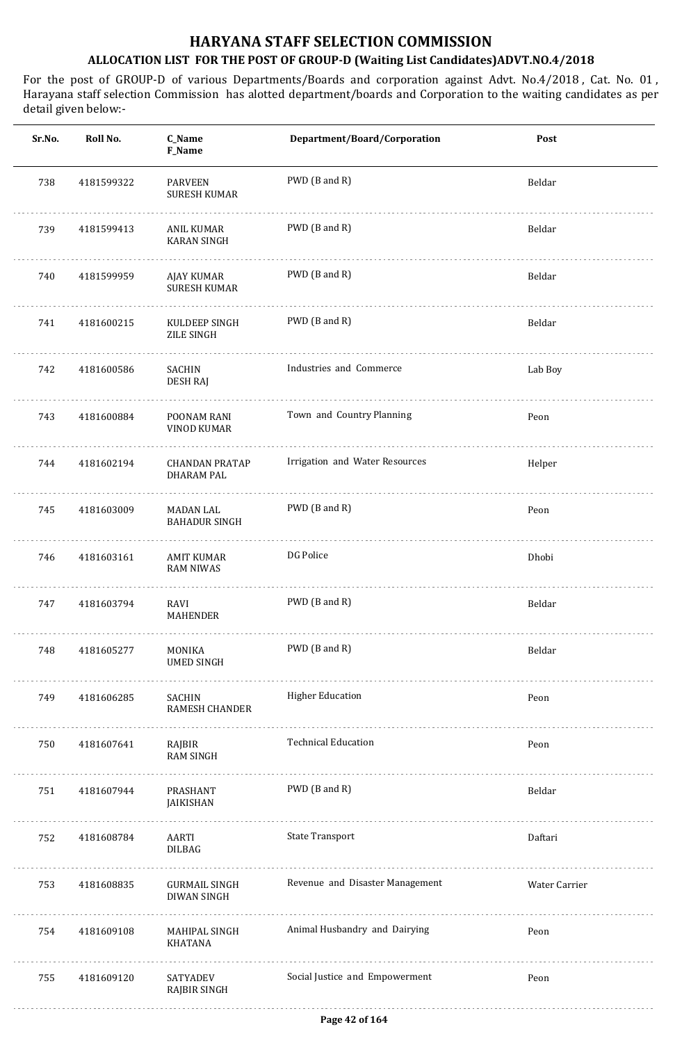| Sr.No. | Roll No.   | C_Name<br>F_Name                           | Department/Board/Corporation    | Post          |
|--------|------------|--------------------------------------------|---------------------------------|---------------|
| 738    | 4181599322 | <b>PARVEEN</b><br><b>SURESH KUMAR</b>      | PWD (B and R)                   | Beldar        |
| 739    | 4181599413 | ANIL KUMAR<br><b>KARAN SINGH</b>           | PWD (B and R)                   | Beldar        |
| 740    | 4181599959 | AJAY KUMAR<br><b>SURESH KUMAR</b>          | PWD (B and R)                   | Beldar        |
| 741    | 4181600215 | KULDEEP SINGH<br>ZILE SINGH                | PWD (B and R)                   | Beldar        |
| 742    | 4181600586 | SACHIN<br><b>DESH RAJ</b>                  | Industries and Commerce         | Lab Boy       |
| 743    | 4181600884 | POONAM RANI<br>VINOD KUMAR                 | Town and Country Planning       | Peon          |
| 744    | 4181602194 | <b>CHANDAN PRATAP</b><br><b>DHARAM PAL</b> | Irrigation and Water Resources  | Helper        |
| 745    | 4181603009 | MADAN LAL<br><b>BAHADUR SINGH</b>          | PWD (B and R)                   | Peon          |
| 746    | 4181603161 | <b>AMIT KUMAR</b><br><b>RAM NIWAS</b>      | DG Police                       | Dhobi         |
| 747    | 4181603794 | RAVI<br>MAHENDER                           | PWD (B and R)                   | Beldar        |
| 748    | 4181605277 | MONIKA<br><b>UMED SINGH</b>                | PWD (B and R)                   | Beldar        |
| 749    | 4181606285 | SACHIN<br>RAMESH CHANDER                   | <b>Higher Education</b>         | Peon          |
| 750    | 4181607641 | RAJBIR<br><b>RAM SINGH</b>                 | <b>Technical Education</b>      | Peon          |
| 751    | 4181607944 | PRASHANT<br>JAIKISHAN                      | PWD (B and R)                   | Beldar        |
| 752    | 4181608784 | AARTI<br>DILBAG                            | <b>State Transport</b>          | Daftari       |
| 753    | 4181608835 | GURMAIL SINGH<br><b>DIWAN SINGH</b>        | Revenue and Disaster Management | Water Carrier |
| 754    | 4181609108 | MAHIPAL SINGH<br><b>KHATANA</b>            | Animal Husbandry and Dairying   | Peon          |
| 755    | 4181609120 | SATYADEV<br><b>RAJBIR SINGH</b>            | Social Justice and Empowerment  | Peon          |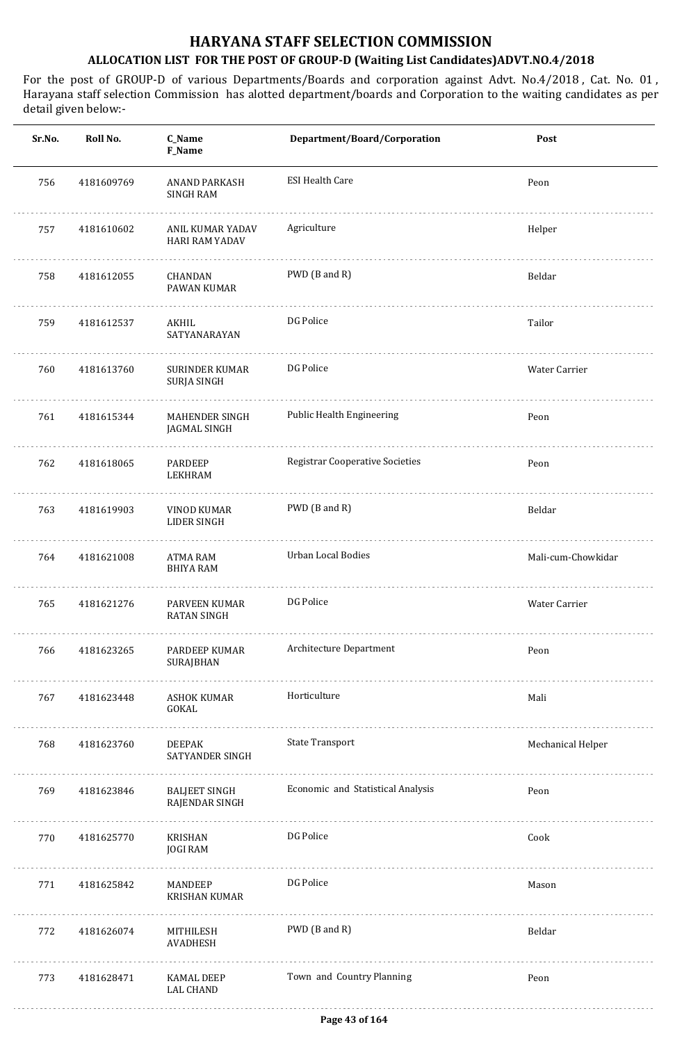| Sr.No. | Roll No.   | C_Name<br>F_Name                          | Department/Board/Corporation           | Post               |
|--------|------------|-------------------------------------------|----------------------------------------|--------------------|
| 756    | 4181609769 | <b>ANAND PARKASH</b><br><b>SINGH RAM</b>  | <b>ESI Health Care</b>                 | Peon               |
| 757    | 4181610602 | ANIL KUMAR YADAV<br><b>HARI RAM YADAV</b> | Agriculture                            | Helper             |
| 758    | 4181612055 | <b>CHANDAN</b><br>PAWAN KUMAR             | PWD (B and R)                          | Beldar             |
| 759    | 4181612537 | AKHIL<br>SATYANARAYAN                     | DG Police                              | Tailor             |
| 760    | 4181613760 | <b>SURINDER KUMAR</b><br>SURJA SINGH      | DG Police                              | Water Carrier      |
| 761    | 4181615344 | MAHENDER SINGH<br>JAGMAL SINGH            | Public Health Engineering              | Peon               |
| 762    | 4181618065 | PARDEEP<br><b>LEKHRAM</b>                 | <b>Registrar Cooperative Societies</b> | Peon               |
| 763    | 4181619903 | <b>VINOD KUMAR</b><br>LIDER SINGH         | PWD (B and R)                          | Beldar             |
| 764    | 4181621008 | ATMA RAM<br><b>BHIYA RAM</b>              | Urban Local Bodies                     | Mali-cum-Chowkidar |
| 765    | 4181621276 | PARVEEN KUMAR<br><b>RATAN SINGH</b>       | DG Police                              | Water Carrier      |
| 766    | 4181623265 | PARDEEP KUMAR<br><b>SURAJBHAN</b>         | Architecture Department                | Peon               |
| 767    | 4181623448 | <b>ASHOK KUMAR</b><br>GOKAL               | Horticulture                           | Mali               |
| 768    | 4181623760 | <b>DEEPAK</b><br>SATYANDER SINGH          | <b>State Transport</b>                 | Mechanical Helper  |
| 769    | 4181623846 | <b>BALJEET SINGH</b><br>RAJENDAR SINGH    | Economic and Statistical Analysis      | Peon               |
| 770    | 4181625770 | KRISHAN<br><b>JOGI RAM</b>                | DG Police                              | Cook               |
| 771    | 4181625842 | MANDEEP<br><b>KRISHAN KUMAR</b>           | DG Police                              | Mason              |
| 772    | 4181626074 | MITHILESH<br>AVADHESH                     | PWD (B and R)                          | Beldar             |
| 773    | 4181628471 | KAMAL DEEP<br><b>LAL CHAND</b>            | Town and Country Planning              | Peon               |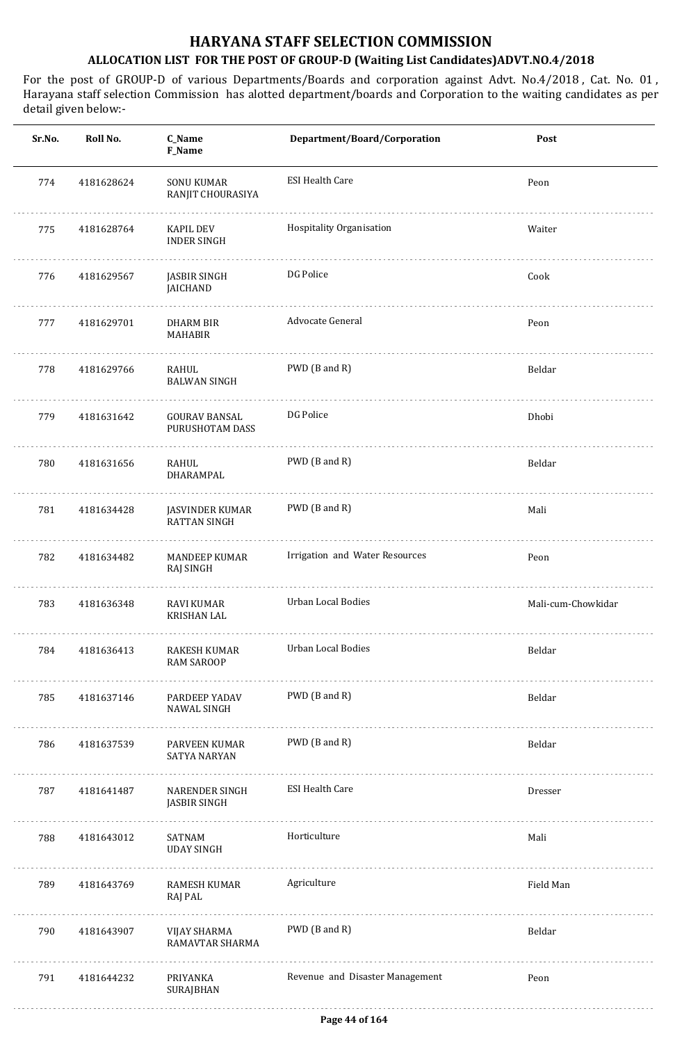| Sr.No. | Roll No.   | C_Name<br>F_Name                             | Department/Board/Corporation    | Post               |
|--------|------------|----------------------------------------------|---------------------------------|--------------------|
| 774    | 4181628624 | <b>SONU KUMAR</b><br>RANJIT CHOURASIYA       | <b>ESI Health Care</b>          | Peon               |
| 775    | 4181628764 | KAPIL DEV<br><b>INDER SINGH</b>              | Hospitality Organisation        | Waiter             |
| 776    | 4181629567 | <b>JASBIR SINGH</b><br><b>JAICHAND</b>       | DG Police                       | Cook               |
| 777    | 4181629701 | <b>DHARM BIR</b><br><b>MAHABIR</b>           | Advocate General                | Peon               |
| 778    | 4181629766 | RAHUL<br><b>BALWAN SINGH</b>                 | PWD (B and R)                   | Beldar             |
| 779    | 4181631642 | <b>GOURAV BANSAL</b><br>PURUSHOTAM DASS      | DG Police                       | Dhobi              |
| 780    | 4181631656 | RAHUL<br>DHARAMPAL                           | PWD (B and R)                   | Beldar             |
| 781    | 4181634428 | JASVINDER KUMAR<br><b>RATTAN SINGH</b>       | PWD (B and R)                   | Mali               |
| 782    | 4181634482 | <b>MANDEEP KUMAR</b><br>RAJ SINGH            | Irrigation and Water Resources  | Peon               |
| 783    | 4181636348 | <b>RAVI KUMAR</b><br><b>KRISHAN LAL</b>      | <b>Urban Local Bodies</b>       | Mali-cum-Chowkidar |
| 784    | 4181636413 | RAKESH KUMAR<br><b>RAM SAROOP</b>            | Urban Local Bodies              | Beldar             |
| 785    | 4181637146 | PARDEEP YADAV<br><b>NAWAL SINGH</b>          | PWD (B and R)                   | Beldar             |
| 786    | 4181637539 | PARVEEN KUMAR<br><b>SATYA NARYAN</b>         | PWD (B and R)                   | Beldar             |
| 787    | 4181641487 | <b>NARENDER SINGH</b><br><b>JASBIR SINGH</b> | <b>ESI Health Care</b>          | Dresser            |
| 788    | 4181643012 | SATNAM<br><b>UDAY SINGH</b>                  | Horticulture                    | Mali               |
| 789    | 4181643769 | RAMESH KUMAR<br>RAJ PAL                      | Agriculture                     | Field Man          |
| 790    | 4181643907 | VIJAY SHARMA<br>RAMAVTAR SHARMA              | PWD (B and R)                   | Beldar             |
| 791    | 4181644232 | PRIYANKA<br><b>SURAJBHAN</b>                 | Revenue and Disaster Management | Peon               |
|        |            |                                              |                                 |                    |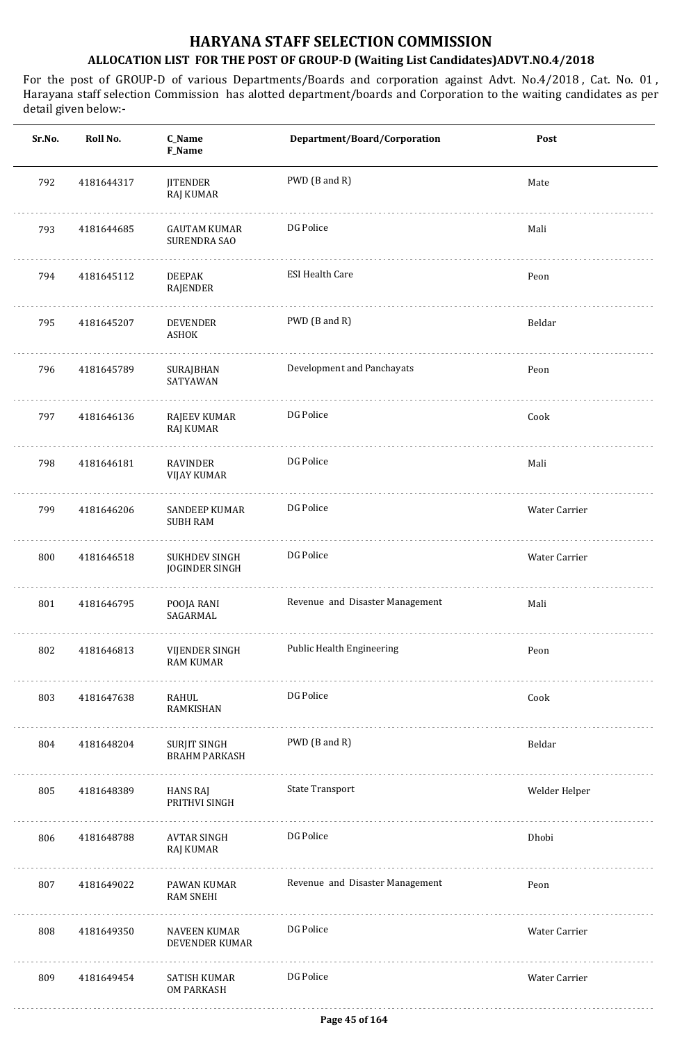| Sr.No. | Roll No.   | C_Name<br>F_Name                           | Department/Board/Corporation    | Post          |
|--------|------------|--------------------------------------------|---------------------------------|---------------|
| 792    | 4181644317 | <b>JITENDER</b><br>RAJ KUMAR               | PWD (B and R)                   | Mate          |
| 793    | 4181644685 | <b>GAUTAM KUMAR</b><br><b>SURENDRA SAO</b> | DG Police                       | Mali          |
| 794    | 4181645112 | <b>DEEPAK</b><br><b>RAJENDER</b>           | <b>ESI Health Care</b>          | Peon          |
| 795    | 4181645207 | <b>DEVENDER</b><br>ASHOK                   | PWD (B and R)                   | Beldar        |
| 796    | 4181645789 | SURAJBHAN<br>SATYAWAN                      | Development and Panchayats      | Peon          |
| 797    | 4181646136 | RAJEEV KUMAR<br>RAJ KUMAR                  | DG Police                       | Cook          |
| 798    | 4181646181 | RAVINDER<br>VIJAY KUMAR                    | DG Police                       | Mali          |
| 799    | 4181646206 | <b>SANDEEP KUMAR</b><br><b>SUBH RAM</b>    | DG Police                       | Water Carrier |
| 800    | 4181646518 | SUKHDEV SINGH<br>JOGINDER SINGH            | DG Police                       | Water Carrier |
| 801    | 4181646795 | POOJA RANI<br>SAGARMAL                     | Revenue and Disaster Management | Mali          |
| 802    | 4181646813 | VIJENDER SINGH<br><b>RAM KUMAR</b>         | Public Health Engineering       | Peon          |
| 803    | 4181647638 | RAHUL<br>RAMKISHAN                         | DG Police                       | Cook          |
| 804    | 4181648204 | SURJIT SINGH<br><b>BRAHM PARKASH</b><br>.  | PWD (B and R)                   | Beldar        |
| 805    | 4181648389 | <b>HANS RAJ</b><br>PRITHVI SINGH           | <b>State Transport</b>          | Welder Helper |
| 806    | 4181648788 | AVTAR SINGH<br>RAJ KUMAR                   | DG Police                       | Dhobi         |
| 807    | 4181649022 | PAWAN KUMAR<br><b>RAM SNEHI</b>            | Revenue and Disaster Management | Peon          |
| 808    | 4181649350 | NAVEEN KUMAR<br>DEVENDER KUMAR             | DG Police                       | Water Carrier |
| 809    | 4181649454 | SATISH KUMAR<br><b>OM PARKASH</b>          | DG Police                       | Water Carrier |
|        |            |                                            |                                 |               |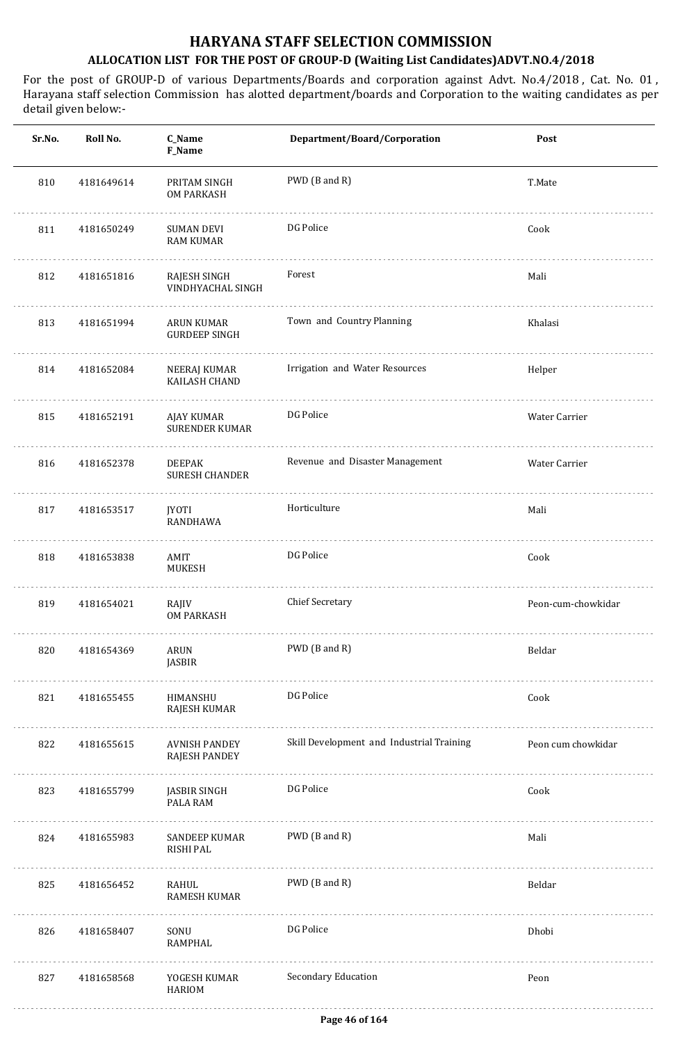| Sr.No. | Roll No.   | C_Name<br>F_Name                             | Department/Board/Corporation              | Post               |
|--------|------------|----------------------------------------------|-------------------------------------------|--------------------|
| 810    | 4181649614 | PRITAM SINGH<br>OM PARKASH                   | PWD (B and R)                             | T.Mate             |
| 811    | 4181650249 | <b>SUMAN DEVI</b><br><b>RAM KUMAR</b>        | DG Police                                 | Cook               |
| 812    | 4181651816 | RAJESH SINGH<br>VINDHYACHAL SINGH            | Forest                                    | Mali               |
| 813    | 4181651994 | <b>ARUN KUMAR</b><br><b>GURDEEP SINGH</b>    | Town and Country Planning                 | Khalasi            |
| 814    | 4181652084 | NEERAJ KUMAR<br>KAILASH CHAND                | Irrigation and Water Resources            | Helper             |
| 815    | 4181652191 | AJAY KUMAR<br><b>SURENDER KUMAR</b>          | DG Police                                 | Water Carrier      |
| 816    | 4181652378 | <b>DEEPAK</b><br><b>SURESH CHANDER</b>       | Revenue and Disaster Management           | Water Carrier      |
| 817    | 4181653517 | <b>JYOTI</b><br>RANDHAWA                     | Horticulture                              | Mali               |
| 818    | 4181653838 | AMIT<br>MUKESH                               | DG Police                                 | Cook               |
| 819    | 4181654021 | RAJIV<br>OM PARKASH                          | <b>Chief Secretary</b>                    | Peon-cum-chowkidar |
| 820    | 4181654369 | ARUN<br><b>JASBIR</b>                        | PWD (B and R)                             | Beldar             |
| 821    | 4181655455 | HIMANSHU<br><b>RAJESH KUMAR</b>              | DG Police                                 | Cook               |
| 822    | 4181655615 | <b>AVNISH PANDEY</b><br><b>RAJESH PANDEY</b> | Skill Development and Industrial Training | Peon cum chowkidar |
| 823    | 4181655799 | JASBIR SINGH<br>PALA RAM                     | DG Police                                 | Cook               |
| 824    | 4181655983 | <b>SANDEEP KUMAR</b><br>RISHI PAL            | PWD (B and R)                             | Mali               |
| 825    | 4181656452 | RAHUL<br><b>RAMESH KUMAR</b>                 | PWD (B and R)                             | Beldar             |
| 826    | 4181658407 | SONU<br>RAMPHAL                              | DG Police                                 | Dhobi              |
| 827    | 4181658568 | YOGESH KUMAR<br><b>HARIOM</b>                | Secondary Education                       | Peon               |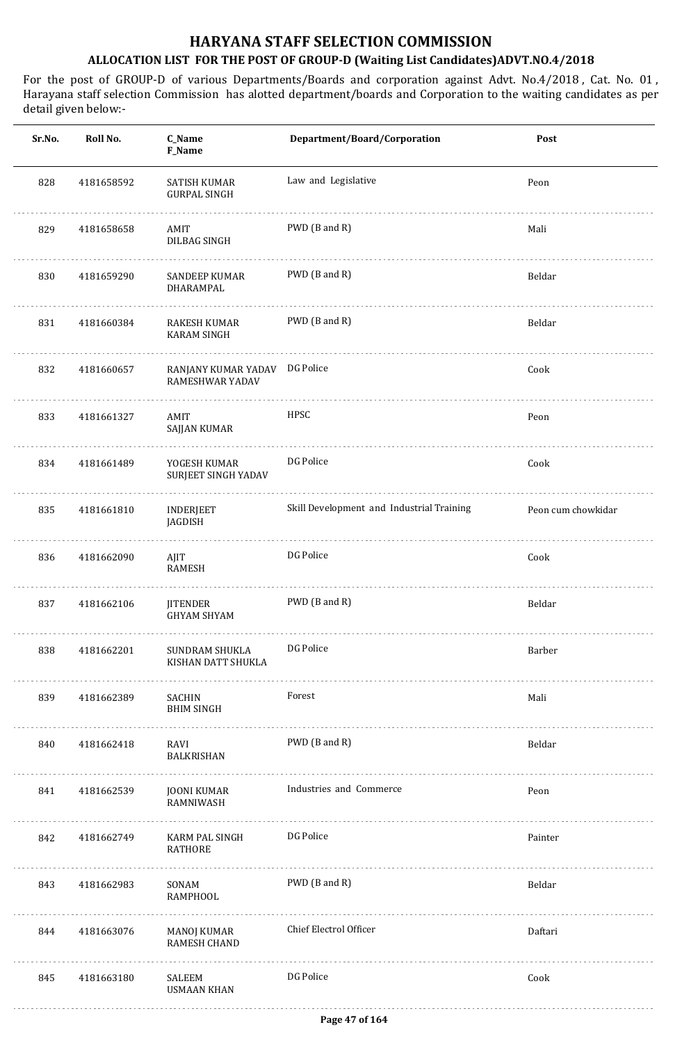| Sr.No. | Roll No.   | C_Name<br>F_Name                          | Department/Board/Corporation              | Post               |
|--------|------------|-------------------------------------------|-------------------------------------------|--------------------|
| 828    | 4181658592 | SATISH KUMAR<br><b>GURPAL SINGH</b>       | Law and Legislative                       | Peon               |
| 829    | 4181658658 | AMIT<br>DILBAG SINGH                      | PWD (B and R)                             | Mali               |
| 830    | 4181659290 | SANDEEP KUMAR<br>DHARAMPAL                | PWD (B and R)                             | Beldar             |
| 831    | 4181660384 | RAKESH KUMAR<br><b>KARAM SINGH</b>        | PWD (B and R)                             | Beldar             |
| 832    | 4181660657 | RANJANY KUMAR YADAV<br>RAMESHWAR YADAV    | DG Police                                 | Cook               |
| 833    | 4181661327 | AMIT<br>SAJJAN KUMAR                      | HPSC                                      | Peon               |
| 834    | 4181661489 | YOGESH KUMAR<br>SURJEET SINGH YADAV       | DG Police                                 | Cook               |
| 835    | 4181661810 | <b>INDERJEET</b><br>JAGDISH               | Skill Development and Industrial Training | Peon cum chowkidar |
| 836    | 4181662090 | AJIT<br>RAMESH                            | DG Police                                 | Cook               |
| 837    | 4181662106 | <b>JITENDER</b><br><b>GHYAM SHYAM</b>     | PWD (B and R)                             | Beldar             |
| 838    | 4181662201 | SUNDRAM SHUKLA<br>KISHAN DATT SHUKLA<br>. | DG Police                                 | Barber             |
| 839    | 4181662389 | SACHIN<br><b>BHIM SINGH</b>               | Forest                                    | Mali               |
| 840    | 4181662418 | RAVI<br>BALKRISHAN                        | PWD (B and R)                             | Beldar             |
| 841    | 4181662539 | JOONI KUMAR<br>RAMNIWASH                  | Industries and Commerce                   | Peon               |
| 842    | 4181662749 | KARM PAL SINGH<br>RATHORE                 | DG Police                                 | Painter            |
| 843    | 4181662983 | SONAM<br>RAMPHOOL                         | PWD (B and R)                             | Beldar             |
| 844    | 4181663076 | MANOJ KUMAR<br>RAMESH CHAND               | Chief Electrol Officer                    | Daftari            |
| 845    | 4181663180 | SALEEM<br><b>USMAAN KHAN</b>              | DG Police                                 | Cook               |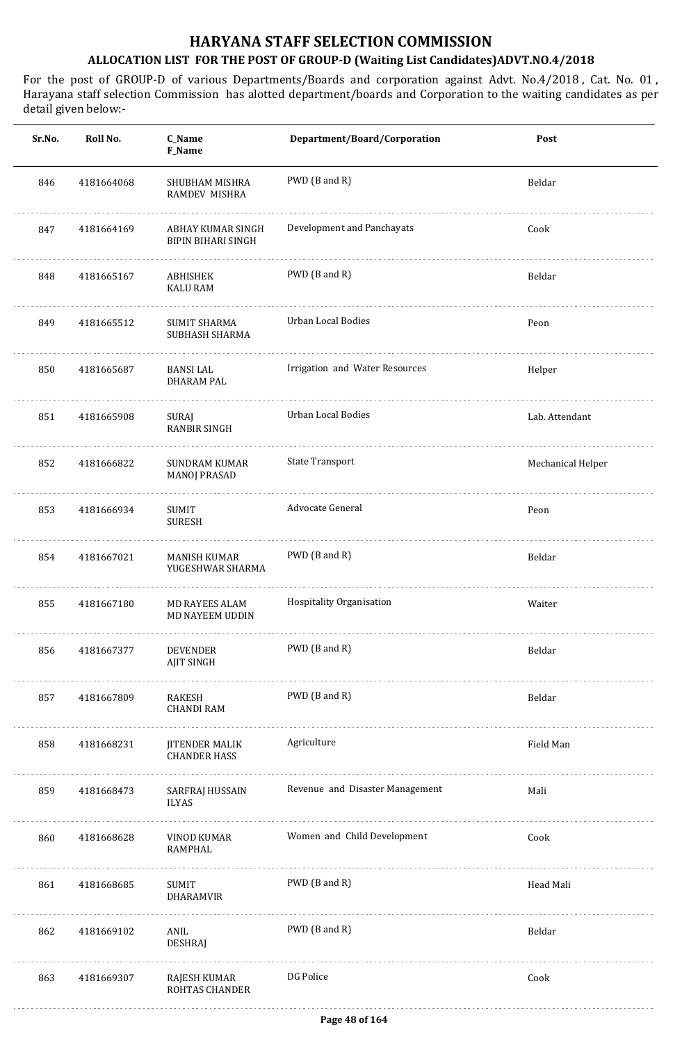| Sr.No. | Roll No.   | C_Name<br>F_Name                               | Department/Board/Corporation    | Post              |
|--------|------------|------------------------------------------------|---------------------------------|-------------------|
| 846    | 4181664068 | SHUBHAM MISHRA<br>RAMDEV MISHRA                | PWD (B and R)                   | Beldar            |
| 847    | 4181664169 | ABHAY KUMAR SINGH<br><b>BIPIN BIHARI SINGH</b> | Development and Panchayats      | Cook              |
| 848    | 4181665167 | ABHISHEK<br><b>KALU RAM</b>                    | PWD (B and R)                   | Beldar            |
| 849    | 4181665512 | <b>SUMIT SHARMA</b><br>SUBHASH SHARMA          | Urban Local Bodies              | Peon              |
| 850    | 4181665687 | BANSI LAL<br><b>DHARAM PAL</b>                 | Irrigation and Water Resources  | Helper            |
| 851    | 4181665908 | SURAJ<br><b>RANBIR SINGH</b>                   | Urban Local Bodies              | Lab. Attendant    |
| 852    | 4181666822 | <b>SUNDRAM KUMAR</b><br><b>MANOJ PRASAD</b>    | <b>State Transport</b>          | Mechanical Helper |
| 853    | 4181666934 | SUMIT<br><b>SURESH</b>                         | Advocate General                | Peon              |
| 854    | 4181667021 | MANISH KUMAR<br>YUGESHWAR SHARMA               | PWD (B and R)                   | Beldar            |
| 855    | 4181667180 | MD RAYEES ALAM<br>MD NAYEEM UDDIN              | Hospitality Organisation        | Waiter            |
| 856    | 4181667377 | <b>DEVENDER</b><br>AJIT SINGH                  | PWD (B and R)                   | Beldar            |
| 857    | 4181667809 | RAKESH<br><b>CHANDI RAM</b>                    | PWD (B and R)                   | Beldar            |
| 858    | 4181668231 | JITENDER MALIK<br><b>CHANDER HASS</b>          | Agriculture                     | Field Man         |
| 859    | 4181668473 | .<br>SARFRAJ HUSSAIN<br>ILYAS                  | Revenue and Disaster Management | Mali              |
| 860    | 4181668628 | VINOD KUMAR<br>RAMPHAL                         | Women and Child Development     | Cook              |
| 861    | 4181668685 | SUMIT<br>DHARAMVIR                             | PWD (B and R)                   | Head Mali         |
| 862    | 4181669102 | ANIL<br><b>DESHRAJ</b>                         | PWD (B and R)                   | Beldar            |
| 863    | 4181669307 | RAJESH KUMAR<br><b>ROHTAS CHANDER</b>          | DG Police                       | Cook              |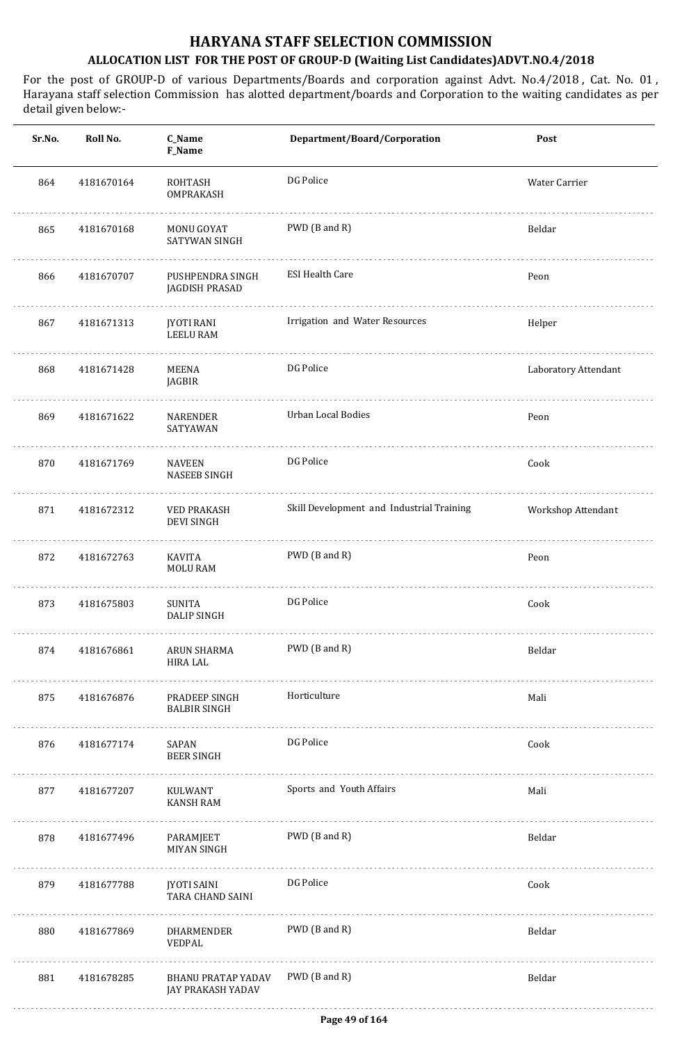| Sr.No. | Roll No.   | C_Name<br>F_Name                        | Department/Board/Corporation              | Post                 |
|--------|------------|-----------------------------------------|-------------------------------------------|----------------------|
| 864    | 4181670164 | <b>ROHTASH</b><br>OMPRAKASH             | DG Police                                 | Water Carrier        |
| 865    | 4181670168 | <b>MONU GOYAT</b><br>SATYWAN SINGH      | PWD (B and R)                             | Beldar               |
| 866    | 4181670707 | PUSHPENDRA SINGH<br>JAGDISH PRASAD      | <b>ESI Health Care</b>                    | Peon                 |
| 867    | 4181671313 | <b>JYOTI RANI</b><br><b>LEELU RAM</b>   | Irrigation and Water Resources            | Helper               |
| 868    | 4181671428 | MEENA<br>JAGBIR                         | DG Police                                 | Laboratory Attendant |
| 869    | 4181671622 | NARENDER<br>SATYAWAN                    | <b>Urban Local Bodies</b>                 | Peon                 |
| 870    | 4181671769 | <b>NAVEEN</b><br><b>NASEEB SINGH</b>    | DG Police                                 | Cook                 |
| 871    | 4181672312 | <b>VED PRAKASH</b><br><b>DEVI SINGH</b> | Skill Development and Industrial Training | Workshop Attendant   |
| 872    | 4181672763 | KAVITA<br><b>MOLU RAM</b>               | PWD (B and R)                             | Peon                 |
| 873    | 4181675803 | SUNITA<br><b>DALIP SINGH</b>            | DG Police                                 | Cook                 |
| 874    | 4181676861 | ARUN SHARMA<br><b>HIRA LAL</b>          | PWD (B and R)                             | Beldar               |
| 875    | 4181676876 | PRADEEP SINGH<br><b>BALBIR SINGH</b>    | Horticulture                              | Mali                 |
| 876    | 4181677174 | SAPAN<br><b>BEER SINGH</b>              | DG Police                                 | Cook                 |
| 877    | 4181677207 | KULWANT<br><b>KANSH RAM</b>             | Sports and Youth Affairs                  | Mali                 |
| 878    | 4181677496 | PARAMJEET<br><b>MIYAN SINGH</b>         | PWD (B and R)                             | Beldar               |
| 879    | 4181677788 | <b>JYOTI SAINI</b><br>TARA CHAND SAINI  | DG Police                                 | Cook                 |
| 880    | 4181677869 | DHARMENDER<br>VEDPAL                    | PWD (B and R)                             | Beldar               |
| 881    | 4181678285 | BHANU PRATAP YADAV<br>JAY PRAKASH YADAV | PWD (B and R)                             | Beldar               |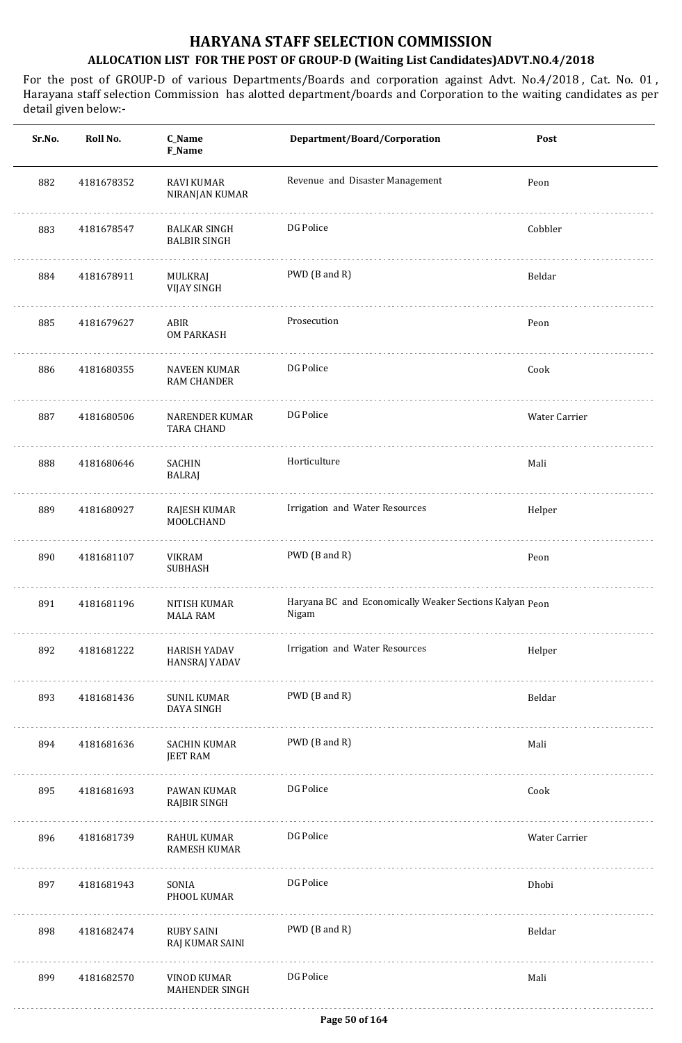| Sr.No. | Roll No.   | C_Name<br>F_Name                           | Department/Board/Corporation                                     | Post          |
|--------|------------|--------------------------------------------|------------------------------------------------------------------|---------------|
| 882    | 4181678352 | <b>RAVI KUMAR</b><br>NIRANJAN KUMAR        | Revenue and Disaster Management                                  | Peon          |
| 883    | 4181678547 | <b>BALKAR SINGH</b><br><b>BALBIR SINGH</b> | DG Police                                                        | Cobbler       |
| 884    | 4181678911 | MULKRAJ<br><b>VIJAY SINGH</b>              | PWD (B and R)                                                    | Beldar        |
| 885    | 4181679627 | ABIR<br>OM PARKASH                         | Prosecution                                                      | Peon          |
| 886    | 4181680355 | <b>NAVEEN KUMAR</b><br><b>RAM CHANDER</b>  | DG Police                                                        | Cook          |
| 887    | 4181680506 | <b>NARENDER KUMAR</b><br><b>TARA CHAND</b> | DG Police                                                        | Water Carrier |
| 888    | 4181680646 | SACHIN<br><b>BALRAJ</b>                    | Horticulture                                                     | Mali          |
| 889    | 4181680927 | RAJESH KUMAR<br>MOOLCHAND                  | Irrigation and Water Resources                                   | Helper        |
| 890    | 4181681107 | VIKRAM<br><b>SUBHASH</b>                   | PWD (B and R)                                                    | Peon          |
| 891    | 4181681196 | <b>NITISH KUMAR</b><br><b>MALA RAM</b>     | Haryana BC and Economically Weaker Sections Kalyan Peon<br>Nigam |               |
| 892    | 4181681222 | HARISH YADAV<br><b>HANSRAJ YADAV</b>       | Irrigation and Water Resources                                   | Helper        |
| 893    | 4181681436 | SUNIL KUMAR<br>DAYA SINGH                  | PWD (B and R)                                                    | Beldar        |
| 894    | 4181681636 | SACHIN KUMAR<br><b>JEET RAM</b>            | PWD (B and R)                                                    | Mali          |
| 895    | 4181681693 | PAWAN KUMAR<br>RAJBIR SINGH                | DG Police                                                        | Cook          |
| 896    | 4181681739 | RAHUL KUMAR<br>RAMESH KUMAR                | DG Police                                                        | Water Carrier |
| 897    | 4181681943 | SONIA<br>PHOOL KUMAR                       | DG Police                                                        | Dhobi         |
| 898    | 4181682474 | RUBY SAINI<br>RAJ KUMAR SAINI              | PWD (B and R)                                                    | Beldar        |
| 899    | 4181682570 | VINOD KUMAR<br>MAHENDER SINGH              | DG Police                                                        | Mali          |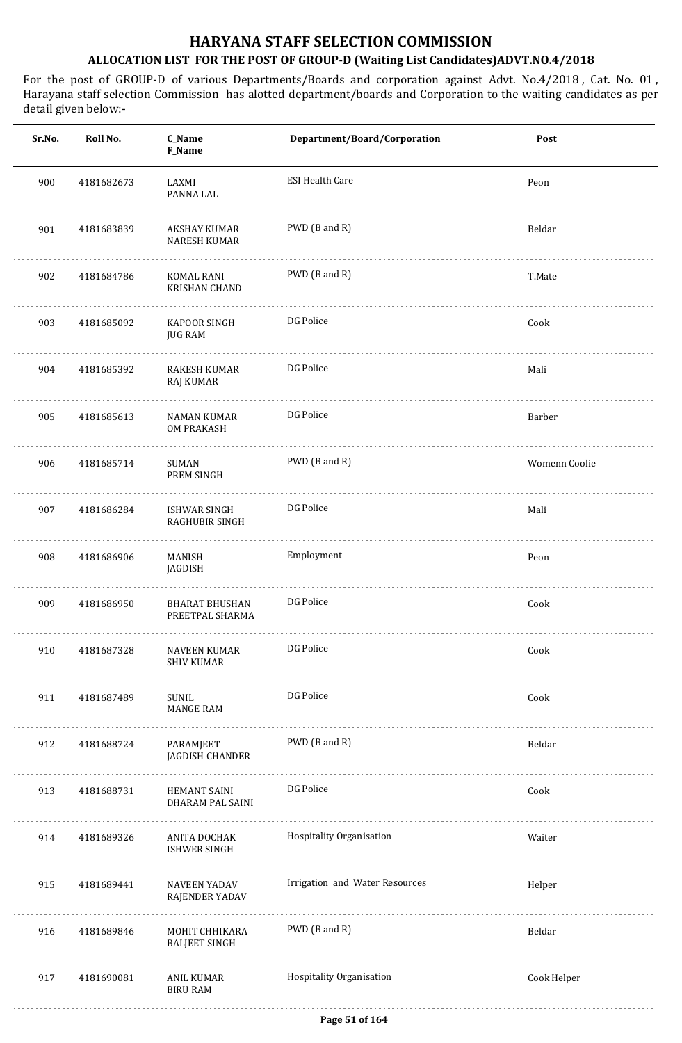| Sr.No. | Roll No.   | C_Name<br>F_Name                             | Department/Board/Corporation   | Post          |
|--------|------------|----------------------------------------------|--------------------------------|---------------|
| 900    | 4181682673 | LAXMI<br>PANNA LAL                           | <b>ESI Health Care</b>         | Peon          |
| 901    | 4181683839 | AKSHAY KUMAR<br><b>NARESH KUMAR</b>          | PWD (B and R)                  | Beldar        |
| 902    | 4181684786 | KOMAL RANI<br><b>KRISHAN CHAND</b>           | PWD (B and R)                  | T.Mate        |
| 903    | 4181685092 | <b>KAPOOR SINGH</b><br><b>JUG RAM</b>        | DG Police                      | Cook          |
| 904    | 4181685392 | RAKESH KUMAR<br>RAJ KUMAR                    | DG Police                      | Mali          |
| 905    | 4181685613 | NAMAN KUMAR<br><b>OM PRAKASH</b>             | DG Police                      | Barber        |
| 906    | 4181685714 | SUMAN<br>PREM SINGH                          | PWD (B and R)                  | Womenn Coolie |
| 907    | 4181686284 | ISHWAR SINGH<br>RAGHUBIR SINGH               | DG Police                      | Mali          |
| 908    | 4181686906 | MANISH<br>JAGDISH                            | Employment                     | Peon          |
| 909    | 4181686950 | <b>BHARAT BHUSHAN</b><br>PREETPAL SHARMA     | DG Police                      | Cook          |
| 910    | 4181687328 | NAVEEN KUMAR<br><b>SHIV KUMAR</b>            | DG Police                      | Cook          |
| 911    | 4181687489 | <b>SUNIL</b><br><b>MANGE RAM</b>             | DG Police                      | Cook          |
| 912    | 4181688724 | PARAMJEET<br>JAGDISH CHANDER                 | PWD (B and R)                  | Beldar        |
| 913    | 4181688731 | HEMANT SAINI<br>DHARAM PAL SAINI             | DG Police                      | Cook          |
| 914    | 4181689326 | ANITA DOCHAK<br><b>ISHWER SINGH</b>          | Hospitality Organisation       | Waiter        |
| 915    | 4181689441 | <b>NAVEEN YADAV</b><br><b>RAJENDER YADAV</b> | Irrigation and Water Resources | Helper        |
| 916    | 4181689846 | MOHIT CHHIKARA<br><b>BALJEET SINGH</b>       | PWD (B and R)                  | Beldar        |
| 917    | 4181690081 | ANIL KUMAR<br><b>BIRU RAM</b>                | Hospitality Organisation       | Cook Helper   |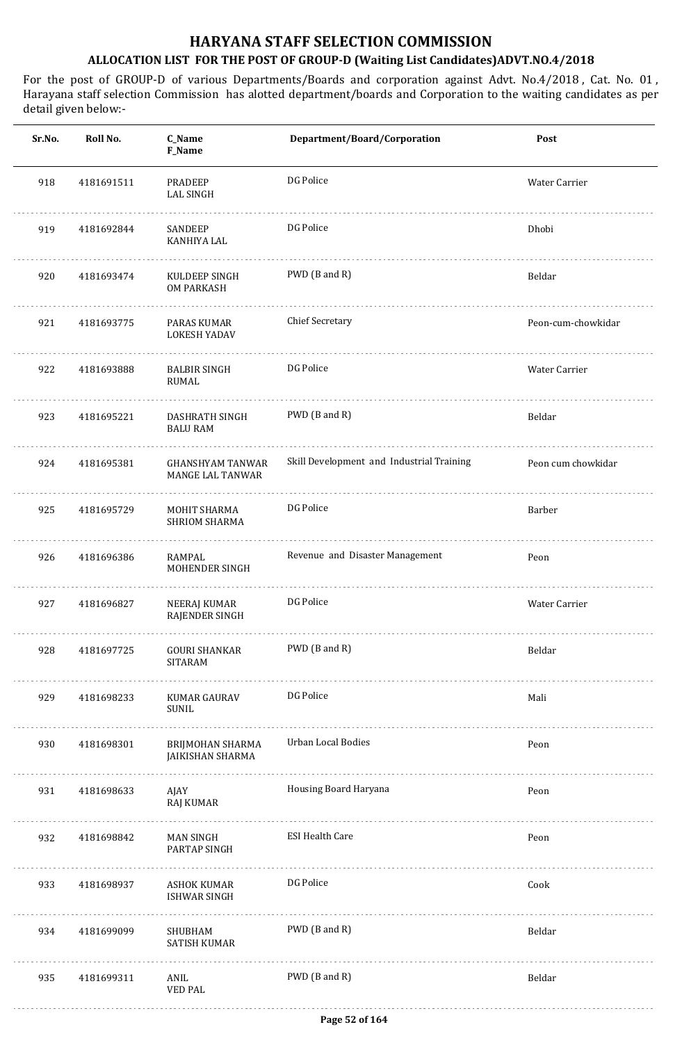| Sr.No. | Roll No.   | C_Name<br>F_Name                                   | Department/Board/Corporation              | Post               |
|--------|------------|----------------------------------------------------|-------------------------------------------|--------------------|
| 918    | 4181691511 | <b>PRADEEP</b><br>LAL SINGH                        | DG Police                                 | Water Carrier      |
| 919    | 4181692844 | SANDEEP<br>KANHIYA LAL                             | DG Police                                 | Dhobi              |
| 920    | 4181693474 | KULDEEP SINGH<br>OM PARKASH                        | PWD (B and R)                             | Beldar             |
| 921    | 4181693775 | PARAS KUMAR<br><b>LOKESH YADAV</b>                 | <b>Chief Secretary</b>                    | Peon-cum-chowkidar |
| 922    | 4181693888 | <b>BALBIR SINGH</b><br>RUMAL                       | DG Police                                 | Water Carrier      |
| 923    | 4181695221 | DASHRATH SINGH<br><b>BALU RAM</b>                  | PWD (B and R)                             | Beldar             |
| 924    | 4181695381 | <b>GHANSHYAM TANWAR</b><br><b>MANGE LAL TANWAR</b> | Skill Development and Industrial Training | Peon cum chowkidar |
| 925    | 4181695729 | MOHIT SHARMA<br>SHRIOM SHARMA                      | DG Police                                 | Barber             |
| 926    | 4181696386 | RAMPAL<br>MOHENDER SINGH                           | Revenue and Disaster Management           | Peon               |
| 927    | 4181696827 | NEERAJ KUMAR<br>RAJENDER SINGH                     | DG Police                                 | Water Carrier      |
| 928    | 4181697725 | GOURI SHANKAR<br><b>SITARAM</b>                    | PWD (B and R)                             | Beldar             |
| 929    | 4181698233 | KUMAR GAURAV<br>SUNIL                              | DG Police                                 | Mali               |
| 930    | 4181698301 | BRIJMOHAN SHARMA<br>JAIKISHAN SHARMA<br>.          | Urban Local Bodies                        | Peon               |
| 931    | 4181698633 | AJAY<br>RAJ KUMAR                                  | Housing Board Haryana                     | Peon               |
| 932    | 4181698842 | MAN SINGH<br>PARTAP SINGH                          | <b>ESI Health Care</b>                    | Peon               |
| 933    | 4181698937 | ASHOK KUMAR<br>ISHWAR SINGH                        | DG Police                                 | Cook               |
| 934    | 4181699099 | SHUBHAM<br>SATISH KUMAR                            | PWD (B and R)                             | Beldar             |
| 935    | 4181699311 | ANIL<br><b>VED PAL</b>                             | PWD (B and R)                             | Beldar             |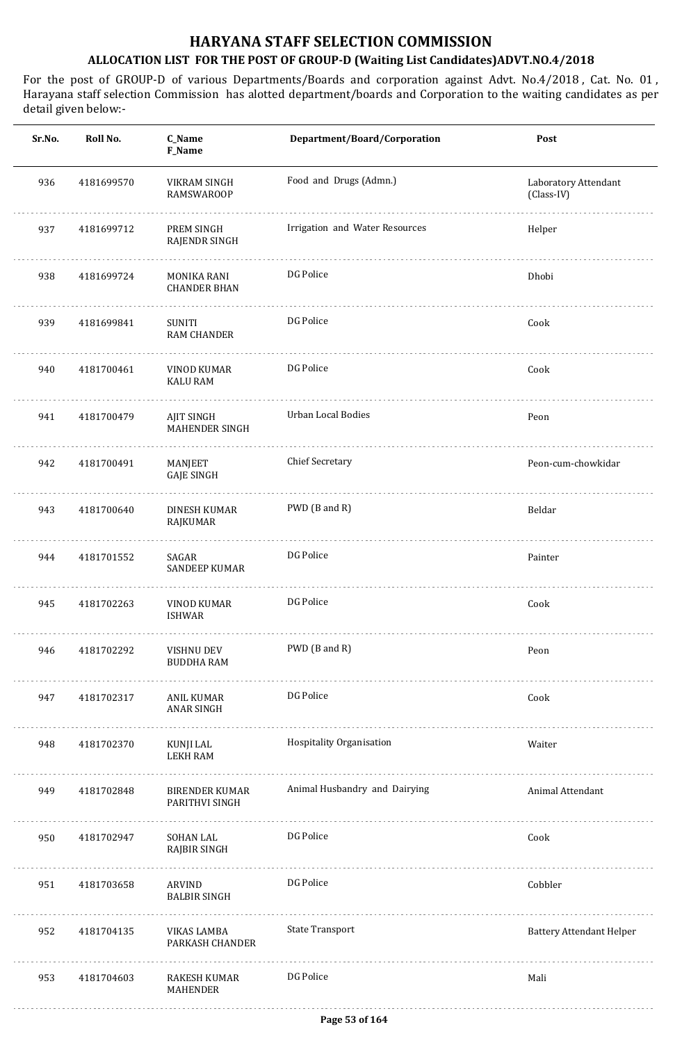| Sr.No. | Roll No.   | C_Name<br>F_Name                    | Department/Board/Corporation   | Post                               |
|--------|------------|-------------------------------------|--------------------------------|------------------------------------|
| 936    | 4181699570 | VIKRAM SINGH<br><b>RAMSWAROOP</b>   | Food and Drugs (Admn.)         | Laboratory Attendant<br>(Class-IV) |
| 937    | 4181699712 | PREM SINGH<br>RAJENDR SINGH         | Irrigation and Water Resources | Helper                             |
| 938    | 4181699724 | MONIKA RANI<br><b>CHANDER BHAN</b>  | DG Police                      | Dhobi                              |
| 939    | 4181699841 | SUNITI<br><b>RAM CHANDER</b>        | DG Police                      | Cook                               |
| 940    | 4181700461 | VINOD KUMAR<br><b>KALU RAM</b>      | DG Police                      | Cook                               |
| 941    | 4181700479 | AJIT SINGH<br><b>MAHENDER SINGH</b> | Urban Local Bodies             | Peon                               |
| 942    | 4181700491 | MANJEET<br><b>GAJE SINGH</b>        | <b>Chief Secretary</b>         | Peon-cum-chowkidar                 |
| 943    | 4181700640 | <b>DINESH KUMAR</b><br>RAJKUMAR     | PWD (B and R)                  | Beldar                             |
| 944    | 4181701552 | SAGAR<br><b>SANDEEP KUMAR</b>       | DG Police                      | Painter                            |
| 945    | 4181702263 | <b>VINOD KUMAR</b><br><b>ISHWAR</b> | DG Police                      | Cook                               |
| 946    | 4181702292 | VISHNU DEV<br><b>BUDDHA RAM</b>     | PWD (B and R)                  | Peon                               |
| 947    | 4181702317 | ANIL KUMAR<br>ANAR SINGH            | DG Police                      | Cook                               |
| 948    | 4181702370 | KUNJI LAL<br><b>LEKH RAM</b>        | Hospitality Organisation       | Waiter                             |
| 949    | 4181702848 | BIRENDER KUMAR<br>PARITHVI SINGH    | Animal Husbandry and Dairying  | Animal Attendant                   |
| 950    | 4181702947 | SOHAN LAL<br>RAJBIR SINGH           | DG Police                      | Cook                               |
| 951    | 4181703658 | ARVIND<br><b>BALBIR SINGH</b>       | DG Police                      | Cobbler                            |
| 952    | 4181704135 | VIKAS LAMBA<br>PARKASH CHANDER      | <b>State Transport</b>         | <b>Battery Attendant Helper</b>    |
| 953    | 4181704603 | RAKESH KUMAR<br>MAHENDER            | DG Police                      | Mali                               |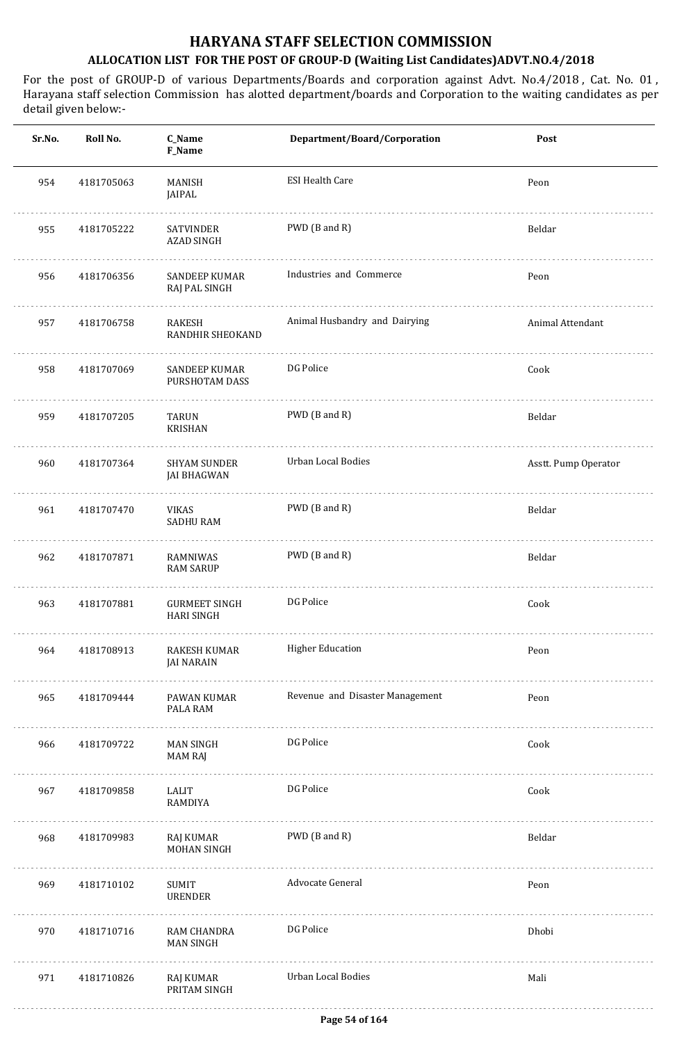| Sr.No. | Roll No.   | C_Name<br>F_Name                          | Department/Board/Corporation    | Post                 |
|--------|------------|-------------------------------------------|---------------------------------|----------------------|
| 954    | 4181705063 | MANISH<br>JAIPAL                          | <b>ESI Health Care</b>          | Peon                 |
| 955    | 4181705222 | <b>SATVINDER</b><br><b>AZAD SINGH</b>     | PWD (B and R)                   | Beldar               |
| 956    | 4181706356 | <b>SANDEEP KUMAR</b><br>RAJ PAL SINGH     | Industries and Commerce         | Peon                 |
| 957    | 4181706758 | RAKESH<br>RANDHIR SHEOKAND                | Animal Husbandry and Dairying   | Animal Attendant     |
| 958    | 4181707069 | <b>SANDEEP KUMAR</b><br>PURSHOTAM DASS    | DG Police                       | Cook                 |
| 959    | 4181707205 | TARUN<br><b>KRISHAN</b>                   | PWD (B and R)                   | Beldar               |
| 960    | 4181707364 | <b>SHYAM SUNDER</b><br><b>JAI BHAGWAN</b> | <b>Urban Local Bodies</b>       | Asstt. Pump Operator |
| 961    | 4181707470 | VIKAS<br><b>SADHU RAM</b>                 | PWD (B and R)                   | Beldar               |
| 962    | 4181707871 | RAMNIWAS<br><b>RAM SARUP</b>              | PWD (B and R)                   | Beldar               |
| 963    | 4181707881 | <b>GURMEET SINGH</b><br><b>HARI SINGH</b> | DG Police                       | Cook                 |
| 964    | 4181708913 | RAKESH KUMAR<br><b>JAI NARAIN</b>         | <b>Higher Education</b>         | Peon                 |
| 965    | 4181709444 | PAWAN KUMAR<br>PALA RAM                   | Revenue and Disaster Management | Peon                 |
| 966    | 4181709722 | MAN SINGH<br>MAM RAJ                      | DG Police                       | Cook                 |
| 967    | 4181709858 | LALIT<br>RAMDIYA                          | DG Police                       | Cook                 |
| 968    | 4181709983 | RAJ KUMAR<br><b>MOHAN SINGH</b><br>.      | PWD (B and R)                   | Beldar               |
| 969    | 4181710102 | <b>SUMIT</b><br>URENDER                   | Advocate General                | Peon                 |
| 970    | 4181710716 | RAM CHANDRA<br><b>MAN SINGH</b>           | DG Police                       | Dhobi                |
| 971    | 4181710826 | RAJ KUMAR<br>PRITAM SINGH                 | <b>Urban Local Bodies</b>       | Mali                 |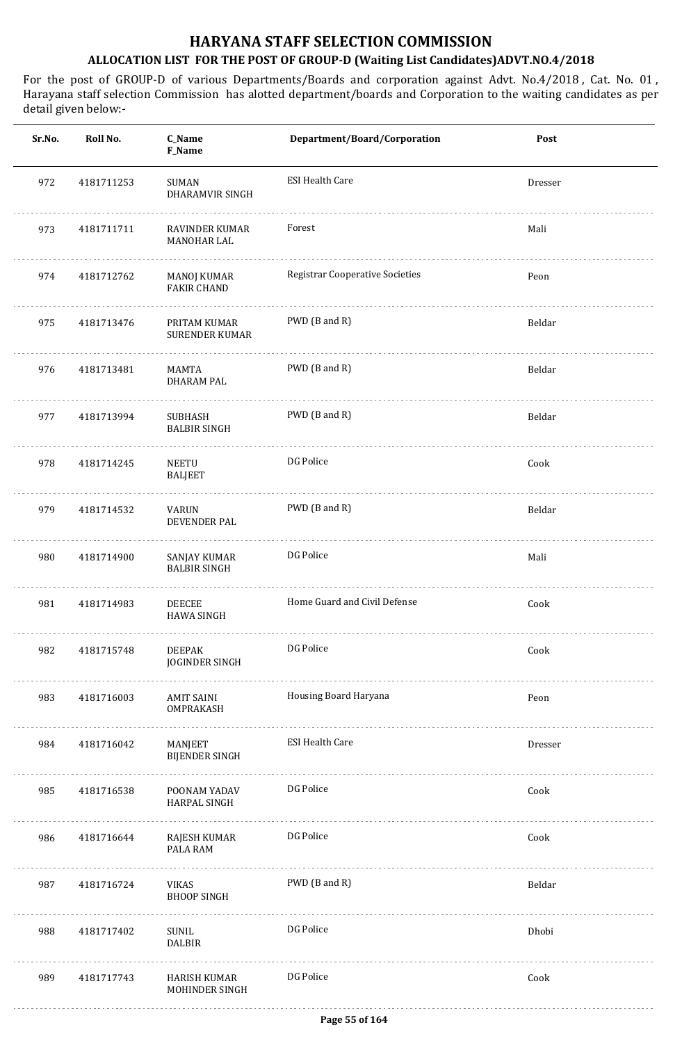| Sr.No. | Roll No.   | C_Name<br>F_Name                         | Department/Board/Corporation           | Post    |
|--------|------------|------------------------------------------|----------------------------------------|---------|
| 972    | 4181711253 | SUMAN<br>DHARAMVIR SINGH                 | <b>ESI Health Care</b>                 | Dresser |
| 973    | 4181711711 | RAVINDER KUMAR<br>MANOHAR LAL            | Forest                                 | Mali    |
| 974    | 4181712762 | <b>MANOJ KUMAR</b><br><b>FAKIR CHAND</b> | <b>Registrar Cooperative Societies</b> | Peon    |
| 975    | 4181713476 | PRITAM KUMAR<br><b>SURENDER KUMAR</b>    | PWD (B and R)                          | Beldar  |
| 976    | 4181713481 | MAMTA<br>DHARAM PAL                      | PWD (B and R)                          | Beldar  |
| 977    | 4181713994 | SUBHASH<br><b>BALBIR SINGH</b>           | PWD (B and R)                          | Beldar  |
| 978    | 4181714245 | NEETU<br><b>BALJEET</b>                  | DG Police                              | Cook    |
| 979    | 4181714532 | VARUN<br>DEVENDER PAL                    | PWD (B and R)                          | Beldar  |
| 980    | 4181714900 | SANJAY KUMAR<br><b>BALBIR SINGH</b>      | DG Police                              | Mali    |
| 981    | 4181714983 | <b>DEECEE</b><br><b>HAWA SINGH</b>       | Home Guard and Civil Defense           | Cook    |
| 982    | 4181715748 | DEEPAK<br>JOGINDER SINGH                 | DG Police                              | Cook    |
| 983    | 4181716003 | AMIT SAINI<br>OMPRAKASH                  | Housing Board Haryana                  | Peon    |
| 984    | 4181716042 | MANJEET<br>BIJENDER SINGH                | <b>ESI Health Care</b>                 | Dresser |
| 985    | 4181716538 | POONAM YADAV<br>HARPAL SINGH             | DG Police                              | Cook    |
| 986    | 4181716644 | RAJESH KUMAR<br>PALA RAM                 | DG Police                              | Cook    |
| 987    | 4181716724 | .<br>VIKAS<br><b>BHOOP SINGH</b>         | PWD (B and R)                          | Beldar  |
| 988    | 4181717402 | SUNIL<br><b>DALBIR</b>                   | DG Police                              | Dhobi   |
| 989    | 4181717743 | HARISH KUMAR<br>MOHINDER SINGH           | DG Police                              | Cook    |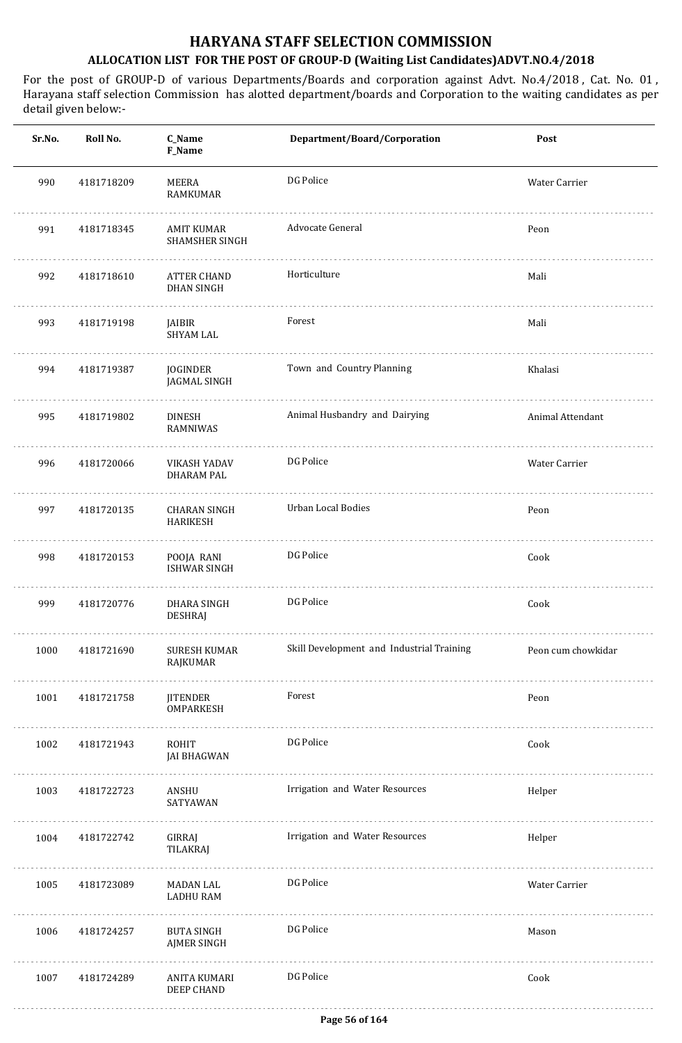| Sr.No. | Roll No.   | C_Name<br>F_Name                        | Department/Board/Corporation              | Post               |
|--------|------------|-----------------------------------------|-------------------------------------------|--------------------|
| 990    | 4181718209 | MEERA<br>RAMKUMAR                       | DG Police                                 | Water Carrier      |
| 991    | 4181718345 | AMIT KUMAR<br><b>SHAMSHER SINGH</b>     | Advocate General                          | Peon               |
| 992    | 4181718610 | <b>ATTER CHAND</b><br><b>DHAN SINGH</b> | Horticulture                              | Mali               |
| 993    | 4181719198 | JAIBIR<br><b>SHYAM LAL</b>              | Forest                                    | Mali               |
| 994    | 4181719387 | JOGINDER<br>JAGMAL SINGH                | Town and Country Planning                 | Khalasi            |
| 995    | 4181719802 | <b>DINESH</b><br>RAMNIWAS               | Animal Husbandry and Dairying             | Animal Attendant   |
| 996    | 4181720066 | VIKASH YADAV<br><b>DHARAM PAL</b>       | DG Police                                 | Water Carrier      |
| 997    | 4181720135 | <b>CHARAN SINGH</b><br><b>HARIKESH</b>  | Urban Local Bodies                        | Peon               |
| 998    | 4181720153 | POOJA RANI<br><b>ISHWAR SINGH</b>       | DG Police                                 | Cook               |
| 999    | 4181720776 | DHARA SINGH<br><b>DESHRAJ</b>           | DG Police                                 | Cook               |
| 1000   | 4181721690 | SURESH KUMAR<br>RAJKUMAR                | Skill Development and Industrial Training | Peon cum chowkidar |
| 1001   | 4181721758 | <b>JITENDER</b><br><b>OMPARKESH</b>     | Forest                                    | Peon               |
| 1002   | 4181721943 | ROHIT<br><b>JAI BHAGWAN</b>             | DG Police                                 | Cook               |
| 1003   | 4181722723 | ANSHU<br>SATYAWAN                       | Irrigation and Water Resources            | Helper             |
| 1004   | 4181722742 | GIRRAJ<br>TILAKRAJ                      | Irrigation and Water Resources            | Helper             |
| 1005   | 4181723089 | MADAN LAL<br>LADHU RAM                  | DG Police                                 | Water Carrier      |
| 1006   | 4181724257 | <b>BUTA SINGH</b><br><b>AJMER SINGH</b> | DG Police                                 | Mason              |
| 1007   | 4181724289 | ANITA KUMARI<br>DEEP CHAND              | DG Police                                 | Cook               |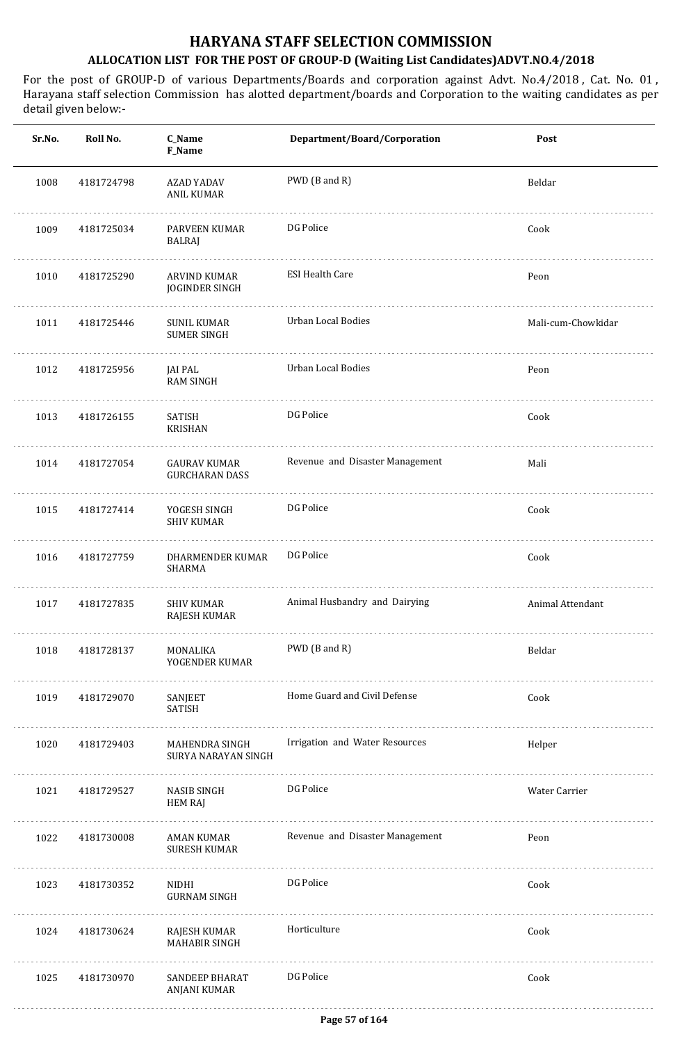| Sr.No. | Roll No.   | C_Name<br>F_Name                         | Department/Board/Corporation    | Post               |
|--------|------------|------------------------------------------|---------------------------------|--------------------|
| 1008   | 4181724798 | AZAD YADAV<br>ANIL KUMAR                 | PWD (B and R)                   | Beldar             |
| 1009   | 4181725034 | PARVEEN KUMAR<br>BALRAJ                  | DG Police                       | Cook               |
| 1010   | 4181725290 | ARVIND KUMAR<br>JOGINDER SINGH           | <b>ESI Health Care</b>          | Peon               |
| 1011   | 4181725446 | <b>SUNIL KUMAR</b><br><b>SUMER SINGH</b> | Urban Local Bodies              | Mali-cum-Chowkidar |
| 1012   | 4181725956 | JAI PAL<br>RAM SINGH                     | Urban Local Bodies              | Peon               |
| 1013   | 4181726155 | SATISH<br><b>KRISHAN</b>                 | DG Police                       | Cook               |
| 1014   | 4181727054 | GAURAV KUMAR<br><b>GURCHARAN DASS</b>    | Revenue and Disaster Management | Mali               |
| 1015   | 4181727414 | YOGESH SINGH<br><b>SHIV KUMAR</b>        | DG Police                       | Cook               |
| 1016   | 4181727759 | DHARMENDER KUMAR<br><b>SHARMA</b>        | DG Police                       | Cook               |
| 1017   | 4181727835 | <b>SHIV KUMAR</b><br>RAJESH KUMAR        | Animal Husbandry and Dairying   | Animal Attendant   |
| 1018   | 4181728137 | MONALIKA<br>YOGENDER KUMAR               | PWD (B and R)                   | Beldar             |
| 1019   | 4181729070 | SANJEET<br>SATISH                        | Home Guard and Civil Defense    | Cook               |
| 1020   | 4181729403 | MAHENDRA SINGH<br>SURYA NARAYAN SINGH    | Irrigation and Water Resources  | Helper             |
| 1021   | 4181729527 | NASIB SINGH<br><b>HEM RAJ</b>            | DG Police                       | Water Carrier      |
| 1022   | 4181730008 | AMAN KUMAR<br><b>SURESH KUMAR</b>        | Revenue and Disaster Management | Peon               |
| 1023   | 4181730352 | NIDHI<br><b>GURNAM SINGH</b>             | DG Police                       | Cook               |
| 1024   | 4181730624 | RAJESH KUMAR<br><b>MAHABIR SINGH</b>     | Horticulture                    | Cook               |
| 1025   | 4181730970 | <b>SANDEEP BHARAT</b><br>ANJANI KUMAR    | DG Police                       | Cook               |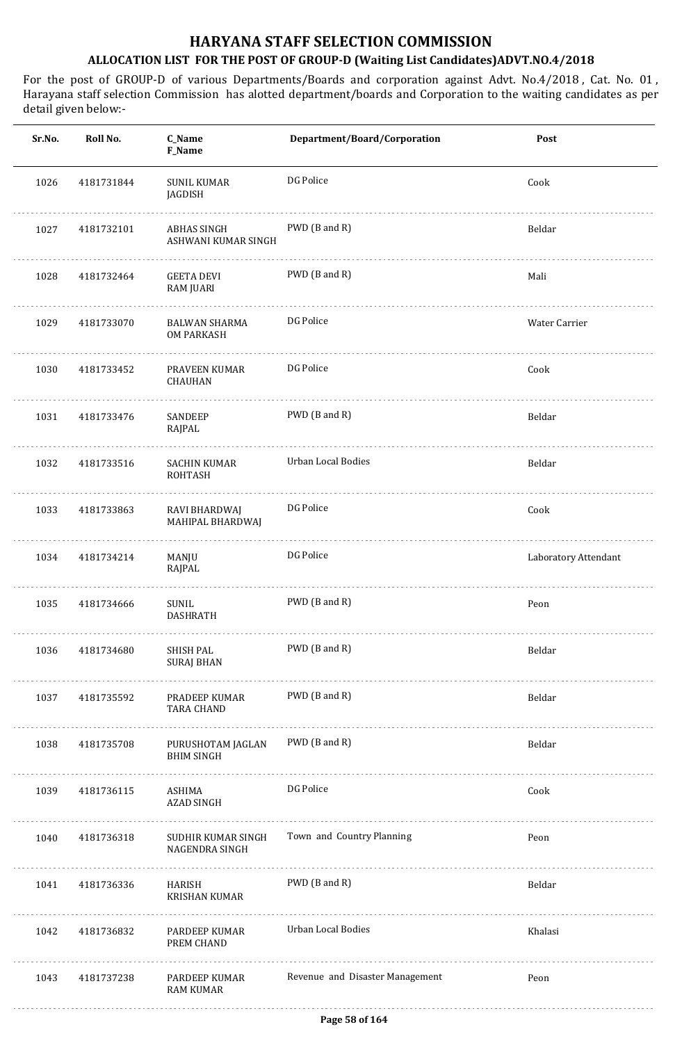| Sr.No. | Roll No.   | C_Name<br>F_Name                       | Department/Board/Corporation    | Post                 |
|--------|------------|----------------------------------------|---------------------------------|----------------------|
| 1026   | 4181731844 | <b>SUNIL KUMAR</b><br>JAGDISH          | DG Police                       | Cook                 |
| 1027   | 4181732101 | ABHAS SINGH<br>ASHWANI KUMAR SINGH     | PWD (B and R)                   | Beldar               |
| 1028   | 4181732464 | <b>GEETA DEVI</b><br>RAM JUARI         | PWD (B and R)                   | Mali                 |
| 1029   | 4181733070 | BALWAN SHARMA<br><b>OM PARKASH</b>     | DG Police                       | Water Carrier        |
| 1030   | 4181733452 | PRAVEEN KUMAR<br><b>CHAUHAN</b>        | DG Police                       | Cook                 |
| 1031   | 4181733476 | SANDEEP<br>RAJPAL                      | PWD (B and R)                   | Beldar               |
| 1032   | 4181733516 | <b>SACHIN KUMAR</b><br><b>ROHTASH</b>  | Urban Local Bodies              | Beldar               |
| 1033   | 4181733863 | RAVI BHARDWAJ<br>MAHIPAL BHARDWAJ      | DG Police                       | Cook                 |
| 1034   | 4181734214 | MANJU<br>RAJPAL                        | DG Police                       | Laboratory Attendant |
| 1035   | 4181734666 | SUNIL<br><b>DASHRATH</b>               | PWD (B and R)                   | Peon                 |
| 1036   | 4181734680 | SHISH PAL<br><b>SURAJ BHAN</b>         | PWD (B and R)                   | Beldar               |
| 1037   | 4181735592 | PRADEEP KUMAR<br><b>TARA CHAND</b>     | PWD (B and R)                   | Beldar               |
| 1038   | 4181735708 | PURUSHOTAM JAGLAN<br><b>BHIM SINGH</b> | PWD (B and R)                   | Beldar               |
| 1039   | 4181736115 | ASHIMA<br>AZAD SINGH                   | DG Police                       | Cook                 |
| 1040   | 4181736318 | SUDHIR KUMAR SINGH<br>NAGENDRA SINGH   | Town and Country Planning       | Peon                 |
| 1041   | 4181736336 | HARISH<br><b>KRISHAN KUMAR</b>         | PWD (B and R)                   | Beldar               |
| 1042   | 4181736832 | PARDEEP KUMAR<br>PREM CHAND            | <b>Urban Local Bodies</b>       | Khalasi              |
| 1043   | 4181737238 | PARDEEP KUMAR<br><b>RAM KUMAR</b>      | Revenue and Disaster Management | Peon                 |
|        |            |                                        |                                 |                      |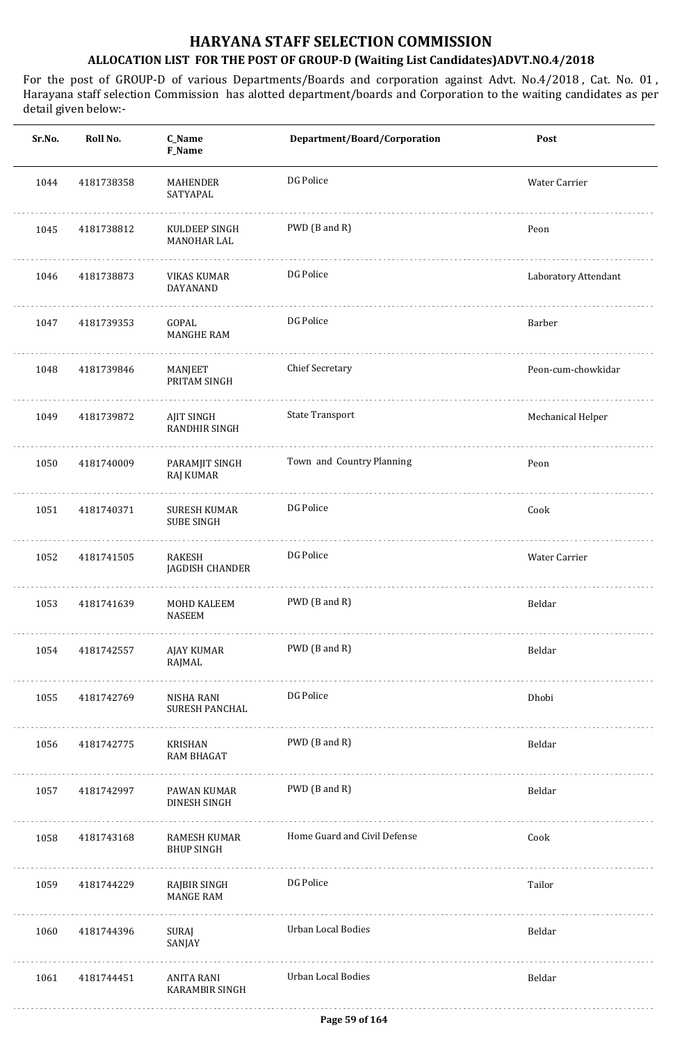| Sr.No. | Roll No.   | C_Name<br>F_Name                         | Department/Board/Corporation | Post                 |
|--------|------------|------------------------------------------|------------------------------|----------------------|
| 1044   | 4181738358 | MAHENDER<br>SATYAPAL                     | DG Police                    | Water Carrier        |
| 1045   | 4181738812 | KULDEEP SINGH<br>MANOHAR LAL             | PWD (B and R)                | Peon                 |
| 1046   | 4181738873 | <b>VIKAS KUMAR</b><br>DAYANAND           | DG Police                    | Laboratory Attendant |
| 1047   | 4181739353 | GOPAL<br><b>MANGHE RAM</b>               | DG Police                    | Barber               |
| 1048   | 4181739846 | MANJEET<br>PRITAM SINGH                  | <b>Chief Secretary</b>       | Peon-cum-chowkidar   |
| 1049   | 4181739872 | AJIT SINGH<br><b>RANDHIR SINGH</b>       | <b>State Transport</b>       | Mechanical Helper    |
| 1050   | 4181740009 | PARAMJIT SINGH<br>RAJ KUMAR              | Town and Country Planning    | Peon                 |
| 1051   | 4181740371 | <b>SURESH KUMAR</b><br><b>SUBE SINGH</b> | DG Police                    | Cook                 |
| 1052   | 4181741505 | RAKESH<br>JAGDISH CHANDER                | DG Police                    | Water Carrier        |
| 1053   | 4181741639 | <b>MOHD KALEEM</b><br><b>NASEEM</b>      | PWD (B and R)                | Beldar               |
| 1054   | 4181742557 | AJAY KUMAR<br>RAJMAL                     | PWD (B and R)                | Beldar               |
| 1055   | 4181742769 | NISHA RANI<br><b>SURESH PANCHAL</b>      | DG Police                    | Dhobi                |
| 1056   | 4181742775 | KRISHAN<br><b>RAM BHAGAT</b>             | PWD (B and R)                | Beldar               |
| 1057   | 4181742997 | PAWAN KUMAR<br>DINESH SINGH              | PWD (B and R)                | Beldar               |
| 1058   | 4181743168 | RAMESH KUMAR<br><b>BHUP SINGH</b>        | Home Guard and Civil Defense | Cook                 |
| 1059   | 4181744229 | RAJBIR SINGH<br><b>MANGE RAM</b>         | DG Police                    | Tailor               |
| 1060   | 4181744396 | SURAJ<br>SANJAY                          | Urban Local Bodies           | Beldar               |
| 1061   | 4181744451 | ANITA RANI<br><b>KARAMBIR SINGH</b>      | Urban Local Bodies           | Beldar               |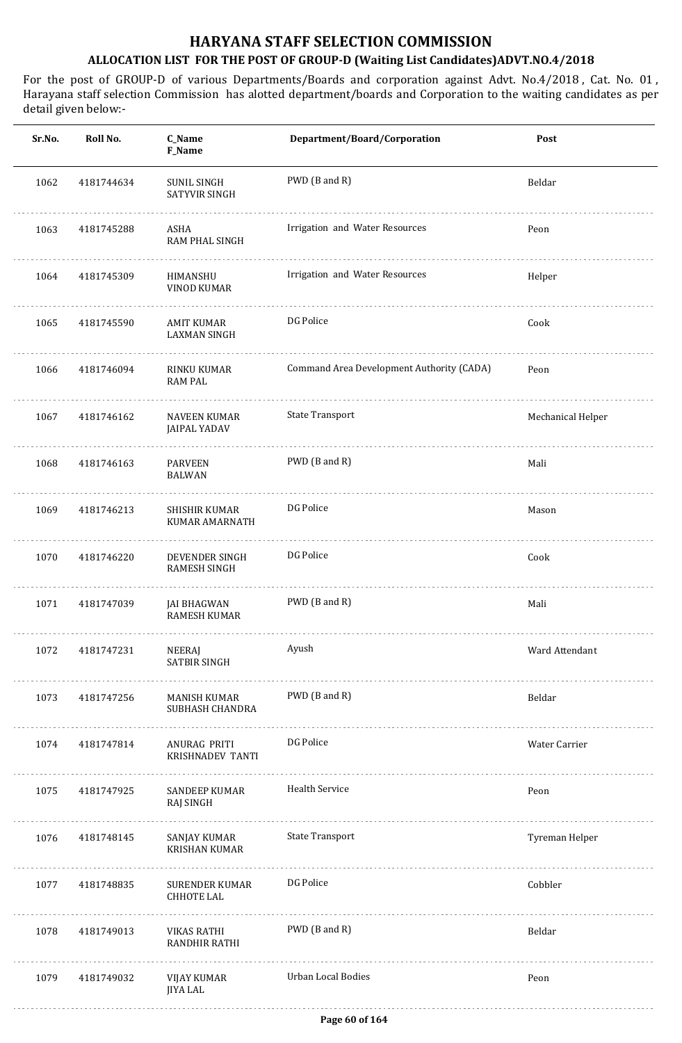| Sr.No. | Roll No.   | C_Name<br><b>F_Name</b>                    | Department/Board/Corporation              | Post              |
|--------|------------|--------------------------------------------|-------------------------------------------|-------------------|
| 1062   | 4181744634 | SUNIL SINGH<br>SATYVIR SINGH               | PWD (B and R)                             | Beldar            |
| 1063   | 4181745288 | ASHA<br>RAM PHAL SINGH                     | Irrigation and Water Resources            | Peon              |
| 1064   | 4181745309 | HIMANSHU<br>VINOD KUMAR                    | Irrigation and Water Resources            | Helper            |
| 1065   | 4181745590 | AMIT KUMAR<br><b>LAXMAN SINGH</b>          | DG Police                                 | Cook              |
| 1066   | 4181746094 | RINKU KUMAR<br><b>RAM PAL</b>              | Command Area Development Authority (CADA) | Peon              |
| 1067   | 4181746162 | <b>NAVEEN KUMAR</b><br><b>JAIPAL YADAV</b> | <b>State Transport</b>                    | Mechanical Helper |
| 1068   | 4181746163 | <b>PARVEEN</b><br><b>BALWAN</b>            | PWD (B and R)                             | Mali              |
| 1069   | 4181746213 | SHISHIR KUMAR<br>KUMAR AMARNATH            | DG Police                                 | Mason             |
| 1070   | 4181746220 | DEVENDER SINGH<br>RAMESH SINGH             | DG Police                                 | Cook              |
| 1071   | 4181747039 | <b>JAI BHAGWAN</b><br>RAMESH KUMAR         | PWD (B and R)                             | Mali              |
| 1072   | 4181747231 | NEERAJ<br><b>SATBIR SINGH</b>              | Ayush                                     | Ward Attendant    |
| 1073   | 4181747256 | MANISH KUMAR<br>SUBHASH CHANDRA            | PWD (B and R)                             | Beldar            |
| 1074   | 4181747814 | ANURAG PRITI<br>KRISHNADEV TANTI           | DG Police                                 | Water Carrier     |
| 1075   | 4181747925 | SANDEEP KUMAR<br>RAJ SINGH                 | <b>Health Service</b>                     | Peon              |
| 1076   | 4181748145 | SANJAY KUMAR<br><b>KRISHAN KUMAR</b>       | <b>State Transport</b>                    | Tyreman Helper    |
| 1077   | 4181748835 | SURENDER KUMAR<br>CHHOTE LAL               | DG Police                                 | Cobbler           |
| 1078   | 4181749013 | VIKAS RATHI<br>RANDHIR RATHI               | PWD (B and R)                             | Beldar            |
| 1079   | 4181749032 | VIJAY KUMAR<br><b>JIYA LAL</b>             | Urban Local Bodies                        | Peon              |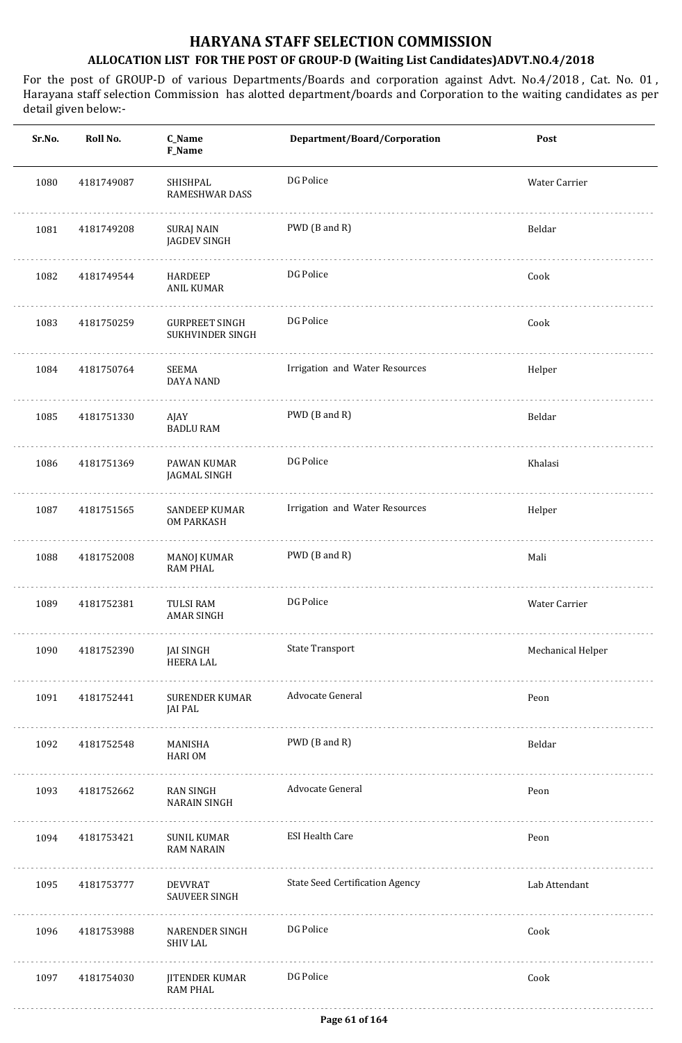| Sr.No. | Roll No.   | C_Name<br>F_Name                          | Department/Board/Corporation           | Post              |
|--------|------------|-------------------------------------------|----------------------------------------|-------------------|
| 1080   | 4181749087 | SHISHPAL<br><b>RAMESHWAR DASS</b>         | DG Police                              | Water Carrier     |
| 1081   | 4181749208 | SURAJ NAIN<br><b>JAGDEV SINGH</b>         | PWD (B and R)                          | Beldar            |
| 1082   | 4181749544 | <b>HARDEEP</b><br>ANIL KUMAR              | DG Police                              | Cook              |
| 1083   | 4181750259 | <b>GURPREET SINGH</b><br>SUKHVINDER SINGH | DG Police                              | Cook              |
| 1084   | 4181750764 | SEEMA<br>DAYA NAND                        | Irrigation and Water Resources         | Helper            |
| 1085   | 4181751330 | AJAY<br><b>BADLU RAM</b>                  | PWD (B and R)                          | Beldar            |
| 1086   | 4181751369 | PAWAN KUMAR<br>JAGMAL SINGH               | DG Police                              | Khalasi           |
| 1087   | 4181751565 | SANDEEP KUMAR<br><b>OM PARKASH</b>        | Irrigation and Water Resources         | Helper            |
| 1088   | 4181752008 | <b>MANOJ KUMAR</b><br><b>RAM PHAL</b>     | PWD (B and R)                          | Mali              |
| 1089   | 4181752381 | TULSI RAM<br><b>AMAR SINGH</b>            | DG Police                              | Water Carrier     |
| 1090   | 4181752390 | JAI SINGH<br>HEERA LAL                    | <b>State Transport</b>                 | Mechanical Helper |
| 1091   | 4181752441 | <b>SURENDER KUMAR</b><br>JAI PAL          | Advocate General                       | Peon              |
| 1092   | 4181752548 | MANISHA<br><b>HARIOM</b>                  | PWD (B and R)                          | Beldar            |
| 1093   | 4181752662 | RAN SINGH<br>NARAIN SINGH                 | Advocate General                       | Peon              |
| 1094   | 4181753421 | SUNIL KUMAR<br><b>RAM NARAIN</b>          | <b>ESI Health Care</b>                 | Peon              |
| 1095   | 4181753777 | <b>DEVVRAT</b><br><b>SAUVEER SINGH</b>    | <b>State Seed Certification Agency</b> | Lab Attendant     |
| 1096   | 4181753988 | <b>NARENDER SINGH</b><br><b>SHIV LAL</b>  | DG Police                              | Cook              |
| 1097   | 4181754030 | <b>JITENDER KUMAR</b><br><b>RAM PHAL</b>  | DG Police                              | Cook              |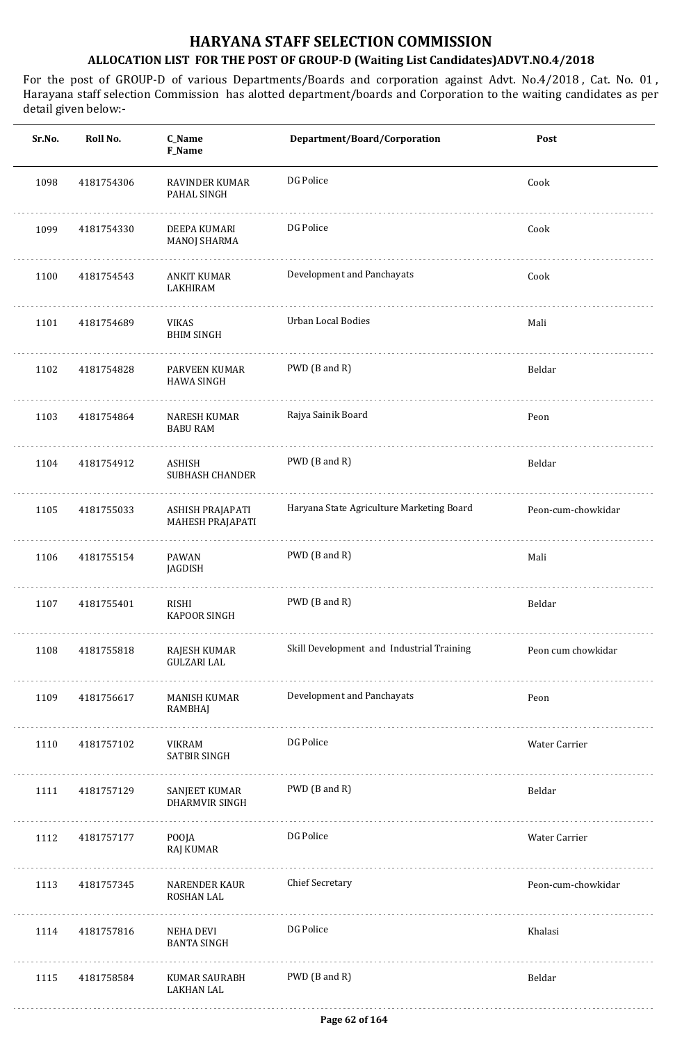| Sr.No. | Roll No.   | C_Name<br>F_Name                       | Department/Board/Corporation              | Post               |
|--------|------------|----------------------------------------|-------------------------------------------|--------------------|
| 1098   | 4181754306 | RAVINDER KUMAR<br>PAHAL SINGH          | DG Police                                 | Cook               |
| 1099   | 4181754330 | DEEPA KUMARI<br><b>MANOJ SHARMA</b>    | DG Police                                 | Cook               |
| 1100   | 4181754543 | <b>ANKIT KUMAR</b><br>LAKHIRAM         | Development and Panchayats                | Cook               |
| 1101   | 4181754689 | VIKAS<br><b>BHIM SINGH</b>             | <b>Urban Local Bodies</b>                 | Mali               |
| 1102   | 4181754828 | PARVEEN KUMAR<br><b>HAWA SINGH</b>     | PWD (B and R)                             | Beldar             |
| 1103   | 4181754864 | NARESH KUMAR<br><b>BABU RAM</b>        | Rajya Sainik Board                        | Peon               |
| 1104   | 4181754912 | ASHISH<br>SUBHASH CHANDER              | PWD (B and R)                             | Beldar             |
| 1105   | 4181755033 | ASHISH PRAJAPATI<br>MAHESH PRAJAPATI   | Haryana State Agriculture Marketing Board | Peon-cum-chowkidar |
| 1106   | 4181755154 | PAWAN<br>JAGDISH                       | PWD (B and R)                             | Mali               |
| 1107   | 4181755401 | RISHI<br>KAPOOR SINGH                  | PWD (B and R)                             | Beldar             |
| 1108   | 4181755818 | RAJESH KUMAR<br><b>GULZARI LAL</b>     | Skill Development and Industrial Training | Peon cum chowkidar |
| 1109   | 4181756617 | <b>MANISH KUMAR</b><br>RAMBHAJ         | Development and Panchayats                | Peon               |
| 1110   | 4181757102 | <b>VIKRAM</b><br><b>SATBIR SINGH</b>   | DG Police                                 | Water Carrier      |
| 1111   | 4181757129 | SANJEET KUMAR<br><b>DHARMVIR SINGH</b> | PWD (B and R)                             | Beldar             |
| 1112   | 4181757177 | POOJA<br>RAJ KUMAR                     | DG Police                                 | Water Carrier      |
| 1113   | 4181757345 | <b>NARENDER KAUR</b><br>ROSHAN LAL     | <b>Chief Secretary</b>                    | Peon-cum-chowkidar |
| 1114   | 4181757816 | <b>NEHA DEVI</b><br><b>BANTA SINGH</b> | DG Police                                 | Khalasi            |
| 1115   | 4181758584 | KUMAR SAURABH<br><b>LAKHAN LAL</b>     | PWD (B and R)                             | Beldar             |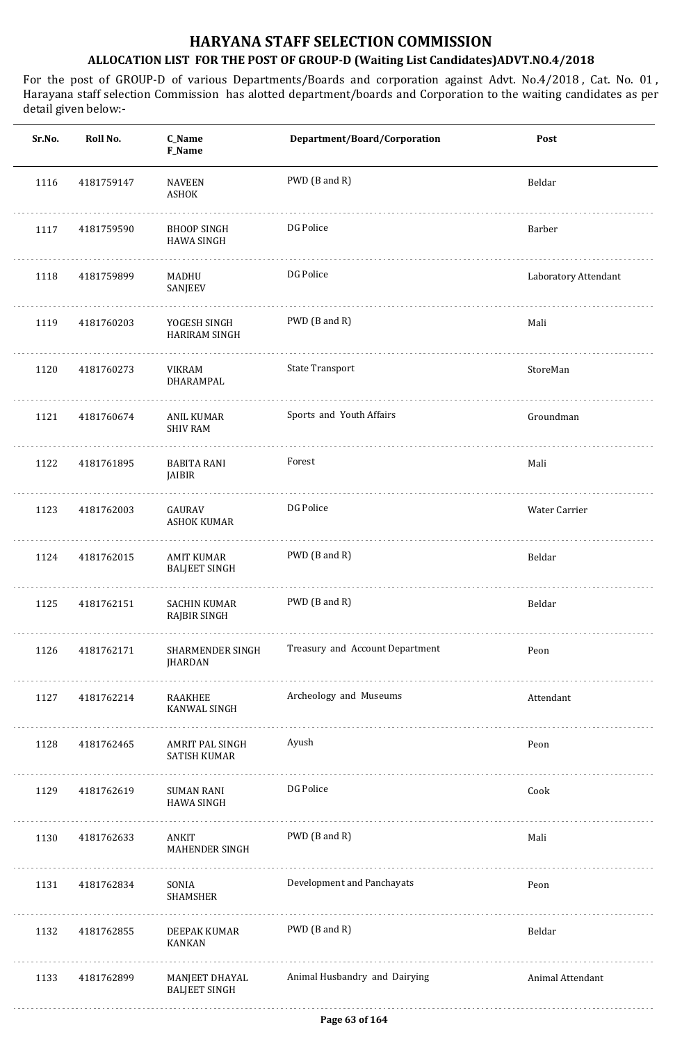| Sr.No. | Roll No.   | C_Name<br>F_Name                          | Department/Board/Corporation    | Post                 |
|--------|------------|-------------------------------------------|---------------------------------|----------------------|
| 1116   | 4181759147 | <b>NAVEEN</b><br>ASHOK                    | PWD (B and R)                   | Beldar               |
| 1117   | 4181759590 | <b>BHOOP SINGH</b><br><b>HAWA SINGH</b>   | DG Police                       | Barber               |
| 1118   | 4181759899 | MADHU<br>SANJEEV                          | DG Police                       | Laboratory Attendant |
| 1119   | 4181760203 | YOGESH SINGH<br><b>HARIRAM SINGH</b>      | PWD (B and R)                   | Mali                 |
| 1120   | 4181760273 | VIKRAM<br>DHARAMPAL                       | <b>State Transport</b>          | StoreMan             |
| 1121   | 4181760674 | ANIL KUMAR<br><b>SHIV RAM</b>             | Sports and Youth Affairs        | Groundman            |
| 1122   | 4181761895 | <b>BABITA RANI</b><br>JAIBIR              | Forest                          | Mali                 |
| 1123   | 4181762003 | GAURAV<br><b>ASHOK KUMAR</b>              | DG Police                       | Water Carrier        |
| 1124   | 4181762015 | <b>AMIT KUMAR</b><br><b>BALJEET SINGH</b> | PWD (B and R)                   | Beldar               |
| 1125   | 4181762151 | <b>SACHIN KUMAR</b><br>RAJBIR SINGH       | PWD (B and R)                   | Beldar               |
| 1126   | 4181762171 | SHARMENDER SINGH<br><b>JHARDAN</b>        | Treasury and Account Department | Peon                 |
| 1127   | 4181762214 | RAAKHEE<br>KANWAL SINGH                   | Archeology and Museums          | Attendant            |
| 1128   | 4181762465 | AMRIT PAL SINGH<br>SATISH KUMAR           | Ayush                           | Peon                 |
| 1129   | 4181762619 | SUMAN RANI<br><b>HAWA SINGH</b>           | DG Police                       | Cook                 |
| 1130   | 4181762633 | ANKIT<br>MAHENDER SINGH                   | PWD (B and R)                   | Mali                 |
| 1131   | 4181762834 | .<br>SONIA<br>SHAMSHER                    | Development and Panchayats      | Peon                 |
| 1132   | 4181762855 | DEEPAK KUMAR<br><b>KANKAN</b>             | PWD (B and R)                   | Beldar               |
| 1133   | 4181762899 | MANJEET DHAYAL<br><b>BALJEET SINGH</b>    | Animal Husbandry and Dairying   | Animal Attendant     |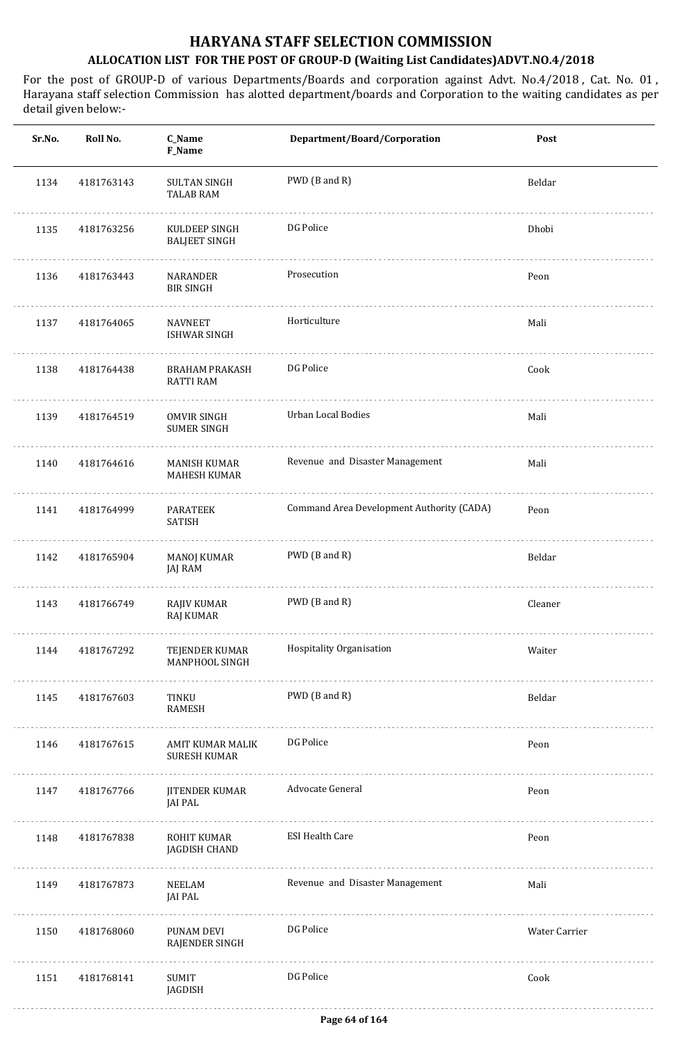| Sr.No. | Roll No.   | C_Name<br><b>F_Name</b>                  | Department/Board/Corporation              | Post          |
|--------|------------|------------------------------------------|-------------------------------------------|---------------|
| 1134   | 4181763143 | <b>SULTAN SINGH</b><br>TALAB RAM         | PWD (B and R)                             | Beldar        |
| 1135   | 4181763256 | KULDEEP SINGH<br><b>BALJEET SINGH</b>    | DG Police                                 | Dhobi         |
| 1136   | 4181763443 | NARANDER<br><b>BIR SINGH</b>             | Prosecution                               | Peon          |
| 1137   | 4181764065 | <b>NAVNEET</b><br>ISHWAR SINGH           | Horticulture                              | Mali          |
| 1138   | 4181764438 | BRAHAM PRAKASH<br><b>RATTI RAM</b>       | DG Police                                 | Cook          |
| 1139   | 4181764519 | <b>OMVIR SINGH</b><br><b>SUMER SINGH</b> | <b>Urban Local Bodies</b>                 | Mali          |
| 1140   | 4181764616 | MANISH KUMAR<br>MAHESH KUMAR             | Revenue and Disaster Management           | Mali          |
| 1141   | 4181764999 | PARATEEK<br>SATISH                       | Command Area Development Authority (CADA) | Peon          |
| 1142   | 4181765904 | MANOJ KUMAR<br>JAJ RAM                   | PWD (B and R)                             | Beldar        |
| 1143   | 4181766749 | RAJIV KUMAR<br>RAJ KUMAR                 | PWD (B and R)                             | Cleaner       |
| 1144   | 4181767292 | TEJENDER KUMAR<br>MANPHOOL SINGH<br>.    | Hospitality Organisation                  | Waiter        |
| 1145   | 4181767603 | TINKU<br>RAMESH                          | PWD (B and R)                             | Beldar        |
| 1146   | 4181767615 | AMIT KUMAR MALIK<br><b>SURESH KUMAR</b>  | DG Police                                 | Peon          |
| 1147   | 4181767766 | <b>JITENDER KUMAR</b><br>JAI PAL         | Advocate General                          | Peon          |
| 1148   | 4181767838 | ROHIT KUMAR<br>JAGDISH CHAND             | <b>ESI Health Care</b>                    | Peon          |
| 1149   | 4181767873 | NEELAM<br>JAI PAL                        | Revenue and Disaster Management           | Mali          |
| 1150   | 4181768060 | PUNAM DEVI<br>RAJENDER SINGH             | DG Police                                 | Water Carrier |
| 1151   | 4181768141 | SUMIT<br>JAGDISH                         | DG Police                                 | Cook          |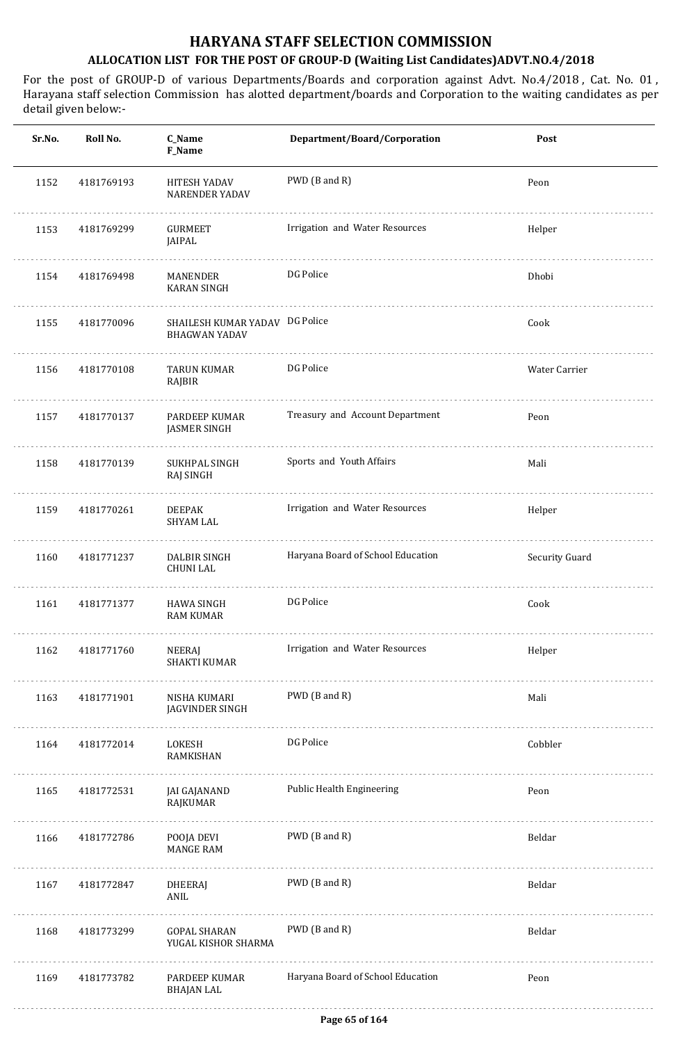| Sr.No. | Roll No.   | C_Name<br>F_Name                                       | Department/Board/Corporation      | Post           |
|--------|------------|--------------------------------------------------------|-----------------------------------|----------------|
| 1152   | 4181769193 | HITESH YADAV<br><b>NARENDER YADAV</b>                  | PWD (B and R)                     | Peon           |
| 1153   | 4181769299 | <b>GURMEET</b><br>JAIPAL                               | Irrigation and Water Resources    | Helper         |
| 1154   | 4181769498 | MANENDER<br>KARAN SINGH                                | DG Police                         | Dhobi          |
| 1155   | 4181770096 | SHAILESH KUMAR YADAV DG Police<br><b>BHAGWAN YADAV</b> |                                   | Cook           |
| 1156   | 4181770108 | <b>TARUN KUMAR</b><br>RAJBIR                           | DG Police                         | Water Carrier  |
| 1157   | 4181770137 | PARDEEP KUMAR<br><b>JASMER SINGH</b>                   | Treasury and Account Department   | Peon           |
| 1158   | 4181770139 | SUKHPAL SINGH<br>RAJ SINGH                             | Sports and Youth Affairs          | Mali           |
| 1159   | 4181770261 | <b>DEEPAK</b><br><b>SHYAM LAL</b>                      | Irrigation and Water Resources    | Helper         |
| 1160   | 4181771237 | DALBIR SINGH<br><b>CHUNI LAL</b>                       | Haryana Board of School Education | Security Guard |
| 1161   | 4181771377 | <b>HAWA SINGH</b><br><b>RAM KUMAR</b>                  | DG Police                         | Cook           |
| 1162   | 4181771760 | NEERAJ<br><b>SHAKTI KUMAR</b>                          | Irrigation and Water Resources    | Helper         |
| 1163   | 4181771901 | NISHA KUMARI<br>JAGVINDER SINGH                        | PWD (B and R)                     | Mali           |
| 1164   | 4181772014 | LOKESH<br>RAMKISHAN                                    | DG Police                         | Cobbler        |
| 1165   | 4181772531 | JAI GAJANAND<br>RAJKUMAR                               | Public Health Engineering         | Peon           |
| 1166   | 4181772786 | POOJA DEVI<br><b>MANGE RAM</b>                         | PWD (B and R)                     | Beldar         |
| 1167   | 4181772847 | DHEERAJ<br>ANIL                                        | PWD (B and R)                     | Beldar         |
| 1168   | 4181773299 | <b>GOPAL SHARAN</b><br>YUGAL KISHOR SHARMA             | PWD (B and R)                     | Beldar         |
| 1169   | 4181773782 | PARDEEP KUMAR<br><b>BHAJAN LAL</b>                     | Haryana Board of School Education | Peon           |
|        |            |                                                        |                                   |                |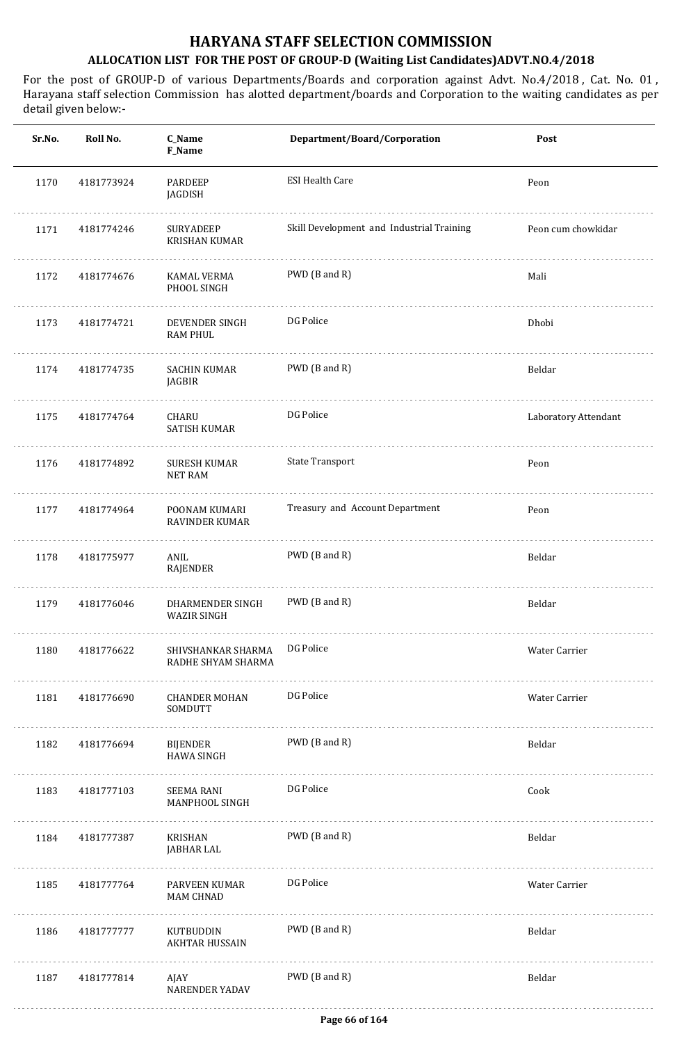| Sr.No. | Roll No.   | C_Name<br>F_Name                         | Department/Board/Corporation              | Post                 |
|--------|------------|------------------------------------------|-------------------------------------------|----------------------|
| 1170   | 4181773924 | PARDEEP<br>JAGDISH                       | <b>ESI Health Care</b>                    | Peon                 |
| 1171   | 4181774246 | SURYADEEP<br><b>KRISHAN KUMAR</b>        | Skill Development and Industrial Training | Peon cum chowkidar   |
| 1172   | 4181774676 | KAMAL VERMA<br>PHOOL SINGH               | PWD (B and R)                             | Mali                 |
| 1173   | 4181774721 | DEVENDER SINGH<br><b>RAM PHUL</b>        | DG Police                                 | Dhobi                |
| 1174   | 4181774735 | <b>SACHIN KUMAR</b><br>JAGBIR            | PWD (B and R)                             | Beldar               |
| 1175   | 4181774764 | CHARU<br><b>SATISH KUMAR</b>             | DG Police                                 | Laboratory Attendant |
| 1176   | 4181774892 | <b>SURESH KUMAR</b><br><b>NET RAM</b>    | <b>State Transport</b>                    | Peon                 |
| 1177   | 4181774964 | POONAM KUMARI<br>RAVINDER KUMAR          | Treasury and Account Department           | Peon                 |
| 1178   | 4181775977 | ANIL<br>RAJENDER                         | PWD (B and R)                             | Beldar               |
| 1179   | 4181776046 | DHARMENDER SINGH<br><b>WAZIR SINGH</b>   | PWD (B and R)                             | Beldar               |
| 1180   | 4181776622 | SHIVSHANKAR SHARMA<br>RADHE SHYAM SHARMA | DG Police                                 | Water Carrier        |
| 1181   | 4181776690 | <b>CHANDER MOHAN</b><br>SOMDUTT          | DG Police                                 | Water Carrier        |
| 1182   | 4181776694 | <b>BIJENDER</b><br><b>HAWA SINGH</b>     | PWD (B and R)                             | Beldar               |
| 1183   | 4181777103 | <b>SEEMA RANI</b><br>MANPHOOL SINGH      | DG Police                                 | Cook                 |
| 1184   | 4181777387 | KRISHAN<br>JABHAR LAL                    | PWD (B and R)                             | Beldar               |
| 1185   | 4181777764 | PARVEEN KUMAR<br>MAM CHNAD               | DG Police                                 | Water Carrier        |
| 1186   | 4181777777 | KUTBUDDIN<br><b>AKHTAR HUSSAIN</b>       | PWD (B and R)                             | Beldar               |
| 1187   | 4181777814 | AJAY<br><b>NARENDER YADAV</b>            | PWD (B and R)                             | Beldar               |
|        |            |                                          |                                           |                      |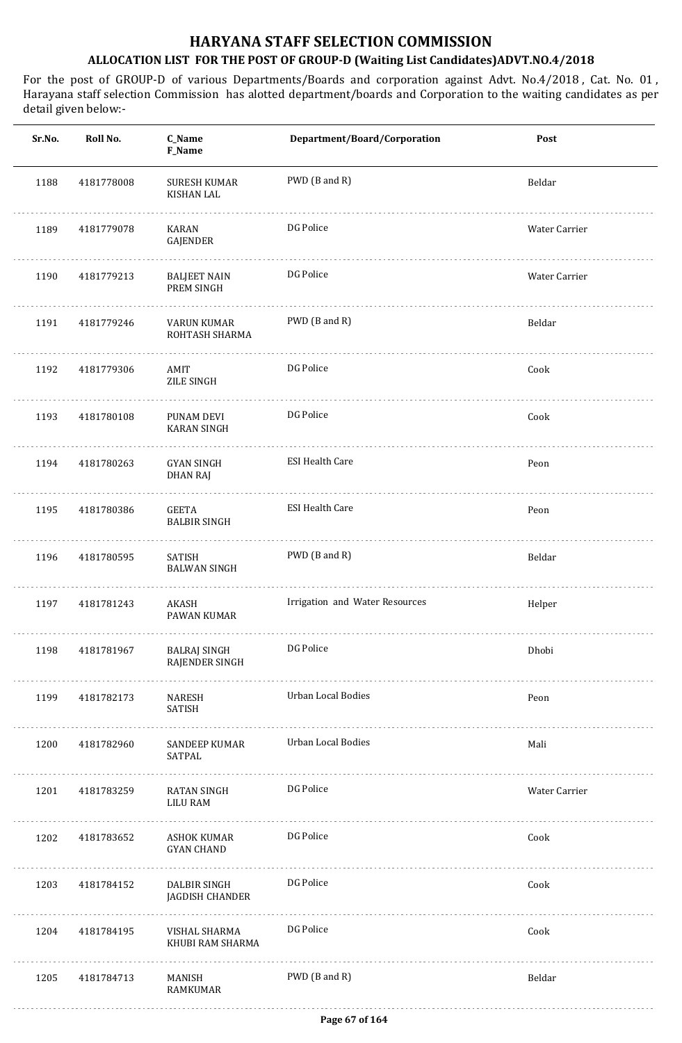| Sr.No. | Roll No.   | C_Name<br>F_Name                         | Department/Board/Corporation   | Post          |
|--------|------------|------------------------------------------|--------------------------------|---------------|
| 1188   | 4181778008 | <b>SURESH KUMAR</b><br><b>KISHAN LAL</b> | PWD (B and R)                  | Beldar        |
| 1189   | 4181779078 | KARAN<br>GAJENDER                        | DG Police                      | Water Carrier |
| 1190   | 4181779213 | <b>BALJEET NAIN</b><br>PREM SINGH        | DG Police                      | Water Carrier |
| 1191   | 4181779246 | VARUN KUMAR<br>ROHTASH SHARMA            | PWD (B and R)                  | Beldar        |
| 1192   | 4181779306 | AMIT<br>ZILE SINGH                       | DG Police                      | Cook          |
| 1193   | 4181780108 | PUNAM DEVI<br><b>KARAN SINGH</b>         | DG Police                      | Cook          |
| 1194   | 4181780263 | GYAN SINGH<br>DHAN RAJ                   | <b>ESI Health Care</b>         | Peon          |
| 1195   | 4181780386 | GEETA<br><b>BALBIR SINGH</b>             | <b>ESI Health Care</b>         | Peon          |
| 1196   | 4181780595 | SATISH<br><b>BALWAN SINGH</b>            | PWD (B and R)                  | Beldar        |
| 1197   | 4181781243 | AKASH<br>PAWAN KUMAR                     | Irrigation and Water Resources | Helper        |
| 1198   | 4181781967 | BALRAJ SINGH<br>RAJENDER SINGH           | DG Police                      | Dhobi         |
| 1199   | 4181782173 | NARESH<br>SATISH                         | Urban Local Bodies             | Peon          |
| 1200   | 4181782960 | SANDEEP KUMAR<br>SATPAL                  | Urban Local Bodies             | Mali          |
| 1201   | 4181783259 | RATAN SINGH<br>LILU RAM                  | DG Police                      | Water Carrier |
| 1202   | 4181783652 | ASHOK KUMAR<br><b>GYAN CHAND</b>         | DG Police                      | Cook          |
| 1203   | 4181784152 | DALBIR SINGH<br>JAGDISH CHANDER          | DG Police                      | Cook          |
| 1204   | 4181784195 | VISHAL SHARMA<br>KHUBI RAM SHARMA        | DG Police                      | Cook          |
| 1205   | 4181784713 | MANISH<br>RAMKUMAR                       | PWD (B and R)                  | Beldar        |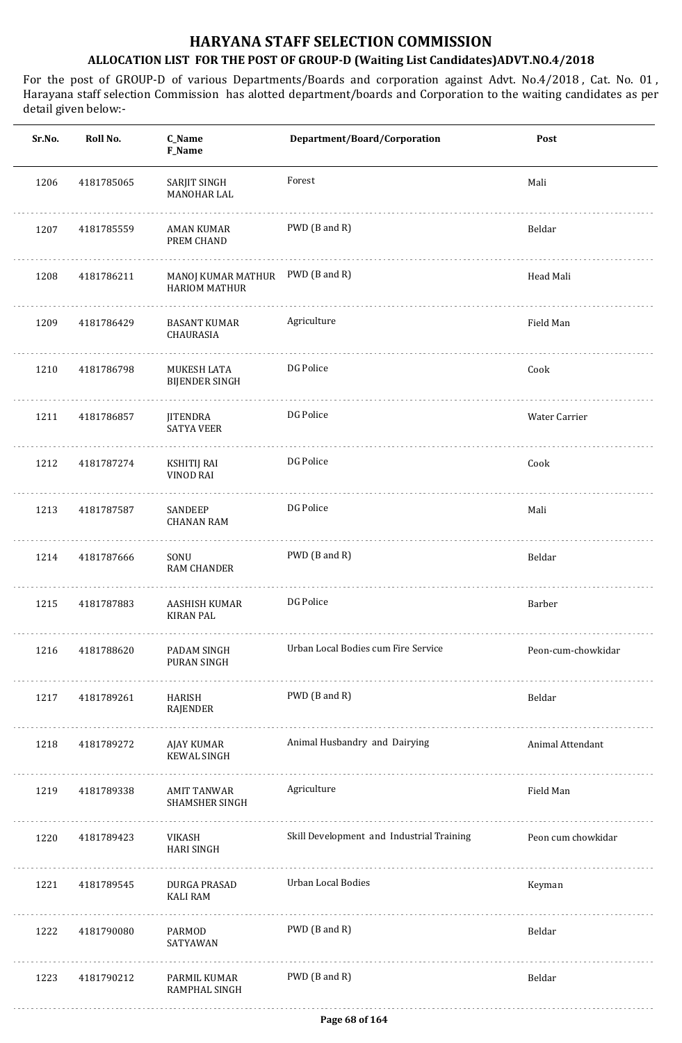| Sr.No. | Roll No.   | C_Name<br>F_Name                                         | Department/Board/Corporation              | Post               |
|--------|------------|----------------------------------------------------------|-------------------------------------------|--------------------|
| 1206   | 4181785065 | SARJIT SINGH<br><b>MANOHAR LAL</b>                       | Forest                                    | Mali               |
| 1207   | 4181785559 | <b>AMAN KUMAR</b><br>PREM CHAND                          | PWD (B and R)                             | Beldar             |
| 1208   | 4181786211 | MANOJ KUMAR MATHUR PWD (B and R)<br><b>HARIOM MATHUR</b> |                                           | Head Mali          |
| 1209   | 4181786429 | <b>BASANT KUMAR</b><br>CHAURASIA                         | Agriculture                               | Field Man          |
| 1210   | 4181786798 | MUKESH LATA<br><b>BIJENDER SINGH</b>                     | DG Police                                 | Cook               |
| 1211   | 4181786857 | <b>JITENDRA</b><br><b>SATYA VEER</b>                     | DG Police                                 | Water Carrier      |
| 1212   | 4181787274 | <b>KSHITIJ RAI</b><br>VINOD RAI                          | DG Police                                 | Cook               |
| 1213   | 4181787587 | SANDEEP<br><b>CHANAN RAM</b>                             | DG Police                                 | Mali               |
| 1214   | 4181787666 | SONU<br><b>RAM CHANDER</b>                               | PWD (B and R)                             | Beldar             |
| 1215   | 4181787883 | AASHISH KUMAR<br><b>KIRAN PAL</b>                        | DG Police                                 | Barber             |
| 1216   | 4181788620 | PADAM SINGH<br>PURAN SINGH                               | Urban Local Bodies cum Fire Service       | Peon-cum-chowkidar |
| 1217   | 4181789261 | HARISH<br>RAJENDER                                       | PWD (B and R)                             | Beldar             |
| 1218   | 4181789272 | AJAY KUMAR<br><b>KEWAL SINGH</b>                         | Animal Husbandry and Dairying             | Animal Attendant   |
| 1219   | 4181789338 | AMIT TANWAR<br>SHAMSHER SINGH                            | Agriculture                               | Field Man          |
| 1220   | 4181789423 | VIKASH<br><b>HARI SINGH</b>                              | Skill Development and Industrial Training | Peon cum chowkidar |
| 1221   | 4181789545 | DURGA PRASAD<br><b>KALI RAM</b>                          | Urban Local Bodies                        | Keyman             |
| 1222   | 4181790080 | PARMOD<br>SATYAWAN                                       | PWD (B and R)                             | Beldar             |
| 1223   | 4181790212 | PARMIL KUMAR<br>RAMPHAL SINGH                            | PWD (B and R)                             | Beldar             |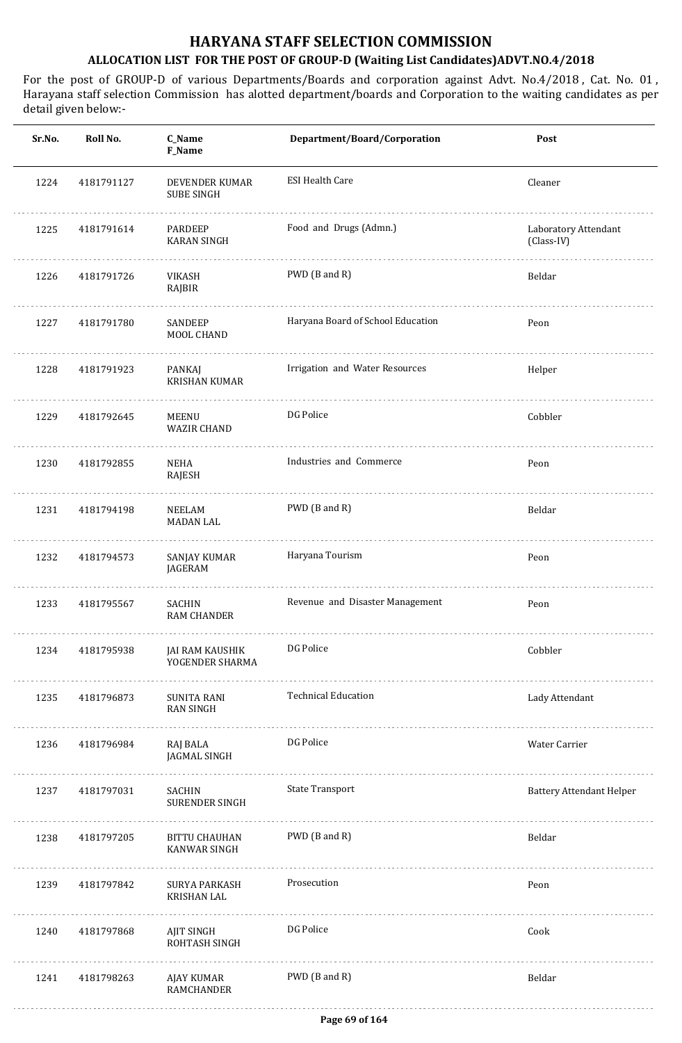| Sr.No. | Roll No.   | C_Name<br>F_Name                            | Department/Board/Corporation      | Post                               |
|--------|------------|---------------------------------------------|-----------------------------------|------------------------------------|
| 1224   | 4181791127 | DEVENDER KUMAR<br><b>SUBE SINGH</b>         | <b>ESI Health Care</b>            | Cleaner                            |
| 1225   | 4181791614 | PARDEEP<br><b>KARAN SINGH</b>               | Food and Drugs (Admn.)            | Laboratory Attendant<br>(Class-IV) |
| 1226   | 4181791726 | VIKASH<br>RAJBIR                            | PWD (B and R)                     | Beldar                             |
| 1227   | 4181791780 | SANDEEP<br>MOOL CHAND                       | Haryana Board of School Education | Peon                               |
| 1228   | 4181791923 | PANKAJ<br><b>KRISHAN KUMAR</b>              | Irrigation and Water Resources    | Helper                             |
| 1229   | 4181792645 | MEENU<br><b>WAZIR CHAND</b>                 | DG Police                         | Cobbler                            |
| 1230   | 4181792855 | <b>NEHA</b><br>RAJESH                       | Industries and Commerce           | Peon                               |
| 1231   | 4181794198 | <b>NEELAM</b><br><b>MADAN LAL</b>           | PWD (B and R)                     | Beldar                             |
| 1232   | 4181794573 | SANJAY KUMAR<br>JAGERAM                     | Haryana Tourism                   | Peon                               |
| 1233   | 4181795567 | SACHIN<br><b>RAM CHANDER</b>                | Revenue and Disaster Management   | Peon                               |
| 1234   | 4181795938 | JAI RAM KAUSHIK<br>YOGENDER SHARMA          | DG Police                         | Cobbler                            |
| 1235   | 4181796873 | SUNITA RANI<br><b>RAN SINGH</b>             | <b>Technical Education</b>        | Lady Attendant                     |
| 1236   | 4181796984 | RAJ BALA<br>JAGMAL SINGH                    | DG Police                         | Water Carrier                      |
| 1237   | 4181797031 | SACHIN<br><b>SURENDER SINGH</b>             | <b>State Transport</b>            | <b>Battery Attendant Helper</b>    |
| 1238   | 4181797205 | <b>BITTU CHAUHAN</b><br><b>KANWAR SINGH</b> | PWD (B and R)                     | Beldar                             |
| 1239   | 4181797842 | SURYA PARKASH<br><b>KRISHAN LAL</b>         | Prosecution                       | Peon                               |
| 1240   | 4181797868 | AJIT SINGH<br>ROHTASH SINGH                 | DG Police                         | Cook                               |
| 1241   | 4181798263 | AJAY KUMAR<br>RAMCHANDER                    | PWD (B and R)                     | Beldar                             |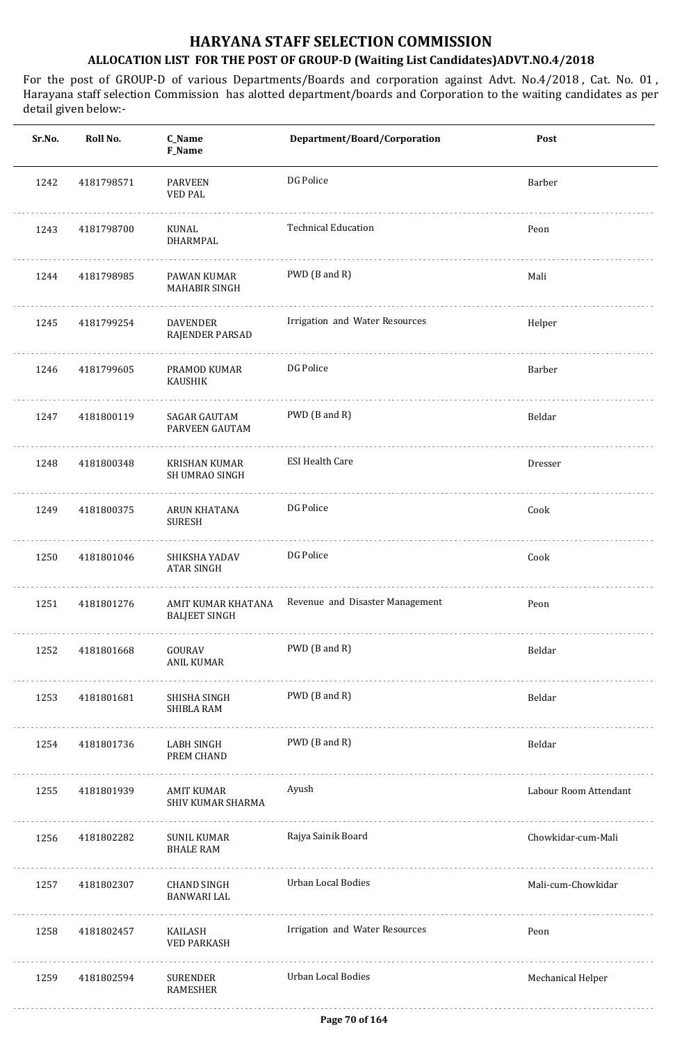| Sr.No. | Roll No.   | C_Name<br>F_Name                           | Department/Board/Corporation    | Post                  |
|--------|------------|--------------------------------------------|---------------------------------|-----------------------|
| 1242   | 4181798571 | <b>PARVEEN</b><br><b>VED PAL</b>           | DG Police                       | Barber                |
| 1243   | 4181798700 | KUNAL<br>DHARMPAL                          | <b>Technical Education</b>      | Peon                  |
| 1244   | 4181798985 | PAWAN KUMAR<br><b>MAHABIR SINGH</b>        | PWD (B and R)                   | Mali                  |
| 1245   | 4181799254 | <b>DAVENDER</b><br>RAJENDER PARSAD         | Irrigation and Water Resources  | Helper                |
| 1246   | 4181799605 | PRAMOD KUMAR<br>KAUSHIK                    | DG Police                       | Barber                |
| 1247   | 4181800119 | SAGAR GAUTAM<br>PARVEEN GAUTAM             | PWD (B and R)                   | Beldar                |
| 1248   | 4181800348 | KRISHAN KUMAR<br><b>SH UMRAO SINGH</b>     | <b>ESI Health Care</b>          | Dresser               |
| 1249   | 4181800375 | ARUN KHATANA<br><b>SURESH</b>              | DG Police                       | Cook                  |
| 1250   | 4181801046 | SHIKSHA YADAV<br><b>ATAR SINGH</b>         | DG Police                       | Cook                  |
| 1251   | 4181801276 | AMIT KUMAR KHATANA<br><b>BALJEET SINGH</b> | Revenue and Disaster Management | Peon                  |
| 1252   | 4181801668 | GOURAV<br>ANIL KUMAR                       | PWD (B and R)                   | Beldar                |
| 1253   | 4181801681 | SHISHA SINGH<br>SHIBLA RAM                 | PWD (B and R)                   | Beldar                |
| 1254   | 4181801736 | LABH SINGH<br>PREM CHAND                   | PWD (B and R)                   | Beldar                |
| 1255   | 4181801939 | AMIT KUMAR<br>SHIV KUMAR SHARMA            | Ayush                           | Labour Room Attendant |
| 1256   | 4181802282 | SUNIL KUMAR<br><b>BHALE RAM</b>            | Rajya Sainik Board              | Chowkidar-cum-Mali    |
| 1257   | 4181802307 | CHAND SINGH<br><b>BANWARI LAL</b>          | Urban Local Bodies              | Mali-cum-Chowkidar    |
| 1258   | 4181802457 | KAILASH<br><b>VED PARKASH</b>              | Irrigation and Water Resources  | Peon                  |
| 1259   | 4181802594 | SURENDER<br>RAMESHER                       | Urban Local Bodies              | Mechanical Helper     |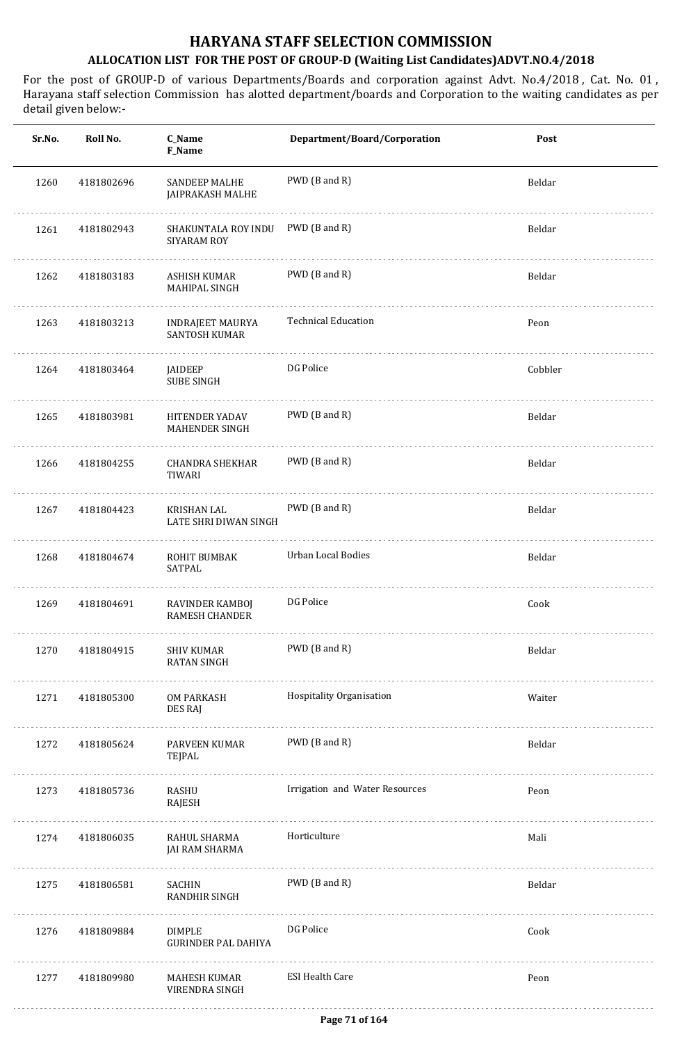| Sr.No. | Roll No.   | C_Name<br>F_Name                            | Department/Board/Corporation   | Post    |
|--------|------------|---------------------------------------------|--------------------------------|---------|
| 1260   | 4181802696 | <b>SANDEEP MALHE</b><br>JAIPRAKASH MALHE    | PWD (B and R)                  | Beldar  |
| 1261   | 4181802943 | SHAKUNTALA ROY INDU<br>SIYARAM ROY          | PWD (B and R)                  | Beldar  |
| 1262   | 4181803183 | ASHISH KUMAR<br>MAHIPAL SINGH               | PWD (B and R)                  | Beldar  |
| 1263   | 4181803213 | INDRAJEET MAURYA<br>SANTOSH KUMAR           | <b>Technical Education</b>     | Peon    |
| 1264   | 4181803464 | JAIDEEP<br><b>SUBE SINGH</b>                | DG Police                      | Cobbler |
| 1265   | 4181803981 | HITENDER YADAV<br>MAHENDER SINGH            | PWD (B and R)                  | Beldar  |
| 1266   | 4181804255 | <b>CHANDRA SHEKHAR</b><br>TIWARI            | PWD (B and R)                  | Beldar  |
| 1267   | 4181804423 | KRISHAN LAL<br>LATE SHRI DIWAN SINGH        | PWD (B and R)                  | Beldar  |
| 1268   | 4181804674 | ROHIT BUMBAK<br>SATPAL                      | Urban Local Bodies             | Beldar  |
| 1269   | 4181804691 | RAVINDER KAMBOJ<br><b>RAMESH CHANDER</b>    | DG Police                      | Cook    |
| 1270   | 4181804915 | SHIV KUMAR<br><b>RATAN SINGH</b><br>.       | PWD (B and R)                  | Beldar  |
| 1271   | 4181805300 | OM PARKASH<br>DES RAJ                       | Hospitality Organisation       | Waiter  |
| 1272   | 4181805624 | PARVEEN KUMAR<br>TEJPAL                     | PWD (B and R)                  | Beldar  |
| 1273   | 4181805736 | RASHU<br>RAJESH                             | Irrigation and Water Resources | Peon    |
| 1274   | 4181806035 | RAHUL SHARMA<br>JAI RAM SHARMA              | Horticulture                   | Mali    |
| 1275   | 4181806581 | SACHIN<br>RANDHIR SINGH                     | PWD (B and R)                  | Beldar  |
| 1276   | 4181809884 | <b>DIMPLE</b><br><b>GURINDER PAL DAHIYA</b> | DG Police                      | Cook    |
| 1277   | 4181809980 | MAHESH KUMAR<br>VIRENDRA SINGH              | <b>ESI Health Care</b>         | Peon    |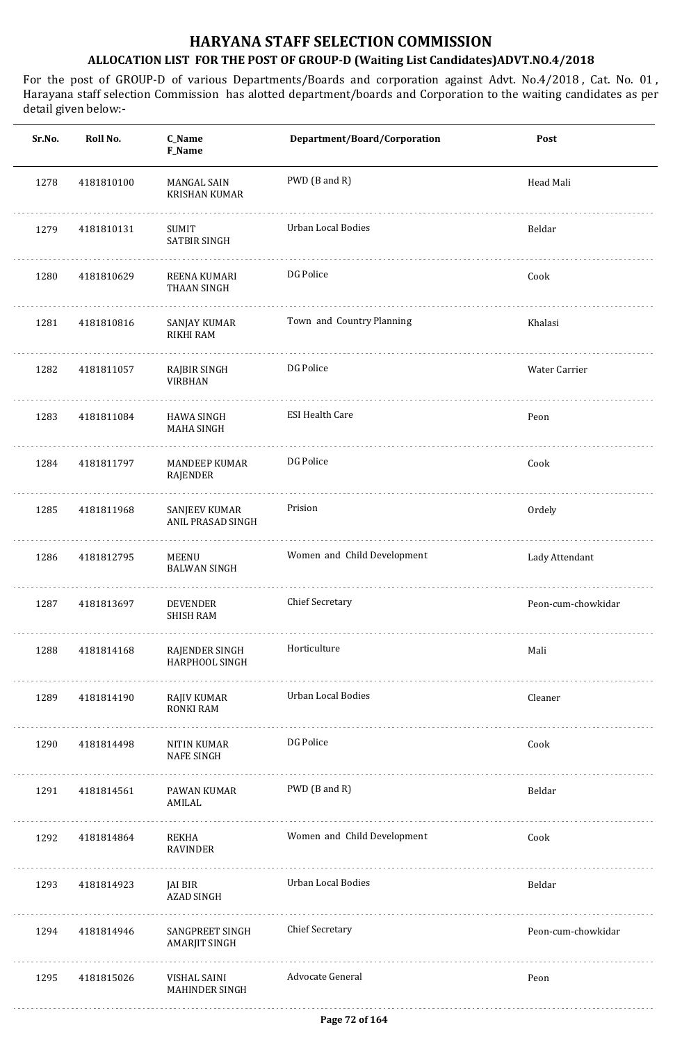| Sr.No. | Roll No.   | C_Name<br>F_Name                          | Department/Board/Corporation | Post               |
|--------|------------|-------------------------------------------|------------------------------|--------------------|
| 1278   | 4181810100 | MANGAL SAIN<br><b>KRISHAN KUMAR</b>       | PWD (B and R)                | Head Mali          |
| 1279   | 4181810131 | SUMIT<br><b>SATBIR SINGH</b>              | Urban Local Bodies           | Beldar             |
| 1280   | 4181810629 | REENA KUMARI<br>THAAN SINGH               | DG Police                    | Cook               |
| 1281   | 4181810816 | SANJAY KUMAR<br>RIKHI RAM                 | Town and Country Planning    | Khalasi            |
| 1282   | 4181811057 | RAJBIR SINGH<br><b>VIRBHAN</b>            | DG Police                    | Water Carrier      |
| 1283   | 4181811084 | HAWA SINGH<br><b>MAHA SINGH</b>           | <b>ESI Health Care</b>       | Peon               |
| 1284   | 4181811797 | MANDEEP KUMAR<br>RAJENDER                 | DG Police                    | Cook               |
| 1285   | 4181811968 | <b>SANJEEV KUMAR</b><br>ANIL PRASAD SINGH | Prision                      | Ordely             |
| 1286   | 4181812795 | MEENU<br><b>BALWAN SINGH</b>              | Women and Child Development  | Lady Attendant     |
| 1287   | 4181813697 | <b>DEVENDER</b><br><b>SHISH RAM</b>       | <b>Chief Secretary</b>       | Peon-cum-chowkidar |
| 1288   | 4181814168 | RAJENDER SINGH<br>HARPHOOL SINGH          | Horticulture                 | Mali               |
| 1289   | 4181814190 | RAJIV KUMAR<br><b>RONKI RAM</b>           | Urban Local Bodies           | Cleaner            |
| 1290   | 4181814498 | NITIN KUMAR<br><b>NAFE SINGH</b>          | DG Police                    | Cook               |
| 1291   | 4181814561 | PAWAN KUMAR<br>AMILAL                     | PWD (B and R)                | Beldar             |
| 1292   | 4181814864 | REKHA<br>RAVINDER                         | Women and Child Development  | Cook               |
| 1293   | 4181814923 | JAI BIR<br>AZAD SINGH                     | Urban Local Bodies           | Beldar             |
| 1294   | 4181814946 | SANGPREET SINGH<br><b>AMARJIT SINGH</b>   | <b>Chief Secretary</b>       | Peon-cum-chowkidar |
| 1295   | 4181815026 | VISHAL SAINI<br><b>MAHINDER SINGH</b>     | Advocate General             | Peon               |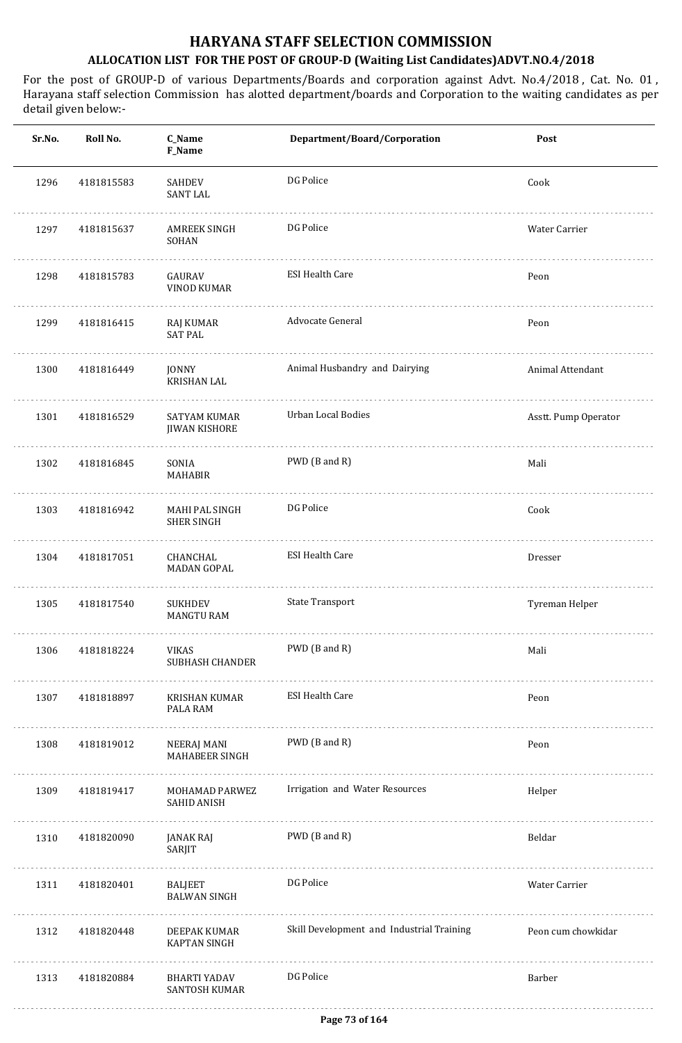| Sr.No. | Roll No.   | C_Name<br><b>F_Name</b>                   | Department/Board/Corporation              | Post                 |
|--------|------------|-------------------------------------------|-------------------------------------------|----------------------|
| 1296   | 4181815583 | SAHDEV<br><b>SANT LAL</b>                 | DG Police                                 | Cook                 |
| 1297   | 4181815637 | <b>AMREEK SINGH</b><br><b>SOHAN</b>       | DG Police                                 | Water Carrier        |
| 1298   | 4181815783 | GAURAV<br><b>VINOD KUMAR</b>              | <b>ESI Health Care</b>                    | Peon                 |
| 1299   | 4181816415 | RAJ KUMAR<br><b>SAT PAL</b>               | Advocate General                          | Peon                 |
| 1300   | 4181816449 | JONNY<br><b>KRISHAN LAL</b>               | Animal Husbandry and Dairying             | Animal Attendant     |
| 1301   | 4181816529 | SATYAM KUMAR<br><b>JIWAN KISHORE</b>      | <b>Urban Local Bodies</b>                 | Asstt. Pump Operator |
| 1302   | 4181816845 | SONIA<br><b>MAHABIR</b>                   | PWD (B and R)                             | Mali                 |
| 1303   | 4181816942 | MAHI PAL SINGH<br><b>SHER SINGH</b>       | DG Police                                 | Cook                 |
| 1304   | 4181817051 | CHANCHAL<br><b>MADAN GOPAL</b>            | <b>ESI Health Care</b>                    | Dresser              |
| 1305   | 4181817540 | <b>SUKHDEV</b><br><b>MANGTU RAM</b>       | <b>State Transport</b>                    | Tyreman Helper       |
| 1306   | 4181818224 | VIKAS<br><b>SUBHASH CHANDER</b><br>.      | PWD (B and R)                             | Mali                 |
| 1307   | 4181818897 | KRISHAN KUMAR<br>PALA RAM                 | <b>ESI Health Care</b>                    | Peon                 |
| 1308   | 4181819012 | NEERAJ MANI<br><b>MAHABEER SINGH</b><br>. | PWD (B and R)                             | Peon                 |
| 1309   | 4181819417 | MOHAMAD PARWEZ<br><b>SAHID ANISH</b>      | Irrigation and Water Resources            | Helper               |
| 1310   | 4181820090 | JANAK RAJ<br>SARJIT                       | PWD (B and R)                             | Beldar               |
| 1311   | 4181820401 | <b>BALJEET</b><br><b>BALWAN SINGH</b>     | DG Police                                 | Water Carrier        |
| 1312   | 4181820448 | DEEPAK KUMAR<br><b>KAPTAN SINGH</b>       | Skill Development and Industrial Training | Peon cum chowkidar   |
| 1313   | 4181820884 | BHARTI YADAV<br>SANTOSH KUMAR             | DG Police                                 | Barber               |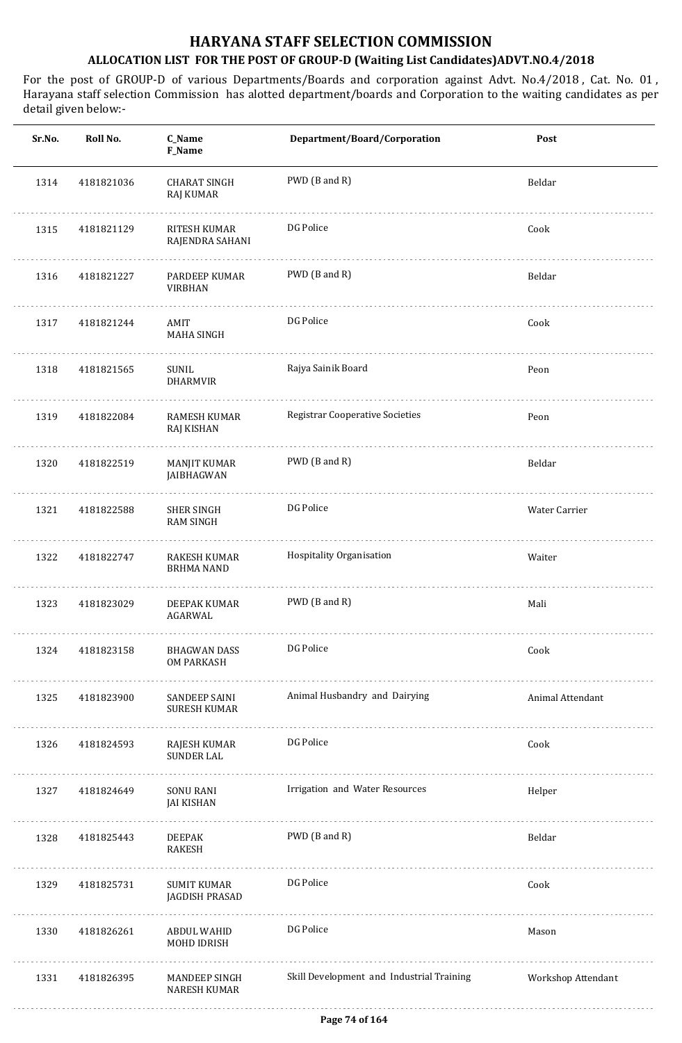| Sr.No. | Roll No.   | C_Name<br>F_Name                            | Department/Board/Corporation              | Post               |
|--------|------------|---------------------------------------------|-------------------------------------------|--------------------|
| 1314   | 4181821036 | <b>CHARAT SINGH</b><br>RAJ KUMAR            | PWD (B and R)                             | Beldar             |
| 1315   | 4181821129 | RITESH KUMAR<br>RAJENDRA SAHANI             | DG Police                                 | Cook               |
| 1316   | 4181821227 | <b>PARDEEP KUMAR</b><br><b>VIRBHAN</b>      | PWD (B and R)                             | Beldar             |
| 1317   | 4181821244 | AMIT<br><b>MAHA SINGH</b>                   | DG Police                                 | Cook               |
| 1318   | 4181821565 | SUNIL<br>DHARMVIR                           | Rajya Sainik Board                        | Peon               |
| 1319   | 4181822084 | <b>RAMESH KUMAR</b><br>RAJ KISHAN           | <b>Registrar Cooperative Societies</b>    | Peon               |
| 1320   | 4181822519 | MANJIT KUMAR<br>JAIBHAGWAN                  | PWD (B and R)                             | Beldar             |
| 1321   | 4181822588 | <b>SHER SINGH</b><br><b>RAM SINGH</b>       | DG Police                                 | Water Carrier      |
| 1322   | 4181822747 | RAKESH KUMAR<br>BRHMA NAND                  | Hospitality Organisation                  | Waiter             |
| 1323   | 4181823029 | DEEPAK KUMAR<br>AGARWAL                     | PWD (B and R)                             | Mali               |
| 1324   | 4181823158 | BHAGWAN DASS<br><b>OM PARKASH</b>           | DG Police                                 | Cook               |
| 1325   | 4181823900 | <b>SANDEEP SAINI</b><br><b>SURESH KUMAR</b> | Animal Husbandry and Dairying             | Animal Attendant   |
| 1326   | 4181824593 | RAJESH KUMAR<br><b>SUNDER LAL</b>           | DG Police                                 | Cook               |
| 1327   | 4181824649 | SONU RANI<br><b>JAI KISHAN</b>              | Irrigation and Water Resources            | Helper             |
| 1328   | 4181825443 | DEEPAK<br>RAKESH                            | PWD (B and R)                             | Beldar             |
| 1329   | 4181825731 | SUMIT KUMAR<br>JAGDISH PRASAD               | DG Police                                 | Cook               |
| 1330   | 4181826261 | ABDUL WAHID<br>MOHD IDRISH                  | DG Police                                 | Mason              |
| 1331   | 4181826395 | MANDEEP SINGH<br>NARESH KUMAR               | Skill Development and Industrial Training | Workshop Attendant |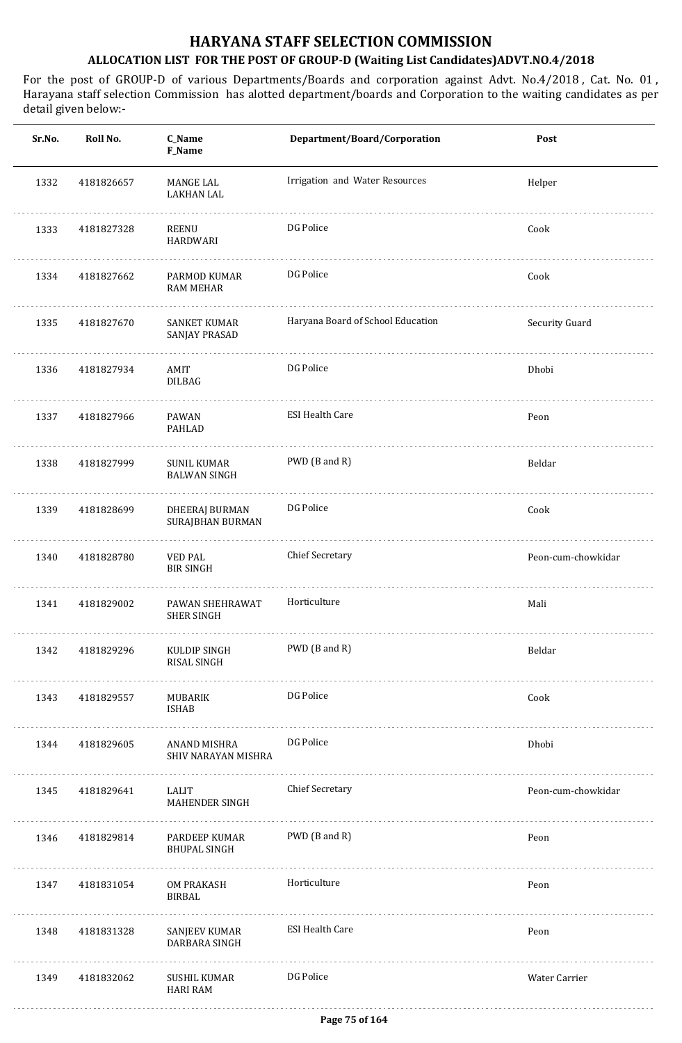| Sr.No. | Roll No.   | C_Name<br><b>F_Name</b>                   | Department/Board/Corporation      | Post               |
|--------|------------|-------------------------------------------|-----------------------------------|--------------------|
| 1332   | 4181826657 | MANGE LAL<br><b>LAKHAN LAL</b>            | Irrigation and Water Resources    | Helper             |
| 1333   | 4181827328 | REENU<br><b>HARDWARI</b>                  | DG Police                         | Cook               |
| 1334   | 4181827662 | PARMOD KUMAR<br><b>RAM MEHAR</b>          | DG Police                         | Cook               |
| 1335   | 4181827670 | <b>SANKET KUMAR</b><br>SANJAY PRASAD      | Haryana Board of School Education | Security Guard     |
| 1336   | 4181827934 | AMIT<br><b>DILBAG</b>                     | DG Police                         | Dhobi              |
| 1337   | 4181827966 | PAWAN<br><b>PAHLAD</b>                    | <b>ESI Health Care</b>            | Peon               |
| 1338   | 4181827999 | <b>SUNIL KUMAR</b><br><b>BALWAN SINGH</b> | PWD (B and R)                     | Beldar             |
| 1339   | 4181828699 | <b>DHEERAJ BURMAN</b><br>SURAJBHAN BURMAN | DG Police                         | Cook               |
| 1340   | 4181828780 | VED PAL<br><b>BIR SINGH</b>               | <b>Chief Secretary</b>            | Peon-cum-chowkidar |
| 1341   | 4181829002 | PAWAN SHEHRAWAT<br><b>SHER SINGH</b>      | Horticulture                      | Mali               |
| 1342   | 4181829296 | KULDIP SINGH<br>RISAL SINGH               | PWD (B and R)                     | Beldar             |
| 1343   | 4181829557 | MUBARIK<br><b>ISHAB</b>                   | DG Police                         | Cook               |
| 1344   | 4181829605 | ANAND MISHRA<br>SHIV NARAYAN MISHRA       | DG Police                         | Dhobi              |
| 1345   | 4181829641 | LALIT<br>MAHENDER SINGH                   | <b>Chief Secretary</b>            | Peon-cum-chowkidar |
| 1346   | 4181829814 | PARDEEP KUMAR<br><b>BHUPAL SINGH</b>      | PWD (B and R)                     | Peon               |
| 1347   | 4181831054 | OM PRAKASH<br>BIRBAL                      | Horticulture                      | Peon               |
| 1348   | 4181831328 | SANJEEV KUMAR<br>DARBARA SINGH            | <b>ESI Health Care</b>            | Peon               |
| 1349   | 4181832062 | SUSHIL KUMAR<br><b>HARI RAM</b>           | DG Police                         | Water Carrier      |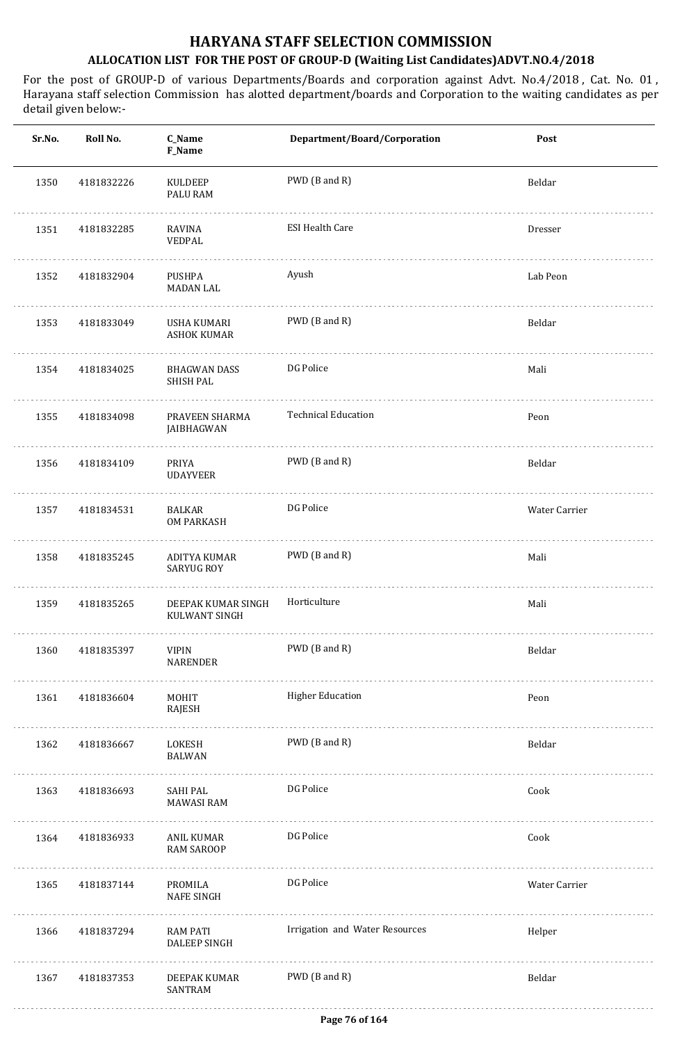| Sr.No. | Roll No.   | C_Name<br>F_Name                       | Department/Board/Corporation   | Post          |
|--------|------------|----------------------------------------|--------------------------------|---------------|
| 1350   | 4181832226 | KULDEEP<br>PALU RAM                    | PWD (B and R)                  | Beldar        |
| 1351   | 4181832285 | RAVINA<br>VEDPAL                       | <b>ESI Health Care</b>         | Dresser       |
| 1352   | 4181832904 | PUSHPA<br>MADAN LAL                    | Ayush                          | Lab Peon      |
| 1353   | 4181833049 | USHA KUMARI<br><b>ASHOK KUMAR</b>      | PWD (B and R)                  | Beldar        |
| 1354   | 4181834025 | BHAGWAN DASS<br>SHISH PAL              | DG Police                      | Mali          |
| 1355   | 4181834098 | PRAVEEN SHARMA<br>JAIBHAGWAN           | <b>Technical Education</b>     | Peon          |
| 1356   | 4181834109 | PRIYA<br><b>UDAYVEER</b>               | PWD (B and R)                  | Beldar        |
| 1357   | 4181834531 | <b>BALKAR</b><br><b>OM PARKASH</b>     | DG Police                      | Water Carrier |
| 1358   | 4181835245 | ADITYA KUMAR<br><b>SARYUG ROY</b>      | PWD (B and R)                  | Mali          |
| 1359   | 4181835265 | DEEPAK KUMAR SINGH<br>KULWANT SINGH    | Horticulture                   | Mali          |
| 1360   | 4181835397 | <b>VIPIN</b><br>NARENDER               | PWD (B and R)                  | Beldar        |
| 1361   | 4181836604 | MOHIT<br>RAJESH                        | <b>Higher Education</b>        | Peon          |
| 1362   | 4181836667 | LOKESH<br>BALWAN                       | PWD (B and R)                  | Beldar        |
| 1363   | 4181836693 | SAHI PAL<br><b>MAWASI RAM</b>          | DG Police                      | Cook          |
| 1364   | 4181836933 | ANIL KUMAR<br><b>RAM SAROOP</b>        | DG Police                      | Cook          |
| 1365   | 4181837144 | PROMILA<br><b>NAFE SINGH</b>           | DG Police                      | Water Carrier |
| 1366   | 4181837294 | <b>RAM PATI</b><br><b>DALEEP SINGH</b> | Irrigation and Water Resources | Helper        |
| 1367   | 4181837353 | DEEPAK KUMAR<br>SANTRAM                | PWD (B and R)                  | Beldar        |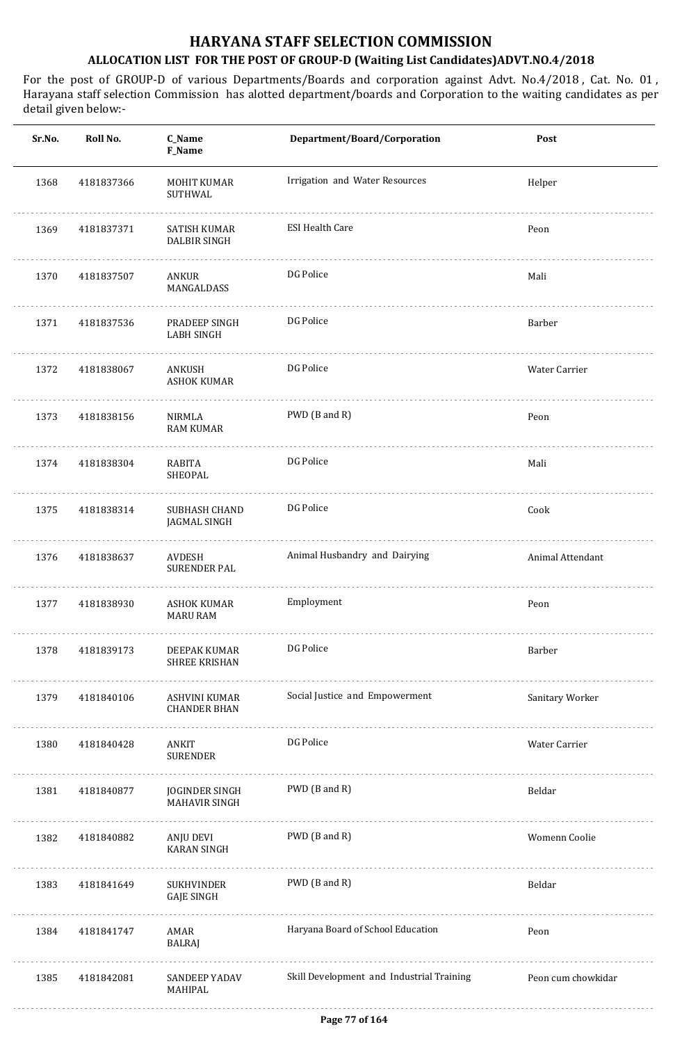| Sr.No. | Roll No.   | C_Name<br>F_Name                       | Department/Board/Corporation              | Post               |
|--------|------------|----------------------------------------|-------------------------------------------|--------------------|
| 1368   | 4181837366 | MOHIT KUMAR<br>SUTHWAL                 | Irrigation and Water Resources            | Helper             |
| 1369   | 4181837371 | SATISH KUMAR<br><b>DALBIR SINGH</b>    | <b>ESI Health Care</b>                    | Peon               |
| 1370   | 4181837507 | ANKUR<br>MANGALDASS                    | DG Police                                 | Mali               |
| 1371   | 4181837536 | PRADEEP SINGH<br><b>LABH SINGH</b>     | DG Police                                 | Barber             |
| 1372   | 4181838067 | ANKUSH<br><b>ASHOK KUMAR</b>           | DG Police                                 | Water Carrier      |
| 1373   | 4181838156 | <b>NIRMLA</b><br><b>RAM KUMAR</b>      | PWD (B and R)                             | Peon               |
| 1374   | 4181838304 | RABITA<br>SHEOPAL                      | DG Police                                 | Mali               |
| 1375   | 4181838314 | SUBHASH CHAND<br>JAGMAL SINGH          | DG Police                                 | Cook               |
| 1376   | 4181838637 | AVDESH<br><b>SURENDER PAL</b>          | Animal Husbandry and Dairying             | Animal Attendant   |
| 1377   | 4181838930 | <b>ASHOK KUMAR</b><br><b>MARU RAM</b>  | Employment                                | Peon               |
| 1378   | 4181839173 | DEEPAK KUMAR<br><b>SHREE KRISHAN</b>   | DG Police                                 | Barber             |
| 1379   | 4181840106 | ASHVINI KUMAR<br><b>CHANDER BHAN</b>   | Social Justice and Empowerment            | Sanitary Worker    |
| 1380   | 4181840428 | ANKIT<br><b>SURENDER</b>               | DG Police                                 | Water Carrier      |
| 1381   | 4181840877 | JOGINDER SINGH<br><b>MAHAVIR SINGH</b> | PWD (B and R)                             | Beldar             |
| 1382   | 4181840882 | ANJU DEVI<br><b>KARAN SINGH</b>        | PWD (B and R)                             | Womenn Coolie      |
| 1383   | 4181841649 | SUKHVINDER<br><b>GAJE SINGH</b>        | PWD (B and R)                             | Beldar             |
| 1384   | 4181841747 | AMAR<br>BALRAJ                         | Haryana Board of School Education         | Peon               |
| 1385   | 4181842081 | SANDEEP YADAV<br>MAHIPAL               | Skill Development and Industrial Training | Peon cum chowkidar |
|        |            |                                        |                                           |                    |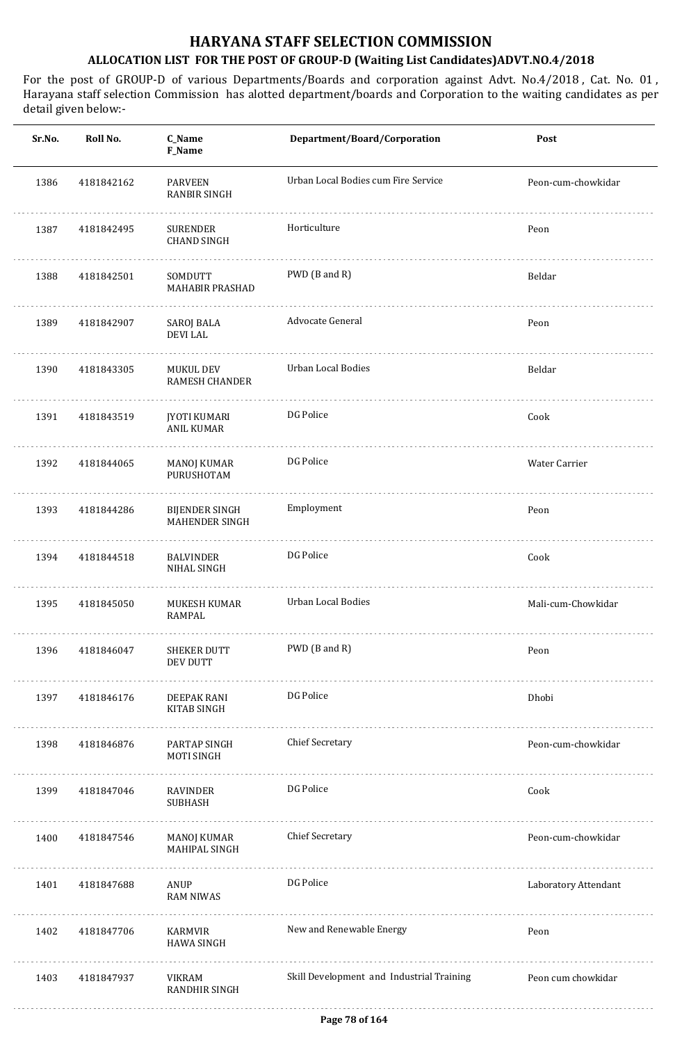| Sr.No. | Roll No.   | C_Name<br>F_Name                         | Department/Board/Corporation              | Post                 |
|--------|------------|------------------------------------------|-------------------------------------------|----------------------|
| 1386   | 4181842162 | <b>PARVEEN</b><br><b>RANBIR SINGH</b>    | Urban Local Bodies cum Fire Service       | Peon-cum-chowkidar   |
| 1387   | 4181842495 | <b>SURENDER</b><br><b>CHAND SINGH</b>    | Horticulture                              | Peon                 |
| 1388   | 4181842501 | SOMDUTT<br>MAHABIR PRASHAD               | PWD (B and R)                             | Beldar               |
| 1389   | 4181842907 | SAROJ BALA<br><b>DEVILAL</b>             | Advocate General                          | Peon                 |
| 1390   | 4181843305 | MUKUL DEV<br><b>RAMESH CHANDER</b>       | Urban Local Bodies                        | Beldar               |
| 1391   | 4181843519 | <b>JYOTI KUMARI</b><br><b>ANIL KUMAR</b> | DG Police                                 | Cook                 |
| 1392   | 4181844065 | MANOJ KUMAR<br>PURUSHOTAM                | DG Police                                 | Water Carrier        |
| 1393   | 4181844286 | <b>BIJENDER SINGH</b><br>MAHENDER SINGH  | Employment                                | Peon                 |
| 1394   | 4181844518 | <b>BALVINDER</b><br>NIHAL SINGH          | DG Police                                 | Cook                 |
| 1395   | 4181845050 | MUKESH KUMAR<br>RAMPAL                   | Urban Local Bodies                        | Mali-cum-Chowkidar   |
| 1396   | 4181846047 | <b>SHEKER DUTT</b><br><b>DEV DUTT</b>    | PWD (B and R)                             | Peon                 |
| 1397   | 4181846176 | DEEPAK RANI<br>KITAB SINGH               | DG Police                                 | Dhobi                |
| 1398   | 4181846876 | PARTAP SINGH<br><b>MOTI SINGH</b>        | <b>Chief Secretary</b>                    | Peon-cum-chowkidar   |
| 1399   | 4181847046 | RAVINDER<br>SUBHASH                      | DG Police                                 | Cook                 |
| 1400   | 4181847546 | MANOJ KUMAR<br>MAHIPAL SINGH             | <b>Chief Secretary</b>                    | Peon-cum-chowkidar   |
| 1401   | 4181847688 | ANUP<br><b>RAM NIWAS</b>                 | DG Police                                 | Laboratory Attendant |
| 1402   | 4181847706 | KARMVIR<br><b>HAWA SINGH</b>             | New and Renewable Energy                  | Peon                 |
| 1403   | 4181847937 | VIKRAM<br><b>RANDHIR SINGH</b>           | Skill Development and Industrial Training | Peon cum chowkidar   |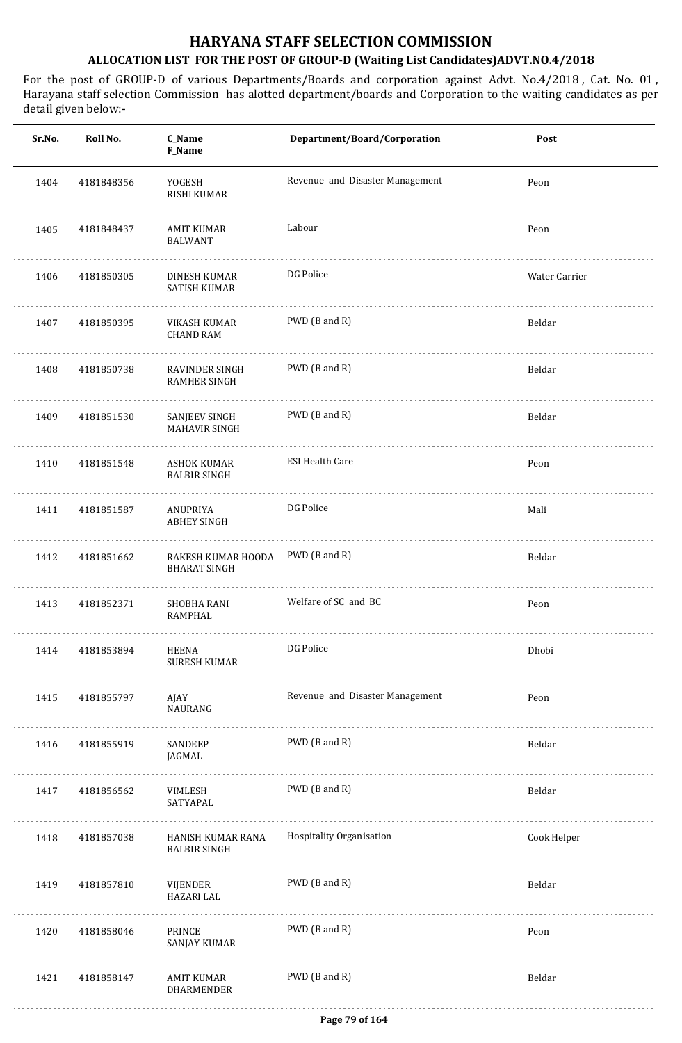| Sr.No. | Roll No.   | C_Name<br>F_Name                          | Department/Board/Corporation    | Post          |
|--------|------------|-------------------------------------------|---------------------------------|---------------|
| 1404   | 4181848356 | YOGESH<br><b>RISHI KUMAR</b>              | Revenue and Disaster Management | Peon          |
| 1405   | 4181848437 | AMIT KUMAR<br><b>BALWANT</b>              | Labour                          | Peon          |
| 1406   | 4181850305 | DINESH KUMAR<br>SATISH KUMAR              | DG Police                       | Water Carrier |
| 1407   | 4181850395 | VIKASH KUMAR<br><b>CHAND RAM</b>          | PWD (B and R)                   | Beldar        |
| 1408   | 4181850738 | RAVINDER SINGH<br><b>RAMHER SINGH</b>     | PWD (B and R)                   | Beldar        |
| 1409   | 4181851530 | SANJEEV SINGH<br><b>MAHAVIR SINGH</b>     | PWD (B and R)                   | Beldar        |
| 1410   | 4181851548 | <b>ASHOK KUMAR</b><br><b>BALBIR SINGH</b> | <b>ESI Health Care</b>          | Peon          |
| 1411   | 4181851587 | ANUPRIYA<br><b>ABHEY SINGH</b>            | DG Police                       | Mali          |
| 1412   | 4181851662 | RAKESH KUMAR HOODA<br><b>BHARAT SINGH</b> | PWD (B and R)                   | Beldar        |
| 1413   | 4181852371 | <b>SHOBHA RANI</b><br>RAMPHAL             | Welfare of SC and BC            | Peon          |
| 1414   | 4181853894 | HEENA<br><b>SURESH KUMAR</b><br>.         | DG Police                       | Dhobi         |
| 1415   | 4181855797 | AJAY<br>NAURANG                           | Revenue and Disaster Management | Peon          |
| 1416   | 4181855919 | SANDEEP<br>JAGMAL                         | PWD (B and R)                   | Beldar        |
| 1417   | 4181856562 | VIMLESH<br>SATYAPAL                       | PWD (B and R)                   | Beldar        |
| 1418   | 4181857038 | HANISH KUMAR RANA<br><b>BALBIR SINGH</b>  | Hospitality Organisation        | Cook Helper   |
| 1419   | 4181857810 | VIJENDER<br><b>HAZARI LAL</b>             | PWD (B and R)                   | Beldar        |
| 1420   | 4181858046 | PRINCE<br>SANJAY KUMAR                    | PWD (B and R)                   | Peon          |
| 1421   | 4181858147 | AMIT KUMAR<br>DHARMENDER                  | PWD (B and R)                   | Beldar        |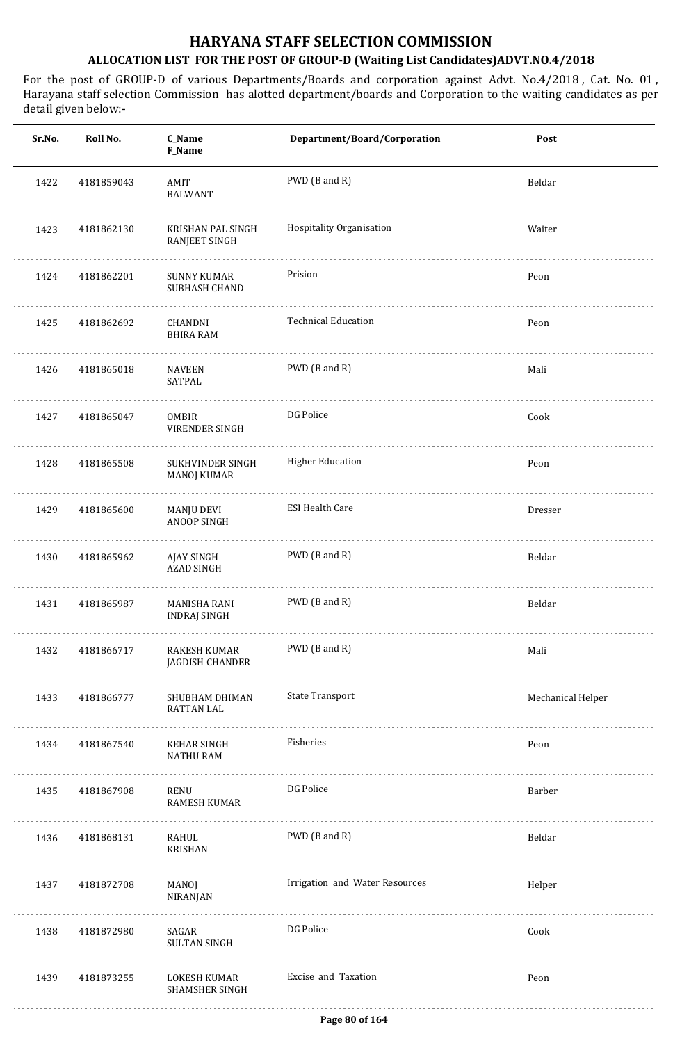| Sr.No. | Roll No.   | C_Name<br><b>F_Name</b>                      | Department/Board/Corporation   | Post              |
|--------|------------|----------------------------------------------|--------------------------------|-------------------|
| 1422   | 4181859043 | AMIT<br><b>BALWANT</b>                       | PWD (B and R)                  | Beldar            |
| 1423   | 4181862130 | KRISHAN PAL SINGH<br><b>RANJEET SINGH</b>    | Hospitality Organisation       | Waiter            |
| 1424   | 4181862201 | <b>SUNNY KUMAR</b><br>SUBHASH CHAND          | Prision                        | Peon              |
| 1425   | 4181862692 | CHANDNI<br><b>BHIRA RAM</b>                  | <b>Technical Education</b>     | Peon              |
| 1426   | 4181865018 | <b>NAVEEN</b><br>SATPAL                      | PWD (B and R)                  | Mali              |
| 1427   | 4181865047 | <b>OMBIR</b><br>VIRENDER SINGH               | DG Police                      | Cook              |
| 1428   | 4181865508 | SUKHVINDER SINGH<br><b>MANOJ KUMAR</b>       | <b>Higher Education</b>        | Peon              |
| 1429   | 4181865600 | MANJU DEVI<br>ANOOP SINGH                    | <b>ESI Health Care</b>         | Dresser           |
| 1430   | 4181865962 | AJAY SINGH<br><b>AZAD SINGH</b>              | PWD (B and R)                  | Beldar            |
| 1431   | 4181865987 | MANISHA RANI<br><b>INDRAJ SINGH</b>          | PWD (B and R)                  | Beldar            |
| 1432   | 4181866717 | RAKESH KUMAR<br>JAGDISH CHANDER              | PWD (B and R)                  | Mali              |
| 1433   | 4181866777 | <b>SHUBHAM DHIMAN</b><br><b>RATTAN LAL</b>   | <b>State Transport</b>         | Mechanical Helper |
| 1434   | 4181867540 | <b>KEHAR SINGH</b><br><b>NATHU RAM</b>       | Fisheries                      | Peon              |
| 1435   | 4181867908 | RENU<br>RAMESH KUMAR                         | DG Police                      | Barber            |
| 1436   | 4181868131 | RAHUL<br><b>KRISHAN</b>                      | PWD (B and R)                  | Beldar            |
| 1437   | 4181872708 | MANOJ<br>NIRANJAN                            | Irrigation and Water Resources | Helper            |
| 1438   | 4181872980 | SAGAR<br><b>SULTAN SINGH</b>                 | DG Police                      | Cook              |
| 1439   | 4181873255 | <b>LOKESH KUMAR</b><br><b>SHAMSHER SINGH</b> | Excise and Taxation            | Peon              |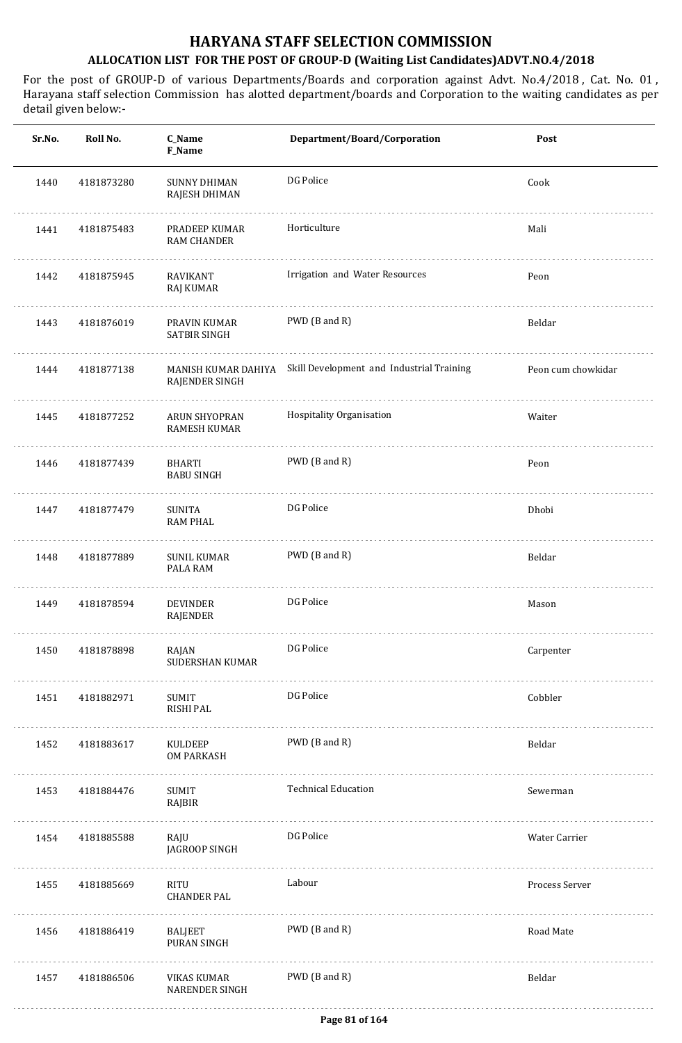| Sr.No. | Roll No.   | C_Name<br>F_Name                            | Department/Board/Corporation              | Post               |
|--------|------------|---------------------------------------------|-------------------------------------------|--------------------|
| 1440   | 4181873280 | <b>SUNNY DHIMAN</b><br>RAJESH DHIMAN        | DG Police                                 | Cook               |
| 1441   | 4181875483 | PRADEEP KUMAR<br><b>RAM CHANDER</b>         | Horticulture                              | Mali               |
| 1442   | 4181875945 | RAVIKANT<br>RAJ KUMAR                       | Irrigation and Water Resources            | Peon               |
| 1443   | 4181876019 | PRAVIN KUMAR<br>SATBIR SINGH                | PWD (B and R)                             | Beldar             |
| 1444   | 4181877138 | MANISH KUMAR DAHIYA<br>RAJENDER SINGH       | Skill Development and Industrial Training | Peon cum chowkidar |
| 1445   | 4181877252 | <b>ARUN SHYOPRAN</b><br><b>RAMESH KUMAR</b> | Hospitality Organisation                  | Waiter             |
| 1446   | 4181877439 | <b>BHARTI</b><br><b>BABU SINGH</b>          | PWD (B and R)                             | Peon               |
| 1447   | 4181877479 | <b>SUNITA</b><br><b>RAM PHAL</b>            | DG Police                                 | Dhobi              |
| 1448   | 4181877889 | <b>SUNIL KUMAR</b><br>PALA RAM              | PWD (B and R)                             | Beldar             |
| 1449   | 4181878594 | <b>DEVINDER</b><br>RAJENDER                 | DG Police                                 | Mason              |
| 1450   | 4181878898 | RAJAN<br><b>SUDERSHAN KUMAR</b><br>.        | DG Police                                 | Carpenter          |
| 1451   | 4181882971 | SUMIT<br>RISHI PAL                          | DG Police                                 | Cobbler            |
| 1452   | 4181883617 | KULDEEP<br><b>OM PARKASH</b>                | PWD (B and R)                             | Beldar             |
| 1453   | 4181884476 | SUMIT<br>RAJBIR                             | <b>Technical Education</b>                | Sewerman           |
| 1454   | 4181885588 | RAJU<br>JAGROOP SINGH                       | DG Police                                 | Water Carrier      |
| 1455   | 4181885669 | RITU<br><b>CHANDER PAL</b>                  | Labour                                    | Process Server     |
| 1456   | 4181886419 | BALJEET<br>PURAN SINGH                      | PWD (B and R)                             | Road Mate          |
| 1457   | 4181886506 | VIKAS KUMAR<br><b>NARENDER SINGH</b>        | PWD (B and R)                             | Beldar             |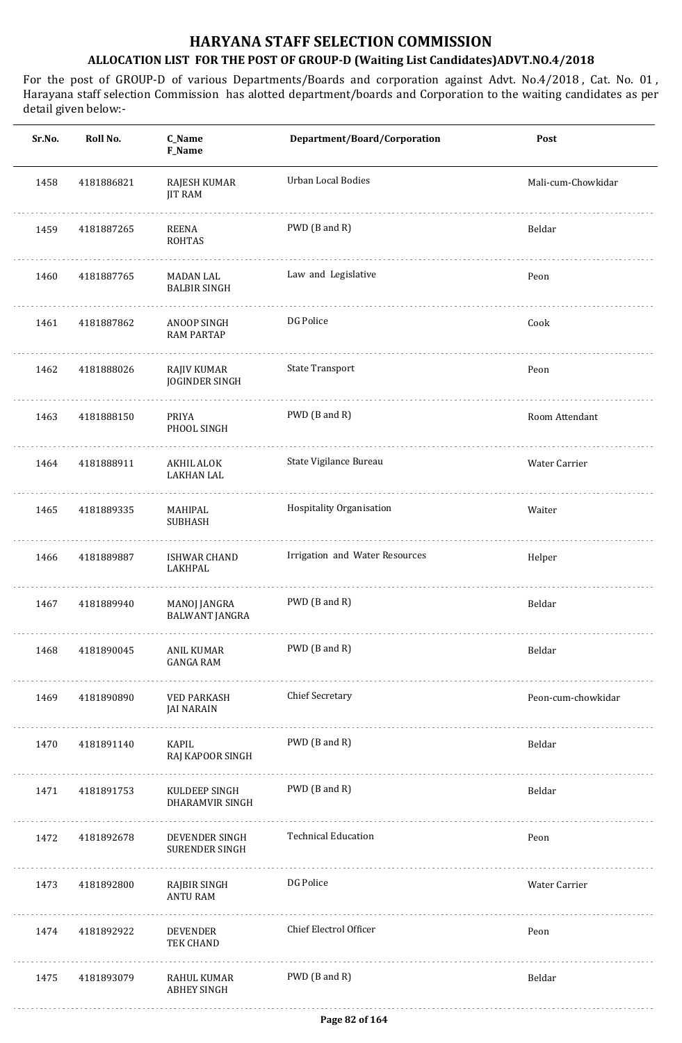| Sr.No. | Roll No.   | C_Name<br><b>F_Name</b>                 | Department/Board/Corporation   | Post               |
|--------|------------|-----------------------------------------|--------------------------------|--------------------|
| 1458   | 4181886821 | RAJESH KUMAR<br><b>JIT RAM</b>          | Urban Local Bodies             | Mali-cum-Chowkidar |
| 1459   | 4181887265 | REENA<br><b>ROHTAS</b>                  | PWD (B and R)                  | Beldar             |
| 1460   | 4181887765 | <b>MADAN LAL</b><br><b>BALBIR SINGH</b> | Law and Legislative            | Peon               |
| 1461   | 4181887862 | ANOOP SINGH<br><b>RAM PARTAP</b>        | DG Police                      | Cook               |
| 1462   | 4181888026 | RAJIV KUMAR<br><b>JOGINDER SINGH</b>    | <b>State Transport</b>         | Peon               |
| 1463   | 4181888150 | PRIYA<br>PHOOL SINGH                    | PWD (B and R)                  | Room Attendant     |
| 1464   | 4181888911 | AKHIL ALOK<br><b>LAKHAN LAL</b>         | State Vigilance Bureau         | Water Carrier      |
| 1465   | 4181889335 | MAHIPAL<br><b>SUBHASH</b>               | Hospitality Organisation       | Waiter             |
| 1466   | 4181889887 | <b>ISHWAR CHAND</b><br>LAKHPAL          | Irrigation and Water Resources | Helper             |
| 1467   | 4181889940 | MANOJ JANGRA<br><b>BALWANT JANGRA</b>   | PWD (B and R)                  | Beldar             |
| 1468   | 4181890045 | ANIL KUMAR<br><b>GANGA RAM</b>          | PWD (B and R)                  | Beldar             |
| 1469   | 4181890890 | <b>VED PARKASH</b><br><b>JAI NARAIN</b> | <b>Chief Secretary</b>         | Peon-cum-chowkidar |
| 1470   | 4181891140 | <b>KAPIL</b><br>RAJ KAPOOR SINGH        | PWD (B and R)                  | Beldar             |
| 1471   | 4181891753 | KULDEEP SINGH<br>DHARAMVIR SINGH        | PWD (B and R)                  | Beldar             |
| 1472   | 4181892678 | DEVENDER SINGH<br>SURENDER SINGH        | <b>Technical Education</b>     | Peon               |
| 1473   | 4181892800 | RAJBIR SINGH<br><b>ANTU RAM</b>         | DG Police                      | Water Carrier      |
| 1474   | 4181892922 | <b>DEVENDER</b><br>TEK CHAND            | Chief Electrol Officer         | Peon               |
| 1475   | 4181893079 | RAHUL KUMAR<br><b>ABHEY SINGH</b>       | PWD (B and R)                  | Beldar             |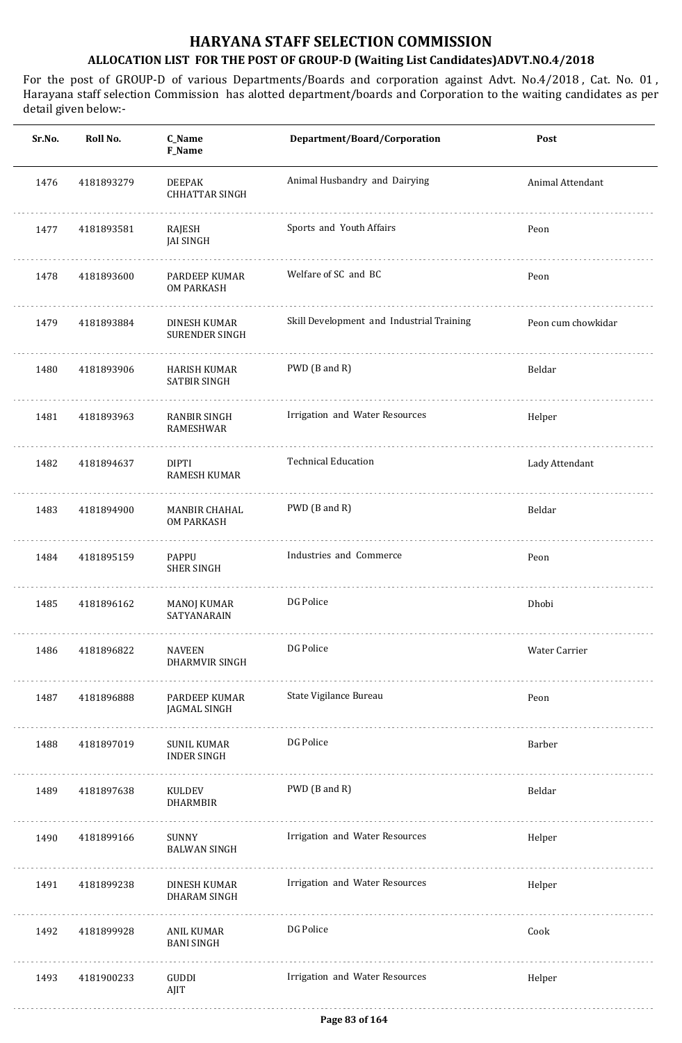| Sr.No. | Roll No.   | C_Name<br><b>F_Name</b>                  | Department/Board/Corporation              | Post               |
|--------|------------|------------------------------------------|-------------------------------------------|--------------------|
| 1476   | 4181893279 | <b>DEEPAK</b><br><b>CHHATTAR SINGH</b>   | Animal Husbandry and Dairying             | Animal Attendant   |
| 1477   | 4181893581 | RAJESH<br><b>JAI SINGH</b>               | Sports and Youth Affairs                  | Peon               |
| 1478   | 4181893600 | PARDEEP KUMAR<br>OM PARKASH              | Welfare of SC and BC                      | Peon               |
| 1479   | 4181893884 | DINESH KUMAR<br>SURENDER SINGH           | Skill Development and Industrial Training | Peon cum chowkidar |
| 1480   | 4181893906 | HARISH KUMAR<br><b>SATBIR SINGH</b>      | PWD (B and R)                             | Beldar             |
| 1481   | 4181893963 | RANBIR SINGH<br>RAMESHWAR                | Irrigation and Water Resources            | Helper             |
| 1482   | 4181894637 | <b>DIPTI</b><br><b>RAMESH KUMAR</b>      | <b>Technical Education</b>                | Lady Attendant     |
| 1483   | 4181894900 | MANBIR CHAHAL<br>OM PARKASH              | PWD (B and R)                             | Beldar             |
| 1484   | 4181895159 | PAPPU<br><b>SHER SINGH</b>               | Industries and Commerce                   | Peon               |
| 1485   | 4181896162 | <b>MANOJ KUMAR</b><br>SATYANARAIN        | DG Police                                 | Dhobi              |
| 1486   | 4181896822 | <b>NAVEEN</b><br>DHARMVIR SINGH          | DG Police                                 | Water Carrier      |
| 1487   | 4181896888 | PARDEEP KUMAR<br>JAGMAL SINGH            | State Vigilance Bureau                    | Peon               |
| 1488   | 4181897019 | <b>SUNIL KUMAR</b><br><b>INDER SINGH</b> | DG Police                                 | Barber             |
| 1489   | 4181897638 | KULDEV<br><b>DHARMBIR</b>                | PWD (B and R)                             | Beldar             |
| 1490   | 4181899166 | SUNNY<br><b>BALWAN SINGH</b>             | Irrigation and Water Resources            | Helper             |
| 1491   | 4181899238 | DINESH KUMAR<br>DHARAM SINGH             | Irrigation and Water Resources            | Helper             |
| 1492   | 4181899928 | ANIL KUMAR<br><b>BANI SINGH</b>          | DG Police                                 | Cook               |
| 1493   | 4181900233 | GUDDI<br>AJIT                            | Irrigation and Water Resources            | Helper             |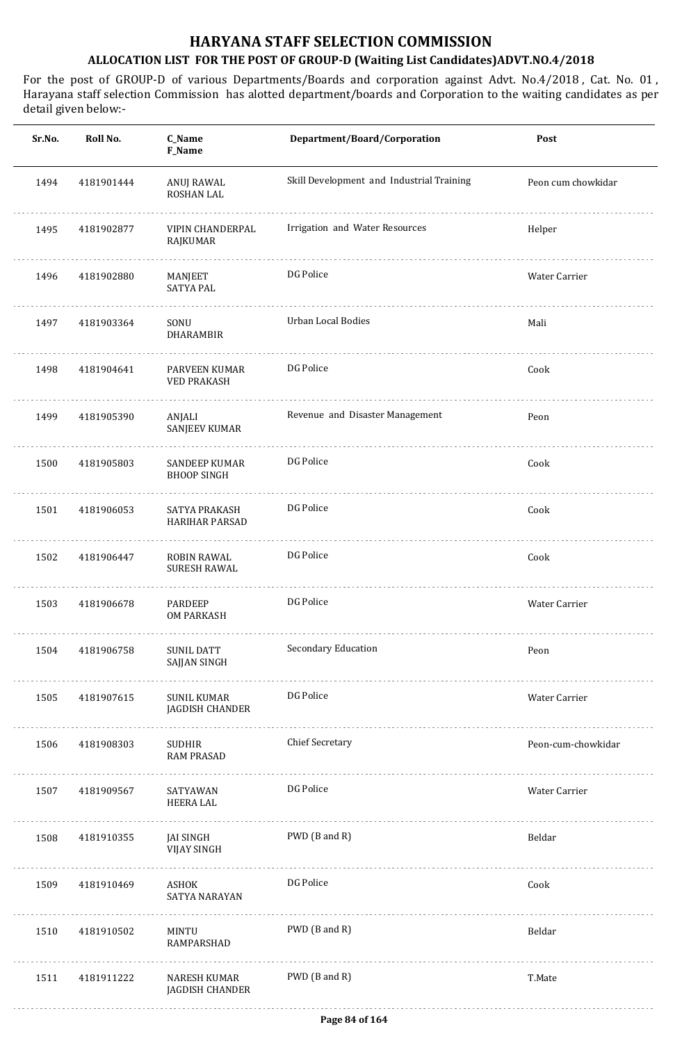| Sr.No. | Roll No.   | C_Name<br>F_Name                    | Department/Board/Corporation              | Post               |
|--------|------------|-------------------------------------|-------------------------------------------|--------------------|
| 1494   | 4181901444 | ANUJ RAWAL<br>ROSHAN LAL            | Skill Development and Industrial Training | Peon cum chowkidar |
| 1495   | 4181902877 | VIPIN CHANDERPAL<br>RAJKUMAR        | Irrigation and Water Resources            | Helper             |
| 1496   | 4181902880 | MANJEET<br><b>SATYA PAL</b>         | DG Police                                 | Water Carrier      |
| 1497   | 4181903364 | SONU<br>DHARAMBIR                   | Urban Local Bodies                        | Mali               |
| 1498   | 4181904641 | PARVEEN KUMAR<br><b>VED PRAKASH</b> | DG Police                                 | Cook               |
| 1499   | 4181905390 | ANJALI<br><b>SANJEEV KUMAR</b>      | Revenue and Disaster Management           | Peon               |
| 1500   | 4181905803 | SANDEEP KUMAR<br><b>BHOOP SINGH</b> | DG Police                                 | Cook               |
| 1501   | 4181906053 | SATYA PRAKASH<br>HARIHAR PARSAD     | DG Police                                 | Cook               |
| 1502   | 4181906447 | ROBIN RAWAL<br><b>SURESH RAWAL</b>  | DG Police                                 | Cook               |
| 1503   | 4181906678 | <b>PARDEEP</b><br><b>OM PARKASH</b> | DG Police                                 | Water Carrier      |
| 1504   | 4181906758 | SUNIL DATT<br>SAJJAN SINGH          | Secondary Education                       | Peon               |
| 1505   | 4181907615 | SUNIL KUMAR<br>JAGDISH CHANDER      | DG Police                                 | Water Carrier      |
| 1506   | 4181908303 | SUDHIR<br><b>RAM PRASAD</b>         | <b>Chief Secretary</b>                    | Peon-cum-chowkidar |
| 1507   | 4181909567 | SATYAWAN<br>HEERA LAL               | DG Police                                 | Water Carrier      |
| 1508   | 4181910355 | JAI SINGH<br><b>VIJAY SINGH</b>     | PWD (B and R)                             | Beldar             |
| 1509   | 4181910469 | ASHOK<br>SATYA NARAYAN              | DG Police                                 | Cook               |
| 1510   | 4181910502 | MINTU<br>RAMPARSHAD                 | PWD (B and R)                             | Beldar             |
| 1511   | 4181911222 | NARESH KUMAR<br>JAGDISH CHANDER     | PWD (B and R)                             | T.Mate             |
|        |            |                                     |                                           |                    |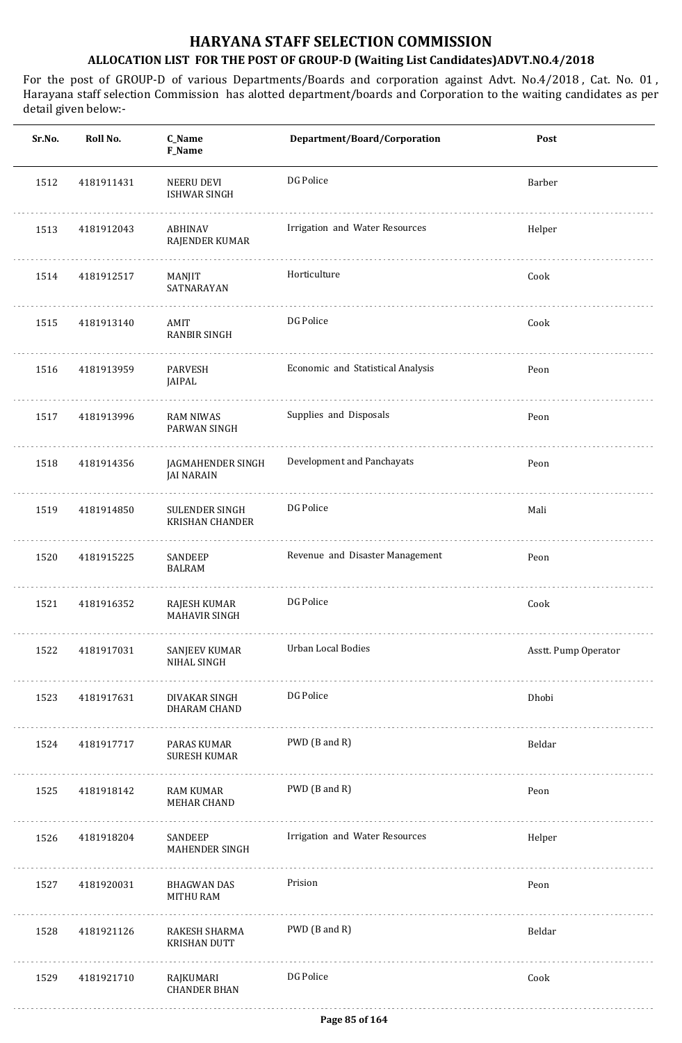| Sr.No. | Roll No.   | C_Name<br><b>F_Name</b>                  | Department/Board/Corporation      | Post                 |
|--------|------------|------------------------------------------|-----------------------------------|----------------------|
| 1512   | 4181911431 | NEERU DEVI<br><b>ISHWAR SINGH</b>        | DG Police                         | Barber               |
| 1513   | 4181912043 | <b>ABHINAV</b><br>RAJENDER KUMAR         | Irrigation and Water Resources    | Helper               |
| 1514   | 4181912517 | MANJIT<br>SATNARAYAN                     | Horticulture                      | Cook                 |
| 1515   | 4181913140 | AMIT<br><b>RANBIR SINGH</b>              | DG Police                         | Cook                 |
| 1516   | 4181913959 | PARVESH<br>JAIPAL                        | Economic and Statistical Analysis | Peon                 |
| 1517   | 4181913996 | <b>RAM NIWAS</b><br>PARWAN SINGH         | Supplies and Disposals            | Peon                 |
| 1518   | 4181914356 | JAGMAHENDER SINGH<br><b>JAI NARAIN</b>   | Development and Panchayats        | Peon                 |
| 1519   | 4181914850 | SULENDER SINGH<br><b>KRISHAN CHANDER</b> | DG Police                         | Mali                 |
| 1520   | 4181915225 | SANDEEP<br><b>BALRAM</b>                 | Revenue and Disaster Management   | Peon                 |
| 1521   | 4181916352 | RAJESH KUMAR<br><b>MAHAVIR SINGH</b>     | DG Police                         | Cook                 |
| 1522   | 4181917031 | SANJEEV KUMAR<br>NIHAL SINGH             | Urban Local Bodies                | Asstt. Pump Operator |
| 1523   | 4181917631 | DIVAKAR SINGH<br>DHARAM CHAND            | DG Police                         | Dhobi                |
| 1524   | 4181917717 | PARAS KUMAR<br><b>SURESH KUMAR</b>       | PWD (B and R)                     | Beldar               |
| 1525   | 4181918142 | <b>RAM KUMAR</b><br><b>MEHAR CHAND</b>   | PWD (B and R)                     | Peon                 |
| 1526   | 4181918204 | SANDEEP<br><b>MAHENDER SINGH</b>         | Irrigation and Water Resources    | Helper               |
| 1527   | 4181920031 | <b>BHAGWAN DAS</b><br><b>MITHU RAM</b>   | Prision                           | Peon                 |
| 1528   | 4181921126 | RAKESH SHARMA<br><b>KRISHAN DUTT</b>     | PWD (B and R)                     | Beldar               |
| 1529   | 4181921710 | RAJKUMARI<br><b>CHANDER BHAN</b>         | DG Police                         | Cook                 |
|        |            |                                          |                                   |                      |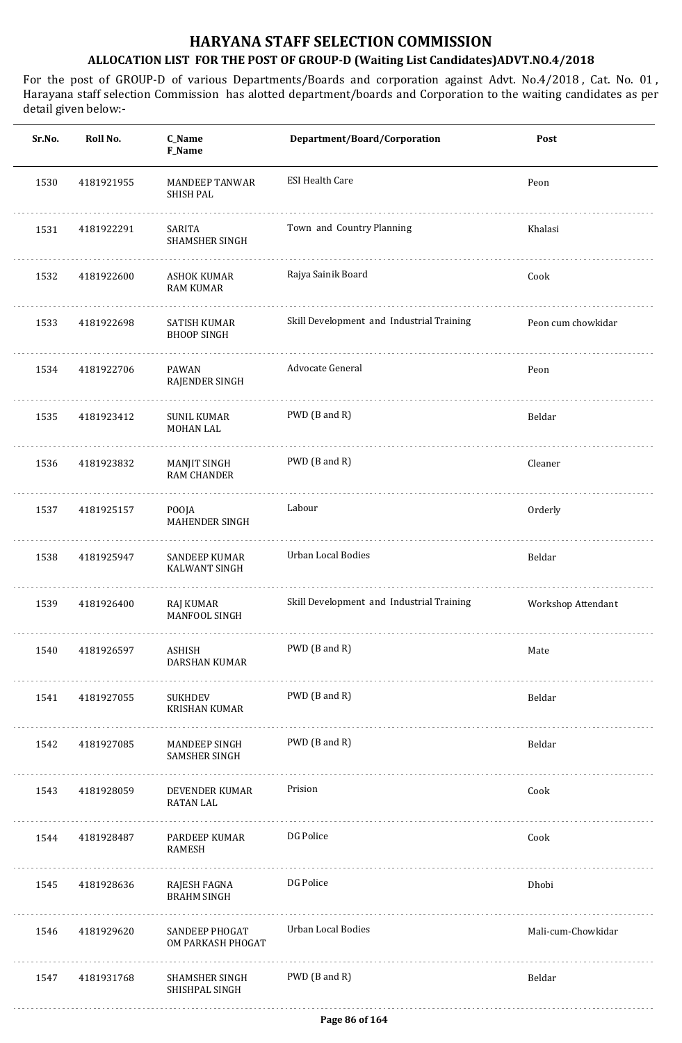| Sr.No. | Roll No.   | <b>C_Name</b><br>F_Name                      | Department/Board/Corporation              | Post               |
|--------|------------|----------------------------------------------|-------------------------------------------|--------------------|
| 1530   | 4181921955 | <b>MANDEEP TANWAR</b><br><b>SHISH PAL</b>    | <b>ESI Health Care</b>                    | Peon               |
| 1531   | 4181922291 | SARITA<br>SHAMSHER SINGH                     | Town and Country Planning                 | Khalasi            |
| 1532   | 4181922600 | ASHOK KUMAR<br><b>RAM KUMAR</b>              | Rajya Sainik Board                        | Cook               |
| 1533   | 4181922698 | <b>SATISH KUMAR</b><br><b>BHOOP SINGH</b>    | Skill Development and Industrial Training | Peon cum chowkidar |
| 1534   | 4181922706 | PAWAN<br>RAJENDER SINGH                      | Advocate General                          | Peon               |
| 1535   | 4181923412 | <b>SUNIL KUMAR</b><br><b>MOHAN LAL</b>       | PWD (B and R)                             | Beldar             |
| 1536   | 4181923832 | MANJIT SINGH<br><b>RAM CHANDER</b>           | PWD (B and R)                             | Cleaner            |
| 1537   | 4181925157 | POOJA<br>MAHENDER SINGH                      | Labour                                    | Orderly            |
| 1538   | 4181925947 | <b>SANDEEP KUMAR</b><br><b>KALWANT SINGH</b> | <b>Urban Local Bodies</b>                 | Beldar             |
| 1539   | 4181926400 | RAJ KUMAR<br>MANFOOL SINGH                   | Skill Development and Industrial Training | Workshop Attendant |
| 1540   | 4181926597 | ASHISH<br><b>DARSHAN KUMAR</b>               | PWD (B and R)                             | Mate               |
| 1541   | 4181927055 | SUKHDEV<br><b>KRISHAN KUMAR</b>              | PWD (B and R)                             | Beldar             |
| 1542   | 4181927085 | MANDEEP SINGH<br>SAMSHER SINGH               | PWD (B and R)                             | Beldar             |
| 1543   | 4181928059 | DEVENDER KUMAR<br><b>RATAN LAL</b>           | Prision                                   | Cook               |
| 1544   | 4181928487 | PARDEEP KUMAR<br><b>RAMESH</b>               | DG Police                                 | Cook               |
| 1545   | 4181928636 | RAJESH FAGNA<br><b>BRAHM SINGH</b>           | DG Police                                 | Dhobi              |
| 1546   | 4181929620 | SANDEEP PHOGAT<br>OM PARKASH PHOGAT          | Urban Local Bodies                        | Mali-cum-Chowkidar |
| 1547   | 4181931768 | SHAMSHER SINGH<br>SHISHPAL SINGH             | PWD (B and R)                             | Beldar             |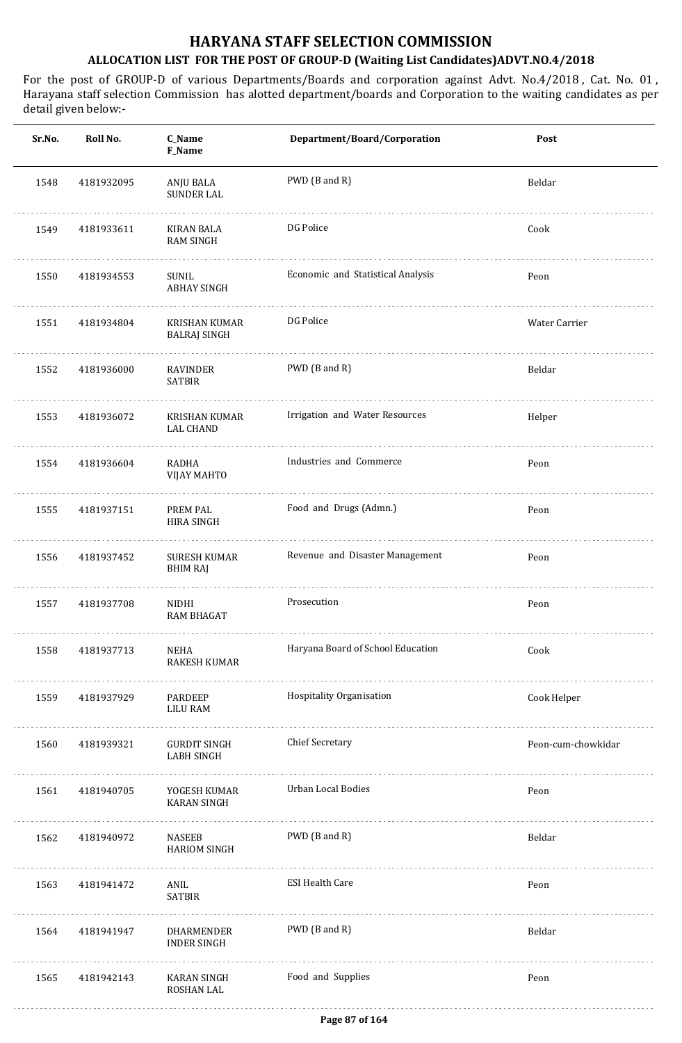| Sr.No. | Roll No.   | C_Name<br>F_Name                         | Department/Board/Corporation      | Post               |
|--------|------------|------------------------------------------|-----------------------------------|--------------------|
| 1548   | 4181932095 | ANJU BALA<br><b>SUNDER LAL</b>           | PWD (B and R)                     | Beldar             |
| 1549   | 4181933611 | <b>KIRAN BALA</b><br><b>RAM SINGH</b>    | DG Police                         | Cook               |
| 1550   | 4181934553 | SUNIL<br><b>ABHAY SINGH</b>              | Economic and Statistical Analysis | Peon               |
| 1551   | 4181934804 | KRISHAN KUMAR<br><b>BALRAJ SINGH</b>     | DG Police                         | Water Carrier      |
| 1552   | 4181936000 | RAVINDER<br>SATBIR                       | PWD (B and R)                     | Beldar             |
| 1553   | 4181936072 | KRISHAN KUMAR<br><b>LAL CHAND</b>        | Irrigation and Water Resources    | Helper             |
| 1554   | 4181936604 | RADHA<br><b>VIJAY MAHTO</b>              | Industries and Commerce           | Peon               |
| 1555   | 4181937151 | PREM PAL<br><b>HIRA SINGH</b>            | Food and Drugs (Admn.)            | Peon               |
| 1556   | 4181937452 | <b>SURESH KUMAR</b><br>BHIM RAJ          | Revenue and Disaster Management   | Peon               |
| 1557   | 4181937708 | NIDHI<br><b>RAM BHAGAT</b>               | Prosecution                       | Peon               |
| 1558   | 4181937713 | <b>NEHA</b><br><b>RAKESH KUMAR</b>       | Haryana Board of School Education | Cook               |
| 1559   | 4181937929 | PARDEEP<br><b>LILU RAM</b>               | Hospitality Organisation          | Cook Helper        |
| 1560   | 4181939321 | <b>GURDIT SINGH</b><br><b>LABH SINGH</b> | <b>Chief Secretary</b>            | Peon-cum-chowkidar |
| 1561   | 4181940705 | YOGESH KUMAR<br><b>KARAN SINGH</b>       | Urban Local Bodies                | Peon               |
| 1562   | 4181940972 | <b>NASEEB</b><br><b>HARIOM SINGH</b>     | PWD (B and R)                     | Beldar             |
| 1563   | 4181941472 | ANIL<br><b>SATBIR</b>                    | <b>ESI Health Care</b>            | Peon               |
| 1564   | 4181941947 | DHARMENDER<br><b>INDER SINGH</b>         | PWD (B and R)                     | Beldar             |
| 1565   | 4181942143 | <b>KARAN SINGH</b><br>ROSHAN LAL         | Food and Supplies                 | Peon               |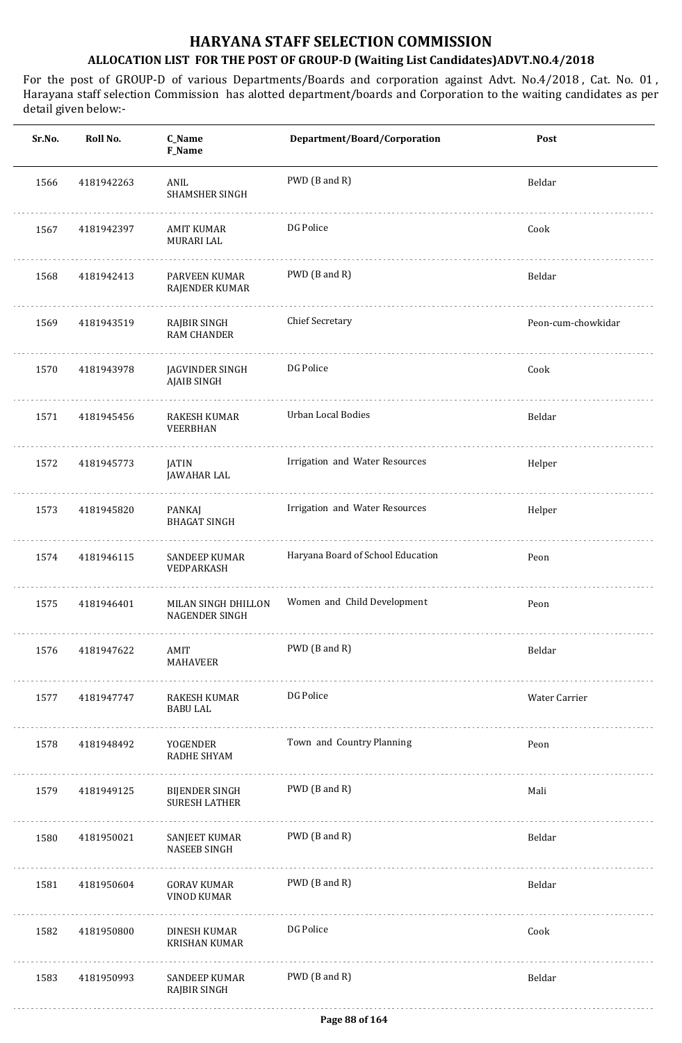| Sr.No. | Roll No.   | C_Name<br>F_Name                             | Department/Board/Corporation      | Post               |
|--------|------------|----------------------------------------------|-----------------------------------|--------------------|
| 1566   | 4181942263 | ANIL<br><b>SHAMSHER SINGH</b>                | PWD (B and R)                     | Beldar             |
| 1567   | 4181942397 | AMIT KUMAR<br><b>MURARI LAL</b>              | DG Police                         | Cook               |
| 1568   | 4181942413 | <b>PARVEEN KUMAR</b><br>RAJENDER KUMAR       | PWD (B and R)                     | Beldar             |
| 1569   | 4181943519 | RAJBIR SINGH<br><b>RAM CHANDER</b>           | Chief Secretary                   | Peon-cum-chowkidar |
| 1570   | 4181943978 | JAGVINDER SINGH<br>AJAIB SINGH               | DG Police                         | Cook               |
| 1571   | 4181945456 | RAKESH KUMAR<br>VEERBHAN                     | Urban Local Bodies                | Beldar             |
| 1572   | 4181945773 | JATIN<br>JAWAHAR LAL                         | Irrigation and Water Resources    | Helper             |
| 1573   | 4181945820 | PANKAJ<br><b>BHAGAT SINGH</b>                | Irrigation and Water Resources    | Helper             |
| 1574   | 4181946115 | SANDEEP KUMAR<br>VEDPARKASH                  | Haryana Board of School Education | Peon               |
| 1575   | 4181946401 | MILAN SINGH DHILLON<br><b>NAGENDER SINGH</b> | Women and Child Development       | Peon               |
| 1576   | 4181947622 | AMIT<br>MAHAVEER                             | PWD (B and R)                     | Beldar             |
| 1577   | 4181947747 | RAKESH KUMAR<br><b>BABU LAL</b>              | DG Police                         | Water Carrier      |
| 1578   | 4181948492 | YOGENDER<br>RADHE SHYAM                      | Town and Country Planning         | Peon               |
| 1579   | 4181949125 | BIJENDER SINGH<br><b>SURESH LATHER</b>       | PWD (B and R)                     | Mali               |
| 1580   | 4181950021 | SANJEET KUMAR<br><b>NASEEB SINGH</b>         | PWD (B and R)                     | Beldar             |
| 1581   | 4181950604 | <b>GORAV KUMAR</b><br><b>VINOD KUMAR</b>     | PWD (B and R)                     | Beldar             |
| 1582   | 4181950800 | DINESH KUMAR<br><b>KRISHAN KUMAR</b>         | DG Police                         | Cook               |
| 1583   | 4181950993 | SANDEEP KUMAR<br><b>RAJBIR SINGH</b>         | PWD (B and R)                     | Beldar             |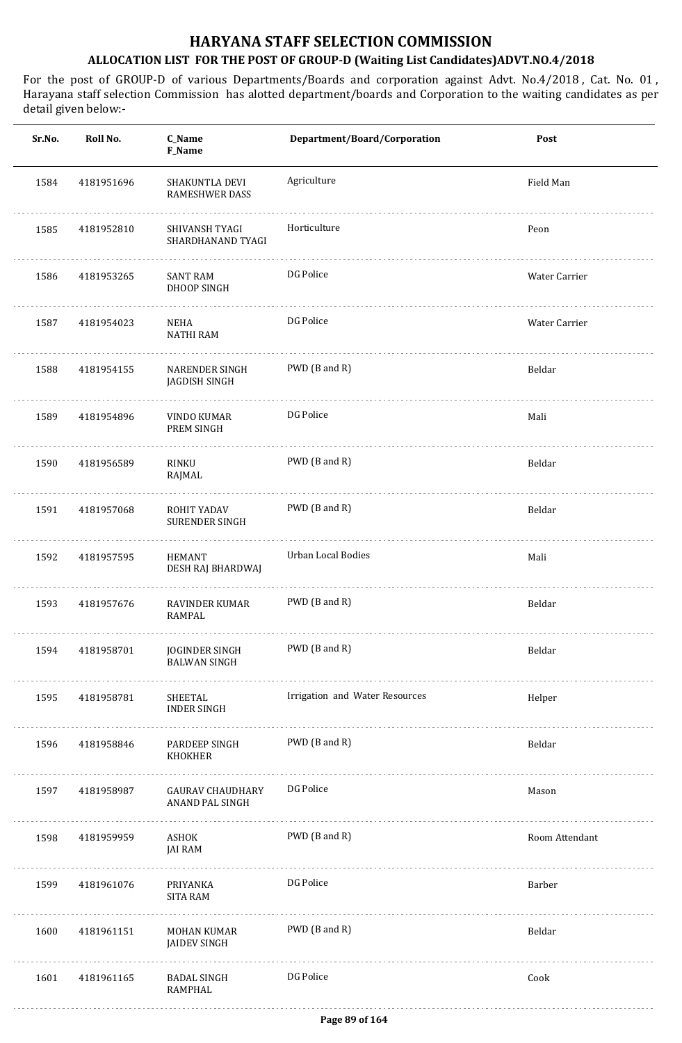| Sr.No. | Roll No.   | C_Name<br>F_Name                           | Department/Board/Corporation   | Post           |
|--------|------------|--------------------------------------------|--------------------------------|----------------|
| 1584   | 4181951696 | SHAKUNTLA DEVI<br><b>RAMESHWER DASS</b>    | Agriculture                    | Field Man      |
| 1585   | 4181952810 | SHIVANSH TYAGI<br>SHARDHANAND TYAGI        | Horticulture                   | Peon           |
| 1586   | 4181953265 | SANT RAM<br>DHOOP SINGH                    | DG Police                      | Water Carrier  |
| 1587   | 4181954023 | NEHA<br><b>NATHI RAM</b>                   | DG Police                      | Water Carrier  |
| 1588   | 4181954155 | <b>NARENDER SINGH</b><br>JAGDISH SINGH     | PWD (B and R)                  | Beldar         |
| 1589   | 4181954896 | VINDO KUMAR<br>PREM SINGH                  | DG Police                      | Mali           |
| 1590   | 4181956589 | RINKU<br>RAJMAL                            | PWD (B and R)                  | Beldar         |
| 1591   | 4181957068 | ROHIT YADAV<br><b>SURENDER SINGH</b>       | PWD (B and R)                  | Beldar         |
| 1592   | 4181957595 | <b>HEMANT</b><br>DESH RAJ BHARDWAJ         | Urban Local Bodies             | Mali           |
| 1593   | 4181957676 | <b>RAVINDER KUMAR</b><br>RAMPAL            | PWD (B and R)                  | Beldar         |
| 1594   | 4181958701 | JOGINDER SINGH<br><b>BALWAN SINGH</b>      | PWD (B and R)                  | Beldar         |
| 1595   | 4181958781 | SHEETAL<br><b>INDER SINGH</b>              | Irrigation and Water Resources | Helper         |
| 1596   | 4181958846 | PARDEEP SINGH<br>KHOKHER                   | PWD (B and R)                  | Beldar         |
| 1597   | 4181958987 | <b>GAURAV CHAUDHARY</b><br>ANAND PAL SINGH | DG Police                      | Mason          |
| 1598   | 4181959959 | ASHOK<br><b>JAI RAM</b>                    | PWD (B and R)                  | Room Attendant |
| 1599   | 4181961076 | PRIYANKA<br><b>SITA RAM</b>                | DG Police                      | Barber         |
| 1600   | 4181961151 | MOHAN KUMAR<br><b>JAIDEV SINGH</b>         | PWD (B and R)                  | Beldar         |
| 1601   | 4181961165 | <b>BADAL SINGH</b><br><b>RAMPHAL</b>       | DG Police                      | Cook           |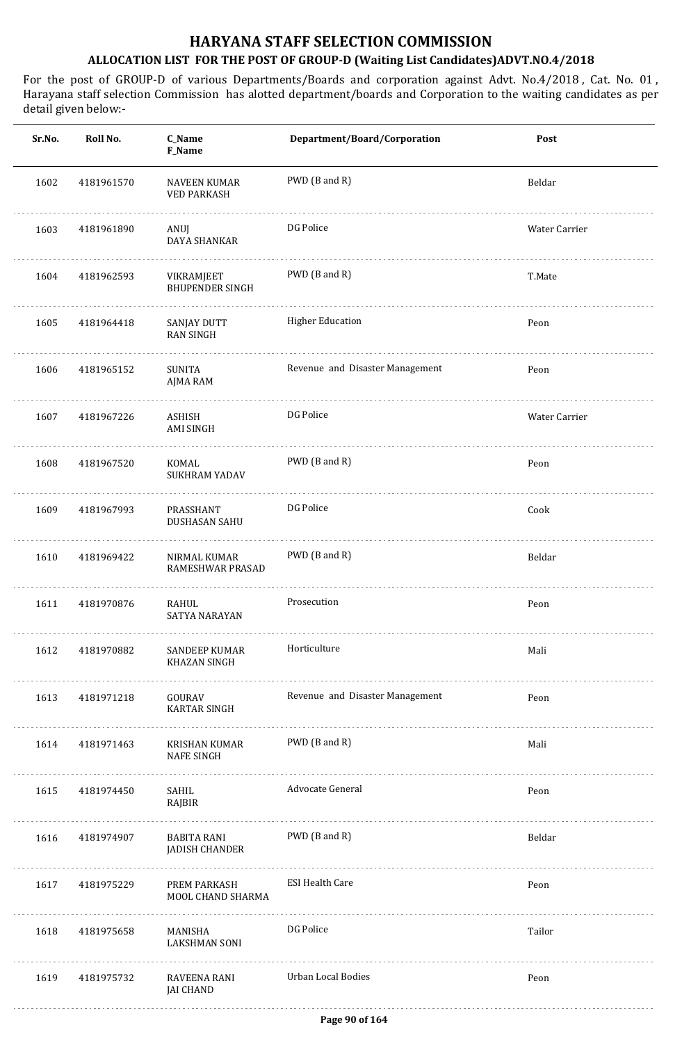| Sr.No. | Roll No.   | C_Name<br>F_Name                            | Department/Board/Corporation    | Post          |
|--------|------------|---------------------------------------------|---------------------------------|---------------|
| 1602   | 4181961570 | <b>NAVEEN KUMAR</b><br><b>VED PARKASH</b>   | PWD (B and R)                   | Beldar        |
| 1603   | 4181961890 | ANUJ<br>DAYA SHANKAR                        | DG Police                       | Water Carrier |
| 1604   | 4181962593 | VIKRAMJEET<br><b>BHUPENDER SINGH</b>        | PWD (B and R)                   | T.Mate        |
| 1605   | 4181964418 | SANJAY DUTT<br><b>RAN SINGH</b>             | <b>Higher Education</b>         | Peon          |
| 1606   | 4181965152 | SUNITA<br>AJMA RAM                          | Revenue and Disaster Management | Peon          |
| 1607   | 4181967226 | <b>ASHISH</b><br>AMI SINGH                  | DG Police                       | Water Carrier |
| 1608   | 4181967520 | KOMAL<br>SUKHRAM YADAV                      | PWD (B and R)                   | Peon          |
| 1609   | 4181967993 | PRASSHANT<br>DUSHASAN SAHU                  | DG Police                       | Cook          |
| 1610   | 4181969422 | NIRMAL KUMAR<br>RAMESHWAR PRASAD            | PWD (B and R)                   | Beldar        |
| 1611   | 4181970876 | RAHUL<br>SATYA NARAYAN                      | Prosecution                     | Peon          |
| 1612   | 4181970882 | SANDEEP KUMAR<br>KHAZAN SINGH               | Horticulture                    | Mali          |
| 1613   | 4181971218 | GOURAV<br><b>KARTAR SINGH</b>               | Revenue and Disaster Management | Peon          |
| 1614   | 4181971463 | KRISHAN KUMAR<br><b>NAFE SINGH</b>          | PWD (B and R)                   | Mali          |
| 1615   | 4181974450 | SAHIL<br>RAJBIR                             | Advocate General                | Peon          |
| 1616   | 4181974907 | <b>BABITA RANI</b><br><b>JADISH CHANDER</b> | PWD (B and R)                   | Beldar        |
| 1617   | 4181975229 | PREM PARKASH<br>MOOL CHAND SHARMA           | <b>ESI Health Care</b>          | Peon          |
| 1618   | 4181975658 | MANISHA<br><b>LAKSHMAN SONI</b>             | DG Police                       | Tailor        |
| 1619   | 4181975732 | RAVEENA RANI<br><b>JAI CHAND</b>            | <b>Urban Local Bodies</b>       | Peon          |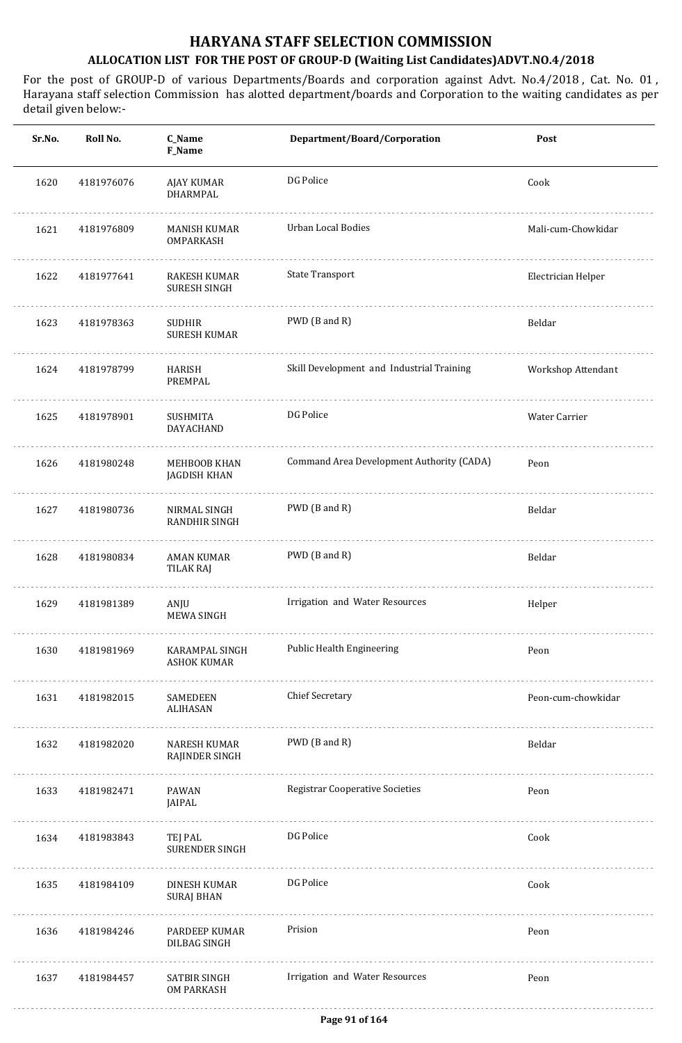| Sr.No. | Roll No.   | C_Name<br>F_Name                     | Department/Board/Corporation              | Post               |
|--------|------------|--------------------------------------|-------------------------------------------|--------------------|
| 1620   | 4181976076 | AJAY KUMAR<br><b>DHARMPAL</b>        | DG Police                                 | Cook               |
| 1621   | 4181976809 | MANISH KUMAR<br>OMPARKASH            | <b>Urban Local Bodies</b>                 | Mali-cum-Chowkidar |
| 1622   | 4181977641 | RAKESH KUMAR<br>SURESH SINGH         | <b>State Transport</b>                    | Electrician Helper |
| 1623   | 4181978363 | <b>SUDHIR</b><br><b>SURESH KUMAR</b> | PWD (B and R)                             | Beldar             |
| 1624   | 4181978799 | HARISH<br>PREMPAL                    | Skill Development and Industrial Training | Workshop Attendant |
| 1625   | 4181978901 | SUSHMITA<br>DAYACHAND                | DG Police                                 | Water Carrier      |
| 1626   | 4181980248 | MEHBOOB KHAN<br>JAGDISH KHAN         | Command Area Development Authority (CADA) | Peon               |
| 1627   | 4181980736 | NIRMAL SINGH<br>RANDHIR SINGH        | PWD (B and R)                             | Beldar             |
| 1628   | 4181980834 | <b>AMAN KUMAR</b><br>TILAK RAJ       | PWD (B and R)                             | Beldar             |
| 1629   | 4181981389 | ANJU<br><b>MEWA SINGH</b>            | Irrigation and Water Resources            | Helper             |
| 1630   | 4181981969 | KARAMPAL SINGH<br><b>ASHOK KUMAR</b> | Public Health Engineering                 | Peon               |
| 1631   | 4181982015 | SAMEDEEN<br>ALIHASAN                 | <b>Chief Secretary</b>                    | Peon-cum-chowkidar |
| 1632   | 4181982020 | NARESH KUMAR<br>RAJINDER SINGH       | PWD (B and R)                             | Beldar             |
| 1633   | 4181982471 | PAWAN<br>JAIPAL                      | <b>Registrar Cooperative Societies</b>    | Peon               |
| 1634   | 4181983843 | TEJ PAL<br>SURENDER SINGH            | DG Police                                 | Cook               |
| 1635   | 4181984109 | DINESH KUMAR<br><b>SURAJ BHAN</b>    | DG Police                                 | Cook               |
| 1636   | 4181984246 | PARDEEP KUMAR<br>DILBAG SINGH        | Prision                                   | Peon               |
| 1637   | 4181984457 | SATBIR SINGH<br><b>OM PARKASH</b>    | Irrigation and Water Resources            | Peon               |
|        |            |                                      |                                           |                    |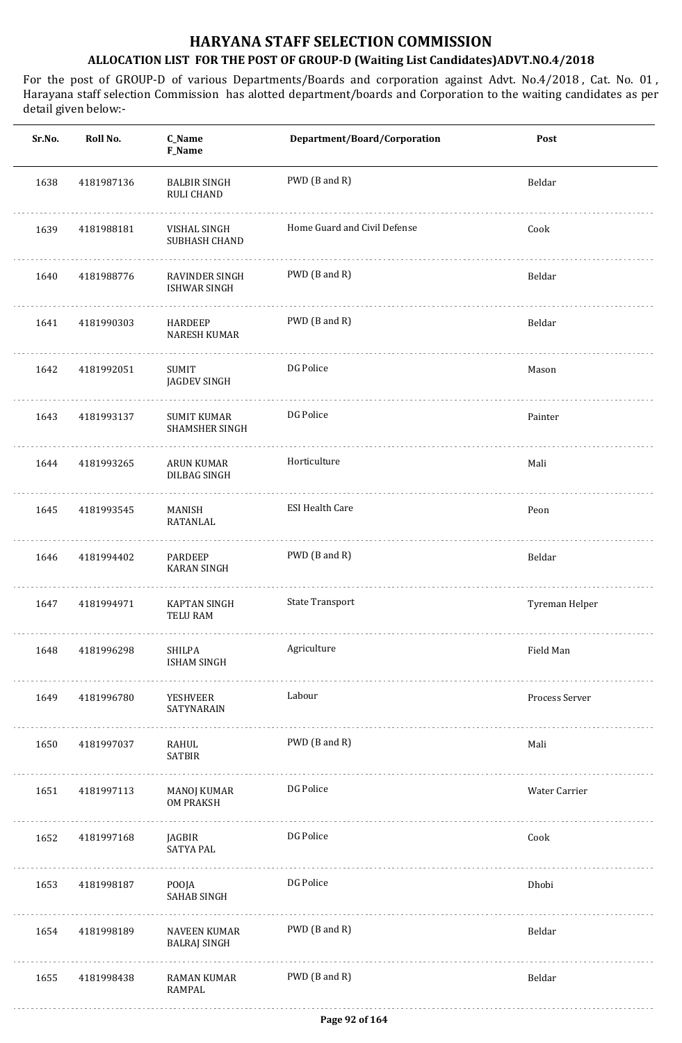| Sr.No. | Roll No.   | C_Name<br>F_Name                     | Department/Board/Corporation | Post           |
|--------|------------|--------------------------------------|------------------------------|----------------|
| 1638   | 4181987136 | <b>BALBIR SINGH</b><br>RULI CHAND    | PWD (B and R)                | Beldar         |
| 1639   | 4181988181 | VISHAL SINGH<br>SUBHASH CHAND        | Home Guard and Civil Defense | Cook           |
| 1640   | 4181988776 | RAVINDER SINGH<br>ISHWAR SINGH       | PWD (B and R)                | Beldar         |
| 1641   | 4181990303 | HARDEEP<br>NARESH KUMAR              | PWD (B and R)                | Beldar         |
| 1642   | 4181992051 | SUMIT<br>JAGDEV SINGH                | DG Police                    | Mason          |
| 1643   | 4181993137 | <b>SUMIT KUMAR</b><br>SHAMSHER SINGH | DG Police                    | Painter        |
| 1644   | 4181993265 | ARUN KUMAR<br>DILBAG SINGH           | Horticulture                 | Mali           |
| 1645   | 4181993545 | MANISH<br>RATANLAL                   | <b>ESI Health Care</b>       | Peon           |
| 1646   | 4181994402 | PARDEEP<br><b>KARAN SINGH</b>        | PWD (B and R)                | Beldar         |
| 1647   | 4181994971 | <b>KAPTAN SINGH</b><br>TELU RAM      | <b>State Transport</b>       | Tyreman Helper |
| 1648   | 4181996298 | SHILPA<br><b>ISHAM SINGH</b>         | Agriculture                  | Field Man      |
| 1649   | 4181996780 | YESHVEER<br>SATYNARAIN               | Labour                       | Process Server |
| 1650   | 4181997037 | RAHUL<br><b>SATBIR</b>               | PWD (B and R)                | Mali           |
| 1651   | 4181997113 | MANOJ KUMAR<br>OM PRAKSH             | DG Police                    | Water Carrier  |
| 1652   | 4181997168 | JAGBIR<br>SATYA PAL                  | DG Police                    | Cook           |
| 1653   | 4181998187 | POOJA<br>SAHAB SINGH                 | DG Police                    | Dhobi          |
| 1654   | 4181998189 | NAVEEN KUMAR<br><b>BALRAJ SINGH</b>  | PWD (B and R)                | Beldar         |
| 1655   | 4181998438 | RAMAN KUMAR<br>RAMPAL                | PWD (B and R)                | Beldar         |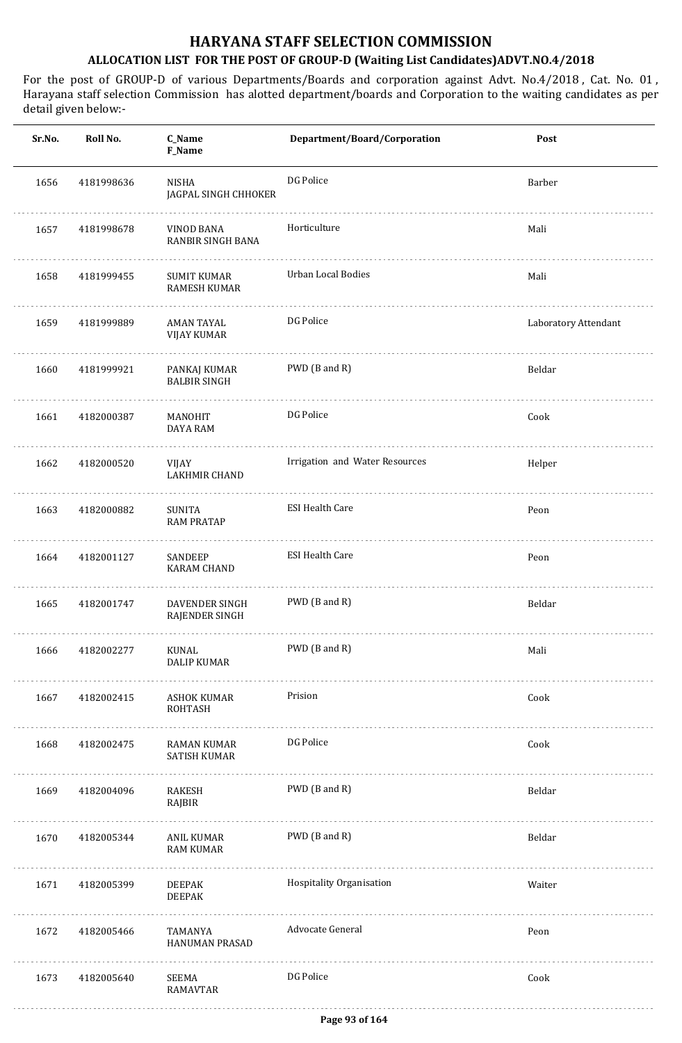| Sr.No. | Roll No.   | C_Name<br>F_Name                          | Department/Board/Corporation   | Post                 |
|--------|------------|-------------------------------------------|--------------------------------|----------------------|
| 1656   | 4181998636 | <b>NISHA</b><br>JAGPAL SINGH CHHOKER      | DG Police                      | Barber               |
| 1657   | 4181998678 | VINOD BANA<br>RANBIR SINGH BANA           | Horticulture                   | Mali                 |
| 1658   | 4181999455 | <b>SUMIT KUMAR</b><br><b>RAMESH KUMAR</b> | <b>Urban Local Bodies</b>      | Mali                 |
| 1659   | 4181999889 | AMAN TAYAL<br><b>VIJAY KUMAR</b>          | DG Police                      | Laboratory Attendant |
| 1660   | 4181999921 | PANKAJ KUMAR<br><b>BALBIR SINGH</b>       | PWD (B and R)                  | Beldar               |
| 1661   | 4182000387 | MANOHIT<br>DAYA RAM                       | DG Police                      | Cook                 |
| 1662   | 4182000520 | VIJAY<br>LAKHMIR CHAND                    | Irrigation and Water Resources | Helper               |
| 1663   | 4182000882 | <b>SUNITA</b><br><b>RAM PRATAP</b>        | <b>ESI Health Care</b>         | Peon                 |
| 1664   | 4182001127 | SANDEEP<br>KARAM CHAND                    | <b>ESI Health Care</b>         | Peon                 |
| 1665   | 4182001747 | <b>DAVENDER SINGH</b><br>RAJENDER SINGH   | PWD (B and R)                  | Beldar               |
| 1666   | 4182002277 | KUNAL<br><b>DALIP KUMAR</b>               | PWD (B and R)                  | Mali                 |
| 1667   | 4182002415 | ASHOK KUMAR<br><b>ROHTASH</b>             | Prision                        | Cook                 |
| 1668   | 4182002475 | <b>RAMAN KUMAR</b><br>SATISH KUMAR        | DG Police                      | Cook                 |
| 1669   | 4182004096 | RAKESH<br>RAJBIR                          | PWD (B and R)                  | Beldar               |
| 1670   | 4182005344 | ANIL KUMAR<br><b>RAM KUMAR</b>            | PWD (B and R)                  | Beldar               |
| 1671   | 4182005399 | <b>DEEPAK</b><br><b>DEEPAK</b>            | Hospitality Organisation       | Waiter               |
| 1672   | 4182005466 | TAMANYA<br>HANUMAN PRASAD                 | Advocate General               | Peon                 |
| 1673   | 4182005640 | SEEMA<br>RAMAVTAR                         | DG Police                      | Cook                 |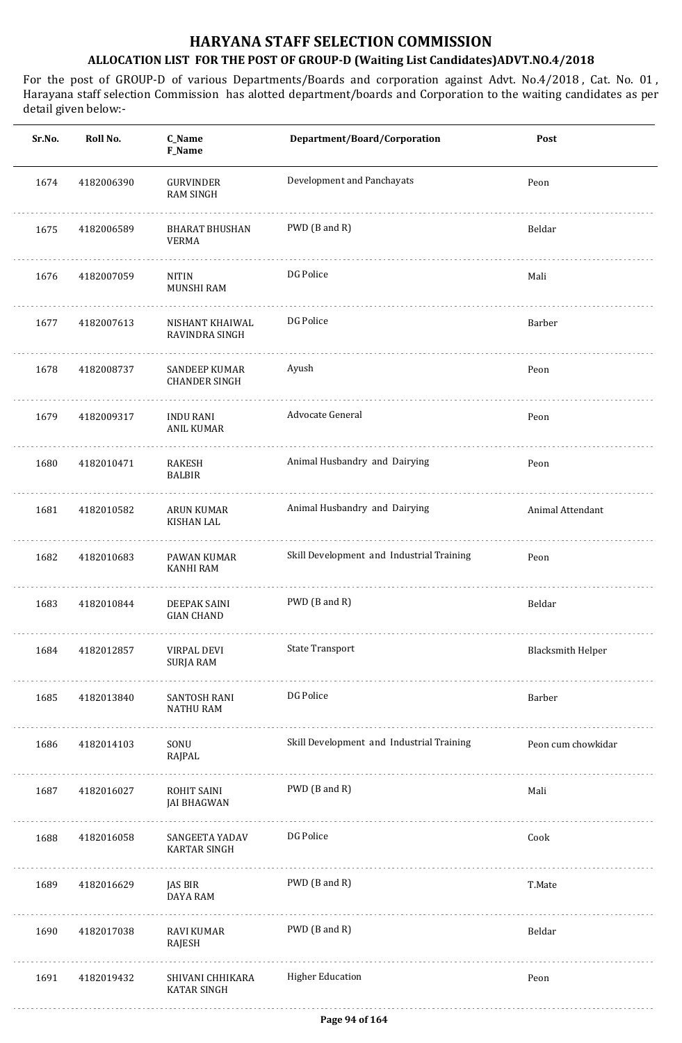| Sr.No. | Roll No.   | C_Name<br>F_Name                        | Department/Board/Corporation              | Post                     |
|--------|------------|-----------------------------------------|-------------------------------------------|--------------------------|
| 1674   | 4182006390 | <b>GURVINDER</b><br><b>RAM SINGH</b>    | Development and Panchayats                | Peon                     |
| 1675   | 4182006589 | <b>BHARAT BHUSHAN</b><br><b>VERMA</b>   | PWD (B and R)                             | Beldar                   |
| 1676   | 4182007059 | <b>NITIN</b><br>MUNSHI RAM              | DG Police                                 | Mali                     |
| 1677   | 4182007613 | NISHANT KHAIWAL<br>RAVINDRA SINGH       | DG Police                                 | Barber                   |
| 1678   | 4182008737 | SANDEEP KUMAR<br><b>CHANDER SINGH</b>   | Ayush                                     | Peon                     |
| 1679   | 4182009317 | <b>INDU RANI</b><br><b>ANIL KUMAR</b>   | Advocate General                          | Peon                     |
| 1680   | 4182010471 | RAKESH<br><b>BALBIR</b>                 | Animal Husbandry and Dairying             | Peon                     |
| 1681   | 4182010582 | <b>ARUN KUMAR</b><br><b>KISHAN LAL</b>  | Animal Husbandry and Dairying             | Animal Attendant         |
| 1682   | 4182010683 | PAWAN KUMAR<br><b>KANHI RAM</b>         | Skill Development and Industrial Training | Peon                     |
| 1683   | 4182010844 | DEEPAK SAINI<br><b>GIAN CHAND</b>       | PWD (B and R)                             | Beldar                   |
| 1684   | 4182012857 | VIRPAL DEVI<br><b>SURJA RAM</b>         | <b>State Transport</b>                    | <b>Blacksmith Helper</b> |
| 1685   | 4182013840 | <b>SANTOSH RANI</b><br><b>NATHU RAM</b> | DG Police                                 | Barber                   |
| 1686   | 4182014103 | SONU<br>RAJPAL                          | Skill Development and Industrial Training | Peon cum chowkidar       |
| 1687   | 4182016027 | ROHIT SAINI<br><b>JAI BHAGWAN</b>       | PWD (B and R)                             | Mali                     |
| 1688   | 4182016058 | SANGEETA YADAV<br><b>KARTAR SINGH</b>   | DG Police                                 | Cook                     |
| 1689   | 4182016629 | <b>JAS BIR</b><br>DAYA RAM              | PWD (B and R)                             | T.Mate                   |
| 1690   | 4182017038 | RAVI KUMAR<br><b>RAJESH</b>             | PWD (B and R)                             | Beldar                   |
| 1691   | 4182019432 | SHIVANI CHHIKARA<br><b>KATAR SINGH</b>  | <b>Higher Education</b>                   | Peon                     |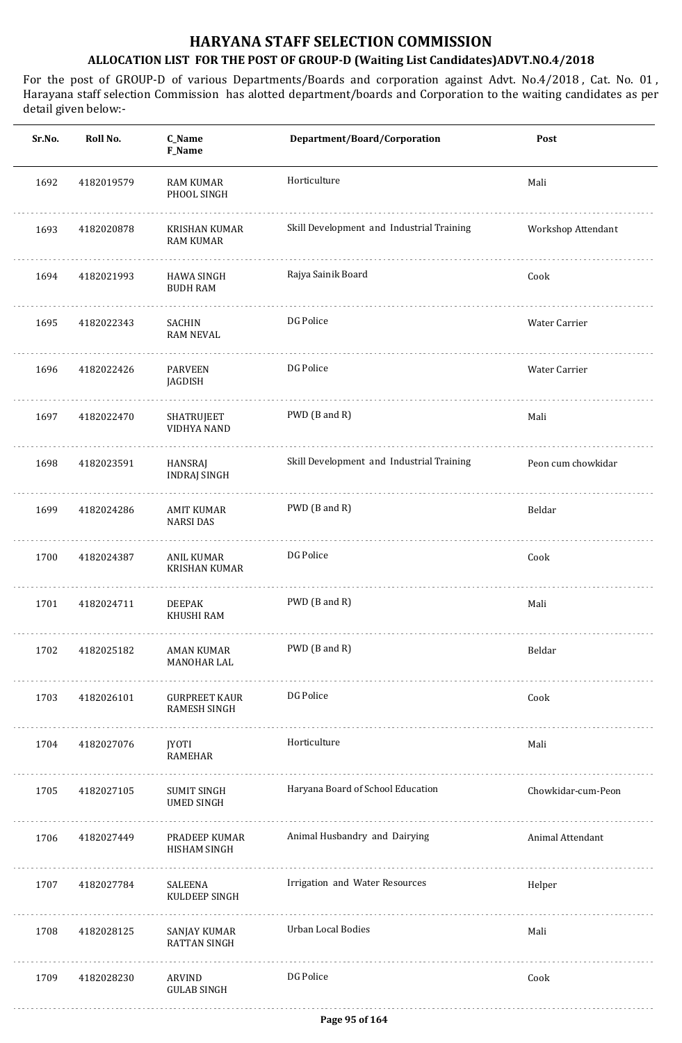| Sr.No. | Roll No.   | C_Name<br>F_Name                            | Department/Board/Corporation              | Post               |
|--------|------------|---------------------------------------------|-------------------------------------------|--------------------|
| 1692   | 4182019579 | <b>RAM KUMAR</b><br>PHOOL SINGH             | Horticulture                              | Mali               |
| 1693   | 4182020878 | KRISHAN KUMAR<br><b>RAM KUMAR</b>           | Skill Development and Industrial Training | Workshop Attendant |
| 1694   | 4182021993 | <b>HAWA SINGH</b><br><b>BUDH RAM</b>        | Rajya Sainik Board                        | Cook               |
| 1695   | 4182022343 | <b>SACHIN</b><br><b>RAM NEVAL</b>           | DG Police                                 | Water Carrier      |
| 1696   | 4182022426 | <b>PARVEEN</b><br><b>JAGDISH</b>            | DG Police                                 | Water Carrier      |
| 1697   | 4182022470 | <b>SHATRUJEET</b><br>VIDHYA NAND            | PWD (B and R)                             | Mali               |
| 1698   | 4182023591 | HANSRAJ<br><b>INDRAJ SINGH</b>              | Skill Development and Industrial Training | Peon cum chowkidar |
| 1699   | 4182024286 | <b>AMIT KUMAR</b><br><b>NARSIDAS</b>        | PWD (B and R)                             | Beldar             |
| 1700   | 4182024387 | ANIL KUMAR<br><b>KRISHAN KUMAR</b>          | DG Police                                 | Cook               |
| 1701   | 4182024711 | <b>DEEPAK</b><br>KHUSHI RAM                 | PWD (B and R)                             | Mali               |
| 1702   | 4182025182 | <b>AMAN KUMAR</b><br>MANOHAR LAL            | PWD (B and R)                             | Beldar             |
| 1703   | 4182026101 | <b>GURPREET KAUR</b><br><b>RAMESH SINGH</b> | DG Police                                 | Cook               |
| 1704   | 4182027076 | <b>JYOTI</b><br><b>RAMEHAR</b>              | Horticulture                              | Mali               |
| 1705   | 4182027105 | <b>SUMIT SINGH</b><br><b>UMED SINGH</b>     | Haryana Board of School Education         | Chowkidar-cum-Peon |
| 1706   | 4182027449 | PRADEEP KUMAR<br><b>HISHAM SINGH</b>        | Animal Husbandry and Dairying             | Animal Attendant   |
| 1707   | 4182027784 | SALEENA<br>KULDEEP SINGH                    | Irrigation and Water Resources            | Helper             |
| 1708   | 4182028125 | SANJAY KUMAR<br><b>RATTAN SINGH</b>         | Urban Local Bodies                        | Mali               |
| 1709   | 4182028230 | ARVIND<br><b>GULAB SINGH</b>                | DG Police                                 | Cook               |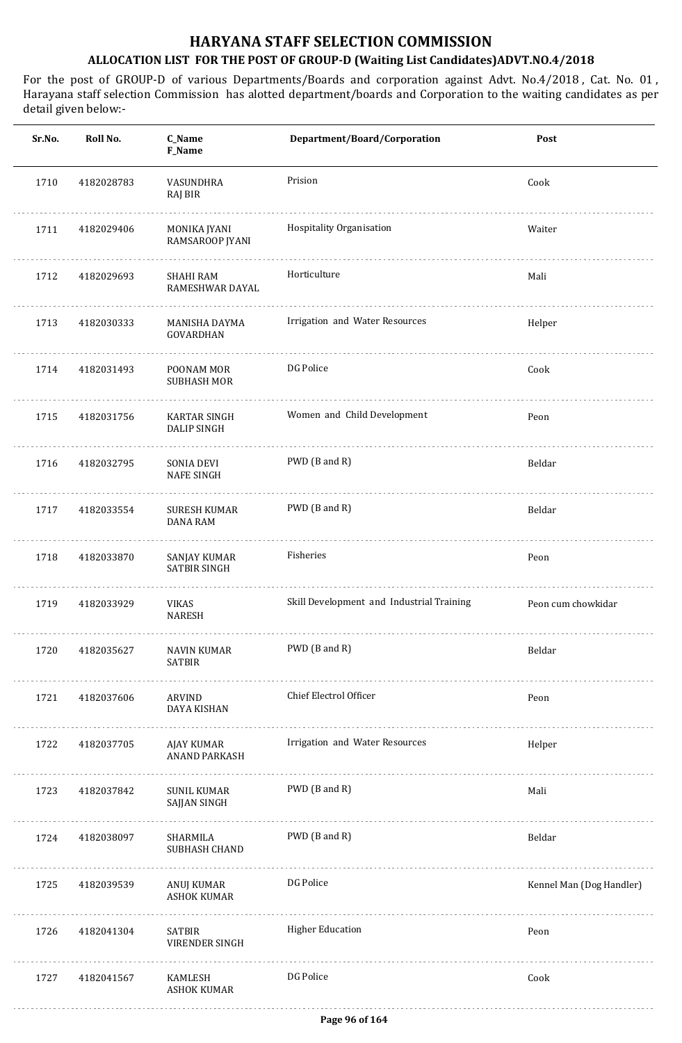| Sr.No. | Roll No.   | C_Name<br>F_Name                       | Department/Board/Corporation              | Post                     |
|--------|------------|----------------------------------------|-------------------------------------------|--------------------------|
| 1710   | 4182028783 | VASUNDHRA<br>RAJ BIR                   | Prision                                   | Cook                     |
| 1711   | 4182029406 | MONIKA JYANI<br>RAMSAROOP JYANI        | Hospitality Organisation                  | Waiter                   |
| 1712   | 4182029693 | SHAHI RAM<br>RAMESHWAR DAYAL           | Horticulture                              | Mali                     |
| 1713   | 4182030333 | MANISHA DAYMA<br>GOVARDHAN             | Irrigation and Water Resources            | Helper                   |
| 1714   | 4182031493 | POONAM MOR<br><b>SUBHASH MOR</b>       | DG Police                                 | Cook                     |
| 1715   | 4182031756 | KARTAR SINGH<br><b>DALIP SINGH</b>     | Women and Child Development               | Peon                     |
| 1716   | 4182032795 | SONIA DEVI<br><b>NAFE SINGH</b>        | PWD (B and R)                             | Beldar                   |
| 1717   | 4182033554 | <b>SURESH KUMAR</b><br><b>DANA RAM</b> | PWD (B and R)                             | Beldar                   |
| 1718   | 4182033870 | SANJAY KUMAR<br><b>SATBIR SINGH</b>    | Fisheries                                 | Peon                     |
| 1719   | 4182033929 | VIKAS<br><b>NARESH</b>                 | Skill Development and Industrial Training | Peon cum chowkidar       |
| 1720   | 4182035627 | NAVIN KUMAR<br><b>SATBIR</b>           | PWD (B and R)                             | Beldar                   |
| 1721   | 4182037606 | ARVIND<br>DAYA KISHAN                  | Chief Electrol Officer                    | Peon                     |
| 1722   | 4182037705 | AJAY KUMAR<br>ANAND PARKASH            | Irrigation and Water Resources            | Helper                   |
| 1723   | 4182037842 | SUNIL KUMAR<br>SAJJAN SINGH            | PWD (B and R)                             | Mali                     |
| 1724   | 4182038097 | SHARMILA<br>SUBHASH CHAND              | PWD (B and R)                             | Beldar                   |
| 1725   | 4182039539 | ANUJ KUMAR<br><b>ASHOK KUMAR</b>       | DG Police                                 | Kennel Man (Dog Handler) |
| 1726   | 4182041304 | SATBIR<br><b>VIRENDER SINGH</b>        | <b>Higher Education</b>                   | Peon                     |
| 1727   | 4182041567 | KAMLESH<br><b>ASHOK KUMAR</b>          | DG Police                                 | Cook                     |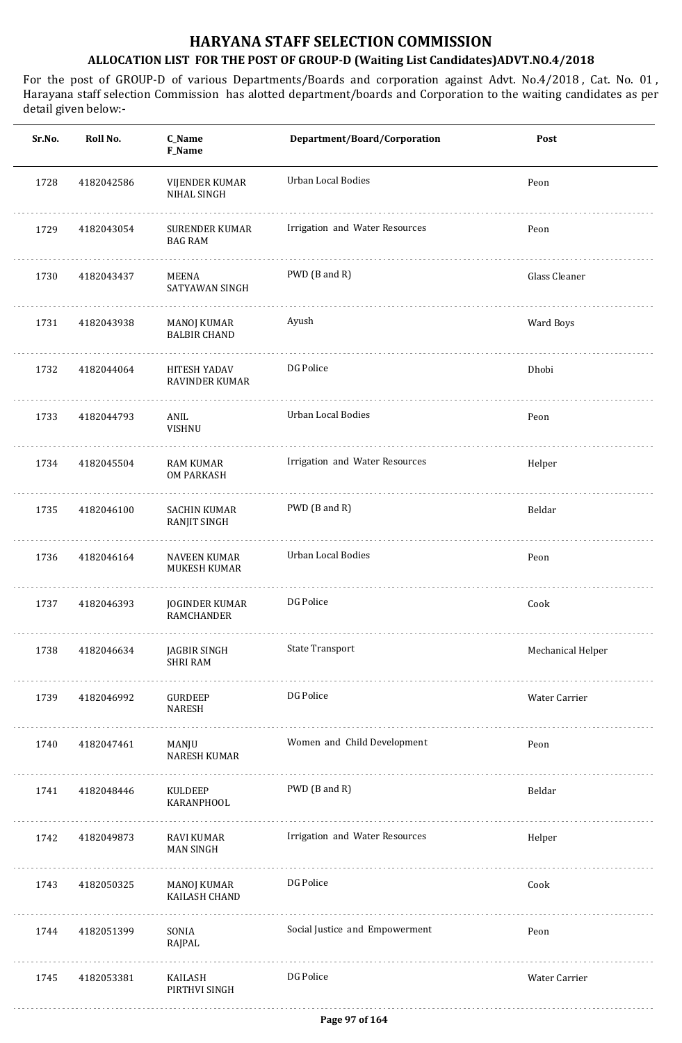| Roll No.   | C_Name<br>F_Name                             | Department/Board/Corporation   | Post              |
|------------|----------------------------------------------|--------------------------------|-------------------|
| 4182042586 | <b>VIJENDER KUMAR</b><br>NIHAL SINGH         | Urban Local Bodies             | Peon              |
| 4182043054 | <b>SURENDER KUMAR</b><br><b>BAG RAM</b>      | Irrigation and Water Resources | Peon              |
| 4182043437 | MEENA<br>SATYAWAN SINGH                      | PWD (B and R)                  | Glass Cleaner     |
| 4182043938 | MANOJ KUMAR<br><b>BALBIR CHAND</b>           | Ayush                          | Ward Boys         |
| 4182044064 | <b>HITESH YADAV</b><br><b>RAVINDER KUMAR</b> | DG Police                      | Dhobi             |
| 4182044793 | ANIL<br>VISHNU                               | <b>Urban Local Bodies</b>      | Peon              |
| 4182045504 | <b>RAM KUMAR</b><br><b>OM PARKASH</b>        | Irrigation and Water Resources | Helper            |
| 4182046100 | <b>SACHIN KUMAR</b><br>RANJIT SINGH          | PWD (B and R)                  | Beldar            |
| 4182046164 | <b>NAVEEN KUMAR</b><br>MUKESH KUMAR          | Urban Local Bodies             | Peon              |
| 4182046393 | <b>JOGINDER KUMAR</b><br>RAMCHANDER          | DG Police                      | Cook              |
| 4182046634 | JAGBIR SINGH<br><b>SHRI RAM</b>              | State Transport                | Mechanical Helper |
| 4182046992 | <b>GURDEEP</b><br><b>NARESH</b>              | DG Police                      | Water Carrier     |
| 4182047461 | MANJU<br>NARESH KUMAR                        | Women and Child Development    | Peon              |
| 4182048446 | KULDEEP<br><b>KARANPHOOL</b>                 | PWD (B and R)                  | Beldar            |
| 4182049873 | RAVI KUMAR<br><b>MAN SINGH</b>               | Irrigation and Water Resources | Helper            |
| 4182050325 | MANOJ KUMAR<br>KAILASH CHAND                 | DG Police                      | Cook              |
| 4182051399 | SONIA<br>RAJPAL                              | Social Justice and Empowerment | Peon              |
| 4182053381 | KAILASH<br>PIRTHVI SINGH                     | DG Police                      | Water Carrier     |
|            |                                              |                                |                   |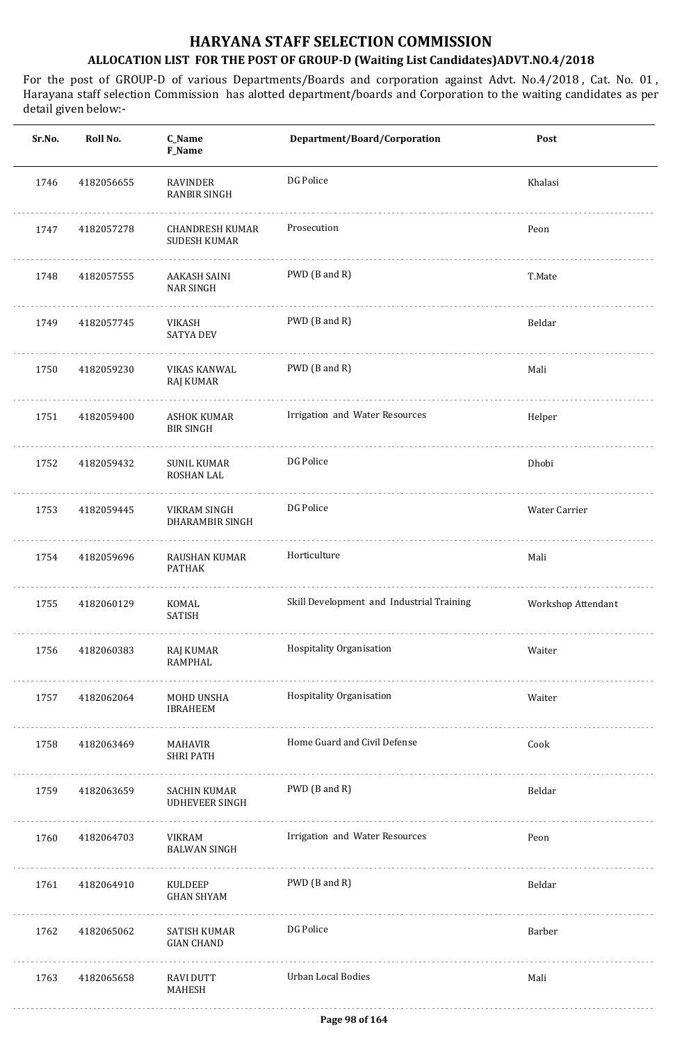| Sr.No. | Roll No.   | C_Name<br>F_Name                              | Department/Board/Corporation              | Post               |
|--------|------------|-----------------------------------------------|-------------------------------------------|--------------------|
| 1746   | 4182056655 | RAVINDER<br>RANBIR SINGH                      | DG Police                                 | Khalasi            |
| 1747   | 4182057278 | <b>CHANDRESH KUMAR</b><br><b>SUDESH KUMAR</b> | Prosecution                               | Peon               |
| 1748   | 4182057555 | AAKASH SAINI<br><b>NAR SINGH</b>              | PWD (B and R)                             | T.Mate             |
| 1749   | 4182057745 | VIKASH<br><b>SATYA DEV</b>                    | PWD (B and R)                             | Beldar             |
| 1750   | 4182059230 | VIKAS KANWAL<br>RAJ KUMAR                     | PWD (B and R)                             | Mali               |
| 1751   | 4182059400 | ASHOK KUMAR<br><b>BIR SINGH</b>               | Irrigation and Water Resources            | Helper             |
| 1752   | 4182059432 | <b>SUNIL KUMAR</b><br>ROSHAN LAL              | DG Police                                 | Dhobi              |
| 1753   | 4182059445 | VIKRAM SINGH<br>DHARAMBIR SINGH               | DG Police                                 | Water Carrier      |
| 1754   | 4182059696 | RAUSHAN KUMAR<br><b>PATHAK</b>                | Horticulture                              | Mali               |
| 1755   | 4182060129 | KOMAL<br><b>SATISH</b>                        | Skill Development and Industrial Training | Workshop Attendant |
| 1756   | 4182060383 | RAJ KUMAR<br><b>RAMPHAL</b>                   | Hospitality Organisation                  | Waiter             |
| 1757   | 4182062064 | MOHD UNSHA<br><b>IBRAHEEM</b>                 | Hospitality Organisation                  | Waiter             |
| 1758   | 4182063469 | MAHAVIR<br><b>SHRI PATH</b>                   | Home Guard and Civil Defense              | Cook               |
| 1759   | 4182063659 | SACHIN KUMAR<br><b>UDHEVEER SINGH</b>         | PWD (B and R)                             | Beldar             |
| 1760   | 4182064703 | VIKRAM<br><b>BALWAN SINGH</b>                 | Irrigation and Water Resources            | Peon               |
| 1761   | 4182064910 | KULDEEP<br><b>GHAN SHYAM</b>                  | PWD (B and R)                             | Beldar             |
| 1762   | 4182065062 | SATISH KUMAR<br><b>GIAN CHAND</b>             | DG Police                                 | Barber             |
| 1763   | 4182065658 | <b>RAVI DUTT</b><br>MAHESH                    | Urban Local Bodies                        | Mali               |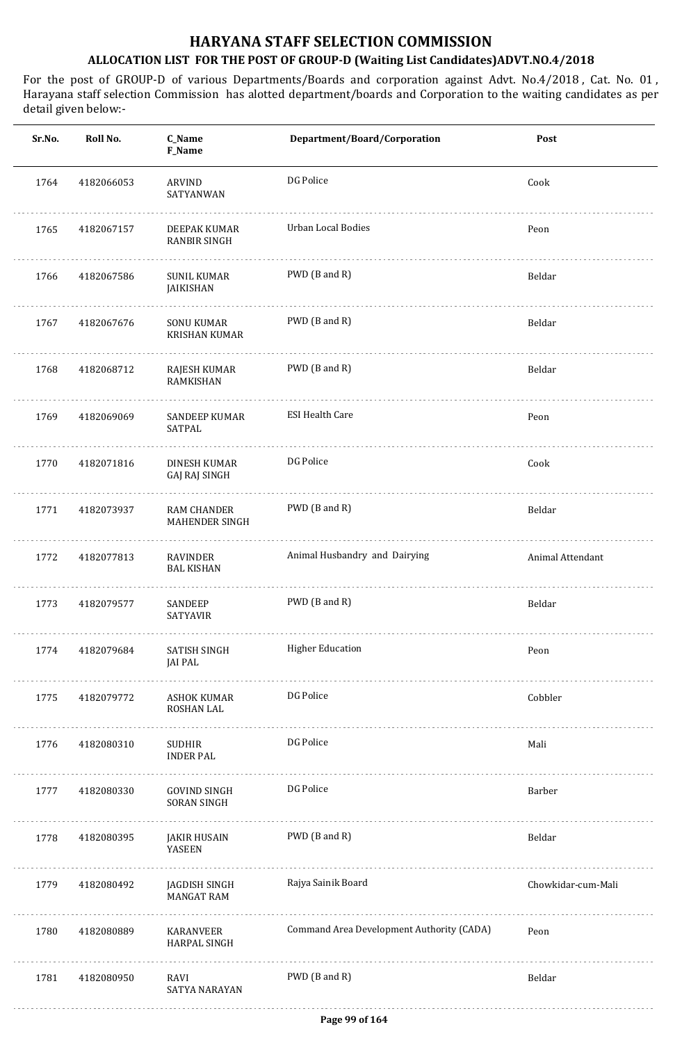| Sr.No. | Roll No.   | C_Name<br>F_Name                          | Department/Board/Corporation              | Post               |
|--------|------------|-------------------------------------------|-------------------------------------------|--------------------|
| 1764   | 4182066053 | ARVIND<br>SATYANWAN                       | DG Police                                 | Cook               |
| 1765   | 4182067157 | DEEPAK KUMAR<br><b>RANBIR SINGH</b>       | Urban Local Bodies                        | Peon               |
| 1766   | 4182067586 | <b>SUNIL KUMAR</b><br>JAIKISHAN           | PWD (B and R)                             | Beldar             |
| 1767   | 4182067676 | <b>SONU KUMAR</b><br><b>KRISHAN KUMAR</b> | PWD (B and R)                             | Beldar             |
| 1768   | 4182068712 | RAJESH KUMAR<br><b>RAMKISHAN</b>          | PWD (B and R)                             | Beldar             |
| 1769   | 4182069069 | <b>SANDEEP KUMAR</b><br>SATPAL            | <b>ESI Health Care</b>                    | Peon               |
| 1770   | 4182071816 | DINESH KUMAR<br>GAJ RAJ SINGH             | DG Police                                 | Cook               |
| 1771   | 4182073937 | <b>RAM CHANDER</b><br>MAHENDER SINGH      | PWD (B and R)                             | Beldar             |
| 1772   | 4182077813 | RAVINDER<br><b>BAL KISHAN</b>             | Animal Husbandry and Dairying             | Animal Attendant   |
| 1773   | 4182079577 | SANDEEP<br><b>SATYAVIR</b>                | PWD (B and R)                             | Beldar             |
| 1774   | 4182079684 | SATISH SINGH<br>JAI PAL                   | <b>Higher Education</b>                   | Peon               |
| 1775   | 4182079772 | ASHOK KUMAR<br>ROSHAN LAL                 | DG Police                                 | Cobbler            |
| 1776   | 4182080310 | SUDHIR<br><b>INDER PAL</b>                | DG Police                                 | Mali               |
| 1777   | 4182080330 | GOVIND SINGH<br>SORAN SINGH               | DG Police                                 | Barber             |
| 1778   | 4182080395 | JAKIR HUSAIN<br>YASEEN                    | PWD (B and R)                             | Beldar             |
| 1779   | 4182080492 | JAGDISH SINGH<br><b>MANGAT RAM</b>        | Rajya Sainik Board                        | Chowkidar-cum-Mali |
| 1780   | 4182080889 | KARANVEER<br>HARPAL SINGH                 | Command Area Development Authority (CADA) | Peon               |
| 1781   | 4182080950 | RAVI<br>SATYA NARAYAN                     | PWD (B and R)                             | Beldar             |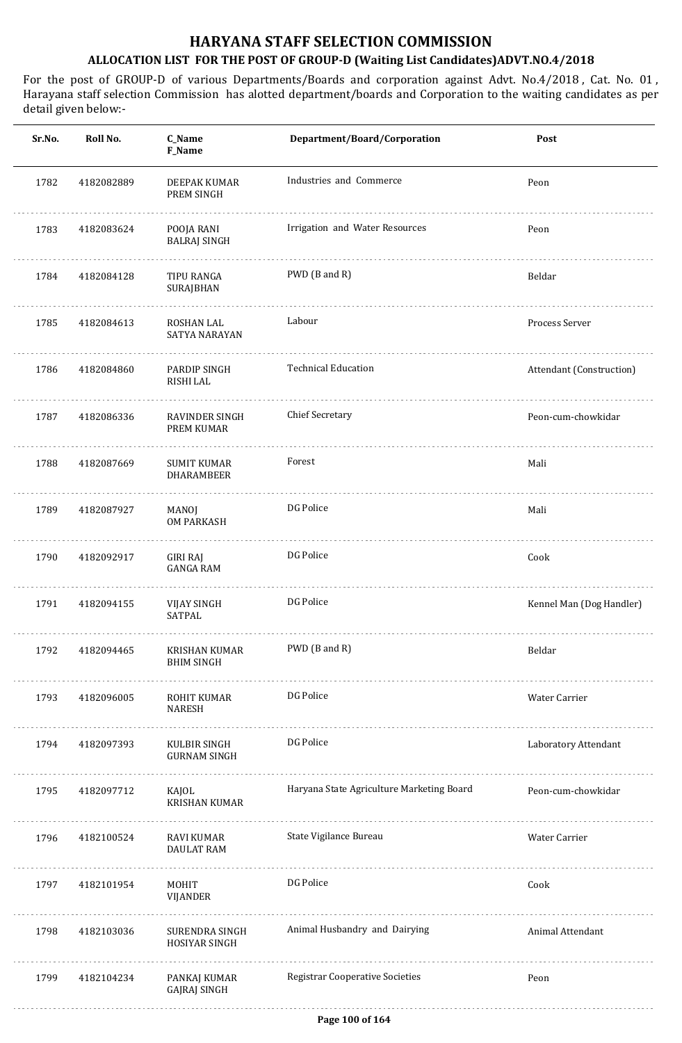| Sr.No. | Roll No.   | C_Name<br>F_Name                        | Department/Board/Corporation              | Post                     |
|--------|------------|-----------------------------------------|-------------------------------------------|--------------------------|
| 1782   | 4182082889 | DEEPAK KUMAR<br>PREM SINGH              | Industries and Commerce                   | Peon                     |
| 1783   | 4182083624 | POOJA RANI<br><b>BALRAJ SINGH</b>       | Irrigation and Water Resources            | Peon                     |
| 1784   | 4182084128 | TIPU RANGA<br>SURAJBHAN                 | PWD (B and R)                             | Beldar                   |
| 1785   | 4182084613 | ROSHAN LAL<br>SATYA NARAYAN             | Labour                                    | Process Server           |
| 1786   | 4182084860 | PARDIP SINGH<br>RISHI LAL               | <b>Technical Education</b>                | Attendant (Construction) |
| 1787   | 4182086336 | RAVINDER SINGH<br>PREM KUMAR            | <b>Chief Secretary</b>                    | Peon-cum-chowkidar       |
| 1788   | 4182087669 | <b>SUMIT KUMAR</b><br><b>DHARAMBEER</b> | Forest                                    | Mali                     |
| 1789   | 4182087927 | MANOJ<br><b>OM PARKASH</b>              | DG Police                                 | Mali                     |
| 1790   | 4182092917 | <b>GIRI RAJ</b><br><b>GANGA RAM</b>     | DG Police                                 | Cook                     |
| 1791   | 4182094155 | <b>VIJAY SINGH</b><br><b>SATPAL</b>     | DG Police                                 | Kennel Man (Dog Handler) |
| 1792   | 4182094465 | KRISHAN KUMAR<br><b>BHIM SINGH</b>      | PWD (B and R)                             | Beldar                   |
| 1793   | 4182096005 | ROHIT KUMAR<br><b>NARESH</b>            | DG Police                                 | Water Carrier            |
| 1794   | 4182097393 | KULBIR SINGH<br><b>GURNAM SINGH</b>     | DG Police                                 | Laboratory Attendant     |
| 1795   | 4182097712 | KAJOL<br><b>KRISHAN KUMAR</b>           | Haryana State Agriculture Marketing Board | Peon-cum-chowkidar       |
| 1796   | 4182100524 | RAVI KUMAR<br><b>DAULAT RAM</b>         | State Vigilance Bureau                    | Water Carrier            |
| 1797   | 4182101954 | MOHIT<br><b>VIJANDER</b>                | DG Police                                 | Cook                     |
| 1798   | 4182103036 | SURENDRA SINGH<br>HOSIYAR SINGH         | Animal Husbandry and Dairying             | Animal Attendant         |
| 1799   | 4182104234 | PANKAJ KUMAR<br><b>GAJRAJ SINGH</b>     | <b>Registrar Cooperative Societies</b>    | Peon                     |
|        |            |                                         |                                           |                          |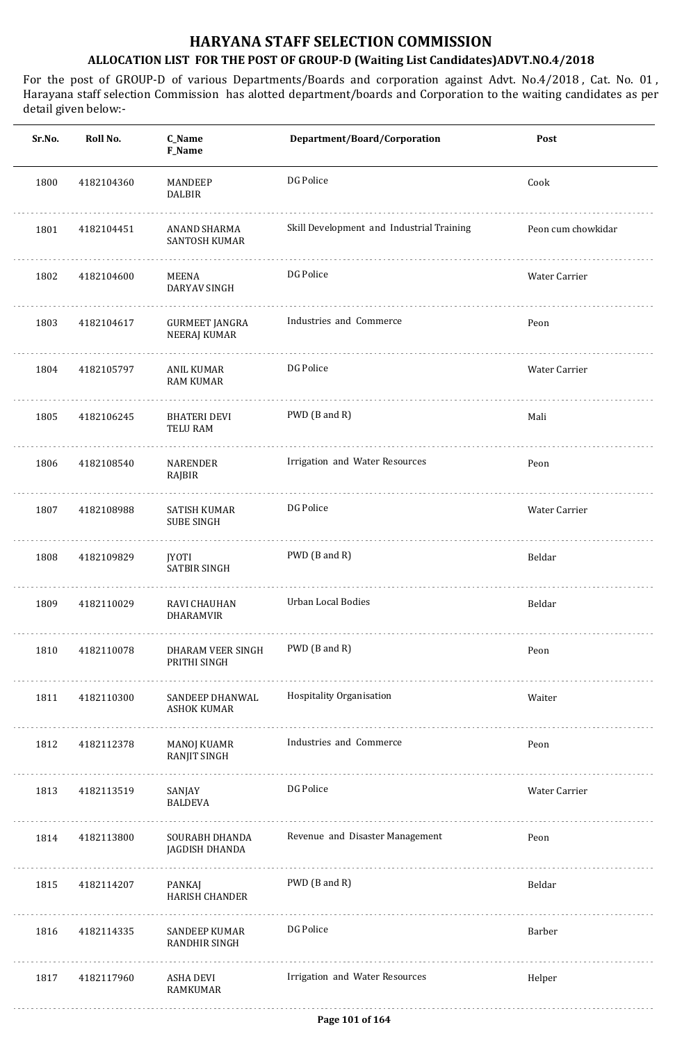| Sr.No. | Roll No.   | C_Name<br>F_Name                       | Department/Board/Corporation              | Post               |
|--------|------------|----------------------------------------|-------------------------------------------|--------------------|
| 1800   | 4182104360 | MANDEEP<br><b>DALBIR</b>               | DG Police                                 | Cook               |
| 1801   | 4182104451 | ANAND SHARMA<br>SANTOSH KUMAR          | Skill Development and Industrial Training | Peon cum chowkidar |
| 1802   | 4182104600 | MEENA<br>DARYAV SINGH                  | DG Police                                 | Water Carrier      |
| 1803   | 4182104617 | GURMEET JANGRA<br>NEERAJ KUMAR         | Industries and Commerce                   | Peon               |
| 1804   | 4182105797 | ANIL KUMAR<br>RAM KUMAR                | DG Police                                 | Water Carrier      |
| 1805   | 4182106245 | <b>BHATERI DEVI</b><br><b>TELU RAM</b> | PWD (B and R)                             | Mali               |
| 1806   | 4182108540 | <b>NARENDER</b><br>RAJBIR              | Irrigation and Water Resources            | Peon               |
| 1807   | 4182108988 | SATISH KUMAR<br><b>SUBE SINGH</b>      | DG Police                                 | Water Carrier      |
| 1808   | 4182109829 | <b>JYOTI</b><br><b>SATBIR SINGH</b>    | PWD (B and R)                             | Beldar             |
| 1809   | 4182110029 | RAVI CHAUHAN<br><b>DHARAMVIR</b>       | <b>Urban Local Bodies</b>                 | Beldar             |
| 1810   | 4182110078 | DHARAM VEER SINGH<br>PRITHI SINGH      | PWD (B and R)                             | Peon               |
| 1811   | 4182110300 | SANDEEP DHANWAL<br><b>ASHOK KUMAR</b>  | Hospitality Organisation                  | Waiter             |
| 1812   | 4182112378 | MANOJ KUAMR<br><b>RANJIT SINGH</b>     | Industries and Commerce                   | Peon               |
| 1813   | 4182113519 | SANJAY<br><b>BALDEVA</b>               | DG Police                                 | Water Carrier      |
| 1814   | 4182113800 | SOURABH DHANDA<br>JAGDISH DHANDA       | Revenue and Disaster Management           | Peon               |
| 1815   | 4182114207 | PANKAJ<br><b>HARISH CHANDER</b>        | PWD (B and R)                             | Beldar             |
| 1816   | 4182114335 | SANDEEP KUMAR<br>RANDHIR SINGH         | DG Police                                 | Barber             |
| 1817   | 4182117960 | ASHA DEVI<br>RAMKUMAR                  | Irrigation and Water Resources            | Helper             |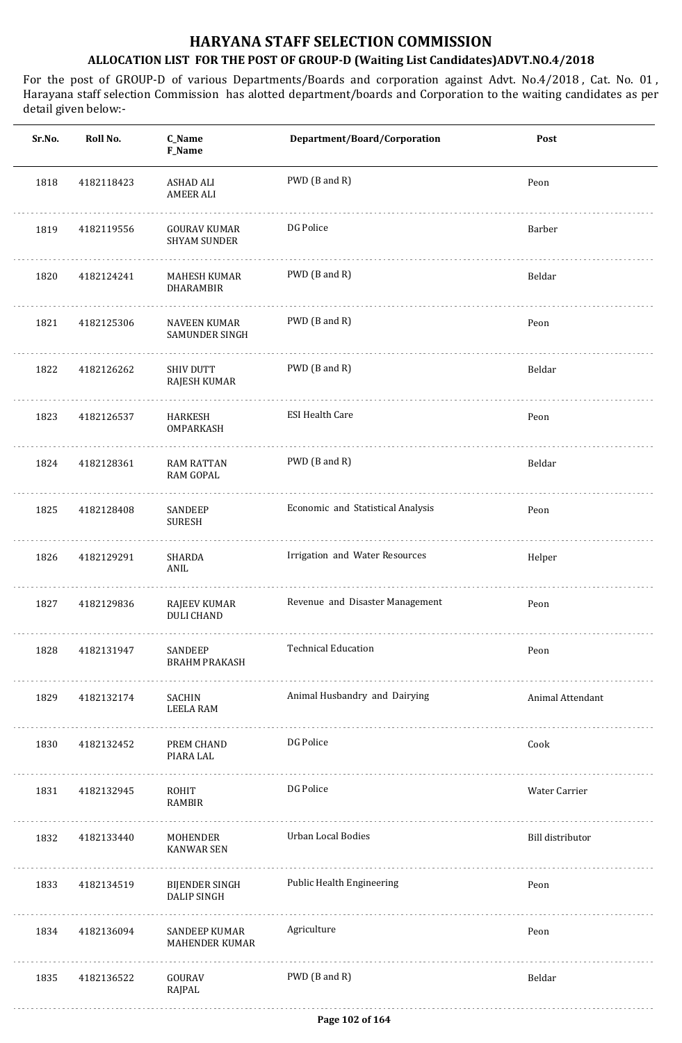| Sr.No. | Roll No.   | C_Name<br>F_Name                           | Department/Board/Corporation      | Post                    |
|--------|------------|--------------------------------------------|-----------------------------------|-------------------------|
| 1818   | 4182118423 | ASHAD ALI<br><b>AMEER ALI</b>              | PWD (B and R)                     | Peon                    |
| 1819   | 4182119556 | <b>GOURAV KUMAR</b><br><b>SHYAM SUNDER</b> | DG Police                         | Barber                  |
| 1820   | 4182124241 | MAHESH KUMAR<br>DHARAMBIR                  | PWD (B and R)                     | Beldar                  |
| 1821   | 4182125306 | NAVEEN KUMAR<br><b>SAMUNDER SINGH</b>      | PWD (B and R)                     | Peon                    |
| 1822   | 4182126262 | <b>SHIV DUTT</b><br>RAJESH KUMAR           | PWD (B and R)                     | Beldar                  |
| 1823   | 4182126537 | HARKESH<br><b>OMPARKASH</b>                | <b>ESI Health Care</b>            | Peon                    |
| 1824   | 4182128361 | <b>RAM RATTAN</b><br><b>RAM GOPAL</b>      | PWD (B and R)                     | Beldar                  |
| 1825   | 4182128408 | SANDEEP<br><b>SURESH</b>                   | Economic and Statistical Analysis | Peon                    |
| 1826   | 4182129291 | SHARDA<br>ANIL                             | Irrigation and Water Resources    | Helper                  |
| 1827   | 4182129836 | RAJEEV KUMAR<br><b>DULI CHAND</b>          | Revenue and Disaster Management   | Peon                    |
| 1828   | 4182131947 | SANDEEP<br><b>BRAHM PRAKASH</b>            | <b>Technical Education</b>        | Peon                    |
| 1829   | 4182132174 | SACHIN<br>LEELA RAM                        | Animal Husbandry and Dairying     | <b>Animal Attendant</b> |
| 1830   | 4182132452 | PREM CHAND<br>PIARA LAL                    | DG Police                         | Cook                    |
| 1831   | 4182132945 | ROHIT<br>RAMBIR                            | DG Police                         | Water Carrier           |
| 1832   | 4182133440 | MOHENDER<br><b>KANWAR SEN</b>              | <b>Urban Local Bodies</b>         | Bill distributor        |
| 1833   | 4182134519 | BIJENDER SINGH<br><b>DALIP SINGH</b>       | Public Health Engineering         | Peon                    |
| 1834   | 4182136094 | SANDEEP KUMAR<br>MAHENDER KUMAR            | Agriculture                       | Peon                    |
| 1835   | 4182136522 | GOURAV<br>RAJPAL                           | PWD (B and R)                     | Beldar                  |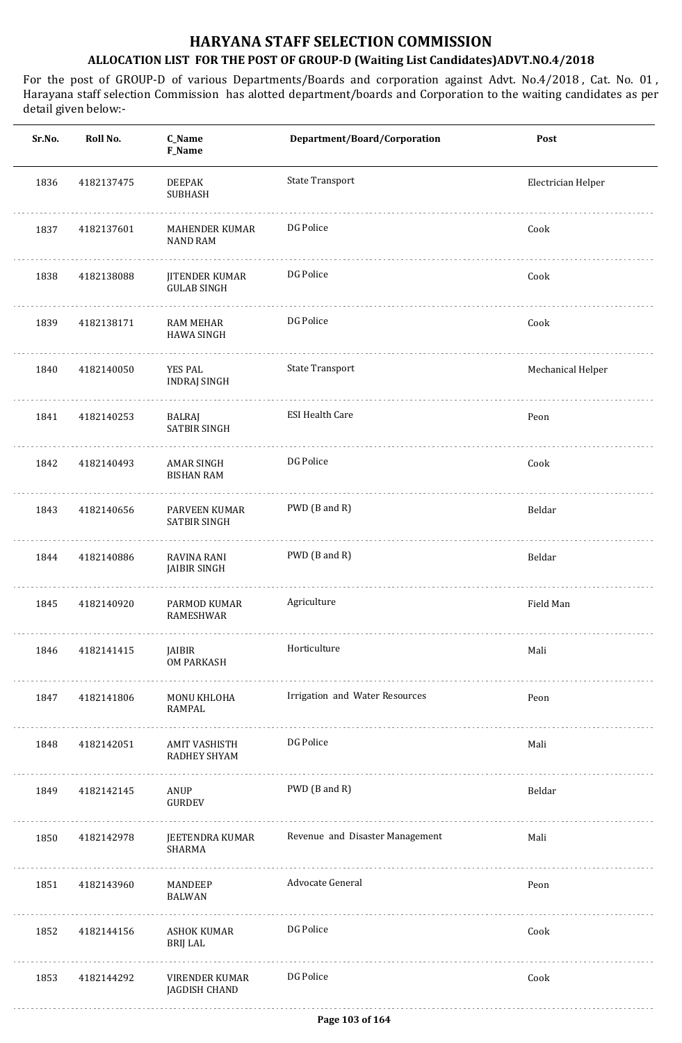| Sr.No. | Roll No.   | C_Name<br>F_Name                            | Department/Board/Corporation    | Post               |
|--------|------------|---------------------------------------------|---------------------------------|--------------------|
| 1836   | 4182137475 | <b>DEEPAK</b><br><b>SUBHASH</b>             | <b>State Transport</b>          | Electrician Helper |
| 1837   | 4182137601 | MAHENDER KUMAR<br><b>NAND RAM</b>           | DG Police                       | Cook               |
| 1838   | 4182138088 | <b>JITENDER KUMAR</b><br><b>GULAB SINGH</b> | DG Police                       | Cook               |
| 1839   | 4182138171 | <b>RAM MEHAR</b><br><b>HAWA SINGH</b>       | DG Police                       | Cook               |
| 1840   | 4182140050 | YES PAL<br><b>INDRAJ SINGH</b>              | <b>State Transport</b>          | Mechanical Helper  |
| 1841   | 4182140253 | BALRAJ<br><b>SATBIR SINGH</b>               | <b>ESI Health Care</b>          | Peon               |
| 1842   | 4182140493 | AMAR SINGH<br><b>BISHAN RAM</b>             | DG Police                       | Cook               |
| 1843   | 4182140656 | PARVEEN KUMAR<br>SATBIR SINGH               | PWD (B and R)                   | Beldar             |
| 1844   | 4182140886 | RAVINA RANI<br>JAIBIR SINGH                 | PWD (B and R)                   | Beldar             |
| 1845   | 4182140920 | PARMOD KUMAR<br><b>RAMESHWAR</b>            | Agriculture                     | Field Man          |
| 1846   | 4182141415 | JAIBIR<br><b>OM PARKASH</b>                 | Horticulture                    | Mali               |
| 1847   | 4182141806 | MONU KHLOHA<br><b>RAMPAL</b>                | Irrigation and Water Resources  | Peon               |
| 1848   | 4182142051 | AMIT VASHISTH<br>RADHEY SHYAM               | DG Police                       | Mali               |
| 1849   | 4182142145 | ANUP<br><b>GURDEV</b>                       | PWD (B and R)                   | Beldar             |
| 1850   | 4182142978 | JEETENDRA KUMAR<br>SHARMA                   | Revenue and Disaster Management | Mali               |
| 1851   | 4182143960 | MANDEEP<br>BALWAN                           | Advocate General                | Peon               |
| 1852   | 4182144156 | ASHOK KUMAR<br><b>BRIJ LAL</b>              | DG Police                       | Cook               |
| 1853   | 4182144292 | VIRENDER KUMAR<br>JAGDISH CHAND             | DG Police                       | Cook               |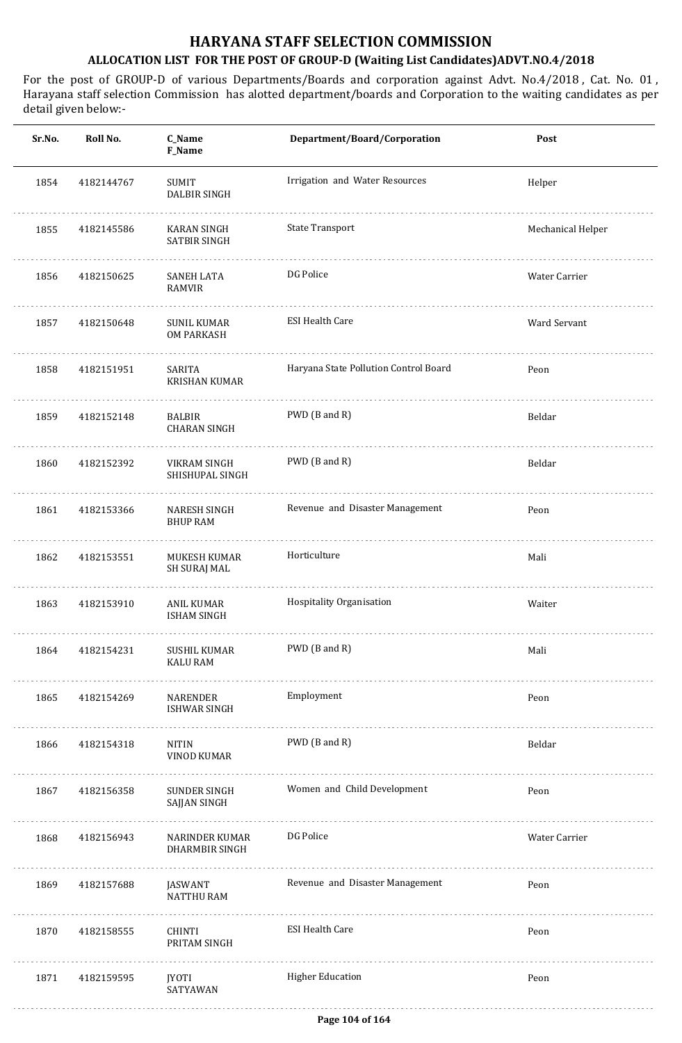| Sr.No. | Roll No.   | C_Name<br>F_Name                        | Department/Board/Corporation          | Post              |
|--------|------------|-----------------------------------------|---------------------------------------|-------------------|
| 1854   | 4182144767 | <b>SUMIT</b><br>DALBIR SINGH            | Irrigation and Water Resources        | Helper            |
| 1855   | 4182145586 | KARAN SINGH<br><b>SATBIR SINGH</b>      | <b>State Transport</b>                | Mechanical Helper |
| 1856   | 4182150625 | SANEH LATA<br><b>RAMVIR</b>             | DG Police                             | Water Carrier     |
| 1857   | 4182150648 | <b>SUNIL KUMAR</b><br><b>OM PARKASH</b> | <b>ESI Health Care</b>                | Ward Servant      |
| 1858   | 4182151951 | SARITA<br><b>KRISHAN KUMAR</b>          | Haryana State Pollution Control Board | Peon              |
| 1859   | 4182152148 | BALBIR<br><b>CHARAN SINGH</b>           | PWD (B and R)                         | Beldar            |
| 1860   | 4182152392 | VIKRAM SINGH<br>SHISHUPAL SINGH         | PWD (B and R)                         | Beldar            |
| 1861   | 4182153366 | NARESH SINGH<br><b>BHUP RAM</b>         | Revenue and Disaster Management       | Peon              |
| 1862   | 4182153551 | MUKESH KUMAR<br>SH SURAJ MAL            | Horticulture                          | Mali              |
| 1863   | 4182153910 | <b>ANIL KUMAR</b><br><b>ISHAM SINGH</b> | Hospitality Organisation              | Waiter            |
| 1864   | 4182154231 | SUSHIL KUMAR<br><b>KALU RAM</b>         | PWD (B and R)                         | Mali              |
| 1865   | 4182154269 | NARENDER<br><b>ISHWAR SINGH</b>         | Employment                            | Peon              |
| 1866   | 4182154318 | <b>NITIN</b><br>VINOD KUMAR             | PWD (B and R)                         | Beldar            |
| 1867   | 4182156358 | SUNDER SINGH<br>SAJJAN SINGH            | Women and Child Development           | Peon              |
| 1868   | 4182156943 | NARINDER KUMAR<br><b>DHARMBIR SINGH</b> | DG Police                             | Water Carrier     |
| 1869   | 4182157688 | JASWANT<br><b>NATTHU RAM</b>            | Revenue and Disaster Management       | Peon              |
| 1870   | 4182158555 | CHINTI<br>PRITAM SINGH                  | <b>ESI Health Care</b>                | Peon              |
| 1871   | 4182159595 | JYOTI<br>SATYAWAN                       | <b>Higher Education</b>               | Peon              |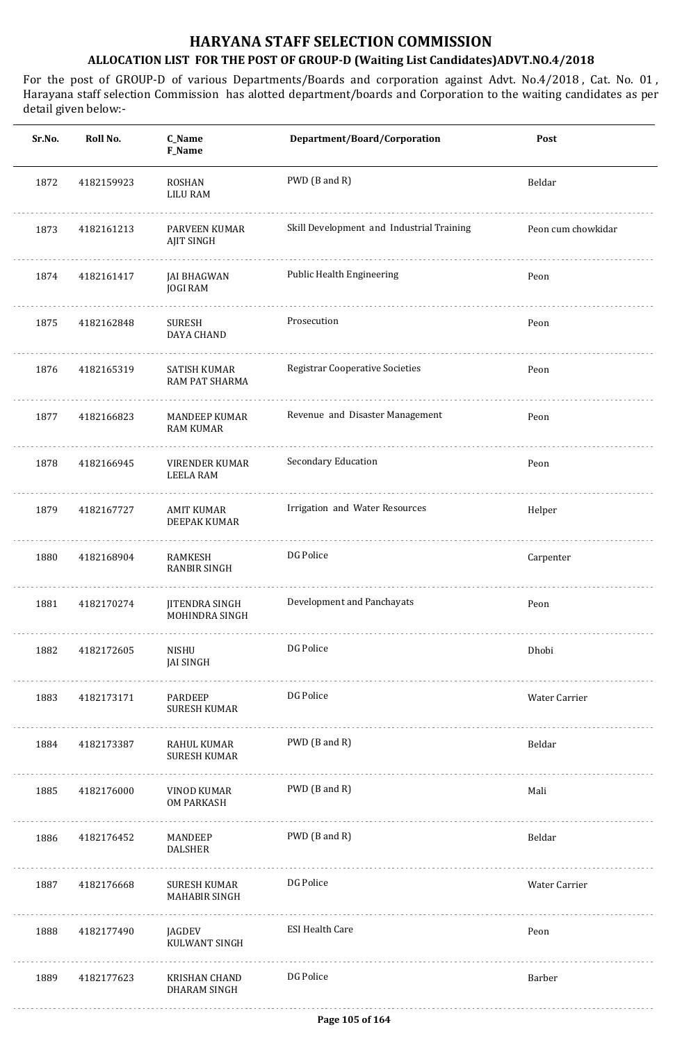| Sr.No. | Roll No.   | C_Name<br>F_Name                         | Department/Board/Corporation              | Post               |
|--------|------------|------------------------------------------|-------------------------------------------|--------------------|
| 1872   | 4182159923 | ROSHAN<br><b>LILU RAM</b>                | PWD (B and R)                             | Beldar             |
| 1873   | 4182161213 | PARVEEN KUMAR<br>AJIT SINGH              | Skill Development and Industrial Training | Peon cum chowkidar |
| 1874   | 4182161417 | <b>JAI BHAGWAN</b><br><b>JOGI RAM</b>    | Public Health Engineering                 | Peon               |
| 1875   | 4182162848 | <b>SURESH</b><br>DAYA CHAND              | Prosecution                               | Peon               |
| 1876   | 4182165319 | SATISH KUMAR<br>RAM PAT SHARMA           | <b>Registrar Cooperative Societies</b>    | Peon               |
| 1877   | 4182166823 | <b>MANDEEP KUMAR</b><br><b>RAM KUMAR</b> | Revenue and Disaster Management           | Peon               |
| 1878   | 4182166945 | VIRENDER KUMAR<br><b>LEELA RAM</b>       | Secondary Education                       | Peon               |
| 1879   | 4182167727 | <b>AMIT KUMAR</b><br>DEEPAK KUMAR        | Irrigation and Water Resources            | Helper             |
| 1880   | 4182168904 | RAMKESH<br><b>RANBIR SINGH</b>           | DG Police                                 | Carpenter          |
| 1881   | 4182170274 | <b>JITENDRA SINGH</b><br>MOHINDRA SINGH  | Development and Panchayats                | Peon               |
| 1882   | 4182172605 | NISHU<br><b>JAI SINGH</b>                | DG Police                                 | Dhobi              |
| 1883   | 4182173171 | PARDEEP<br><b>SURESH KUMAR</b>           | DG Police                                 | Water Carrier      |
| 1884   | 4182173387 | RAHUL KUMAR<br><b>SURESH KUMAR</b>       | PWD (B and R)                             | Beldar             |
| 1885   | 4182176000 | VINOD KUMAR<br><b>OM PARKASH</b>         | PWD (B and R)                             | Mali               |
| 1886   | 4182176452 | MANDEEP<br><b>DALSHER</b>                | PWD (B and R)                             | Beldar             |
| 1887   | 4182176668 | SURESH KUMAR<br><b>MAHABIR SINGH</b>     | DG Police                                 | Water Carrier      |
| 1888   | 4182177490 | JAGDEV<br>KULWANT SINGH                  | <b>ESI Health Care</b>                    | Peon               |
| 1889   | 4182177623 | KRISHAN CHAND<br>DHARAM SINGH            | DG Police                                 | Barber             |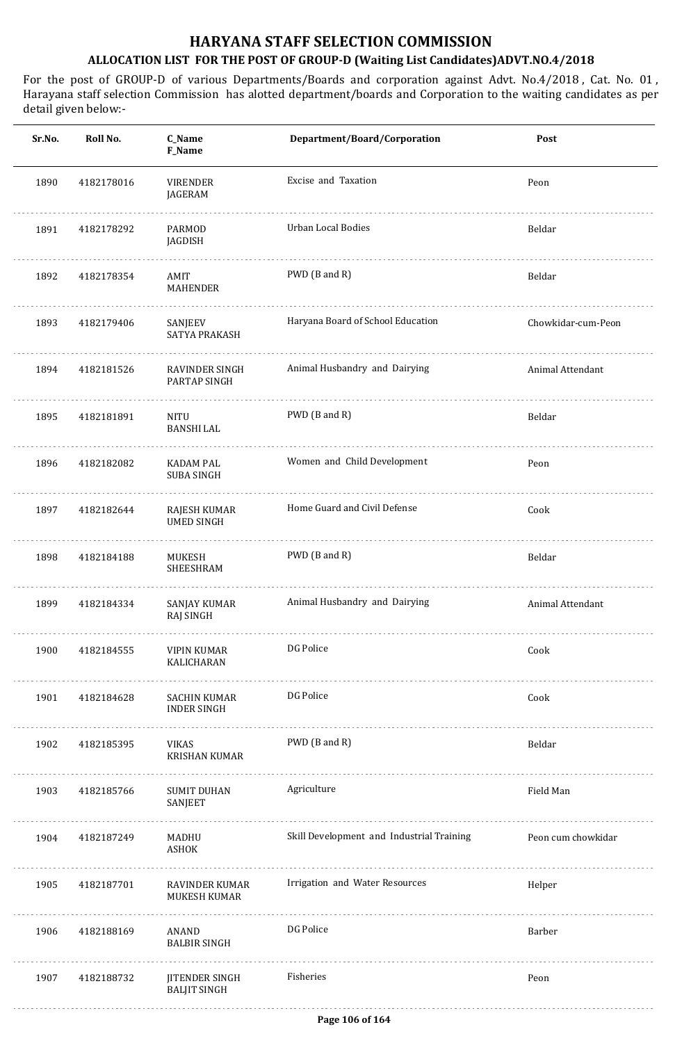| Sr.No. | Roll No.   | C_Name<br>F_Name                      | Department/Board/Corporation              | Post               |
|--------|------------|---------------------------------------|-------------------------------------------|--------------------|
| 1890   | 4182178016 | <b>VIRENDER</b><br>JAGERAM            | Excise and Taxation                       | Peon               |
| 1891   | 4182178292 | PARMOD<br>JAGDISH                     | Urban Local Bodies                        | Beldar             |
| 1892   | 4182178354 | AMIT<br>MAHENDER                      | PWD (B and R)                             | Beldar             |
| 1893   | 4182179406 | SANJEEV<br>SATYA PRAKASH              | Haryana Board of School Education         | Chowkidar-cum-Peon |
| 1894   | 4182181526 | RAVINDER SINGH<br>PARTAP SINGH        | Animal Husbandry and Dairying             | Animal Attendant   |
| 1895   | 4182181891 | NITU<br><b>BANSHI LAL</b>             | PWD (B and R)                             | Beldar             |
| 1896   | 4182182082 | <b>KADAM PAL</b><br><b>SUBA SINGH</b> | Women and Child Development               | Peon               |
| 1897   | 4182182644 | RAJESH KUMAR<br><b>UMED SINGH</b>     | Home Guard and Civil Defense              | Cook               |
| 1898   | 4182184188 | MUKESH<br>SHEESHRAM                   | PWD (B and R)                             | Beldar             |
| 1899   | 4182184334 | SANJAY KUMAR<br>RAJ SINGH             | Animal Husbandry and Dairying             | Animal Attendant   |
| 1900   | 4182184555 | VIPIN KUMAR<br>KALICHARAN             | DG Police                                 | Cook               |
| 1901   | 4182184628 | SACHIN KUMAR<br><b>INDER SINGH</b>    | DG Police                                 | Cook               |
| 1902   | 4182185395 | VIKAS<br><b>KRISHAN KUMAR</b>         | PWD (B and R)                             | Beldar             |
| 1903   | 4182185766 | <b>SUMIT DUHAN</b><br>SANJEET         | Agriculture                               | Field Man          |
| 1904   | 4182187249 | MADHU<br>ASHOK                        | Skill Development and Industrial Training | Peon cum chowkidar |
| 1905   | 4182187701 | <b>RAVINDER KUMAR</b><br>MUKESH KUMAR | Irrigation and Water Resources            | Helper             |
| 1906   | 4182188169 | ANAND<br><b>BALBIR SINGH</b>          | DG Police                                 | Barber             |
| 1907   | 4182188732 | JITENDER SINGH<br><b>BALJIT SINGH</b> | Fisheries                                 | Peon               |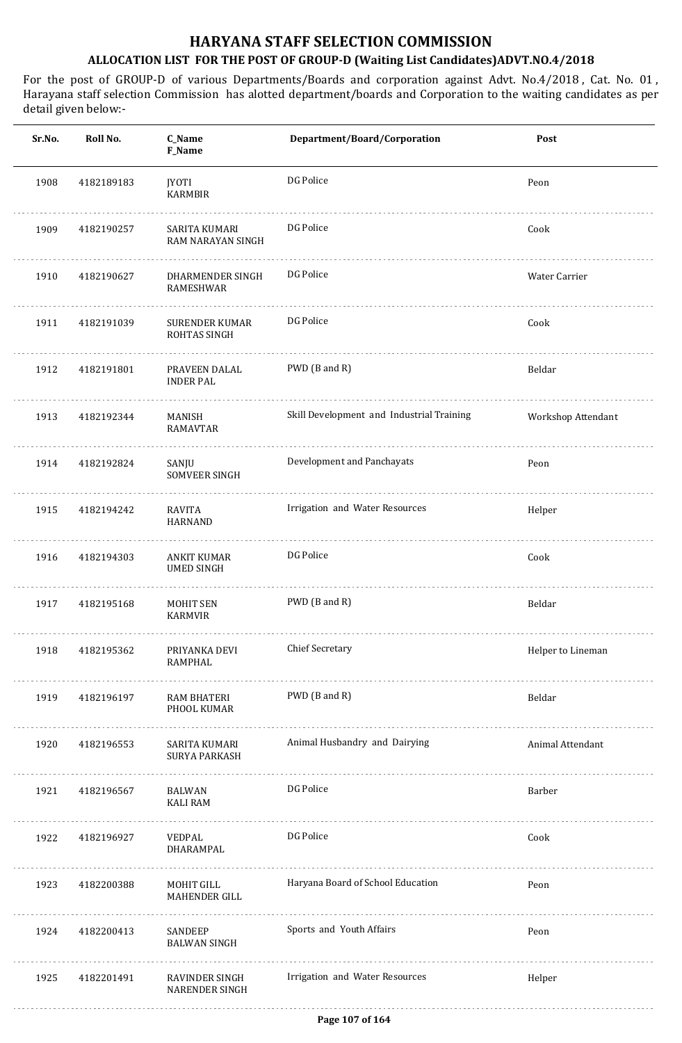| Sr.No. | Roll No.   | C_Name<br>F_Name                          | Department/Board/Corporation              | Post               |
|--------|------------|-------------------------------------------|-------------------------------------------|--------------------|
| 1908   | 4182189183 | JYOTI<br><b>KARMBIR</b>                   | DG Police                                 | Peon               |
| 1909   | 4182190257 | SARITA KUMARI<br><b>RAM NARAYAN SINGH</b> | DG Police                                 | Cook               |
| 1910   | 4182190627 | DHARMENDER SINGH<br>RAMESHWAR             | DG Police                                 | Water Carrier      |
| 1911   | 4182191039 | <b>SURENDER KUMAR</b><br>ROHTAS SINGH     | DG Police                                 | Cook               |
| 1912   | 4182191801 | PRAVEEN DALAL<br><b>INDER PAL</b>         | PWD (B and R)                             | Beldar             |
| 1913   | 4182192344 | MANISH<br>RAMAVTAR                        | Skill Development and Industrial Training | Workshop Attendant |
| 1914   | 4182192824 | .<br>SANJU<br>SOMVEER SINGH               | Development and Panchayats                | Peon               |
| 1915   | 4182194242 | RAVITA<br><b>HARNAND</b>                  | Irrigation and Water Resources            | Helper             |
| 1916   | 4182194303 | ANKIT KUMAR<br><b>UMED SINGH</b>          | DG Police                                 | Cook               |
| 1917   | 4182195168 | <b>MOHIT SEN</b><br><b>KARMVIR</b>        | PWD (B and R)                             | Beldar             |
| 1918   | 4182195362 | PRIYANKA DEVI<br>RAMPHAL                  | <b>Chief Secretary</b>                    | Helper to Lineman  |
| 1919   | 4182196197 | RAM BHATERI<br>PHOOL KUMAR                | PWD (B and R)                             | Beldar             |
| 1920   | 4182196553 | SARITA KUMARI<br><b>SURYA PARKASH</b>     | Animal Husbandry and Dairying             | Animal Attendant   |
| 1921   | 4182196567 | BALWAN<br><b>KALI RAM</b>                 | DG Police                                 | Barber             |
| 1922   | 4182196927 | VEDPAL<br>DHARAMPAL                       | DG Police                                 | Cook               |
| 1923   | 4182200388 | MOHIT GILL<br><b>MAHENDER GILL</b>        | Haryana Board of School Education         | Peon               |
| 1924   | 4182200413 | SANDEEP<br><b>BALWAN SINGH</b>            | Sports and Youth Affairs                  | Peon               |
| 1925   | 4182201491 | RAVINDER SINGH<br><b>NARENDER SINGH</b>   | Irrigation and Water Resources            | Helper             |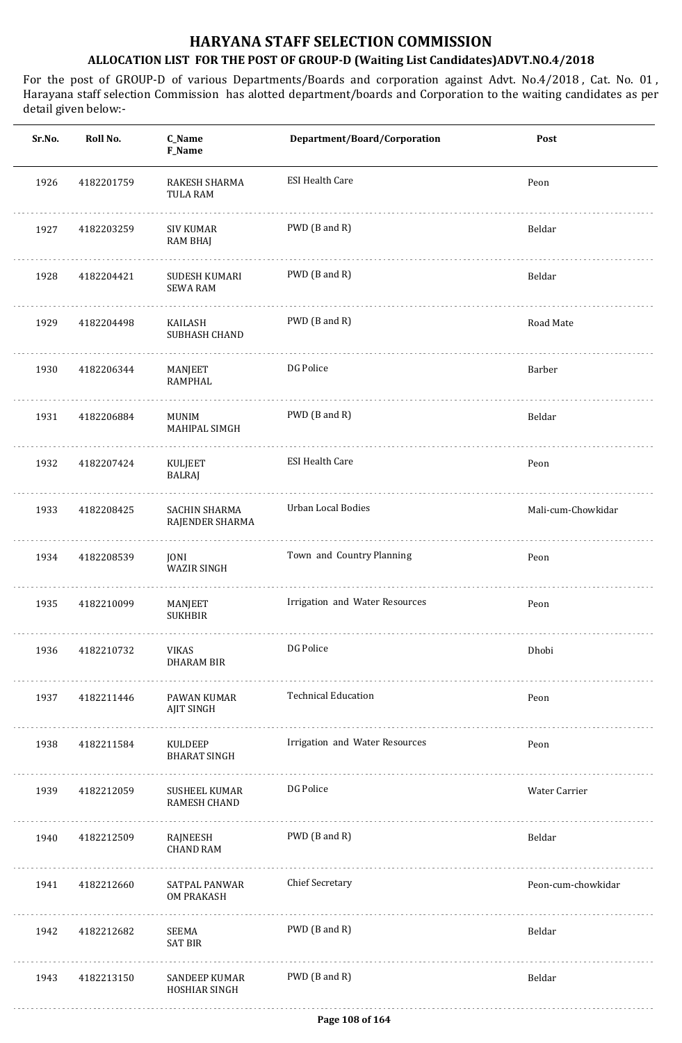| Sr.No. | Roll No.   | C_Name<br>F_Name                    | Department/Board/Corporation   | Post               |
|--------|------------|-------------------------------------|--------------------------------|--------------------|
| 1926   | 4182201759 | RAKESH SHARMA<br>TULA RAM           | <b>ESI Health Care</b>         | Peon               |
| 1927   | 4182203259 | <b>SIV KUMAR</b><br><b>RAM BHAJ</b> | PWD (B and R)                  | Beldar             |
| 1928   | 4182204421 | SUDESH KUMARI<br><b>SEWA RAM</b>    | PWD (B and R)                  | Beldar             |
| 1929   | 4182204498 | KAILASH<br>SUBHASH CHAND            | PWD (B and R)                  | Road Mate          |
| 1930   | 4182206344 | MANJEET<br>RAMPHAL                  | DG Police                      | Barber             |
| 1931   | 4182206884 | <b>MUNIM</b><br>MAHIPAL SIMGH       | PWD (B and R)                  | Beldar             |
| 1932   | 4182207424 | KULJEET<br>BALRAJ                   | <b>ESI Health Care</b>         | Peon               |
| 1933   | 4182208425 | SACHIN SHARMA<br>RAJENDER SHARMA    | Urban Local Bodies             | Mali-cum-Chowkidar |
| 1934   | 4182208539 | JONI<br><b>WAZIR SINGH</b>          | Town and Country Planning      | Peon               |
| 1935   | 4182210099 | MANJEET<br><b>SUKHBIR</b>           | Irrigation and Water Resources | Peon               |
| 1936   | 4182210732 | VIKAS<br><b>DHARAM BIR</b>          | DG Police                      | Dhobi              |
| 1937   | 4182211446 | .<br>PAWAN KUMAR<br>AJIT SINGH      | <b>Technical Education</b>     | Peon               |
| 1938   | 4182211584 | KULDEEP<br><b>BHARAT SINGH</b>      | Irrigation and Water Resources | Peon               |
| 1939   | 4182212059 | SUSHEEL KUMAR<br>RAMESH CHAND       | DG Police                      | Water Carrier      |
| 1940   | 4182212509 | RAJNEESH<br><b>CHAND RAM</b>        | PWD (B and R)                  | Beldar             |
| 1941   | 4182212660 | SATPAL PANWAR<br>OM PRAKASH         | <b>Chief Secretary</b>         | Peon-cum-chowkidar |
| 1942   | 4182212682 | SEEMA<br><b>SAT BIR</b>             | PWD (B and R)                  | Beldar             |
| 1943   | 4182213150 | SANDEEP KUMAR<br>HOSHIAR SINGH      | PWD (B and R)                  | Beldar             |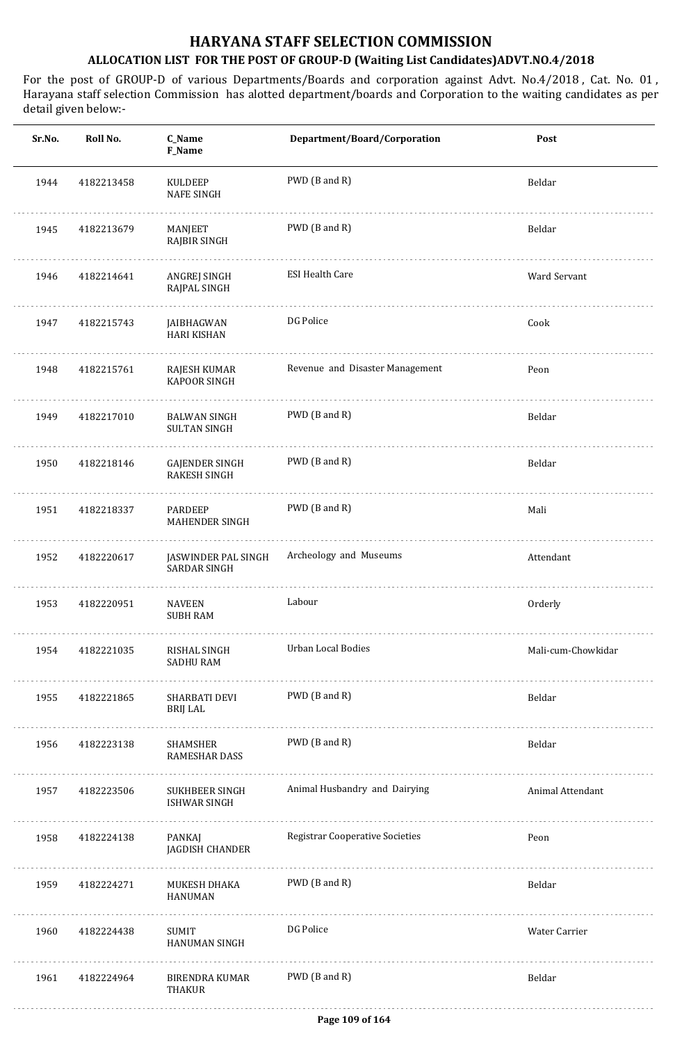| Roll No.   | C_Name<br><b>F_Name</b>                      | Department/Board/Corporation           | Post               |
|------------|----------------------------------------------|----------------------------------------|--------------------|
| 4182213458 | <b>KULDEEP</b><br><b>NAFE SINGH</b>          | PWD (B and R)                          | Beldar             |
| 4182213679 | MANJEET<br><b>RAJBIR SINGH</b>               | PWD (B and R)                          | Beldar             |
| 4182214641 | ANGREJ SINGH<br>RAJPAL SINGH                 | <b>ESI Health Care</b>                 | Ward Servant       |
| 4182215743 | JAIBHAGWAN<br><b>HARI KISHAN</b>             | DG Police                              | Cook               |
| 4182215761 | <b>RAJESH KUMAR</b><br><b>KAPOOR SINGH</b>   | Revenue and Disaster Management        | Peon               |
| 4182217010 | <b>BALWAN SINGH</b><br><b>SULTAN SINGH</b>   | PWD (B and R)                          | Beldar             |
| 4182218146 | <b>GAJENDER SINGH</b><br><b>RAKESH SINGH</b> | PWD (B and R)                          | Beldar             |
| 4182218337 | <b>PARDEEP</b><br><b>MAHENDER SINGH</b>      | PWD (B and R)                          | Mali               |
| 4182220617 | JASWINDER PAL SINGH<br><b>SARDAR SINGH</b>   | Archeology and Museums                 | Attendant          |
| 4182220951 | <b>NAVEEN</b><br><b>SUBH RAM</b>             | Labour                                 | Orderly            |
| 4182221035 | RISHAL SINGH<br><b>SADHU RAM</b>             | <b>Urban Local Bodies</b>              | Mali-cum-Chowkidar |
| 4182221865 | SHARBATI DEVI<br>BRIJ LAL                    | PWD (B and R)                          | Beldar             |
| 4182223138 | SHAMSHER<br>RAMESHAR DASS                    | PWD (B and R)                          | Beldar             |
| 4182223506 | SUKHBEER SINGH<br>ISHWAR SINGH               | Animal Husbandry and Dairying          | Animal Attendant   |
| 4182224138 | PANKAJ<br>JAGDISH CHANDER                    | <b>Registrar Cooperative Societies</b> | Peon               |
| 4182224271 | MUKESH DHAKA<br><b>HANUMAN</b>               | PWD (B and R)                          | Beldar             |
| 4182224438 | SUMIT<br>HANUMAN SINGH                       | DG Police                              | Water Carrier      |
| 4182224964 | <b>BIRENDRA KUMAR</b><br>THAKUR              | PWD (B and R)                          | Beldar             |
|            |                                              |                                        |                    |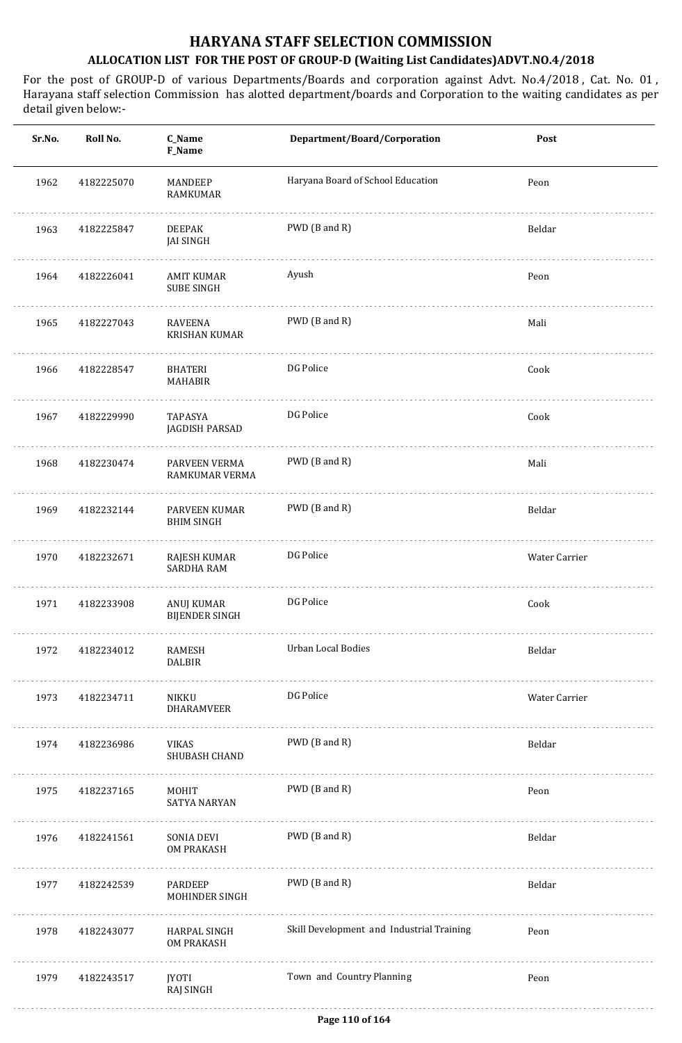| Sr.No. | Roll No.   | C_Name<br>F_Name                    | Department/Board/Corporation              | Post          |
|--------|------------|-------------------------------------|-------------------------------------------|---------------|
| 1962   | 4182225070 | MANDEEP<br><b>RAMKUMAR</b>          | Haryana Board of School Education         | Peon          |
| 1963   | 4182225847 | <b>DEEPAK</b><br><b>JAI SINGH</b>   | PWD (B and R)                             | Beldar        |
| 1964   | 4182226041 | AMIT KUMAR<br><b>SUBE SINGH</b>     | Ayush                                     | Peon          |
| 1965   | 4182227043 | RAVEENA<br><b>KRISHAN KUMAR</b>     | PWD (B and R)                             | Mali          |
| 1966   | 4182228547 | BHATERI<br><b>MAHABIR</b>           | DG Police                                 | Cook          |
| 1967   | 4182229990 | TAPASYA<br>JAGDISH PARSAD           | DG Police                                 | Cook          |
| 1968   | 4182230474 | PARVEEN VERMA<br>RAMKUMAR VERMA     | PWD (B and R)                             | Mali          |
| 1969   | 4182232144 | PARVEEN KUMAR<br><b>BHIM SINGH</b>  | PWD (B and R)                             | Beldar        |
| 1970   | 4182232671 | RAJESH KUMAR<br><b>SARDHA RAM</b>   | DG Police                                 | Water Carrier |
| 1971   | 4182233908 | ANUJ KUMAR<br><b>BIJENDER SINGH</b> | DG Police                                 | Cook          |
| 1972   | 4182234012 | RAMESH<br><b>DALBIR</b>             | Urban Local Bodies                        | Beldar        |
| 1973   | 4182234711 | NIKKU<br>DHARAMVEER                 | DG Police                                 | Water Carrier |
| 1974   | 4182236986 | VIKAS<br>SHUBASH CHAND              | PWD (B and R)                             | Beldar        |
| 1975   | 4182237165 | MOHIT<br><b>SATYA NARYAN</b>        | PWD (B and R)                             | Peon          |
| 1976   | 4182241561 | SONIA DEVI<br>OM PRAKASH            | PWD (B and R)                             | Beldar        |
| 1977   | 4182242539 | PARDEEP<br>MOHINDER SINGH           | PWD (B and R)                             | Beldar        |
| 1978   | 4182243077 | HARPAL SINGH<br>OM PRAKASH          | Skill Development and Industrial Training | Peon          |
| 1979   | 4182243517 | JYOTI<br>RAJ SINGH                  | Town and Country Planning                 | Peon          |
|        |            |                                     |                                           |               |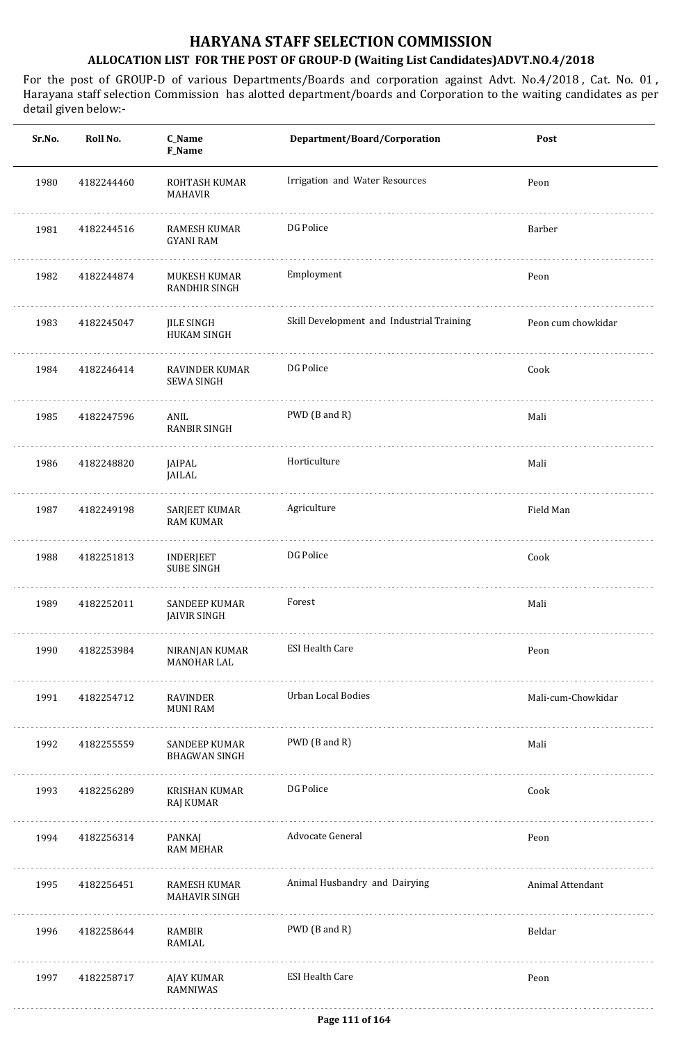| Sr.No. | Roll No.        | C_Name<br>F_Name                             | Department/Board/Corporation              | Post               |
|--------|-----------------|----------------------------------------------|-------------------------------------------|--------------------|
| 1980   | 4182244460      | ROHTASH KUMAR<br>MAHAVIR                     | Irrigation and Water Resources            | Peon               |
| 1981   | 4182244516      | RAMESH KUMAR<br><b>GYANI RAM</b>             | DG Police                                 | Barber             |
| 1982   | 4182244874      | MUKESH KUMAR<br><b>RANDHIR SINGH</b>         | Employment                                | Peon               |
| 1983   | 4182245047      | JILE SINGH<br><b>HUKAM SINGH</b>             | Skill Development and Industrial Training | Peon cum chowkidar |
| 1984   | 4182246414      | <b>RAVINDER KUMAR</b><br><b>SEWA SINGH</b>   | DG Police                                 | Cook               |
| 1985   | 4182247596      | ANIL<br><b>RANBIR SINGH</b>                  | PWD (B and R)                             | Mali               |
| 1986   | 4182248820      | JAIPAL<br>JAILAL                             | Horticulture                              | Mali               |
| 1987   | 4182249198      | SARJEET KUMAR<br><b>RAM KUMAR</b>            | Agriculture                               | Field Man          |
| 1988   | 4182251813      | <b>INDERJEET</b><br><b>SUBE SINGH</b>        | DG Police                                 | Cook               |
| 1989   | 4182252011      | <b>SANDEEP KUMAR</b><br><b>JAIVIR SINGH</b>  | Forest                                    | Mali               |
| 1990   | 4182253984<br>. | NIRANJAN KUMAR<br>MANOHAR LAL                | <b>ESI Health Care</b>                    | Peon               |
| 1991   | 4182254712      | RAVINDER<br><b>MUNI RAM</b>                  | Urban Local Bodies                        | Mali-cum-Chowkidar |
| 1992   | 4182255559<br>. | <b>SANDEEP KUMAR</b><br><b>BHAGWAN SINGH</b> | PWD (B and R)                             | Mali               |
| 1993   | 4182256289      | KRISHAN KUMAR<br>RAJ KUMAR                   | DG Police                                 | Cook               |
| 1994   | 4182256314      | PANKAJ<br><b>RAM MEHAR</b>                   | Advocate General                          | Peon               |
| 1995   | 4182256451      | RAMESH KUMAR<br><b>MAHAVIR SINGH</b>         | Animal Husbandry and Dairying             | Animal Attendant   |
| 1996   | 4182258644      | RAMBIR<br>RAMLAL                             | PWD (B and R)                             | Beldar             |
| 1997   | 4182258717      | AJAY KUMAR<br><b>RAMNIWAS</b>                | <b>ESI Health Care</b>                    | Peon               |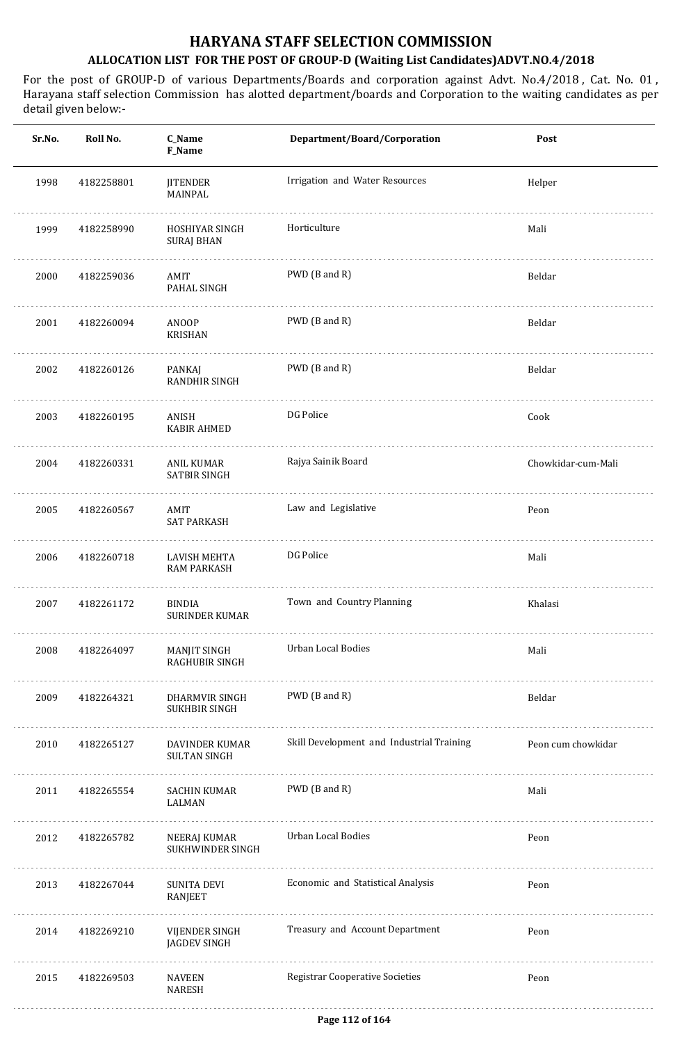| Sr.No. | Roll No.   | C_Name<br>F_Name                             | Department/Board/Corporation              | Post               |
|--------|------------|----------------------------------------------|-------------------------------------------|--------------------|
| 1998   | 4182258801 | <b>JITENDER</b><br>MAINPAL                   | Irrigation and Water Resources            | Helper             |
| 1999   | 4182258990 | HOSHIYAR SINGH<br><b>SURAJ BHAN</b>          | Horticulture                              | Mali               |
| 2000   | 4182259036 | AMIT<br>PAHAL SINGH                          | PWD (B and R)                             | Beldar             |
| 2001   | 4182260094 | ANOOP<br><b>KRISHAN</b>                      | PWD (B and R)                             | Beldar             |
| 2002   | 4182260126 | PANKAJ<br>RANDHIR SINGH                      | PWD (B and R)                             | Beldar             |
| 2003   | 4182260195 | ANISH<br><b>KABIR AHMED</b>                  | DG Police                                 | Cook               |
| 2004   | 4182260331 | ANIL KUMAR<br><b>SATBIR SINGH</b>            | Rajya Sainik Board                        | Chowkidar-cum-Mali |
| 2005   | 4182260567 | AMIT<br><b>SAT PARKASH</b>                   | Law and Legislative                       | Peon               |
| 2006   | 4182260718 | LAVISH MEHTA<br><b>RAM PARKASH</b>           | DG Police                                 | Mali               |
| 2007   | 4182261172 | <b>BINDIA</b><br><b>SURINDER KUMAR</b>       | Town and Country Planning                 | Khalasi            |
| 2008   | 4182264097 | MANJIT SINGH<br>RAGHUBIR SINGH               | Urban Local Bodies                        | Mali               |
| 2009   | 4182264321 | DHARMVIR SINGH<br>SUKHBIR SINGH              | PWD (B and R)                             | Beldar             |
| 2010   | 4182265127 | <b>DAVINDER KUMAR</b><br><b>SULTAN SINGH</b> | Skill Development and Industrial Training | Peon cum chowkidar |
| 2011   | 4182265554 | SACHIN KUMAR<br>LALMAN                       | PWD (B and R)                             | Mali               |
| 2012   | 4182265782 | NEERAJ KUMAR<br>SUKHWINDER SINGH<br>.        | Urban Local Bodies                        | Peon               |
| 2013   | 4182267044 | SUNITA DEVI<br>RANJEET                       | Economic and Statistical Analysis         | Peon               |
| 2014   | 4182269210 | VIJENDER SINGH<br>JAGDEV SINGH               | Treasury and Account Department           | Peon               |
| 2015   | 4182269503 | NAVEEN<br>NARESH                             | <b>Registrar Cooperative Societies</b>    | Peon               |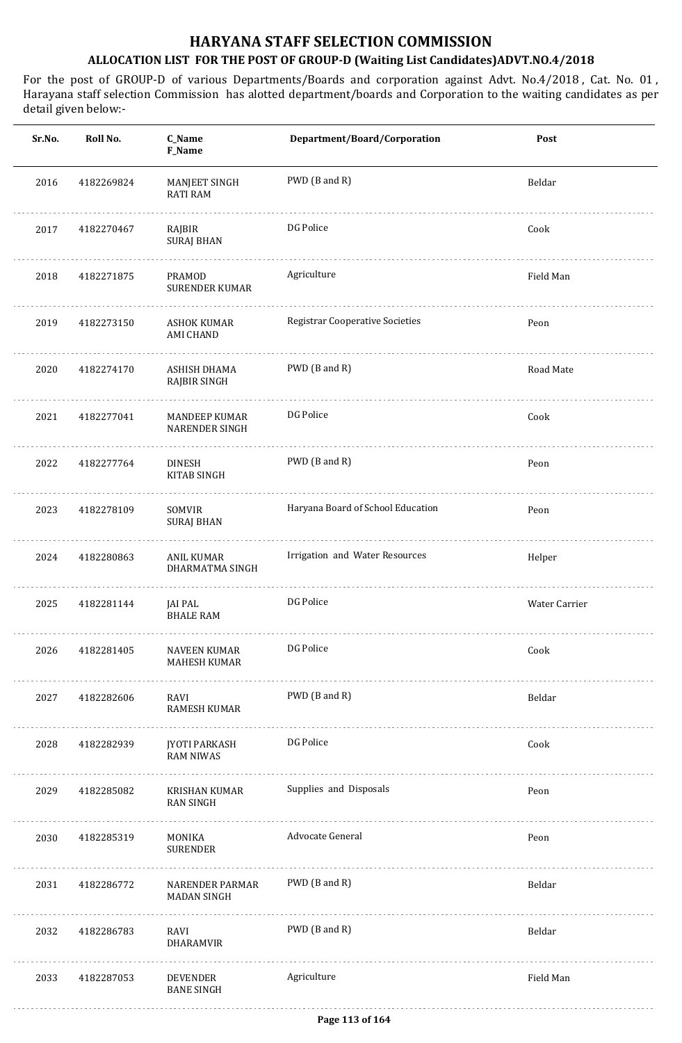| Sr.No. | Roll No.   | C_Name<br>F_Name                              | Department/Board/Corporation           | Post          |
|--------|------------|-----------------------------------------------|----------------------------------------|---------------|
| 2016   | 4182269824 | MANJEET SINGH<br><b>RATI RAM</b>              | PWD (B and R)                          | Beldar        |
| 2017   | 4182270467 | RAJBIR<br><b>SURAJ BHAN</b>                   | DG Police                              | Cook          |
| 2018   | 4182271875 | PRAMOD<br><b>SURENDER KUMAR</b>               | Agriculture                            | Field Man     |
| 2019   | 4182273150 | <b>ASHOK KUMAR</b><br><b>AMI CHAND</b>        | <b>Registrar Cooperative Societies</b> | Peon          |
| 2020   | 4182274170 | ASHISH DHAMA<br><b>RAJBIR SINGH</b>           | PWD (B and R)                          | Road Mate     |
| 2021   | 4182277041 | <b>MANDEEP KUMAR</b><br><b>NARENDER SINGH</b> | DG Police                              | Cook          |
| 2022   | 4182277764 | <b>DINESH</b><br>KITAB SINGH                  | PWD (B and R)                          | Peon          |
| 2023   | 4182278109 | SOMVIR<br><b>SURAJ BHAN</b>                   | Haryana Board of School Education      | Peon          |
| 2024   | 4182280863 | ANIL KUMAR<br>DHARMATMA SINGH                 | Irrigation and Water Resources         | Helper        |
| 2025   | 4182281144 | JAI PAL<br><b>BHALE RAM</b>                   | DG Police                              | Water Carrier |
| 2026   | 4182281405 | NAVEEN KUMAR<br>MAHESH KUMAR                  | DG Police                              | Cook          |
| 2027   | 4182282606 | RAVI<br>RAMESH KUMAR                          | PWD (B and R)                          | Beldar        |
| 2028   | 4182282939 | JYOTI PARKASH<br><b>RAM NIWAS</b>             | DG Police                              | Cook          |
| 2029   | 4182285082 | KRISHAN KUMAR<br><b>RAN SINGH</b>             | Supplies and Disposals                 | Peon          |
| 2030   | 4182285319 | MONIKA<br><b>SURENDER</b>                     | Advocate General                       | Peon          |
| 2031   | 4182286772 | NARENDER PARMAR<br>MADAN SINGH                | PWD (B and R)                          | Beldar        |
| 2032   | 4182286783 | RAVI<br>DHARAMVIR                             | PWD (B and R)                          | Beldar        |
| 2033   | 4182287053 | DEVENDER<br><b>BANE SINGH</b>                 | Agriculture                            | Field Man     |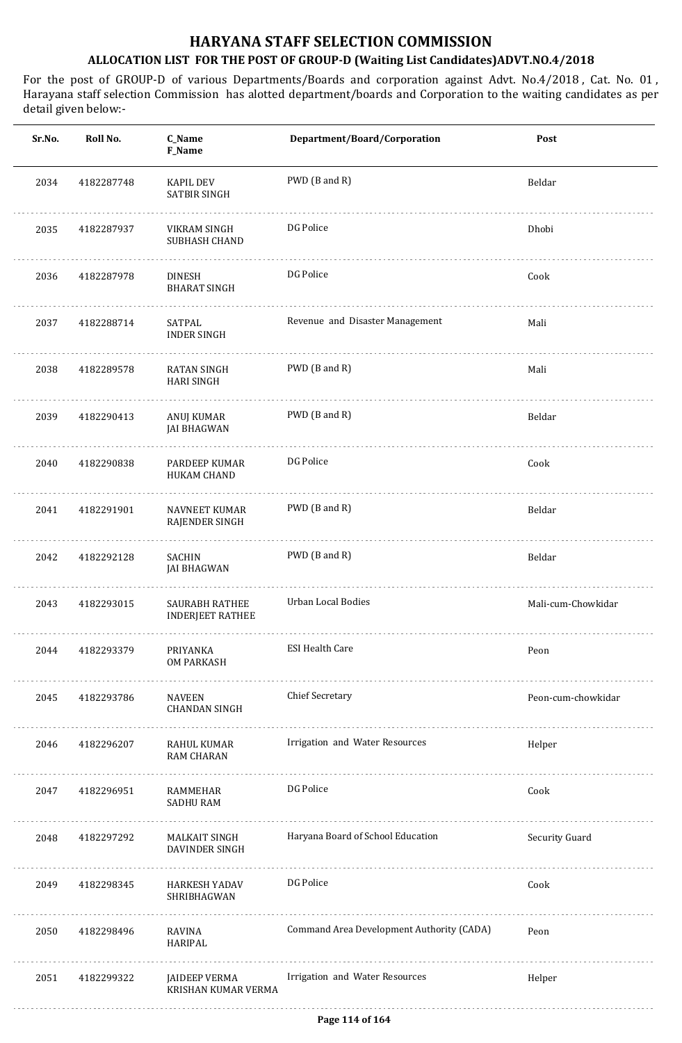| Sr.No. | Roll No.   | C_Name<br>F_Name                                 | Department/Board/Corporation              | Post               |
|--------|------------|--------------------------------------------------|-------------------------------------------|--------------------|
| 2034   | 4182287748 | <b>KAPIL DEV</b><br>SATBIR SINGH                 | PWD (B and R)                             | Beldar             |
| 2035   | 4182287937 | VIKRAM SINGH<br>SUBHASH CHAND                    | DG Police                                 | Dhobi              |
| 2036   | 4182287978 | <b>DINESH</b><br><b>BHARAT SINGH</b>             | DG Police                                 | Cook               |
| 2037   | 4182288714 | SATPAL<br><b>INDER SINGH</b>                     | Revenue and Disaster Management           | Mali               |
| 2038   | 4182289578 | <b>RATAN SINGH</b><br><b>HARI SINGH</b>          | PWD (B and R)                             | Mali               |
| 2039   | 4182290413 | ANUJ KUMAR<br><b>JAI BHAGWAN</b>                 | PWD (B and R)                             | Beldar             |
| 2040   | 4182290838 | PARDEEP KUMAR<br>HUKAM CHAND                     | DG Police                                 | Cook               |
| 2041   | 4182291901 | <b>NAVNEET KUMAR</b><br>RAJENDER SINGH           | PWD (B and R)                             | Beldar             |
| 2042   | 4182292128 | SACHIN<br>JAI BHAGWAN                            | PWD (B and R)                             | Beldar             |
| 2043   | 4182293015 | <b>SAURABH RATHEE</b><br><b>INDERJEET RATHEE</b> | Urban Local Bodies                        | Mali-cum-Chowkidar |
| 2044   | 4182293379 | PRIYANKA<br><b>OM PARKASH</b>                    | <b>ESI Health Care</b>                    | Peon               |
| 2045   | 4182293786 | NAVEEN<br><b>CHANDAN SINGH</b>                   | <b>Chief Secretary</b>                    | Peon-cum-chowkidar |
| 2046   | 4182296207 | RAHUL KUMAR<br><b>RAM CHARAN</b>                 | Irrigation and Water Resources            | Helper             |
| 2047   | 4182296951 | RAMMEHAR<br><b>SADHU RAM</b>                     | DG Police                                 | Cook               |
| 2048   | 4182297292 | MALKAIT SINGH<br>DAVINDER SINGH                  | Haryana Board of School Education         | Security Guard     |
| 2049   | 4182298345 | HARKESH YADAV<br>SHRIBHAGWAN                     | DG Police                                 | Cook               |
| 2050   | 4182298496 | RAVINA<br>HARIPAL                                | Command Area Development Authority (CADA) | Peon               |
| 2051   | 4182299322 | JAIDEEP VERMA<br>KRISHAN KUMAR VERMA             | Irrigation and Water Resources            | Helper             |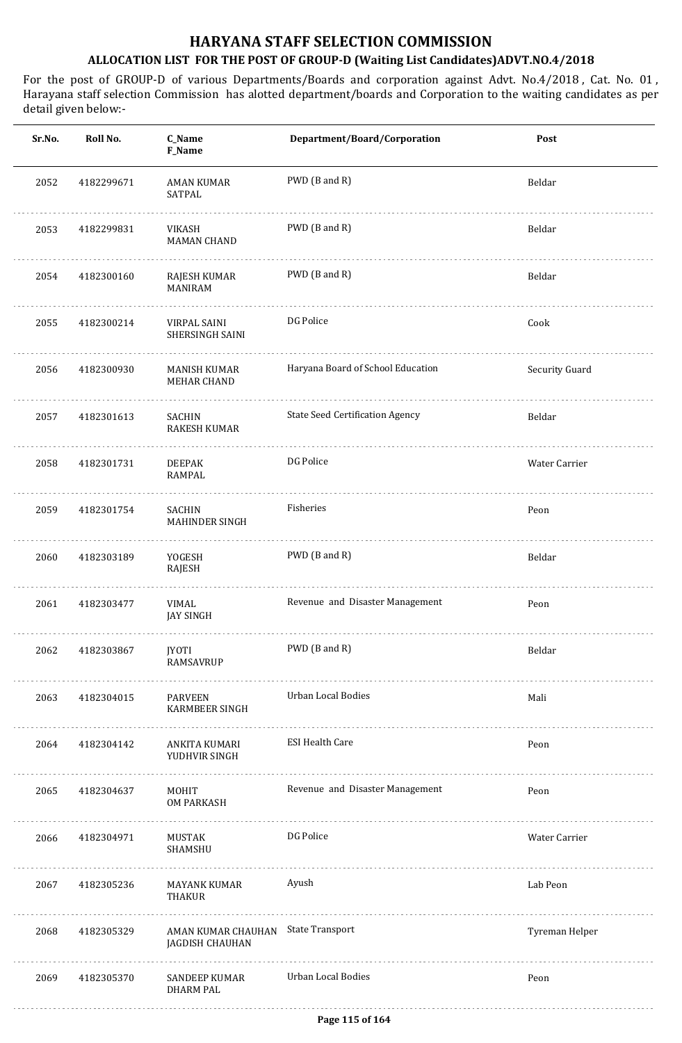| Roll No.   | C_Name<br>F_Name                       | Department/Board/Corporation           | Post                               |
|------------|----------------------------------------|----------------------------------------|------------------------------------|
| 4182299671 | <b>AMAN KUMAR</b><br>SATPAL            | PWD (B and R)                          | Beldar                             |
| 4182299831 | VIKASH<br><b>MAMAN CHAND</b>           | PWD (B and R)                          | Beldar                             |
| 4182300160 | RAJESH KUMAR<br><b>MANIRAM</b>         | PWD (B and R)                          | Beldar                             |
| 4182300214 | VIRPAL SAINI<br>SHERSINGH SAINI        | DG Police                              | Cook                               |
| 4182300930 | MANISH KUMAR<br><b>MEHAR CHAND</b>     | Haryana Board of School Education      | Security Guard                     |
| 4182301613 | <b>SACHIN</b><br><b>RAKESH KUMAR</b>   | <b>State Seed Certification Agency</b> | Beldar                             |
| 4182301731 | <b>DEEPAK</b><br>RAMPAL                | DG Police                              | Water Carrier                      |
| 4182301754 | <b>SACHIN</b><br><b>MAHINDER SINGH</b> | Fisheries                              | Peon                               |
| 4182303189 | YOGESH<br>RAJESH                       | PWD (B and R)                          | Beldar                             |
| 4182303477 | VIMAL<br><b>JAY SINGH</b>              | Revenue and Disaster Management        | Peon                               |
| 4182303867 | JYOTI<br>RAMSAVRUP                     | PWD (B and R)                          | Beldar                             |
| 4182304015 | PARVEEN<br><b>KARMBEER SINGH</b>       | Urban Local Bodies                     | Mali                               |
| 4182304142 | ANKITA KUMARI<br>YUDHVIR SINGH         | <b>ESI Health Care</b>                 | Peon                               |
| 4182304637 | MOHIT<br>OM PARKASH                    | Revenue and Disaster Management        | Peon                               |
| 4182304971 | MUSTAK<br>SHAMSHU                      | DG Police                              | Water Carrier                      |
| 4182305236 | MAYANK KUMAR<br><b>THAKUR</b>          | Ayush                                  | Lab Peon                           |
| 4182305329 | JAGDISH CHAUHAN                        |                                        | Tyreman Helper                     |
| 4182305370 | SANDEEP KUMAR<br><b>DHARM PAL</b>      | <b>Urban Local Bodies</b>              | Peon                               |
|            |                                        |                                        | AMAN KUMAR CHAUHAN State Transport |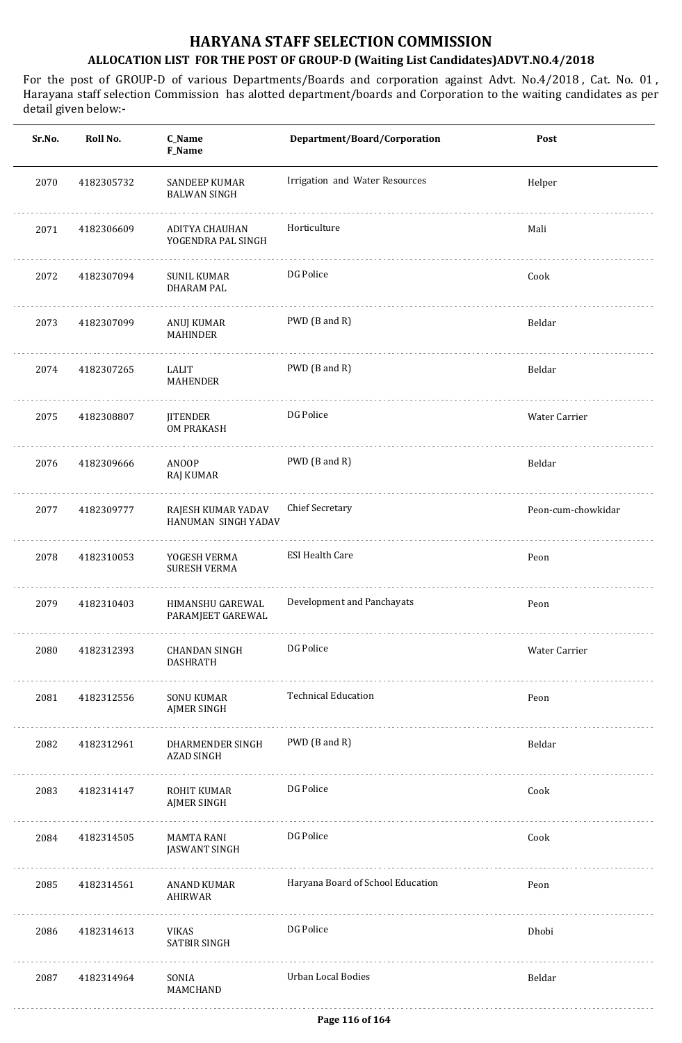| Sr.No. | Roll No.   | C_Name<br><b>F_Name</b>                   | Department/Board/Corporation      | Post               |
|--------|------------|-------------------------------------------|-----------------------------------|--------------------|
| 2070   | 4182305732 | SANDEEP KUMAR<br><b>BALWAN SINGH</b>      | Irrigation and Water Resources    | Helper             |
| 2071   | 4182306609 | ADITYA CHAUHAN<br>YOGENDRA PAL SINGH      | Horticulture                      | Mali               |
| 2072   | 4182307094 | <b>SUNIL KUMAR</b><br><b>DHARAM PAL</b>   | DG Police                         | Cook               |
| 2073   | 4182307099 | ANUJ KUMAR<br><b>MAHINDER</b>             | PWD (B and R)                     | Beldar             |
| 2074   | 4182307265 | LALIT<br><b>MAHENDER</b>                  | PWD (B and R)                     | Beldar             |
| 2075   | 4182308807 | <b>JITENDER</b><br><b>OM PRAKASH</b>      | DG Police                         | Water Carrier      |
| 2076   | 4182309666 | ANOOP<br>RAJ KUMAR                        | PWD (B and R)                     | Beldar             |
| 2077   | 4182309777 | RAJESH KUMAR YADAV<br>HANUMAN SINGH YADAV | <b>Chief Secretary</b>            | Peon-cum-chowkidar |
| 2078   | 4182310053 | YOGESH VERMA<br><b>SURESH VERMA</b>       | <b>ESI Health Care</b>            | Peon               |
| 2079   | 4182310403 | HIMANSHU GAREWAL<br>PARAMJEET GAREWAL     | Development and Panchayats        | Peon               |
| 2080   | 4182312393 | CHANDAN SINGH<br><b>DASHRATH</b>          | DG Police                         | Water Carrier      |
| 2081   | 4182312556 | SONU KUMAR<br><b>AJMER SINGH</b>          | <b>Technical Education</b>        | Peon               |
| 2082   | 4182312961 | DHARMENDER SINGH<br><b>AZAD SINGH</b>     | PWD (B and R)                     | Beldar             |
| 2083   | 4182314147 | ROHIT KUMAR<br><b>AJMER SINGH</b>         | DG Police                         | Cook               |
| 2084   | 4182314505 | MAMTA RANI<br>JASWANT SINGH               | DG Police                         | Cook               |
| 2085   | 4182314561 | ANAND KUMAR<br>AHIRWAR                    | Haryana Board of School Education | Peon               |
| 2086   | 4182314613 | VIKAS<br>SATBIR SINGH                     | DG Police                         | Dhobi              |
| 2087   | 4182314964 | SONIA<br>MAMCHAND                         | <b>Urban Local Bodies</b>         | Beldar             |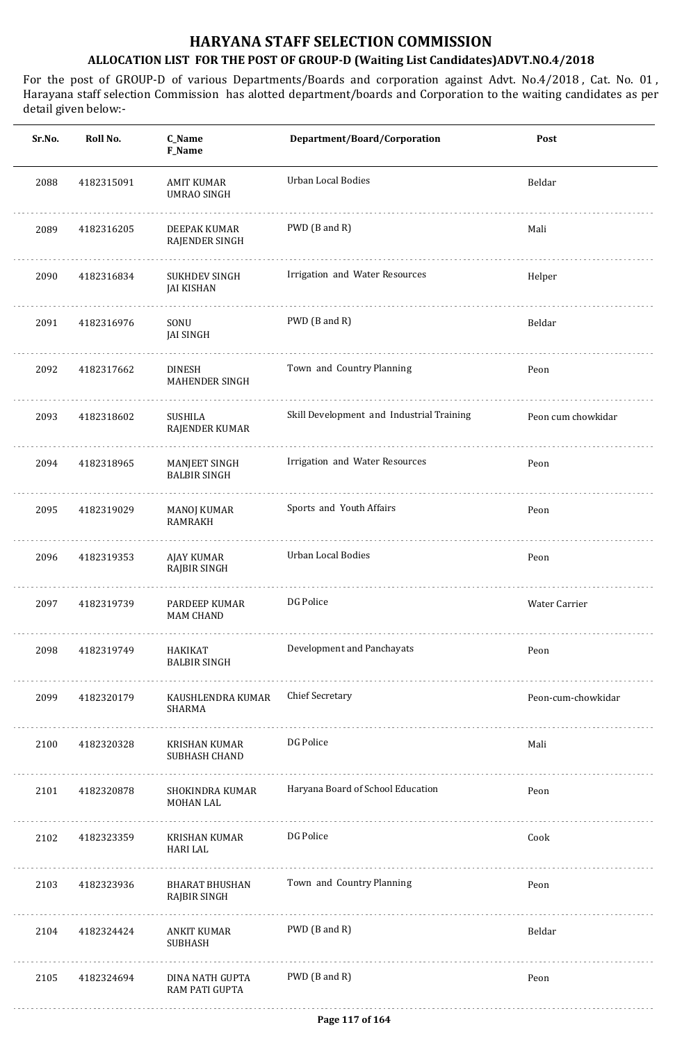| Sr.No. | Roll No.   | C_Name<br>F_Name                         | Department/Board/Corporation              | Post               |
|--------|------------|------------------------------------------|-------------------------------------------|--------------------|
| 2088   | 4182315091 | <b>AMIT KUMAR</b><br><b>UMRAO SINGH</b>  | <b>Urban Local Bodies</b>                 | Beldar             |
| 2089   | 4182316205 | DEEPAK KUMAR<br>RAJENDER SINGH           | PWD (B and R)                             | Mali               |
| 2090   | 4182316834 | <b>SUKHDEV SINGH</b><br>JAI KISHAN       | Irrigation and Water Resources            | Helper             |
| 2091   | 4182316976 | SONU<br><b>JAI SINGH</b>                 | PWD (B and R)                             | Beldar             |
| 2092   | 4182317662 | <b>DINESH</b><br><b>MAHENDER SINGH</b>   | Town and Country Planning                 | Peon               |
| 2093   | 4182318602 | SUSHILA<br>RAJENDER KUMAR                | Skill Development and Industrial Training | Peon cum chowkidar |
| 2094   | 4182318965 | MANJEET SINGH<br><b>BALBIR SINGH</b>     | Irrigation and Water Resources            | Peon               |
| 2095   | 4182319029 | MANOJ KUMAR<br><b>RAMRAKH</b>            | Sports and Youth Affairs                  | Peon               |
| 2096   | 4182319353 | AJAY KUMAR<br>RAJBIR SINGH               | <b>Urban Local Bodies</b>                 | Peon               |
| 2097   | 4182319739 | <b>PARDEEP KUMAR</b><br><b>MAM CHAND</b> | DG Police                                 | Water Carrier      |
| 2098   | 4182319749 | HAKIKAT<br><b>BALBIR SINGH</b>           | Development and Panchayats                | Peon               |
| 2099   | 4182320179 | KAUSHLENDRA KUMAR<br>SHARMA              | <b>Chief Secretary</b>                    | Peon-cum-chowkidar |
| 2100   | 4182320328 | KRISHAN KUMAR<br>SUBHASH CHAND           | DG Police                                 | Mali               |
| 2101   | 4182320878 | SHOKINDRA KUMAR<br>MOHAN LAL             | Haryana Board of School Education         | Peon               |
| 2102   | 4182323359 | KRISHAN KUMAR<br><b>HARI LAL</b>         | DG Police                                 | Cook               |
| 2103   | 4182323936 | <b>BHARAT BHUSHAN</b><br>RAJBIR SINGH    | Town and Country Planning                 | Peon               |
| 2104   | 4182324424 | ANKIT KUMAR<br><b>SUBHASH</b>            | PWD (B and R)                             | Beldar             |
| 2105   | 4182324694 | DINA NATH GUPTA<br>RAM PATI GUPTA        | PWD (B and R)                             | Peon               |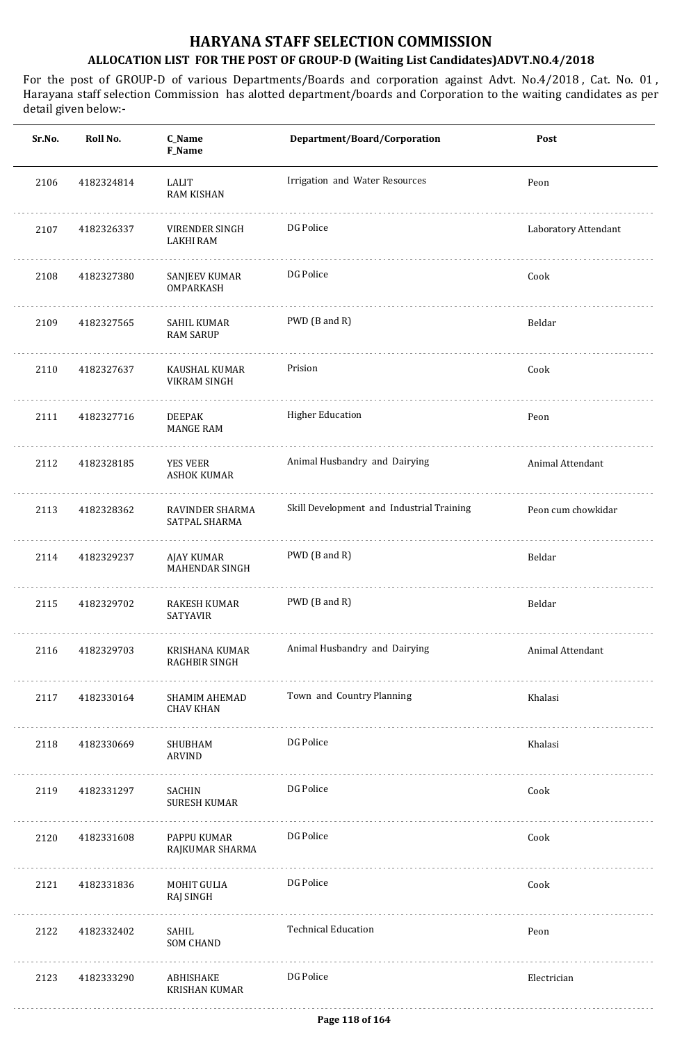| Sr.No. | Roll No.   | C_Name<br>F_Name                         | Department/Board/Corporation              | Post                 |
|--------|------------|------------------------------------------|-------------------------------------------|----------------------|
| 2106   | 4182324814 | LALIT<br>RAM KISHAN                      | Irrigation and Water Resources            | Peon                 |
| 2107   | 4182326337 | VIRENDER SINGH<br><b>LAKHI RAM</b>       | DG Police                                 | Laboratory Attendant |
| 2108   | 4182327380 | SANJEEV KUMAR<br>OMPARKASH               | DG Police                                 | Cook                 |
| 2109   | 4182327565 | SAHIL KUMAR<br><b>RAM SARUP</b>          | PWD (B and R)                             | Beldar               |
| 2110   | 4182327637 | KAUSHAL KUMAR<br>VIKRAM SINGH            | Prision                                   | Cook                 |
| 2111   | 4182327716 | <b>DEEPAK</b><br><b>MANGE RAM</b>        | <b>Higher Education</b>                   | Peon                 |
| 2112   | 4182328185 | <b>YES VEER</b><br><b>ASHOK KUMAR</b>    | Animal Husbandry and Dairying             | Animal Attendant     |
| 2113   | 4182328362 | RAVINDER SHARMA<br>SATPAL SHARMA         | Skill Development and Industrial Training | Peon cum chowkidar   |
| 2114   | 4182329237 | AJAY KUMAR<br><b>MAHENDAR SINGH</b>      | PWD (B and R)                             | Beldar               |
| 2115   | 4182329702 | RAKESH KUMAR<br><b>SATYAVIR</b>          | PWD (B and R)                             | Beldar               |
| 2116   | 4182329703 | KRISHANA KUMAR<br><b>RAGHBIR SINGH</b>   | Animal Husbandry and Dairying             | Animal Attendant     |
| 2117   | 4182330164 | <b>SHAMIM AHEMAD</b><br><b>CHAV KHAN</b> | Town and Country Planning                 | Khalasi              |
| 2118   | 4182330669 | SHUBHAM<br>ARVIND                        | DG Police                                 | Khalasi              |
| 2119   | 4182331297 | SACHIN<br><b>SURESH KUMAR</b>            | DG Police                                 | Cook                 |
| 2120   | 4182331608 | PAPPU KUMAR<br>RAJKUMAR SHARMA           | DG Police                                 | Cook                 |
| 2121   | 4182331836 | MOHIT GULIA<br>RAJ SINGH                 | DG Police                                 | Cook                 |
| 2122   | 4182332402 | SAHIL<br><b>SOM CHAND</b>                | <b>Technical Education</b>                | Peon                 |
| 2123   | 4182333290 | ABHISHAKE<br>KRISHAN KUMAR               | DG Police                                 | Electrician          |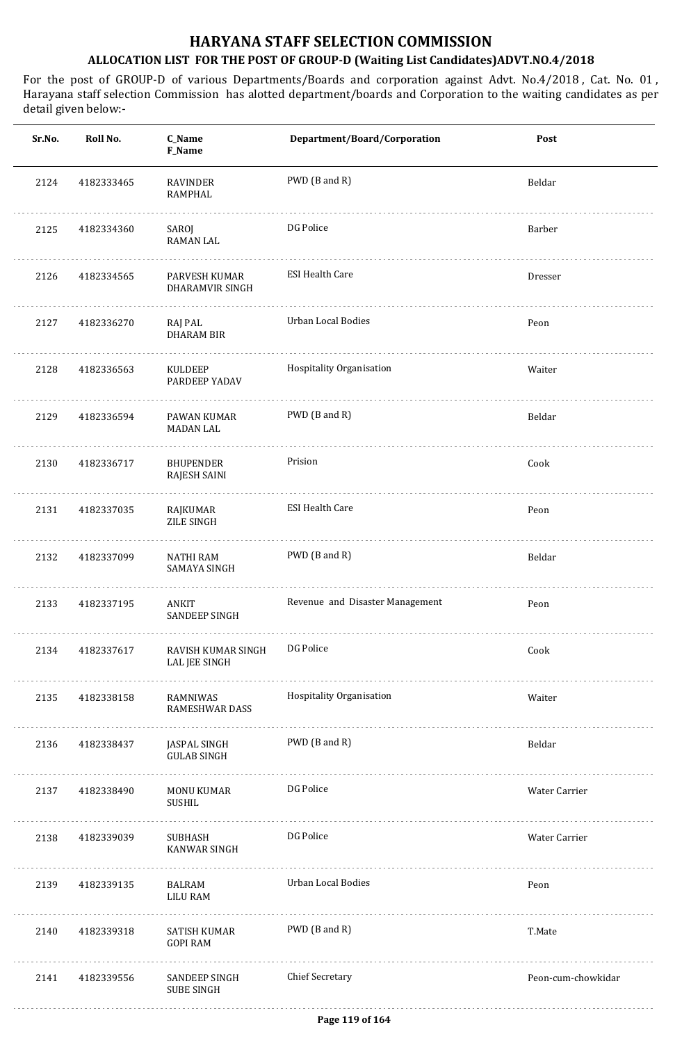| Sr.No. | Roll No.   | C_Name<br>F_Name                          | Department/Board/Corporation    | Post               |
|--------|------------|-------------------------------------------|---------------------------------|--------------------|
| 2124   | 4182333465 | <b>RAVINDER</b><br><b>RAMPHAL</b>         | PWD (B and R)                   | Beldar             |
| 2125   | 4182334360 | SAROJ<br><b>RAMAN LAL</b>                 | DG Police                       | Barber             |
| 2126   | 4182334565 | PARVESH KUMAR<br>DHARAMVIR SINGH          | <b>ESI Health Care</b>          | Dresser            |
| 2127   | 4182336270 | RAJ PAL<br><b>DHARAM BIR</b>              | <b>Urban Local Bodies</b>       | Peon               |
| 2128   | 4182336563 | KULDEEP<br>PARDEEP YADAV                  | Hospitality Organisation        | Waiter             |
| 2129   | 4182336594 | PAWAN KUMAR<br><b>MADAN LAL</b>           | PWD (B and R)                   | Beldar             |
| 2130   | 4182336717 | <b>BHUPENDER</b><br>RAJESH SAINI          | Prision                         | Cook               |
| 2131   | 4182337035 | RAJKUMAR<br>ZILE SINGH                    | <b>ESI Health Care</b>          | Peon               |
| 2132   | 4182337099 | <b>NATHI RAM</b><br><b>SAMAYA SINGH</b>   | PWD (B and R)                   | Beldar             |
| 2133   | 4182337195 | <b>ANKIT</b><br>SANDEEP SINGH             | Revenue and Disaster Management | Peon               |
| 2134   | 4182337617 | RAVISH KUMAR SINGH<br>LAL JEE SINGH       | DG Police                       | Cook               |
| 2135   | 4182338158 | <b>RAMNIWAS</b><br><b>RAMESHWAR DASS</b>  | Hospitality Organisation        | Waiter             |
| 2136   | 4182338437 | JASPAL SINGH<br><b>GULAB SINGH</b>        | PWD (B and R)                   | Beldar             |
| 2137   | 4182338490 | MONU KUMAR<br>SUSHIL                      | DG Police                       | Water Carrier      |
| 2138   | 4182339039 | SUBHASH<br><b>KANWAR SINGH</b>            | DG Police                       | Water Carrier      |
| 2139   | 4182339135 | <b>BALRAM</b><br><b>LILU RAM</b>          | <b>Urban Local Bodies</b>       | Peon               |
| 2140   | 4182339318 | <b>SATISH KUMAR</b><br><b>GOPI RAM</b>    | PWD (B and R)                   | T.Mate             |
| 2141   | 4182339556 | <b>SANDEEP SINGH</b><br><b>SUBE SINGH</b> | <b>Chief Secretary</b>          | Peon-cum-chowkidar |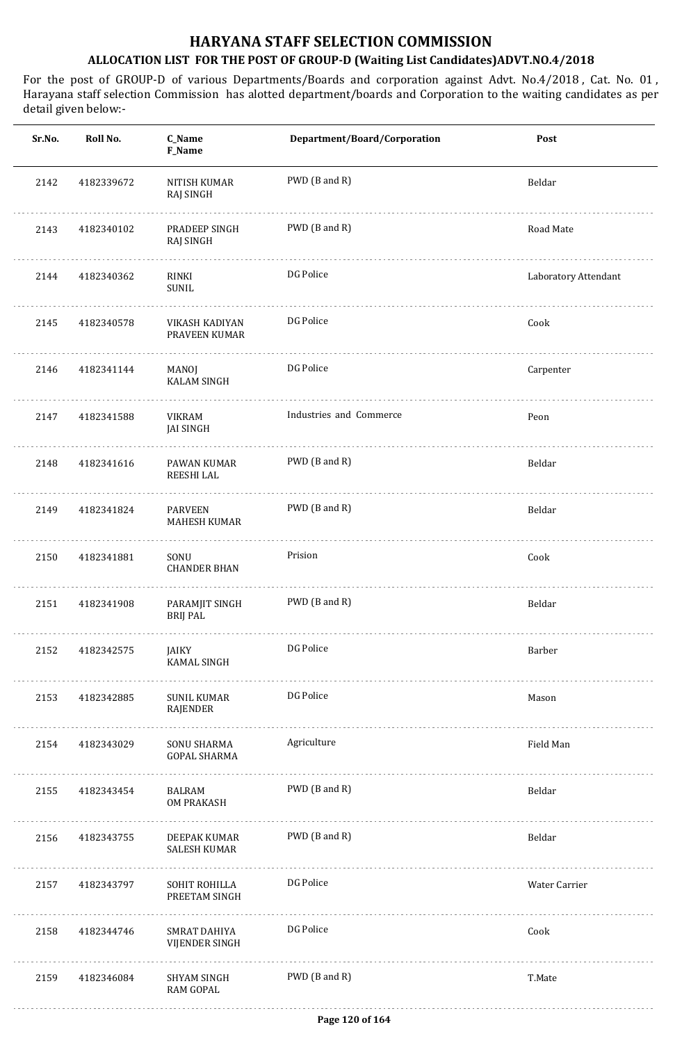| Sr.No. | Roll No.   | C_Name<br>F_Name                      | Department/Board/Corporation | Post                 |
|--------|------------|---------------------------------------|------------------------------|----------------------|
| 2142   | 4182339672 | NITISH KUMAR<br>RAJ SINGH             | PWD (B and R)                | Beldar               |
| 2143   | 4182340102 | PRADEEP SINGH<br><b>RAJ SINGH</b>     | PWD (B and R)                | Road Mate            |
| 2144   | 4182340362 | RINKI<br>SUNIL                        | DG Police                    | Laboratory Attendant |
| 2145   | 4182340578 | VIKASH KADIYAN<br>PRAVEEN KUMAR       | DG Police                    | Cook                 |
| 2146   | 4182341144 | MANOJ<br><b>KALAM SINGH</b>           | DG Police                    | Carpenter            |
| 2147   | 4182341588 | VIKRAM<br><b>JAI SINGH</b>            | Industries and Commerce      | Peon                 |
| 2148   | 4182341616 | PAWAN KUMAR<br>REESHI LAL             | PWD (B and R)                | Beldar               |
| 2149   | 4182341824 | <b>PARVEEN</b><br><b>MAHESH KUMAR</b> | PWD (B and R)                | Beldar               |
| 2150   | 4182341881 | SONU<br><b>CHANDER BHAN</b>           | Prision                      | Cook                 |
| 2151   | 4182341908 | PARAMJIT SINGH<br><b>BRIJ PAL</b>     | PWD (B and R)                | Beldar               |
| 2152   | 4182342575 | JAIKY<br><b>KAMAL SINGH</b>           | DG Police                    | Barber               |
| 2153   | 4182342885 | SUNIL KUMAR<br>RAJENDER               | DG Police                    | Mason                |
| 2154   | 4182343029 | SONU SHARMA<br><b>GOPAL SHARMA</b>    | Agriculture                  | Field Man            |
| 2155   | 4182343454 | BALRAM<br>OM PRAKASH                  | PWD (B and R)                | Beldar               |
| 2156   | 4182343755 | DEEPAK KUMAR<br><b>SALESH KUMAR</b>   | PWD (B and R)                | Beldar               |
| 2157   | 4182343797 | SOHIT ROHILLA<br>PREETAM SINGH        | DG Police                    | Water Carrier        |
| 2158   | 4182344746 | SMRAT DAHIYA<br>VIJENDER SINGH        | DG Police                    | Cook                 |
| 2159   | 4182346084 | SHYAM SINGH<br><b>RAM GOPAL</b>       | PWD (B and R)                | T.Mate               |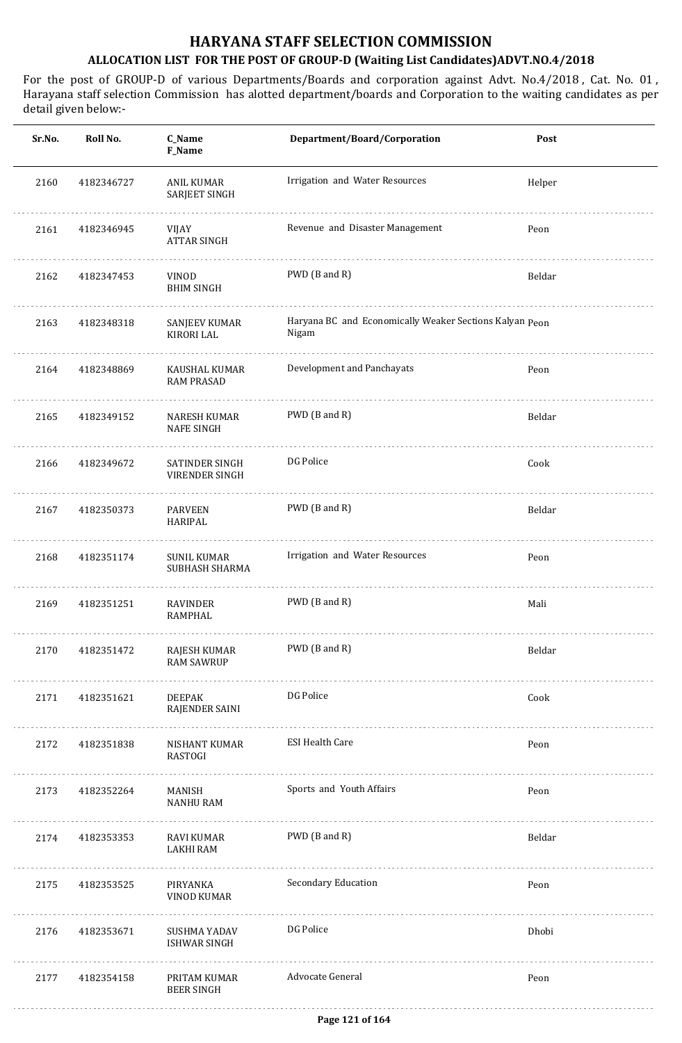| Sr.No. | Roll No.   | C_Name<br>F_Name                         | Department/Board/Corporation                                     | Post   |
|--------|------------|------------------------------------------|------------------------------------------------------------------|--------|
| 2160   | 4182346727 | <b>ANIL KUMAR</b><br>SARJEET SINGH       | Irrigation and Water Resources                                   | Helper |
| 2161   | 4182346945 | VIJAY<br><b>ATTAR SINGH</b>              | Revenue and Disaster Management                                  | Peon   |
| 2162   | 4182347453 | VINOD<br><b>BHIM SINGH</b>               | PWD (B and R)                                                    | Beldar |
| 2163   | 4182348318 | SANJEEV KUMAR<br>KIRORI LAL              | Haryana BC and Economically Weaker Sections Kalyan Peon<br>Nigam |        |
| 2164   | 4182348869 | KAUSHAL KUMAR<br><b>RAM PRASAD</b>       | Development and Panchayats                                       | Peon   |
| 2165   | 4182349152 | <b>NARESH KUMAR</b><br><b>NAFE SINGH</b> | PWD (B and R)                                                    | Beldar |
| 2166   | 4182349672 | SATINDER SINGH<br>VIRENDER SINGH         | DG Police                                                        | Cook   |
| 2167   | 4182350373 | <b>PARVEEN</b><br>HARIPAL                | PWD (B and R)                                                    | Beldar |
| 2168   | 4182351174 | <b>SUNIL KUMAR</b><br>SUBHASH SHARMA     | Irrigation and Water Resources                                   | Peon   |
| 2169   | 4182351251 | RAVINDER<br><b>RAMPHAL</b>               | PWD (B and R)                                                    | Mali   |
| 2170   | 4182351472 | RAJESH KUMAR<br><b>RAM SAWRUP</b>        | PWD (B and R)                                                    | Beldar |
| 2171   | 4182351621 | DEEPAK<br>RAJENDER SAINI                 | DG Police                                                        | Cook   |
| 2172   | 4182351838 | NISHANT KUMAR<br>RASTOGI                 | <b>ESI Health Care</b>                                           | Peon   |
| 2173   | 4182352264 | MANISH<br>NANHU RAM                      | Sports and Youth Affairs                                         | Peon   |
| 2174   | 4182353353 | RAVI KUMAR<br>LAKHI RAM                  | PWD (B and R)                                                    | Beldar |
| 2175   | 4182353525 | PIRYANKA<br>VINOD KUMAR                  | Secondary Education                                              | Peon   |
| 2176   | 4182353671 | SUSHMA YADAV<br><b>ISHWAR SINGH</b>      | DG Police                                                        | Dhobi  |
| 2177   | 4182354158 | PRITAM KUMAR<br><b>BEER SINGH</b>        | Advocate General                                                 | Peon   |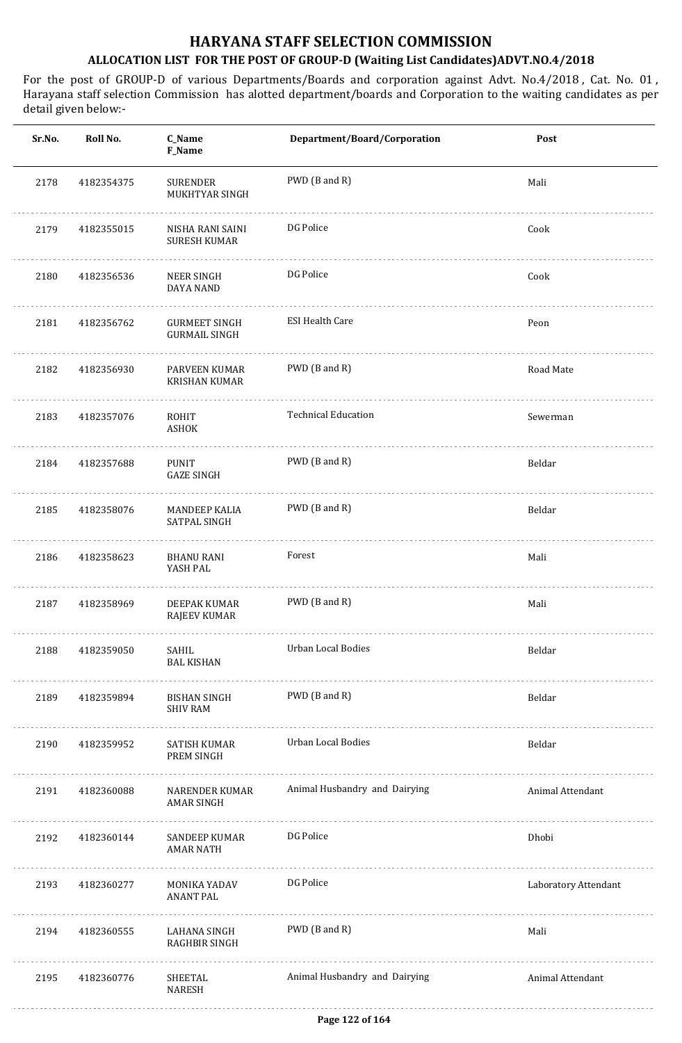| Sr.No. | Roll No.   | C_Name<br>F_Name                             | Department/Board/Corporation  | Post                 |
|--------|------------|----------------------------------------------|-------------------------------|----------------------|
| 2178   | 4182354375 | <b>SURENDER</b><br>MUKHTYAR SINGH            | PWD (B and R)                 | Mali                 |
| 2179   | 4182355015 | NISHA RANI SAINI<br><b>SURESH KUMAR</b>      | DG Police                     | Cook                 |
| 2180   | 4182356536 | NEER SINGH<br>DAYA NAND                      | DG Police                     | Cook                 |
| 2181   | 4182356762 | <b>GURMEET SINGH</b><br><b>GURMAIL SINGH</b> | <b>ESI Health Care</b>        | Peon                 |
| 2182   | 4182356930 | PARVEEN KUMAR<br><b>KRISHAN KUMAR</b>        | PWD (B and R)                 | Road Mate            |
| 2183   | 4182357076 | ROHIT<br><b>ASHOK</b>                        | <b>Technical Education</b>    | Sewerman             |
| 2184   | 4182357688 | <b>PUNIT</b><br><b>GAZE SINGH</b>            | PWD (B and R)                 | Beldar               |
| 2185   | 4182358076 | <b>MANDEEP KALIA</b><br><b>SATPAL SINGH</b>  | PWD (B and R)                 | Beldar               |
| 2186   | 4182358623 | <b>BHANU RANI</b><br>YASH PAL                | Forest                        | Mali                 |
| 2187   | 4182358969 | DEEPAK KUMAR<br><b>RAJEEV KUMAR</b>          | PWD (B and R)                 | Mali                 |
| 2188   | 4182359050 | SAHIL<br><b>BAL KISHAN</b>                   | Urban Local Bodies            | Beldar               |
| 2189   | 4182359894 | BISHAN SINGH<br>SHIV RAM                     | PWD (B and R)                 | Beldar               |
| 2190   | 4182359952 | SATISH KUMAR<br>PREM SINGH                   | Urban Local Bodies<br>.       | Beldar               |
| 2191   | 4182360088 | NARENDER KUMAR<br>AMAR SINGH                 | Animal Husbandry and Dairying | Animal Attendant     |
| 2192   | 4182360144 | SANDEEP KUMAR<br><b>AMAR NATH</b>            | DG Police                     | Dhobi                |
| 2193   | 4182360277 | MONIKA YADAV<br><b>ANANT PAL</b>             | DG Police                     | Laboratory Attendant |
| 2194   | 4182360555 | LAHANA SINGH<br>RAGHBIR SINGH                | PWD (B and R)<br>.            | Mali                 |
| 2195   | 4182360776 | SHEETAL<br>NARESH                            | Animal Husbandry and Dairying | Animal Attendant     |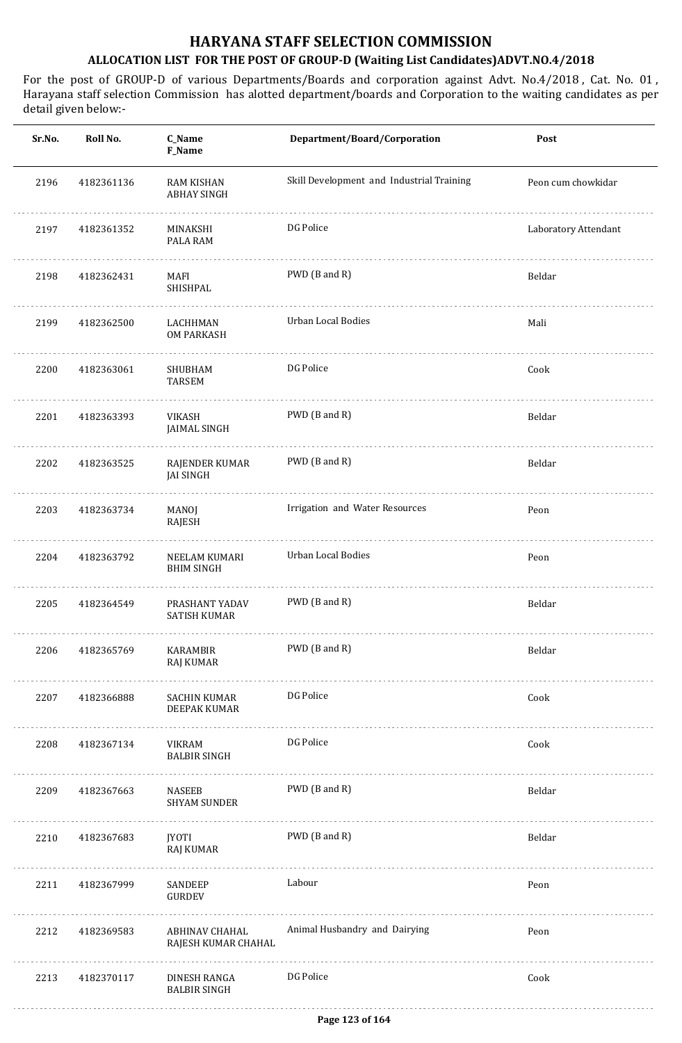| Sr.No. | Roll No.   | C_Name<br>F_Name                        | Department/Board/Corporation              | Post                 |
|--------|------------|-----------------------------------------|-------------------------------------------|----------------------|
| 2196   | 4182361136 | <b>RAM KISHAN</b><br><b>ABHAY SINGH</b> | Skill Development and Industrial Training | Peon cum chowkidar   |
| 2197   | 4182361352 | MINAKSHI<br>PALA RAM                    | DG Police                                 | Laboratory Attendant |
| 2198   | 4182362431 | MAFI<br>SHISHPAL                        | PWD (B and R)                             | Beldar               |
| 2199   | 4182362500 | LACHHMAN<br>OM PARKASH                  | Urban Local Bodies                        | Mali                 |
| 2200   | 4182363061 | SHUBHAM<br><b>TARSEM</b>                | DG Police                                 | Cook                 |
| 2201   | 4182363393 | VIKASH<br><b>JAIMAL SINGH</b>           | PWD (B and R)                             | Beldar               |
| 2202   | 4182363525 | RAJENDER KUMAR<br><b>JAI SINGH</b>      | PWD (B and R)                             | Beldar               |
| 2203   | 4182363734 | MANOJ<br>RAJESH                         | Irrigation and Water Resources            | Peon                 |
| 2204   | 4182363792 | NEELAM KUMARI<br><b>BHIM SINGH</b>      | Urban Local Bodies                        | Peon                 |
| 2205   | 4182364549 | PRASHANT YADAV<br><b>SATISH KUMAR</b>   | PWD (B and R)                             | Beldar               |
| 2206   | 4182365769 | KARAMBIR<br>RAJ KUMAR                   | PWD (B and R)                             | Beldar               |
| 2207   | 4182366888 | SACHIN KUMAR<br>DEEPAK KUMAR            | DG Police                                 | Cook                 |
| 2208   | 4182367134 | VIKRAM<br><b>BALBIR SINGH</b>           | DG Police                                 | Cook                 |
| 2209   | 4182367663 | NASEEB<br><b>SHYAM SUNDER</b>           | PWD (B and R)                             | Beldar               |
| 2210   | 4182367683 | <b>JYOTI</b><br>RAJ KUMAR               | PWD (B and R)                             | Beldar               |
| 2211   | 4182367999 | SANDEEP<br>GURDEV                       | Labour                                    | Peon                 |
| 2212   | 4182369583 | ABHINAV CHAHAL<br>RAJESH KUMAR CHAHAL   | Animal Husbandry and Dairying             | Peon                 |
| 2213   | 4182370117 | DINESH RANGA<br><b>BALBIR SINGH</b>     | DG Police                                 | Cook                 |
|        |            |                                         |                                           |                      |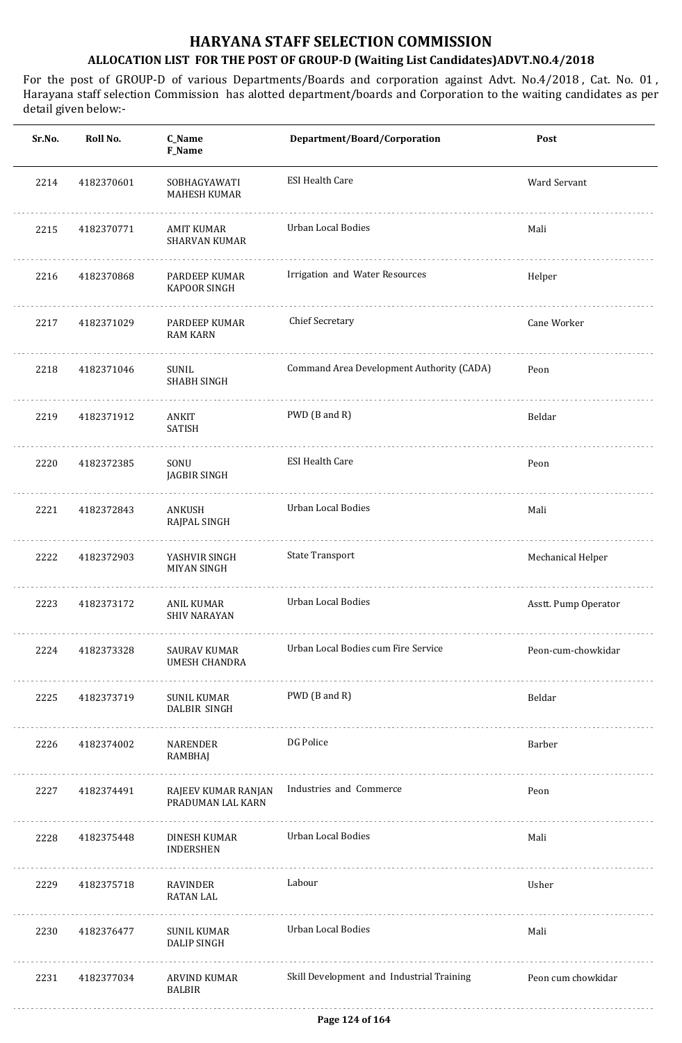| Sr.No. | Roll No.   | C_Name<br>F_Name                         | Department/Board/Corporation              | Post                 |
|--------|------------|------------------------------------------|-------------------------------------------|----------------------|
| 2214   | 4182370601 | SOBHAGYAWATI<br><b>MAHESH KUMAR</b>      | <b>ESI Health Care</b>                    | Ward Servant         |
| 2215   | 4182370771 | AMIT KUMAR<br><b>SHARVAN KUMAR</b>       | Urban Local Bodies                        | Mali                 |
| 2216   | 4182370868 | PARDEEP KUMAR<br><b>KAPOOR SINGH</b>     | Irrigation and Water Resources            | Helper               |
| 2217   | 4182371029 | PARDEEP KUMAR<br><b>RAM KARN</b>         | Chief Secretary                           | Cane Worker          |
| 2218   | 4182371046 | SUNIL<br><b>SHABH SINGH</b>              | Command Area Development Authority (CADA) | Peon                 |
| 2219   | 4182371912 | ANKIT<br>SATISH                          | PWD (B and R)                             | Beldar               |
| 2220   | 4182372385 | SONU<br>JAGBIR SINGH                     | <b>ESI Health Care</b>                    | Peon                 |
| 2221   | 4182372843 | ANKUSH<br>RAJPAL SINGH                   | Urban Local Bodies                        | Mali                 |
| 2222   | 4182372903 | YASHVIR SINGH<br><b>MIYAN SINGH</b>      | State Transport                           | Mechanical Helper    |
| 2223   | 4182373172 | ANIL KUMAR<br><b>SHIV NARAYAN</b>        | <b>Urban Local Bodies</b>                 | Asstt. Pump Operator |
| 2224   | 4182373328 | SAURAV KUMAR<br><b>UMESH CHANDRA</b>     | Urban Local Bodies cum Fire Service       | Peon-cum-chowkidar   |
| 2225   | 4182373719 | SUNIL KUMAR<br>DALBIR SINGH              | PWD (B and R)                             | Beldar               |
| 2226   | 4182374002 | NARENDER<br>RAMBHAJ                      | DG Police                                 | Barber               |
| 2227   | 4182374491 | RAJEEV KUMAR RANJAN<br>PRADUMAN LAL KARN | Industries and Commerce                   | Peon                 |
| 2228   | 4182375448 | DINESH KUMAR<br><b>INDERSHEN</b>         | <b>Urban Local Bodies</b>                 | Mali                 |
| 2229   | 4182375718 | RAVINDER<br><b>RATAN LAL</b>             | Labour                                    | Usher                |
| 2230   | 4182376477 | SUNIL KUMAR<br><b>DALIP SINGH</b>        | <b>Urban Local Bodies</b>                 | Mali                 |
| 2231   | 4182377034 | ARVIND KUMAR<br><b>BALBIR</b>            | Skill Development and Industrial Training | Peon cum chowkidar   |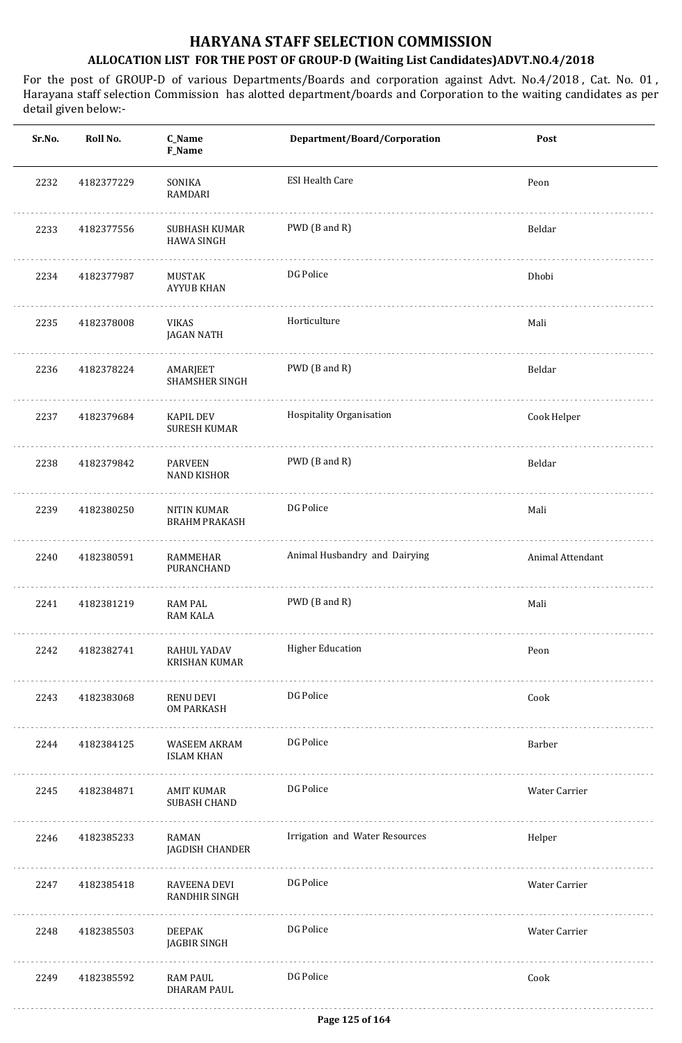| Sr.No. | Roll No.   | C_Name<br>F_Name                        | Department/Board/Corporation   | Post             |
|--------|------------|-----------------------------------------|--------------------------------|------------------|
| 2232   | 4182377229 | SONIKA<br>RAMDARI                       | <b>ESI Health Care</b>         | Peon             |
| 2233   | 4182377556 | SUBHASH KUMAR<br><b>HAWA SINGH</b>      | PWD (B and R)                  | Beldar           |
| 2234   | 4182377987 | MUSTAK<br><b>AYYUB KHAN</b>             | DG Police                      | Dhobi            |
| 2235   | 4182378008 | VIKAS<br>JAGAN NATH                     | Horticulture                   | Mali             |
| 2236   | 4182378224 | AMARJEET<br><b>SHAMSHER SINGH</b>       | PWD (B and R)                  | Beldar           |
| 2237   | 4182379684 | <b>KAPIL DEV</b><br><b>SURESH KUMAR</b> | Hospitality Organisation       | Cook Helper      |
| 2238   | 4182379842 | <b>PARVEEN</b><br><b>NAND KISHOR</b>    | PWD (B and R)                  | Beldar           |
| 2239   | 4182380250 | NITIN KUMAR<br><b>BRAHM PRAKASH</b>     | DG Police                      | Mali             |
| 2240   | 4182380591 | RAMMEHAR<br>PURANCHAND                  | Animal Husbandry and Dairying  | Animal Attendant |
| 2241   | 4182381219 | RAM PAL<br><b>RAM KALA</b>              | PWD (B and R)                  | Mali             |
| 2242   | 4182382741 | RAHUL YADAV<br>KRISHAN KUMAR            | <b>Higher Education</b>        | Peon             |
| 2243   | 4182383068 | RENU DEVI<br>OM PARKASH                 | DG Police                      | Cook             |
| 2244   | 4182384125 | WASEEM AKRAM<br><b>ISLAM KHAN</b>       | DG Police                      | Barber           |
| 2245   | 4182384871 | AMIT KUMAR<br><b>SUBASH CHAND</b>       | DG Police                      | Water Carrier    |
| 2246   | 4182385233 | RAMAN<br>JAGDISH CHANDER                | Irrigation and Water Resources | Helper           |
| 2247   | 4182385418 | RAVEENA DEVI<br>RANDHIR SINGH           | DG Police                      | Water Carrier    |
| 2248   | 4182385503 | DEEPAK<br>JAGBIR SINGH                  | DG Police                      | Water Carrier    |
| 2249   | 4182385592 | RAM PAUL<br><b>DHARAM PAUL</b>          | DG Police                      | Cook             |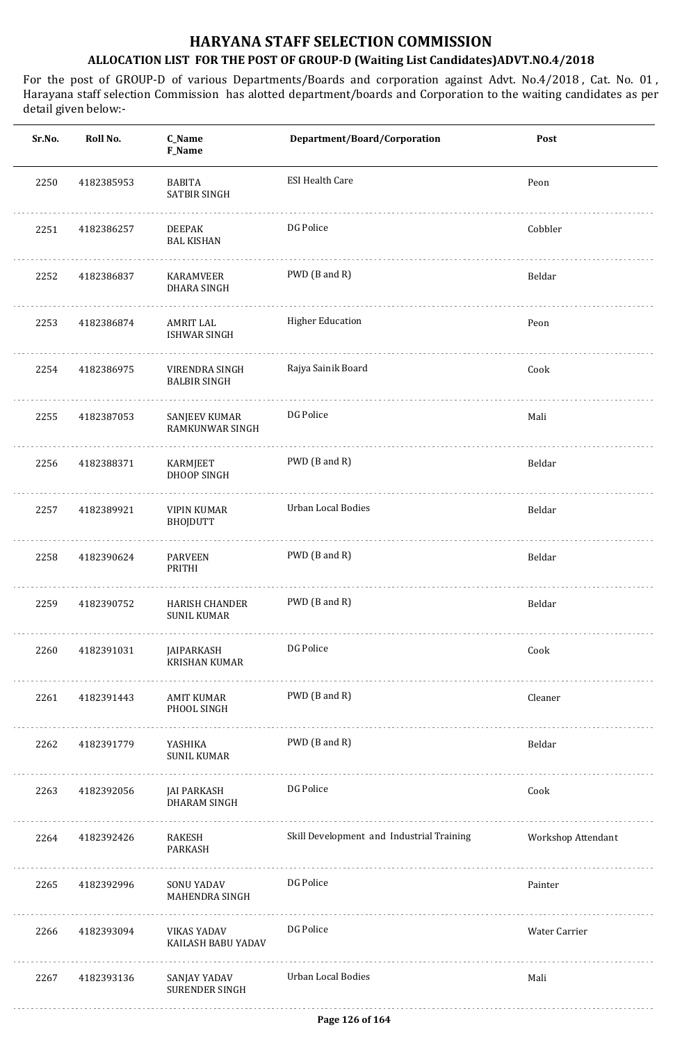| Sr.No. | Roll No.   | C_Name<br>F_Name                         | Department/Board/Corporation              | Post               |
|--------|------------|------------------------------------------|-------------------------------------------|--------------------|
| 2250   | 4182385953 | <b>BABITA</b><br>SATBIR SINGH            | <b>ESI Health Care</b>                    | Peon               |
| 2251   | 4182386257 | <b>DEEPAK</b><br><b>BAL KISHAN</b>       | DG Police                                 | Cobbler            |
| 2252   | 4182386837 | KARAMVEER<br>DHARA SINGH                 | PWD (B and R)                             | Beldar             |
| 2253   | 4182386874 | AMRIT LAL<br><b>ISHWAR SINGH</b>         | <b>Higher Education</b>                   | Peon               |
| 2254   | 4182386975 | VIRENDRA SINGH<br><b>BALBIR SINGH</b>    | Rajya Sainik Board                        | Cook               |
| 2255   | 4182387053 | SANJEEV KUMAR<br>RAMKUNWAR SINGH         | DG Police                                 | Mali               |
| 2256   | 4182388371 | KARMJEET<br>DHOOP SINGH                  | PWD (B and R)                             | Beldar             |
| 2257   | 4182389921 | <b>VIPIN KUMAR</b><br><b>BHOJDUTT</b>    | Urban Local Bodies                        | Beldar             |
| 2258   | 4182390624 | <b>PARVEEN</b><br>PRITHI                 | PWD (B and R)                             | Beldar             |
| 2259   | 4182390752 | HARISH CHANDER<br><b>SUNIL KUMAR</b>     | PWD (B and R)                             | Beldar             |
| 2260   | 4182391031 | JAIPARKASH<br>KRISHAN KUMAR              | DG Police                                 | Cook               |
| 2261   | 4182391443 | AMIT KUMAR<br>PHOOL SINGH                | PWD (B and R)                             | Cleaner            |
| 2262   | 4182391779 | YASHIKA<br><b>SUNIL KUMAR</b>            | PWD (B and R)                             | Beldar             |
| 2263   | 4182392056 | JAI PARKASH<br>DHARAM SINGH              | DG Police                                 | Cook               |
| 2264   | 4182392426 | RAKESH<br>PARKASH                        | Skill Development and Industrial Training | Workshop Attendant |
| 2265   | 4182392996 | SONU YADAV<br>MAHENDRA SINGH             | DG Police                                 | Painter            |
| 2266   | 4182393094 | <b>VIKAS YADAV</b><br>KAILASH BABU YADAV | DG Police                                 | Water Carrier      |
| 2267   | 4182393136 | SANJAY YADAV<br>SURENDER SINGH           | <b>Urban Local Bodies</b>                 | Mali               |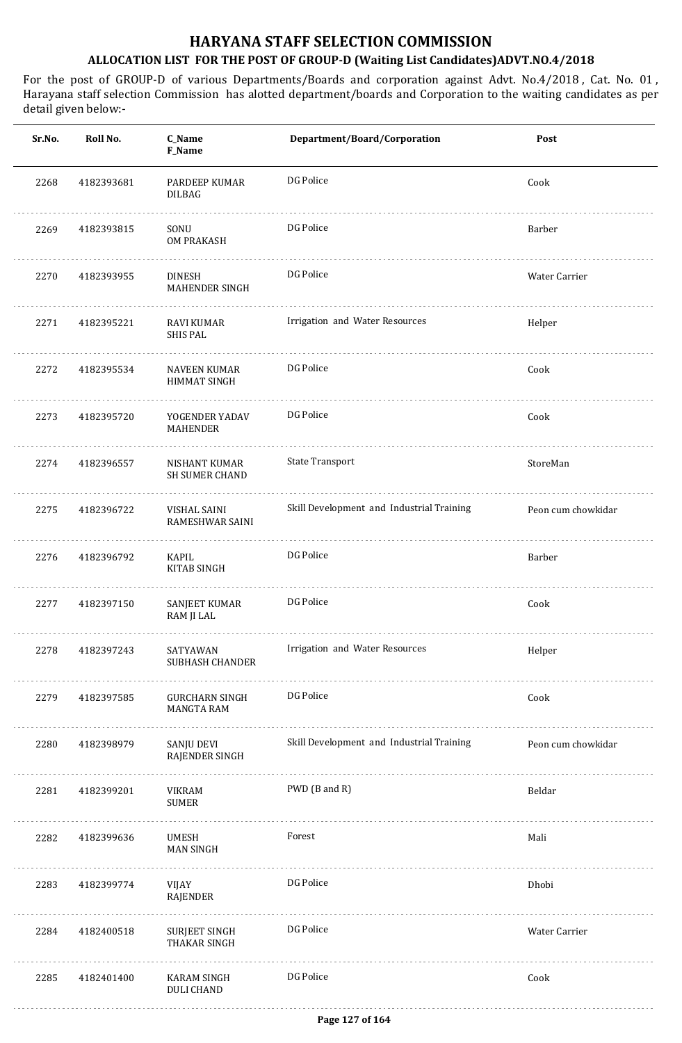| Sr.No. | Roll No.   | C_Name<br>F_Name                        | Department/Board/Corporation              | Post               |
|--------|------------|-----------------------------------------|-------------------------------------------|--------------------|
| 2268   | 4182393681 | PARDEEP KUMAR<br>DILBAG                 | DG Police                                 | Cook               |
| 2269   | 4182393815 | SONU<br>OM PRAKASH                      | DG Police                                 | Barber             |
| 2270   | 4182393955 | <b>DINESH</b><br>MAHENDER SINGH         | DG Police                                 | Water Carrier      |
| 2271   | 4182395221 | RAVI KUMAR<br><b>SHIS PAL</b>           | Irrigation and Water Resources            | Helper             |
| 2272   | 4182395534 | NAVEEN KUMAR<br>HIMMAT SINGH            | DG Police                                 | Cook               |
| 2273   | 4182395720 | YOGENDER YADAV<br>MAHENDER              | DG Police                                 | Cook               |
| 2274   | 4182396557 | NISHANT KUMAR<br><b>SH SUMER CHAND</b>  | <b>State Transport</b>                    | StoreMan           |
| 2275   | 4182396722 | VISHAL SAINI<br>RAMESHWAR SAINI         | Skill Development and Industrial Training | Peon cum chowkidar |
| 2276   | 4182396792 | KAPIL<br><b>KITAB SINGH</b>             | DG Police                                 | Barber             |
| 2277   | 4182397150 | SANJEET KUMAR<br>RAM JI LAL             | DG Police                                 | Cook               |
| 2278   | 4182397243 | SATYAWAN<br><b>SUBHASH CHANDER</b><br>. | Irrigation and Water Resources            | Helper             |
| 2279   | 4182397585 | <b>GURCHARN SINGH</b><br>MANGTA RAM     | DG Police                                 | Cook               |
| 2280   | 4182398979 | SANJU DEVI<br><b>RAJENDER SINGH</b>     | Skill Development and Industrial Training | Peon cum chowkidar |
| 2281   | 4182399201 | VIKRAM<br>SUMER                         | PWD (B and R)                             | Beldar             |
| 2282   | 4182399636 | <b>UMESH</b><br><b>MAN SINGH</b>        | Forest                                    | Mali               |
| 2283   | 4182399774 | VIJAY<br>RAJENDER                       | DG Police                                 | Dhobi              |
| 2284   | 4182400518 | SURJEET SINGH<br>THAKAR SINGH           | DG Police                                 | Water Carrier      |
| 2285   | 4182401400 | KARAM SINGH<br><b>DULI CHAND</b>        | DG Police                                 | Cook               |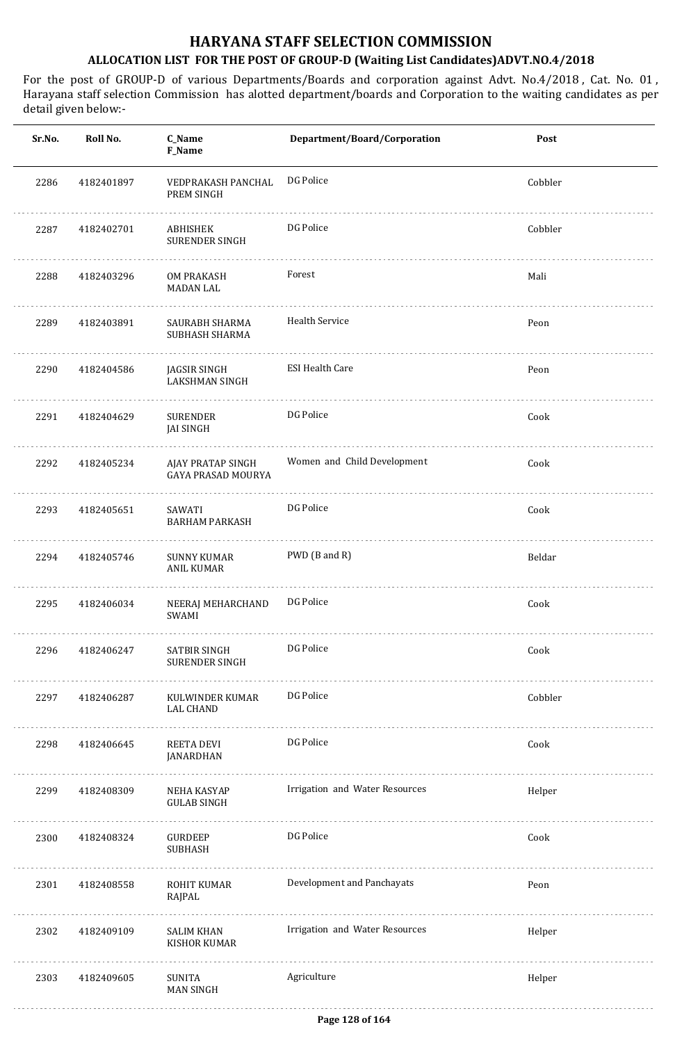| Sr.No. | Roll No.   | C_Name<br>F_Name                        | Department/Board/Corporation   | Post    |
|--------|------------|-----------------------------------------|--------------------------------|---------|
| 2286   | 4182401897 | VEDPRAKASH PANCHAL<br>PREM SINGH        | DG Police                      | Cobbler |
| 2287   | 4182402701 | ABHISHEK<br>SURENDER SINGH              | DG Police                      | Cobbler |
| 2288   | 4182403296 | OM PRAKASH<br>MADAN LAL                 | Forest                         | Mali    |
| 2289   | 4182403891 | SAURABH SHARMA<br>SUBHASH SHARMA        | <b>Health Service</b>          | Peon    |
| 2290   | 4182404586 | JAGSIR SINGH<br>LAKSHMAN SINGH          | <b>ESI Health Care</b>         | Peon    |
| 2291   | 4182404629 | <b>SURENDER</b><br><b>JAI SINGH</b>     | DG Police                      | Cook    |
| 2292   | 4182405234 | AJAY PRATAP SINGH<br>GAYA PRASAD MOURYA | Women and Child Development    | Cook    |
| 2293   | 4182405651 | SAWATI<br><b>BARHAM PARKASH</b>         | DG Police                      | Cook    |
| 2294   | 4182405746 | <b>SUNNY KUMAR</b><br>ANIL KUMAR        | PWD (B and R)                  | Beldar  |
| 2295   | 4182406034 | NEERAJ MEHARCHAND<br>SWAMI              | DG Police                      | Cook    |
| 2296   | 4182406247 | SATBIR SINGH<br>SURENDER SINGH          | DG Police                      | Cook    |
| 2297   | 4182406287 | KULWINDER KUMAR<br>LAL CHAND            | DG Police                      | Cobbler |
| 2298   | 4182406645 | REETA DEVI<br>JANARDHAN                 | DG Police                      | Cook    |
| 2299   | 4182408309 | NEHA KASYAP<br><b>GULAB SINGH</b>       | Irrigation and Water Resources | Helper  |
| 2300   | 4182408324 | GURDEEP<br><b>SUBHASH</b>               | DG Police                      | Cook    |
| 2301   | 4182408558 | ROHIT KUMAR<br>RAJPAL                   | Development and Panchayats     | Peon    |
| 2302   | 4182409109 | <b>SALIM KHAN</b><br>KISHOR KUMAR       | Irrigation and Water Resources | Helper  |
| 2303   | 4182409605 | SUNITA<br><b>MAN SINGH</b>              | Agriculture                    | Helper  |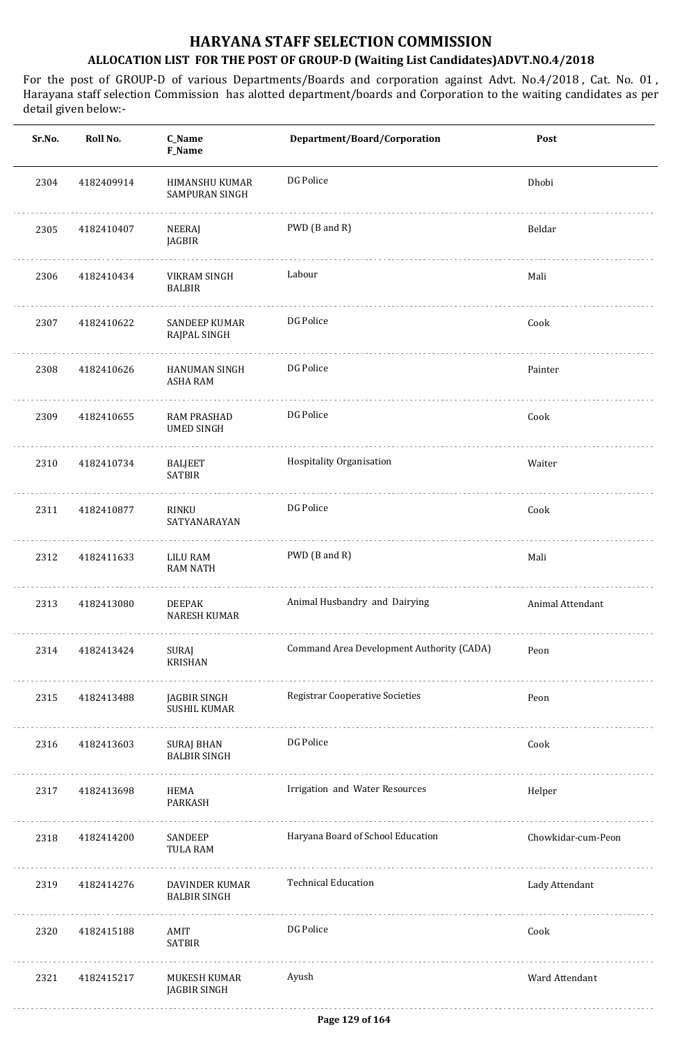| Sr.No. | Roll No.   | C_Name<br>F_Name                              | Department/Board/Corporation              | Post               |
|--------|------------|-----------------------------------------------|-------------------------------------------|--------------------|
| 2304   | 4182409914 | HIMANSHU KUMAR<br>SAMPURAN SINGH              | DG Police                                 | Dhobi              |
| 2305   | 4182410407 | NEERAJ<br>JAGBIR                              | PWD (B and R)                             | Beldar             |
| 2306   | 4182410434 | VIKRAM SINGH<br><b>BALBIR</b>                 | Labour                                    | Mali               |
| 2307   | 4182410622 | SANDEEP KUMAR<br>RAJPAL SINGH                 | DG Police                                 | Cook               |
| 2308   | 4182410626 | HANUMAN SINGH<br>ASHA RAM                     | DG Police                                 | Painter            |
| 2309   | 4182410655 | RAM PRASHAD<br><b>UMED SINGH</b>              | DG Police                                 | Cook               |
| 2310   | 4182410734 | <b>BALJEET</b><br><b>SATBIR</b>               | Hospitality Organisation                  | Waiter             |
| 2311   | 4182410877 | RINKU<br>SATYANARAYAN                         | DG Police                                 | Cook               |
| 2312   | 4182411633 | LILU RAM<br>RAM NATH                          | PWD (B and R)                             | Mali               |
| 2313   | 4182413080 | <b>DEEPAK</b><br><b>NARESH KUMAR</b>          | Animal Husbandry and Dairying             | Animal Attendant   |
| 2314   | 4182413424 | SURAJ<br><b>KRISHAN</b>                       | Command Area Development Authority (CADA) | Peon               |
| 2315   | 4182413488 | JAGBIR SINGH<br><b>SUSHIL KUMAR</b>           | <b>Registrar Cooperative Societies</b>    | Peon               |
| 2316   | 4182413603 | <b>SURAJ BHAN</b><br><b>BALBIR SINGH</b><br>. | DG Police                                 | Cook               |
| 2317   | 4182413698 | HEMA<br>PARKASH                               | Irrigation and Water Resources            | Helper             |
| 2318   | 4182414200 | SANDEEP<br><b>TULA RAM</b>                    | Haryana Board of School Education         | Chowkidar-cum-Peon |
| 2319   | 4182414276 | DAVINDER KUMAR<br><b>BALBIR SINGH</b>         | <b>Technical Education</b>                | Lady Attendant     |
| 2320   | 4182415188 | AMIT<br><b>SATBIR</b>                         | DG Police                                 | Cook               |
| 2321   | 4182415217 | MUKESH KUMAR<br>JAGBIR SINGH                  | Ayush                                     | Ward Attendant     |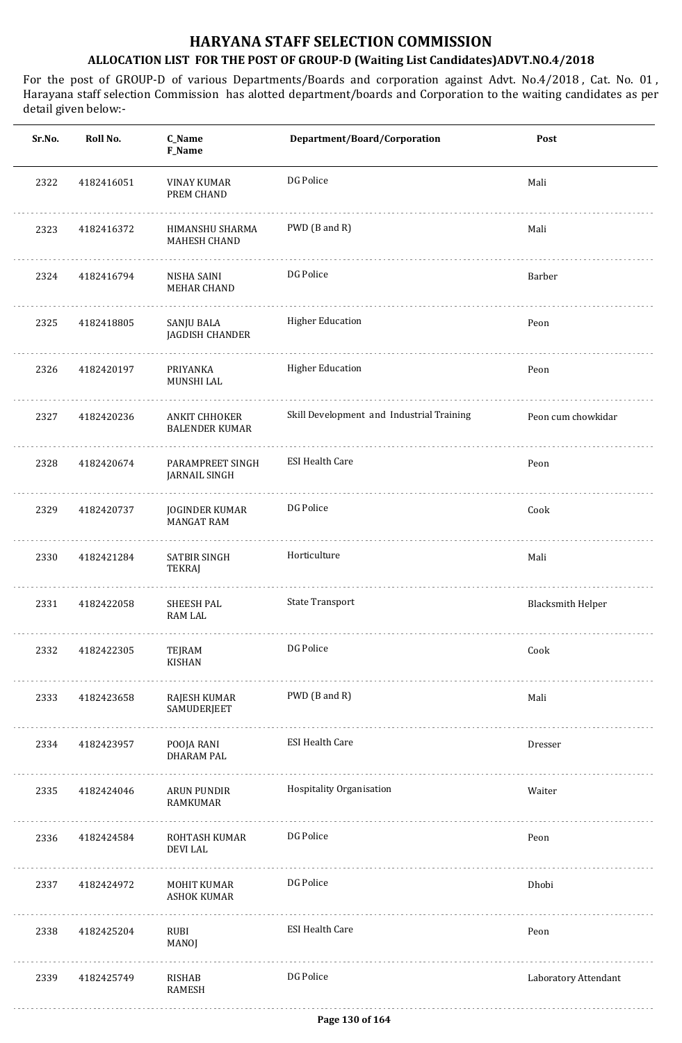| Sr.No. | Roll No.   | C_Name<br><b>F_Name</b>                    | Department/Board/Corporation              | Post                     |
|--------|------------|--------------------------------------------|-------------------------------------------|--------------------------|
| 2322   | 4182416051 | <b>VINAY KUMAR</b><br>PREM CHAND           | DG Police                                 | Mali                     |
| 2323   | 4182416372 | HIMANSHU SHARMA<br>MAHESH CHAND            | PWD (B and R)                             | Mali                     |
| 2324   | 4182416794 | NISHA SAINI<br>MEHAR CHAND                 | DG Police                                 | Barber                   |
| 2325   | 4182418805 | SANJU BALA<br>JAGDISH CHANDER              | <b>Higher Education</b>                   | Peon                     |
| 2326   | 4182420197 | PRIYANKA<br>MUNSHI LAL                     | <b>Higher Education</b>                   | Peon                     |
| 2327   | 4182420236 | ANKIT CHHOKER<br><b>BALENDER KUMAR</b>     | Skill Development and Industrial Training | Peon cum chowkidar       |
| 2328   | 4182420674 | PARAMPREET SINGH<br>JARNAIL SINGH          | <b>ESI Health Care</b>                    | Peon                     |
| 2329   | 4182420737 | <b>JOGINDER KUMAR</b><br><b>MANGAT RAM</b> | DG Police                                 | Cook                     |
| 2330   | 4182421284 | SATBIR SINGH<br>TEKRAJ                     | Horticulture                              | Mali                     |
| 2331   | 4182422058 | <b>SHEESH PAL</b><br><b>RAM LAL</b>        | <b>State Transport</b>                    | <b>Blacksmith Helper</b> |
| 2332   | 4182422305 | TEJRAM<br>KISHAN                           | DG Police                                 | Cook                     |
| 2333   | 4182423658 | RAJESH KUMAR<br>SAMUDERJEET                | PWD (B and R)                             | Mali                     |
| 2334   | 4182423957 | POOJA RANI<br><b>DHARAM PAL</b>            | <b>ESI Health Care</b>                    | Dresser                  |
| 2335   | 4182424046 | ARUN PUNDIR<br>RAMKUMAR                    | Hospitality Organisation                  | Waiter                   |
| 2336   | 4182424584 | ROHTASH KUMAR<br><b>DEVILAL</b>            | DG Police                                 | Peon                     |
| 2337   | 4182424972 | MOHIT KUMAR<br>ASHOK KUMAR                 | DG Police                                 | Dhobi                    |
| 2338   | 4182425204 | RUBI<br>MANOJ                              | <b>ESI Health Care</b>                    | Peon                     |
| 2339   | 4182425749 | RISHAB<br>RAMESH                           | DG Police                                 | Laboratory Attendant     |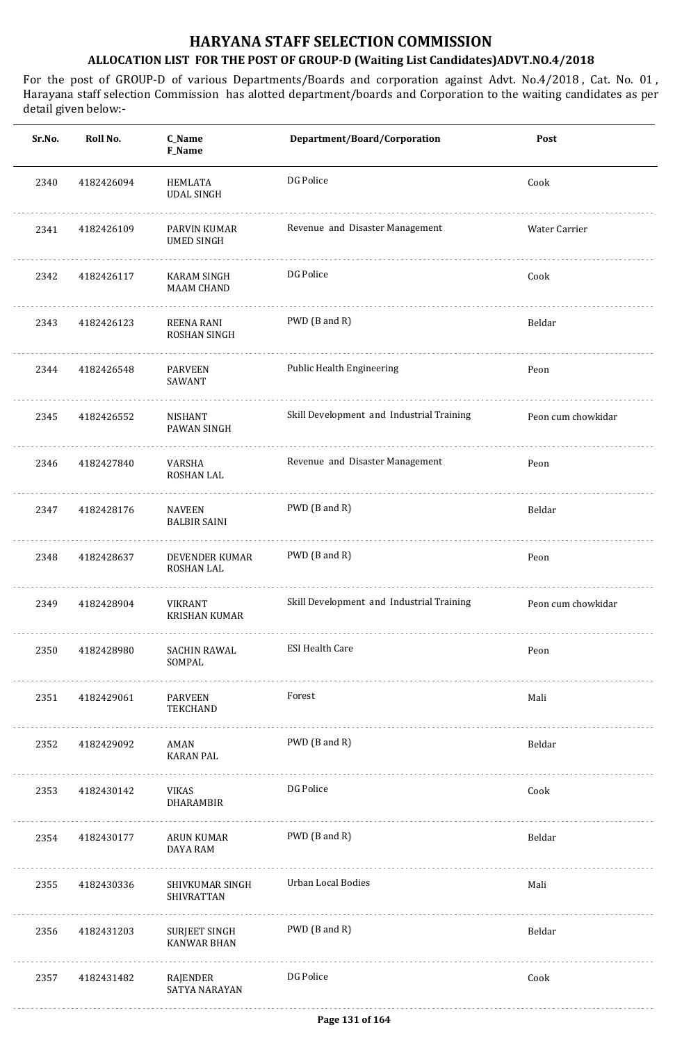| Sr.No. | Roll No.   | C_Name<br><b>F_Name</b>                 | Department/Board/Corporation              | Post               |
|--------|------------|-----------------------------------------|-------------------------------------------|--------------------|
| 2340   | 4182426094 | HEMLATA<br><b>UDAL SINGH</b>            | DG Police                                 | Cook               |
| 2341   | 4182426109 | PARVIN KUMAR<br><b>UMED SINGH</b>       | Revenue and Disaster Management           | Water Carrier      |
| 2342   | 4182426117 | <b>KARAM SINGH</b><br><b>MAAM CHAND</b> | DG Police                                 | Cook               |
| 2343   | 4182426123 | <b>REENA RANI</b><br>ROSHAN SINGH       | PWD (B and R)                             | Beldar             |
| 2344   | 4182426548 | <b>PARVEEN</b><br>SAWANT                | Public Health Engineering                 | Peon               |
| 2345   | 4182426552 | NISHANT<br>PAWAN SINGH                  | Skill Development and Industrial Training | Peon cum chowkidar |
| 2346   | 4182427840 | VARSHA<br>ROSHAN LAL                    | Revenue and Disaster Management           | Peon               |
| 2347   | 4182428176 | <b>NAVEEN</b><br><b>BALBIR SAINI</b>    | PWD (B and R)                             | Beldar             |
| 2348   | 4182428637 | DEVENDER KUMAR<br>ROSHAN LAL            | PWD (B and R)                             | Peon               |
| 2349   | 4182428904 | <b>VIKRANT</b><br><b>KRISHAN KUMAR</b>  | Skill Development and Industrial Training | Peon cum chowkidar |
| 2350   | 4182428980 | SACHIN RAWAL<br>SOMPAL                  | <b>ESI Health Care</b>                    | Peon               |
| 2351   | 4182429061 | PARVEEN<br>TEKCHAND                     | Forest                                    | Mali               |
| 2352   | 4182429092 | AMAN<br><b>KARAN PAL</b>                | PWD (B and R)                             | Beldar             |
| 2353   | 4182430142 | VIKAS<br><b>DHARAMBIR</b>               | DG Police                                 | Cook               |
| 2354   | 4182430177 | ARUN KUMAR<br><b>DAYA RAM</b>           | PWD (B and R)                             | Beldar             |
| 2355   | 4182430336 | SHIVKUMAR SINGH<br><b>SHIVRATTAN</b>    | <b>Urban Local Bodies</b>                 | Mali               |
| 2356   | 4182431203 | SURJEET SINGH<br><b>KANWAR BHAN</b>     | PWD (B and R)                             | Beldar             |
| 2357   | 4182431482 | RAJENDER<br><b>SATYA NARAYAN</b>        | DG Police                                 | Cook               |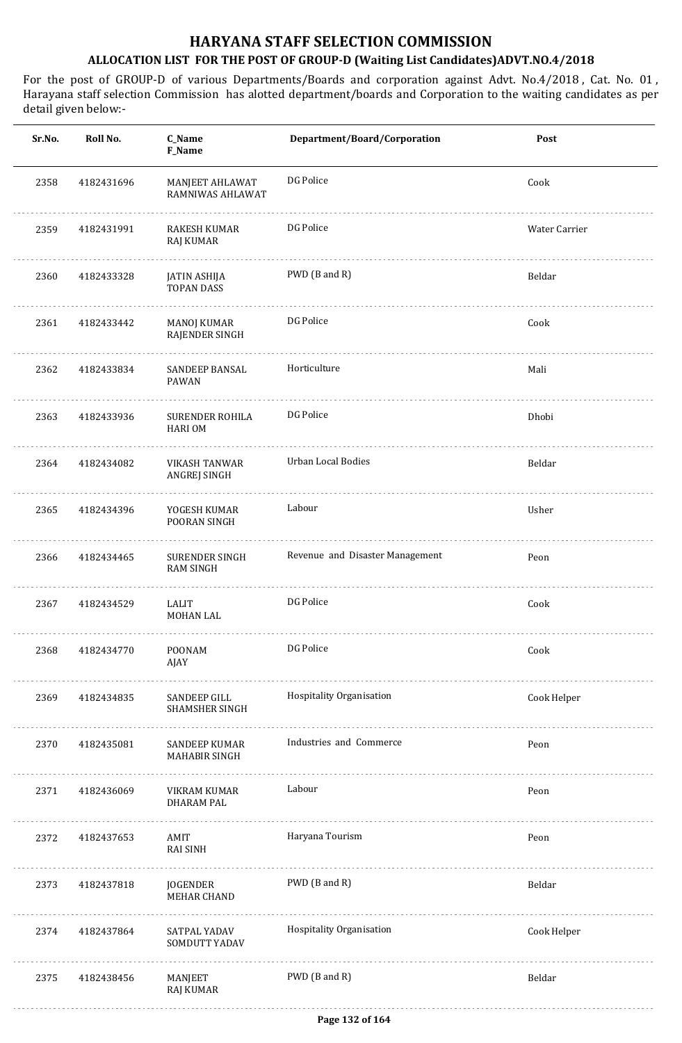| Sr.No. | Roll No.   | C_Name<br>F_Name                      | Department/Board/Corporation    | Post          |
|--------|------------|---------------------------------------|---------------------------------|---------------|
| 2358   | 4182431696 | MANJEET AHLAWAT<br>RAMNIWAS AHLAWAT   | DG Police                       | Cook          |
| 2359   | 4182431991 | RAKESH KUMAR<br><b>RAJ KUMAR</b>      | DG Police                       | Water Carrier |
| 2360   | 4182433328 | JATIN ASHIJA<br><b>TOPAN DASS</b>     | PWD (B and R)                   | Beldar        |
| 2361   | 4182433442 | MANOJ KUMAR<br>RAJENDER SINGH         | DG Police                       | Cook          |
| 2362   | 4182433834 | SANDEEP BANSAL<br>PAWAN               | Horticulture                    | Mali          |
| 2363   | 4182433936 | SURENDER ROHILA<br><b>HARIOM</b>      | DG Police                       | Dhobi         |
| 2364   | 4182434082 | VIKASH TANWAR<br>ANGREJ SINGH         | Urban Local Bodies              | Beldar        |
| 2365   | 4182434396 | YOGESH KUMAR<br>POORAN SINGH          | Labour                          | Usher         |
| 2366   | 4182434465 | SURENDER SINGH<br><b>RAM SINGH</b>    | Revenue and Disaster Management | Peon          |
| 2367   | 4182434529 | LALIT<br>MOHAN LAL                    | DG Police                       | Cook          |
| 2368   | 4182434770 | POONAM<br>AJAY                        | DG Police                       | Cook          |
| 2369   | 4182434835 | SANDEEP GILL<br>SHAMSHER SINGH        | Hospitality Organisation        | Cook Helper   |
| 2370   | 4182435081 | <b>SANDEEP KUMAR</b><br>MAHABIR SINGH | Industries and Commerce         | Peon          |
| 2371   | 4182436069 | VIKRAM KUMAR<br>DHARAM PAL            | Labour                          | Peon          |
| 2372   | 4182437653 | AMIT<br><b>RAI SINH</b>               | Haryana Tourism                 | Peon          |
| 2373   | 4182437818 | JOGENDER<br>MEHAR CHAND               | PWD (B and R)                   | Beldar        |
| 2374   | 4182437864 | SATPAL YADAV<br>SOMDUTT YADAV         | Hospitality Organisation        | Cook Helper   |
| 2375   | 4182438456 | MANJEET<br>RAJ KUMAR                  | PWD (B and R)                   | Beldar        |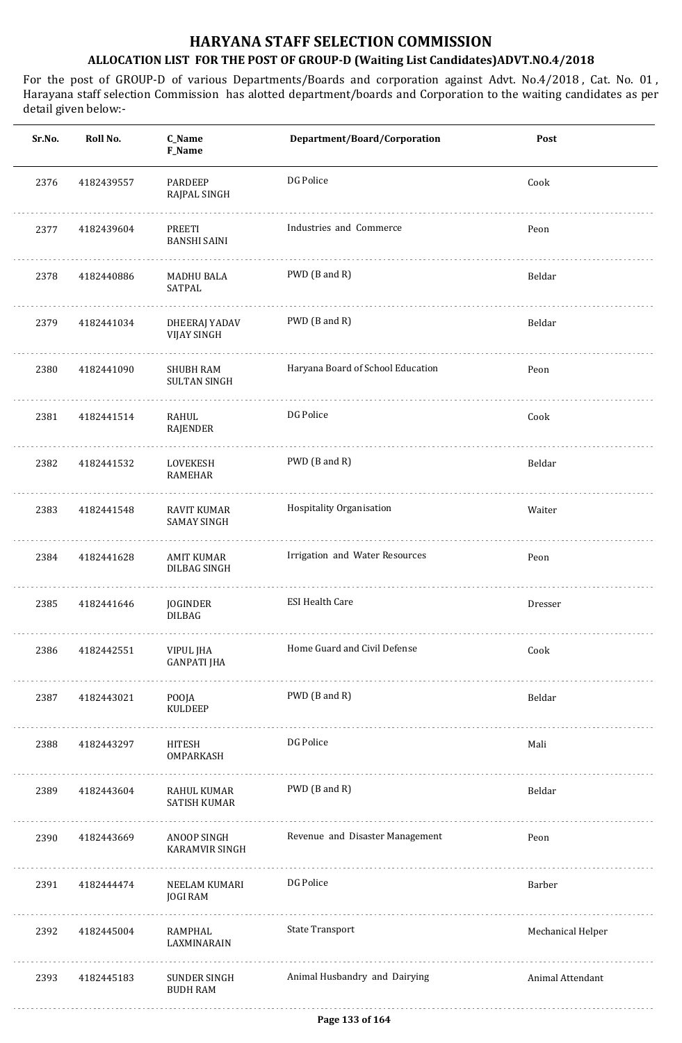| Sr.No. | Roll No.   | C_Name<br>F_Name                           | Department/Board/Corporation      | Post              |
|--------|------------|--------------------------------------------|-----------------------------------|-------------------|
| 2376   | 4182439557 | PARDEEP<br>RAJPAL SINGH                    | DG Police                         | Cook              |
| 2377   | 4182439604 | PREETI<br><b>BANSHI SAINI</b>              | Industries and Commerce           | Peon              |
| 2378   | 4182440886 | MADHU BALA<br>SATPAL                       | PWD (B and R)                     | Beldar            |
| 2379   | 4182441034 | <b>DHEERAJ YADAV</b><br><b>VIJAY SINGH</b> | PWD (B and R)                     | Beldar            |
| 2380   | 4182441090 | <b>SHUBH RAM</b><br><b>SULTAN SINGH</b>    | Haryana Board of School Education | Peon              |
| 2381   | 4182441514 | RAHUL<br>RAJENDER                          | DG Police                         | Cook              |
| 2382   | 4182441532 | LOVEKESH<br><b>RAMEHAR</b>                 | PWD (B and R)                     | Beldar            |
| 2383   | 4182441548 | <b>RAVIT KUMAR</b><br><b>SAMAY SINGH</b>   | Hospitality Organisation          | Waiter            |
| 2384   | 4182441628 | <b>AMIT KUMAR</b><br><b>DILBAG SINGH</b>   | Irrigation and Water Resources    | Peon              |
| 2385   | 4182441646 | JOGINDER<br><b>DILBAG</b>                  | <b>ESI Health Care</b>            | Dresser           |
| 2386   | 4182442551 | VIPUL JHA<br><b>GANPATI JHA</b>            | Home Guard and Civil Defense      | Cook              |
| 2387   | 4182443021 | POOJA<br><b>KULDEEP</b>                    | PWD (B and R)                     | Beldar            |
| 2388   | 4182443297 | HITESH<br>OMPARKASH                        | DG Police                         | Mali              |
| 2389   | 4182443604 | RAHUL KUMAR<br>SATISH KUMAR                | PWD (B and R)                     | Beldar            |
| 2390   | 4182443669 | ANOOP SINGH<br><b>KARAMVIR SINGH</b>       | Revenue and Disaster Management   | Peon              |
| 2391   | 4182444474 | NEELAM KUMARI<br><b>JOGI RAM</b>           | DG Police                         | Barber            |
| 2392   | 4182445004 | RAMPHAL<br>LAXMINARAIN                     | <b>State Transport</b>            | Mechanical Helper |
| 2393   | 4182445183 | SUNDER SINGH<br><b>BUDH RAM</b>            | Animal Husbandry and Dairying     | Animal Attendant  |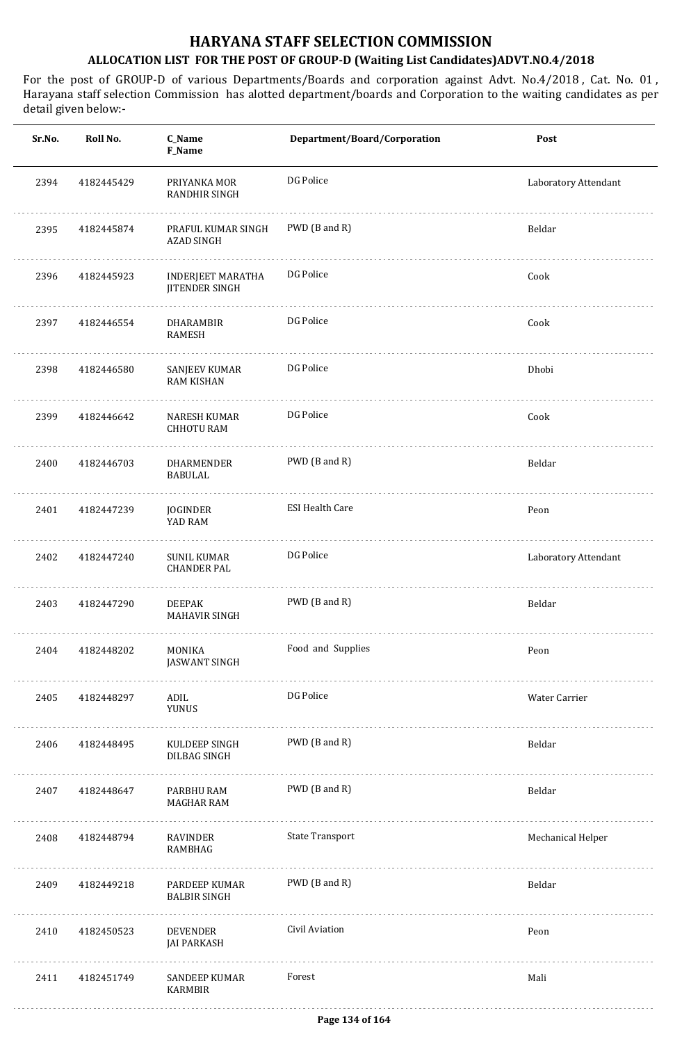| Sr.No. | Roll No.   | C_Name<br>F_Name                                  | Department/Board/Corporation | Post                 |
|--------|------------|---------------------------------------------------|------------------------------|----------------------|
| 2394   | 4182445429 | PRIYANKA MOR<br>RANDHIR SINGH                     | DG Police                    | Laboratory Attendant |
| 2395   | 4182445874 | PRAFUL KUMAR SINGH<br><b>AZAD SINGH</b>           | PWD (B and R)                | Beldar               |
| 2396   | 4182445923 | <b>INDERJEET MARATHA</b><br><b>JITENDER SINGH</b> | DG Police                    | Cook                 |
| 2397   | 4182446554 | DHARAMBIR<br><b>RAMESH</b>                        | DG Police                    | Cook                 |
| 2398   | 4182446580 | SANJEEV KUMAR<br><b>RAM KISHAN</b>                | DG Police                    | Dhobi                |
| 2399   | 4182446642 | NARESH KUMAR<br><b>CHHOTU RAM</b>                 | DG Police                    | Cook                 |
| 2400   | 4182446703 | DHARMENDER<br><b>BABULAL</b>                      | PWD (B and R)                | Beldar               |
| 2401   | 4182447239 | JOGINDER<br>YAD RAM                               | <b>ESI Health Care</b>       | Peon                 |
| 2402   | 4182447240 | <b>SUNIL KUMAR</b><br><b>CHANDER PAL</b>          | DG Police                    | Laboratory Attendant |
| 2403   | 4182447290 | <b>DEEPAK</b><br>MAHAVIR SINGH                    | PWD (B and R)                | Beldar               |
| 2404   | 4182448202 | MONIKA<br><b>JASWANT SINGH</b>                    | Food and Supplies            | Peon                 |
| 2405   | 4182448297 | ADIL<br><b>YUNUS</b>                              | DG Police                    | Water Carrier        |
| 2406   | 4182448495 | KULDEEP SINGH<br>DILBAG SINGH                     | PWD (B and R)                | Beldar               |
| 2407   | 4182448647 | PARBHU RAM<br>MAGHAR RAM                          | PWD (B and R)                | Beldar               |
| 2408   | 4182448794 | RAVINDER<br>RAMBHAG                               | <b>State Transport</b>       | Mechanical Helper    |
| 2409   | 4182449218 | PARDEEP KUMAR<br><b>BALBIR SINGH</b>              | PWD (B and R)                | Beldar               |
| 2410   | 4182450523 | DEVENDER<br><b>JAI PARKASH</b>                    | Civil Aviation               | Peon                 |
| 2411   | 4182451749 | SANDEEP KUMAR<br>KARMBIR                          | Forest                       | Mali                 |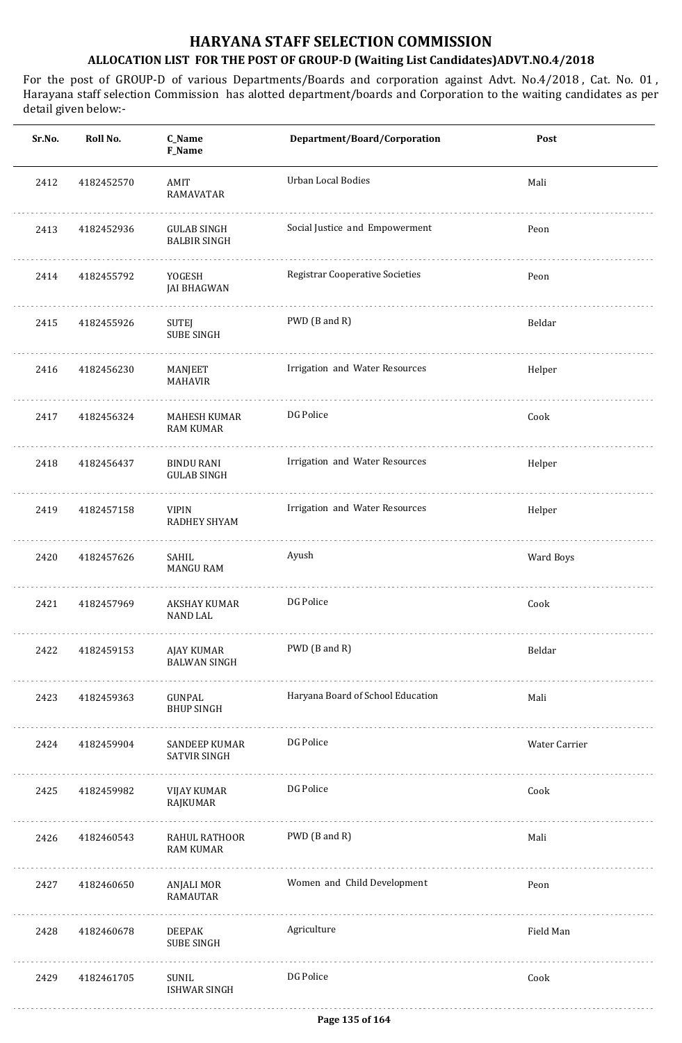| Sr.No. | Roll No.   | C_Name<br>F_Name                          | Department/Board/Corporation           | Post          |
|--------|------------|-------------------------------------------|----------------------------------------|---------------|
| 2412   | 4182452570 | AMIT<br>RAMAVATAR                         | Urban Local Bodies                     | Mali          |
| 2413   | 4182452936 | <b>GULAB SINGH</b><br><b>BALBIR SINGH</b> | Social Justice and Empowerment         | Peon          |
| 2414   | 4182455792 | YOGESH<br><b>JAI BHAGWAN</b>              | <b>Registrar Cooperative Societies</b> | Peon          |
| 2415   | 4182455926 | SUTEJ<br><b>SUBE SINGH</b>                | PWD (B and R)                          | Beldar        |
| 2416   | 4182456230 | MANJEET<br><b>MAHAVIR</b>                 | Irrigation and Water Resources         | Helper        |
| 2417   | 4182456324 | MAHESH KUMAR<br><b>RAM KUMAR</b>          | DG Police                              | Cook          |
| 2418   | 4182456437 | BINDU RANI<br><b>GULAB SINGH</b>          | Irrigation and Water Resources         | Helper        |
| 2419   | 4182457158 | <b>VIPIN</b><br>RADHEY SHYAM              | Irrigation and Water Resources         | Helper        |
| 2420   | 4182457626 | SAHIL<br><b>MANGU RAM</b>                 | Ayush                                  | Ward Boys     |
| 2421   | 4182457969 | <b>AKSHAY KUMAR</b><br><b>NAND LAL</b>    | DG Police                              | Cook          |
| 2422   | 4182459153 | AJAY KUMAR<br><b>BALWAN SINGH</b><br>.    | PWD (B and R)                          | Beldar        |
| 2423   | 4182459363 | GUNPAL<br><b>BHUP SINGH</b>               | Haryana Board of School Education      | Mali          |
| 2424   | 4182459904 | SANDEEP KUMAR<br><b>SATVIR SINGH</b>      | DG Police                              | Water Carrier |
| 2425   | 4182459982 | VIJAY KUMAR<br>RAJKUMAR                   | DG Police                              | Cook          |
| 2426   | 4182460543 | RAHUL RATHOOR<br><b>RAM KUMAR</b>         | PWD (B and R)                          | Mali          |
| 2427   | 4182460650 | ANJALI MOR<br>RAMAUTAR                    | Women and Child Development            | Peon          |
| 2428   | 4182460678 | <b>DEEPAK</b><br><b>SUBE SINGH</b>        | Agriculture                            | Field Man     |
| 2429   | 4182461705 | SUNIL<br><b>ISHWAR SINGH</b>              | DG Police                              | Cook          |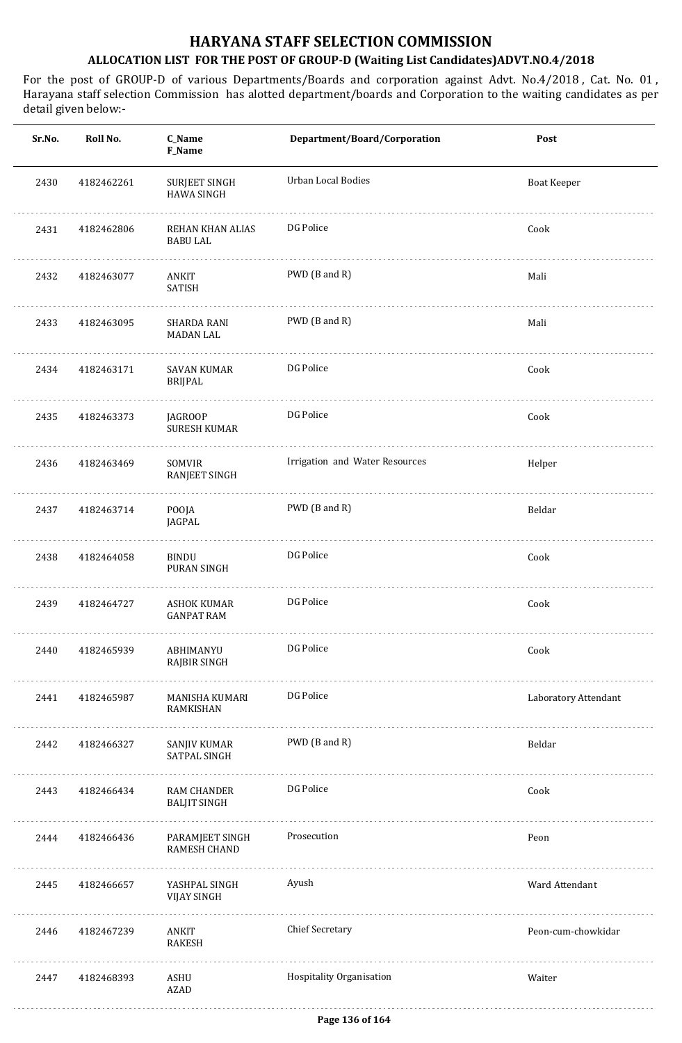| Sr.No. | Roll No.   | <b>C_Name</b><br>F_Name                 | Department/Board/Corporation   | Post                 |
|--------|------------|-----------------------------------------|--------------------------------|----------------------|
| 2430   | 4182462261 | SURJEET SINGH<br><b>HAWA SINGH</b>      | Urban Local Bodies             | <b>Boat Keeper</b>   |
| 2431   | 4182462806 | REHAN KHAN ALIAS<br><b>BABU LAL</b>     | DG Police                      | Cook                 |
| 2432   | 4182463077 | ANKIT<br>SATISH                         | PWD (B and R)                  | Mali                 |
| 2433   | 4182463095 | SHARDA RANI<br>MADAN LAL                | PWD (B and R)                  | Mali                 |
| 2434   | 4182463171 | SAVAN KUMAR<br>BRIJPAL                  | DG Police                      | Cook                 |
| 2435   | 4182463373 | <b>JAGROOP</b><br><b>SURESH KUMAR</b>   | DG Police                      | Cook                 |
| 2436   | 4182463469 | SOMVIR<br>RANJEET SINGH                 | Irrigation and Water Resources | Helper               |
| 2437   | 4182463714 | POOJA<br>JAGPAL                         | PWD (B and R)                  | Beldar               |
| 2438   | 4182464058 | <b>BINDU</b><br>PURAN SINGH             | DG Police                      | Cook                 |
| 2439   | 4182464727 | <b>ASHOK KUMAR</b><br><b>GANPAT RAM</b> | DG Police                      | Cook                 |
| 2440   | 4182465939 | ABHIMANYU<br>RAJBIR SINGH               | DG Police                      | Cook                 |
| 2441   | 4182465987 | MANISHA KUMARI<br>RAMKISHAN             | DG Police                      | Laboratory Attendant |
| 2442   | 4182466327 | SANJIV KUMAR<br>SATPAL SINGH<br>.       | PWD (B and R)                  | Beldar               |
| 2443   | 4182466434 | RAM CHANDER<br><b>BALJIT SINGH</b>      | DG Police                      | Cook                 |
| 2444   | 4182466436 | PARAMJEET SINGH<br><b>RAMESH CHAND</b>  | Prosecution                    | Peon                 |
| 2445   | 4182466657 | YASHPAL SINGH<br><b>VIJAY SINGH</b>     | Ayush                          | Ward Attendant       |
| 2446   | 4182467239 | ANKIT<br><b>RAKESH</b>                  | <b>Chief Secretary</b>         | Peon-cum-chowkidar   |
| 2447   | 4182468393 | ASHU<br><b>AZAD</b>                     | Hospitality Organisation       | Waiter               |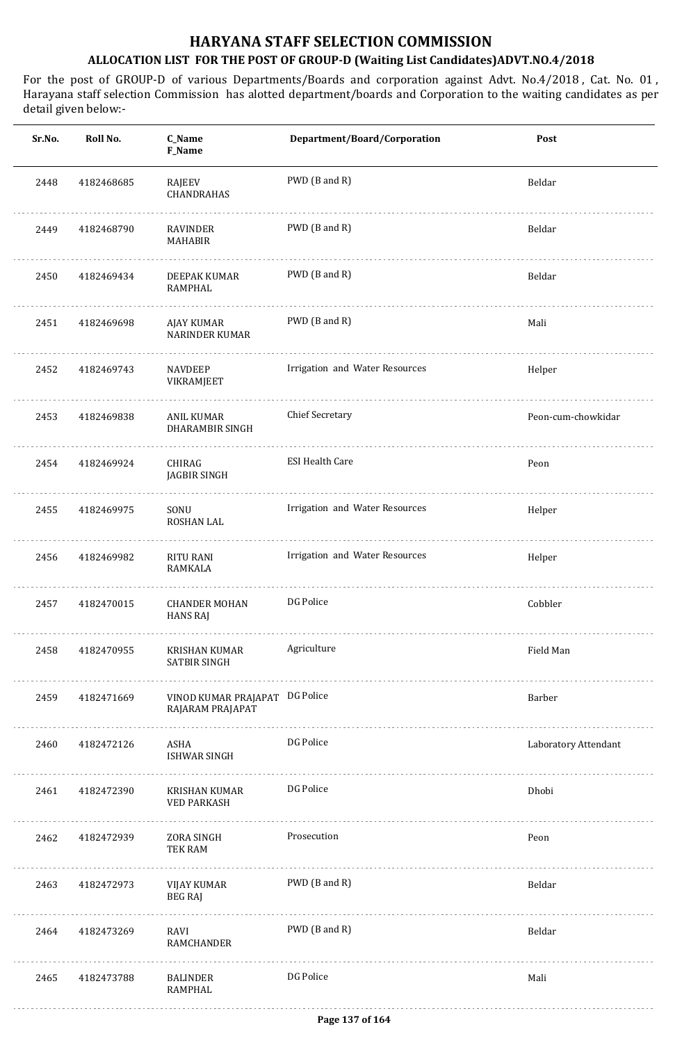| Sr.No. | Roll No.   | C_Name<br>F_Name                                   | Department/Board/Corporation   | Post                 |
|--------|------------|----------------------------------------------------|--------------------------------|----------------------|
| 2448   | 4182468685 | RAJEEV<br>CHANDRAHAS                               | PWD (B and R)                  | Beldar               |
| 2449   | 4182468790 | RAVINDER<br>MAHABIR                                | PWD (B and R)                  | Beldar               |
| 2450   | 4182469434 | DEEPAK KUMAR<br>RAMPHAL                            | PWD (B and R)                  | Beldar               |
| 2451   | 4182469698 | AJAY KUMAR<br>NARINDER KUMAR                       | PWD (B and R)                  | Mali                 |
| 2452   | 4182469743 | NAVDEEP<br>VIKRAMJEET                              | Irrigation and Water Resources | Helper               |
| 2453   | 4182469838 | ANIL KUMAR<br>DHARAMBIR SINGH                      | <b>Chief Secretary</b>         | Peon-cum-chowkidar   |
| 2454   | 4182469924 | CHIRAG<br>JAGBIR SINGH                             | <b>ESI Health Care</b>         | Peon                 |
| 2455   | 4182469975 | SONU<br>ROSHAN LAL                                 | Irrigation and Water Resources | Helper               |
| 2456   | 4182469982 | RITU RANI<br>RAMKALA                               | Irrigation and Water Resources | Helper               |
| 2457   | 4182470015 | <b>CHANDER MOHAN</b><br><b>HANS RAJ</b>            | DG Police                      | Cobbler              |
| 2458   | 4182470955 | KRISHAN KUMAR<br>SATBIR SINGH                      | Agriculture                    | Field Man            |
| 2459   | 4182471669 | VINOD KUMAR PRAJAPAT DG Police<br>RAJARAM PRAJAPAT |                                | Barber               |
| 2460   | 4182472126 | ASHA<br>ISHWAR SINGH                               | DG Police                      | Laboratory Attendant |
| 2461   | 4182472390 | KRISHAN KUMAR<br><b>VED PARKASH</b>                | DG Police                      | Dhobi                |
| 2462   | 4182472939 | ZORA SINGH<br>TEK RAM                              | Prosecution                    | Peon                 |
| 2463   | 4182472973 | VIJAY KUMAR<br><b>BEG RAJ</b>                      | PWD (B and R)                  | Beldar               |
| 2464   | 4182473269 | RAVI<br>RAMCHANDER                                 | PWD (B and R)                  | Beldar               |
| 2465   | 4182473788 | BALINDER<br>RAMPHAL                                | DG Police                      | Mali                 |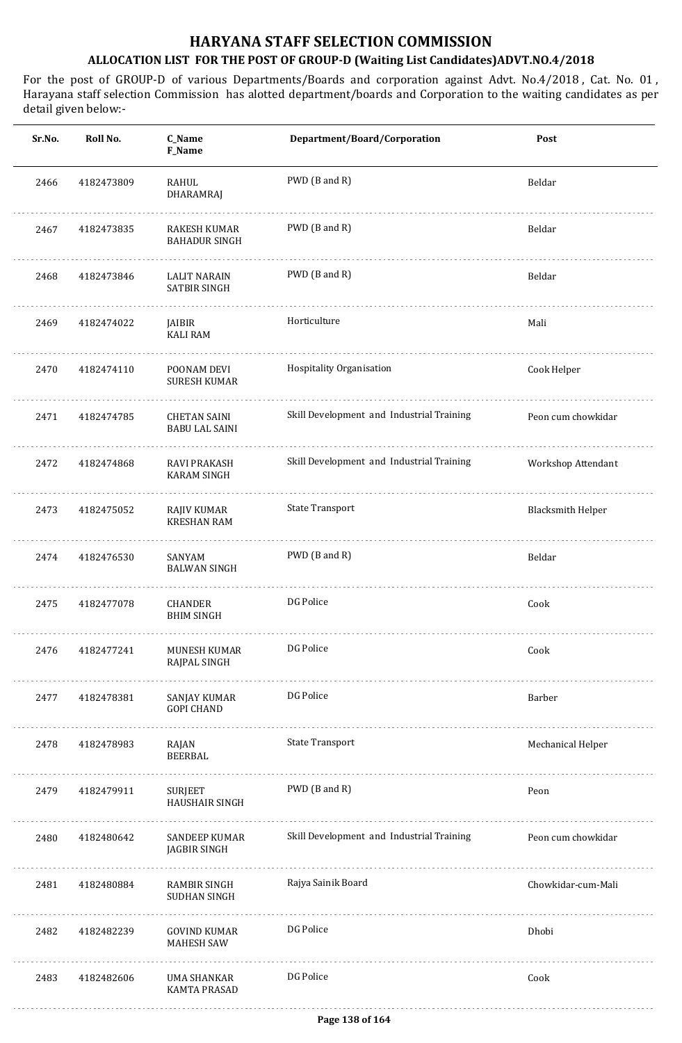| Sr.No. | Roll No.   | C_Name<br>F_Name                             | Department/Board/Corporation              | Post                     |
|--------|------------|----------------------------------------------|-------------------------------------------|--------------------------|
| 2466   | 4182473809 | RAHUL<br>DHARAMRAJ                           | PWD (B and R)                             | Beldar                   |
| 2467   | 4182473835 | RAKESH KUMAR<br><b>BAHADUR SINGH</b>         | PWD (B and R)                             | Beldar                   |
| 2468   | 4182473846 | <b>LALIT NARAIN</b><br>SATBIR SINGH          | PWD (B and R)                             | Beldar                   |
| 2469   | 4182474022 | JAIBIR<br><b>KALI RAM</b>                    | Horticulture                              | Mali                     |
| 2470   | 4182474110 | POONAM DEVI<br><b>SURESH KUMAR</b>           | Hospitality Organisation                  | Cook Helper              |
| 2471   | 4182474785 | <b>CHETAN SAINI</b><br><b>BABU LAL SAINI</b> | Skill Development and Industrial Training | Peon cum chowkidar       |
| 2472   | 4182474868 | <b>RAVI PRAKASH</b><br><b>KARAM SINGH</b>    | Skill Development and Industrial Training | Workshop Attendant       |
| 2473   | 4182475052 | RAJIV KUMAR<br><b>KRESHAN RAM</b>            | <b>State Transport</b>                    | <b>Blacksmith Helper</b> |
| 2474   | 4182476530 | SANYAM<br><b>BALWAN SINGH</b>                | PWD (B and R)                             | Beldar                   |
| 2475   | 4182477078 | CHANDER<br><b>BHIM SINGH</b>                 | DG Police                                 | Cook                     |
| 2476   | 4182477241 | MUNESH KUMAR<br>RAJPAL SINGH                 | DG Police                                 | Cook                     |
| 2477   | 4182478381 | SANJAY KUMAR<br><b>GOPI CHAND</b>            | DG Police                                 | Barber                   |
| 2478   | 4182478983 | RAJAN<br>BEERBAL                             | <b>State Transport</b>                    | Mechanical Helper        |
| 2479   | 4182479911 | SURJEET<br><b>HAUSHAIR SINGH</b>             | PWD (B and R)                             | Peon                     |
| 2480   | 4182480642 | <b>SANDEEP KUMAR</b><br><b>JAGBIR SINGH</b>  | Skill Development and Industrial Training | Peon cum chowkidar       |
| 2481   | 4182480884 | RAMBIR SINGH<br>SUDHAN SINGH                 | Rajya Sainik Board                        | Chowkidar-cum-Mali       |
| 2482   | 4182482239 | <b>GOVIND KUMAR</b><br><b>MAHESH SAW</b>     | DG Police                                 | Dhobi                    |
| 2483   | 4182482606 | UMA SHANKAR<br><b>KAMTA PRASAD</b>           | DG Police                                 | Cook                     |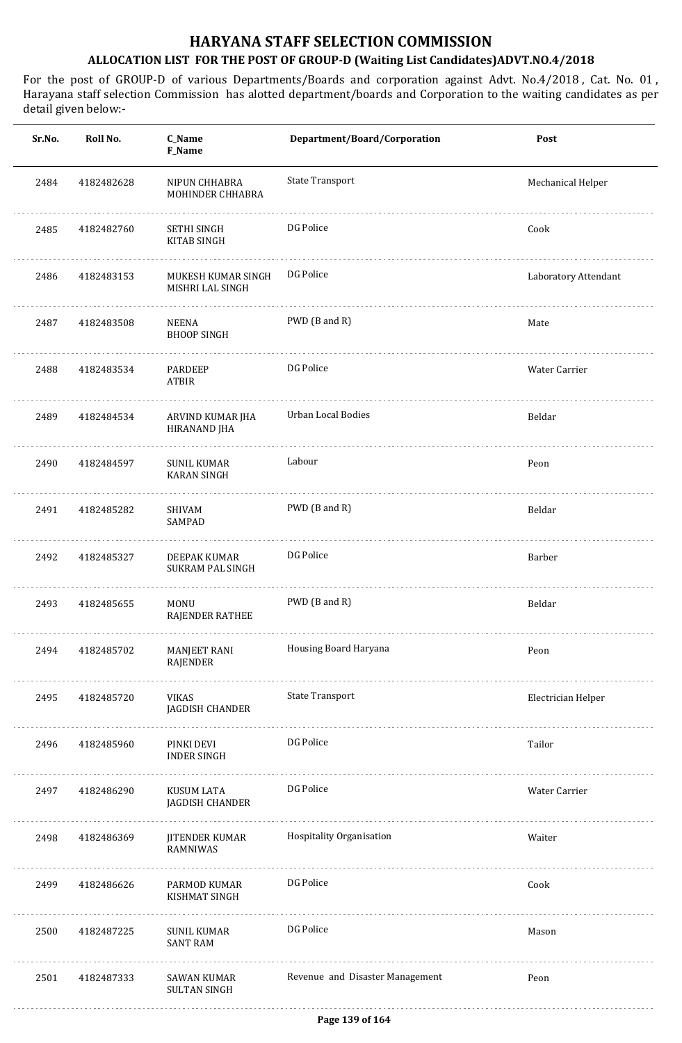| Sr.No. | Roll No.   | C_Name<br>F_Name                        | Department/Board/Corporation    | Post                 |
|--------|------------|-----------------------------------------|---------------------------------|----------------------|
| 2484   | 4182482628 | NIPUN CHHABRA<br>MOHINDER CHHABRA       | State Transport                 | Mechanical Helper    |
| 2485   | 4182482760 | SETHI SINGH<br>KITAB SINGH              | DG Police                       | Cook                 |
| 2486   | 4182483153 | MUKESH KUMAR SINGH<br>MISHRI LAL SINGH  | DG Police                       | Laboratory Attendant |
| 2487   | 4182483508 | NEENA<br><b>BHOOP SINGH</b>             | PWD (B and R)                   | Mate                 |
| 2488   | 4182483534 | PARDEEP<br>ATBIR                        | DG Police                       | Water Carrier        |
| 2489   | 4182484534 | ARVIND KUMAR JHA<br>HIRANAND JHA        | Urban Local Bodies              | Beldar               |
| 2490   | 4182484597 | SUNIL KUMAR<br><b>KARAN SINGH</b>       | Labour                          | Peon                 |
| 2491   | 4182485282 | SHIVAM<br>SAMPAD                        | PWD (B and R)                   | Beldar               |
| 2492   | 4182485327 | DEEPAK KUMAR<br><b>SUKRAM PAL SINGH</b> | DG Police                       | Barber               |
| 2493   | 4182485655 | MONU<br>RAJENDER RATHEE                 | PWD (B and R)                   | Beldar               |
| 2494   | 4182485702 | MANJEET RANI<br>RAJENDER                | Housing Board Haryana           | Peon                 |
| 2495   | 4182485720 | VIKAS<br>JAGDISH CHANDER                | <b>State Transport</b>          | Electrician Helper   |
| 2496   | 4182485960 | PINKI DEVI<br><b>INDER SINGH</b>        | DG Police                       | Tailor               |
| 2497   | 4182486290 | KUSUM LATA<br>JAGDISH CHANDER           | DG Police                       | Water Carrier        |
| 2498   | 4182486369 | JITENDER KUMAR<br>RAMNIWAS              | Hospitality Organisation        | Waiter               |
| 2499   | 4182486626 | PARMOD KUMAR<br>KISHMAT SINGH           | DG Police                       | Cook                 |
| 2500   | 4182487225 | SUNIL KUMAR<br><b>SANT RAM</b>          | DG Police                       | Mason                |
| 2501   | 4182487333 | SAWAN KUMAR<br><b>SULTAN SINGH</b>      | Revenue and Disaster Management | Peon                 |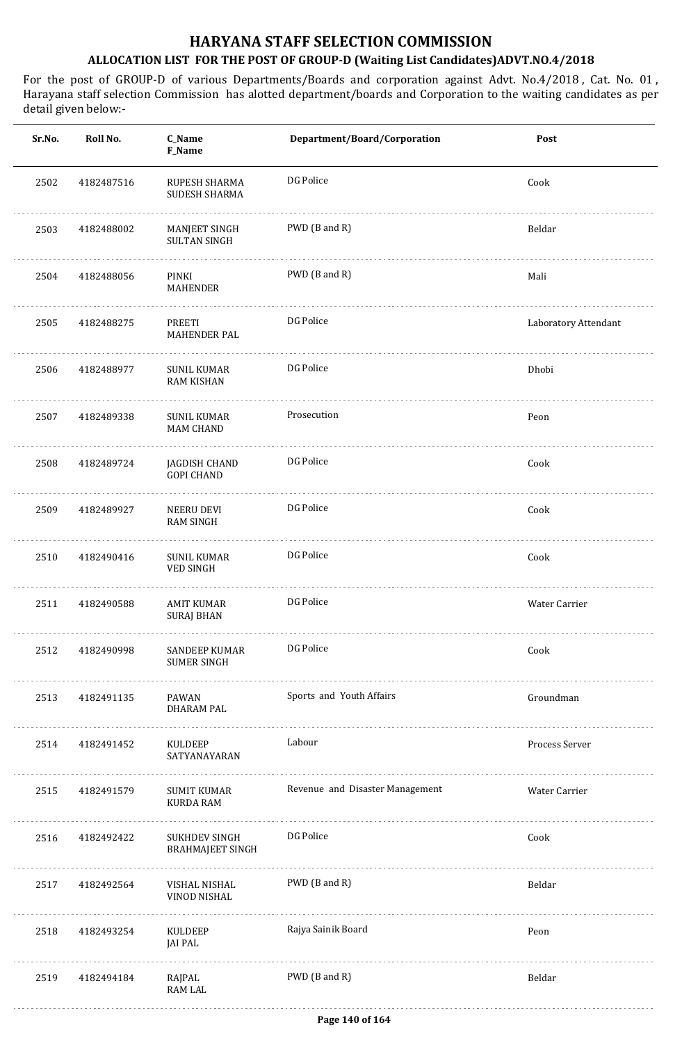| Sr.No. | Roll No.   | C_Name<br>F_Name                         | Department/Board/Corporation    | Post                 |
|--------|------------|------------------------------------------|---------------------------------|----------------------|
| 2502   | 4182487516 | RUPESH SHARMA<br>SUDESH SHARMA           | DG Police                       | Cook                 |
| 2503   | 4182488002 | MANJEET SINGH<br><b>SULTAN SINGH</b>     | PWD (B and R)                   | Beldar               |
| 2504   | 4182488056 | .<br>PINKI<br>MAHENDER                   | PWD (B and R)                   | Mali                 |
| 2505   | 4182488275 | PREETI<br>MAHENDER PAL                   | DG Police                       | Laboratory Attendant |
| 2506   | 4182488977 | <b>SUNIL KUMAR</b><br><b>RAM KISHAN</b>  | DG Police                       | Dhobi                |
| 2507   | 4182489338 | <b>SUNIL KUMAR</b><br><b>MAM CHAND</b>   | Prosecution                     | Peon                 |
| 2508   | 4182489724 | JAGDISH CHAND<br><b>GOPI CHAND</b>       | DG Police                       | Cook                 |
| 2509   | 4182489927 | NEERU DEVI<br>RAM SINGH                  | DG Police                       | Cook                 |
| 2510   | 4182490416 | <b>SUNIL KUMAR</b><br>VED SINGH          | DG Police                       | Cook                 |
| 2511   | 4182490588 | <b>AMIT KUMAR</b><br><b>SURAJ BHAN</b>   | DG Police                       | Water Carrier        |
| 2512   | 4182490998 | SANDEEP KUMAR<br><b>SUMER SINGH</b>      | DG Police                       | Cook                 |
| 2513   | 4182491135 | PAWAN<br>DHARAM PAL                      | Sports and Youth Affairs        | Groundman            |
| 2514   | 4182491452 | KULDEEP<br>SATYANAYARAN                  | Labour                          | Process Server       |
| 2515   | 4182491579 | SUMIT KUMAR<br>KURDA RAM                 | Revenue and Disaster Management | Water Carrier        |
| 2516   | 4182492422 | SUKHDEV SINGH<br><b>BRAHMAJEET SINGH</b> | DG Police                       | Cook                 |
| 2517   | 4182492564 | VISHAL NISHAL<br>VINOD NISHAL            | PWD (B and R)                   | Beldar               |
| 2518   | 4182493254 | KULDEEP<br>JAI PAL                       | Rajya Sainik Board              | Peon                 |
| 2519   | 4182494184 | RAJPAL<br>RAM LAL                        | PWD (B and R)                   | Beldar               |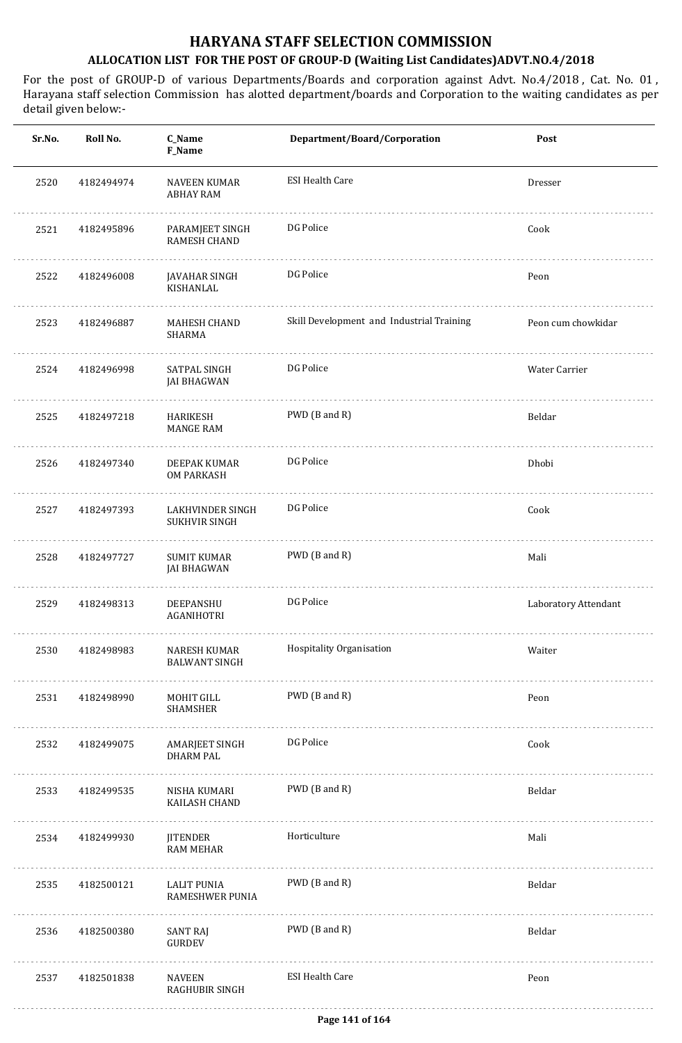| Sr.No. | Roll No.   | C_Name<br>F_Name                         | Department/Board/Corporation              | Post                 |
|--------|------------|------------------------------------------|-------------------------------------------|----------------------|
| 2520   | 4182494974 | <b>NAVEEN KUMAR</b><br><b>ABHAY RAM</b>  | <b>ESI Health Care</b>                    | Dresser              |
| 2521   | 4182495896 | PARAMJEET SINGH<br>RAMESH CHAND          | DG Police                                 | Cook                 |
| 2522   | 4182496008 | JAVAHAR SINGH<br>KISHANLAL               | DG Police                                 | Peon                 |
| 2523   | 4182496887 | <b>MAHESH CHAND</b><br><b>SHARMA</b>     | Skill Development and Industrial Training | Peon cum chowkidar   |
| 2524   | 4182496998 | SATPAL SINGH<br><b>JAI BHAGWAN</b>       | DG Police                                 | Water Carrier        |
| 2525   | 4182497218 | HARIKESH<br><b>MANGE RAM</b>             | PWD (B and R)                             | Beldar               |
| 2526   | 4182497340 | DEEPAK KUMAR<br><b>OM PARKASH</b>        | DG Police                                 | Dhobi                |
| 2527   | 4182497393 | LAKHVINDER SINGH<br><b>SUKHVIR SINGH</b> | DG Police                                 | Cook                 |
| 2528   | 4182497727 | <b>SUMIT KUMAR</b><br>JAI BHAGWAN        | PWD (B and R)                             | Mali                 |
| 2529   | 4182498313 | DEEPANSHU<br>AGANIHOTRI                  | DG Police                                 | Laboratory Attendant |
| 2530   | 4182498983 | NARESH KUMAR<br><b>BALWANT SINGH</b>     | Hospitality Organisation                  | Waiter               |
| 2531   | 4182498990 | MOHIT GILL<br>SHAMSHER                   | PWD (B and R)                             | Peon                 |
| 2532   | 4182499075 | AMARJEET SINGH<br><b>DHARM PAL</b>       | DG Police                                 | Cook                 |
| 2533   | 4182499535 | NISHA KUMARI<br>KAILASH CHAND            | PWD (B and R)                             | Beldar               |
| 2534   | 4182499930 | JITENDER<br><b>RAM MEHAR</b>             | Horticulture                              | Mali                 |
| 2535   | 4182500121 | LALIT PUNIA<br>RAMESHWER PUNIA           | PWD (B and R)                             | Beldar               |
| 2536   | 4182500380 | <b>SANT RAJ</b><br>GURDEV                | PWD (B and R)                             | Beldar               |
| 2537   | 4182501838 | NAVEEN<br><b>RAGHUBIR SINGH</b>          | <b>ESI Health Care</b>                    | Peon                 |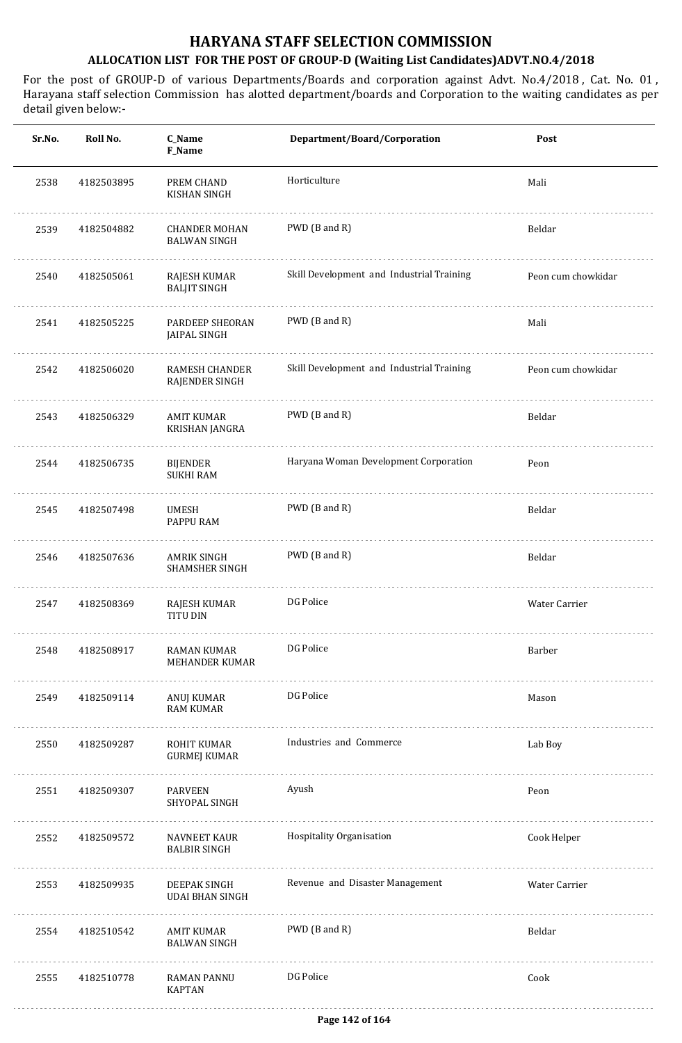| Sr.No. | Roll No.   | C_Name<br>F_Name                            | Department/Board/Corporation              | Post               |
|--------|------------|---------------------------------------------|-------------------------------------------|--------------------|
| 2538   | 4182503895 | PREM CHAND<br><b>KISHAN SINGH</b>           | Horticulture                              | Mali               |
| 2539   | 4182504882 | <b>CHANDER MOHAN</b><br><b>BALWAN SINGH</b> | PWD (B and R)                             | Beldar             |
| 2540   | 4182505061 | RAJESH KUMAR<br><b>BALJIT SINGH</b>         | Skill Development and Industrial Training | Peon cum chowkidar |
| 2541   | 4182505225 | PARDEEP SHEORAN<br>JAIPAL SINGH             | PWD (B and R)                             | Mali               |
| 2542   | 4182506020 | <b>RAMESH CHANDER</b><br>RAJENDER SINGH     | Skill Development and Industrial Training | Peon cum chowkidar |
| 2543   | 4182506329 | <b>AMIT KUMAR</b><br>KRISHAN JANGRA         | PWD (B and R)                             | Beldar             |
| 2544   | 4182506735 | BIJENDER<br><b>SUKHI RAM</b>                | Haryana Woman Development Corporation     | Peon               |
| 2545   | 4182507498 | <b>UMESH</b><br>PAPPU RAM                   | PWD (B and R)                             | Beldar             |
| 2546   | 4182507636 | <b>AMRIK SINGH</b><br><b>SHAMSHER SINGH</b> | PWD (B and R)                             | Beldar             |
| 2547   | 4182508369 | RAJESH KUMAR<br><b>TITU DIN</b>             | DG Police                                 | Water Carrier      |
| 2548   | 4182508917 | RAMAN KUMAR<br>MEHANDER KUMAR               | DG Police                                 | Barber             |
| 2549   | 4182509114 | ANUJ KUMAR<br><b>RAM KUMAR</b>              | DG Police                                 | Mason              |
| 2550   | 4182509287 | ROHIT KUMAR<br><b>GURMEJ KUMAR</b>          | Industries and Commerce                   | Lab Boy            |
| 2551   | 4182509307 | PARVEEN<br>SHYOPAL SINGH                    | Ayush                                     | Peon               |
| 2552   | 4182509572 | NAVNEET KAUR<br><b>BALBIR SINGH</b>         | Hospitality Organisation                  | Cook Helper        |
| 2553   | 4182509935 | DEEPAK SINGH<br><b>UDAI BHAN SINGH</b>      | Revenue and Disaster Management           | Water Carrier      |
| 2554   | 4182510542 | AMIT KUMAR<br><b>BALWAN SINGH</b>           | PWD (B and R)                             | Beldar             |
| 2555   | 4182510778 | <b>RAMAN PANNU</b><br><b>KAPTAN</b>         | DG Police                                 | Cook               |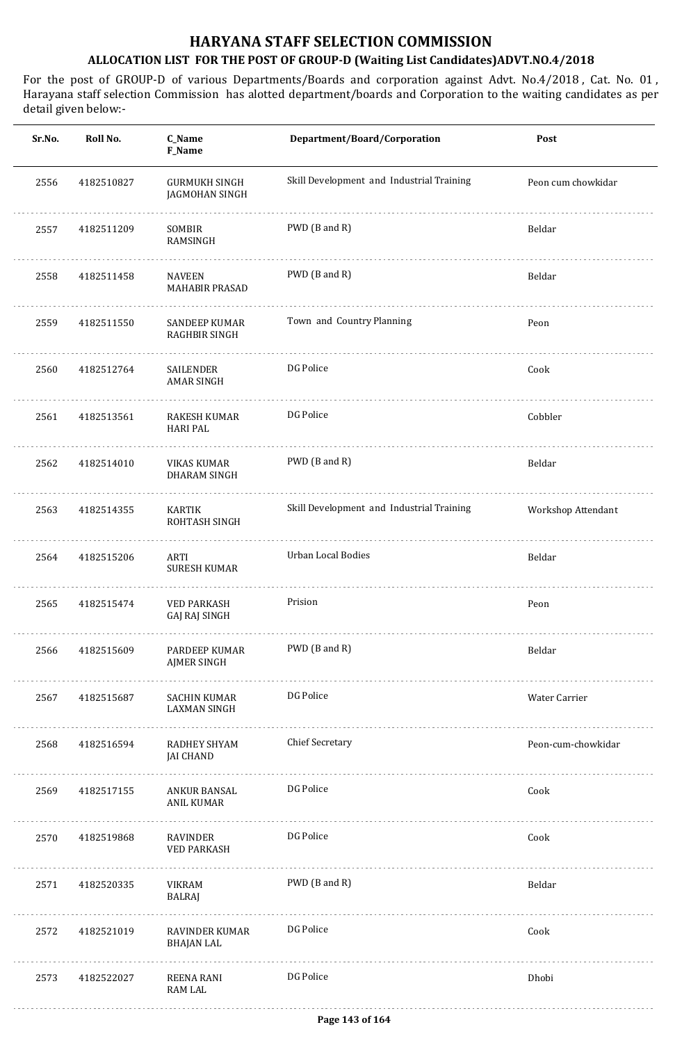| Sr.No. | Roll No.   | C_Name<br>F_Name                           | Department/Board/Corporation              | Post               |
|--------|------------|--------------------------------------------|-------------------------------------------|--------------------|
| 2556   | 4182510827 | <b>GURMUKH SINGH</b><br>JAGMOHAN SINGH     | Skill Development and Industrial Training | Peon cum chowkidar |
| 2557   | 4182511209 | SOMBIR<br>RAMSINGH                         | PWD (B and R)                             | Beldar             |
| 2558   | 4182511458 | NAVEEN<br><b>MAHABIR PRASAD</b>            | PWD (B and R)                             | Beldar             |
| 2559   | 4182511550 | SANDEEP KUMAR<br>RAGHBIR SINGH             | Town and Country Planning                 | Peon               |
| 2560   | 4182512764 | SAILENDER<br><b>AMAR SINGH</b>             | DG Police                                 | Cook               |
| 2561   | 4182513561 | RAKESH KUMAR<br><b>HARI PAL</b>            | DG Police                                 | Cobbler            |
| 2562   | 4182514010 | <b>VIKAS KUMAR</b><br>DHARAM SINGH         | PWD (B and R)                             | Beldar             |
| 2563   | 4182514355 | <b>KARTIK</b><br>ROHTASH SINGH             | Skill Development and Industrial Training | Workshop Attendant |
| 2564   | 4182515206 | ARTI<br><b>SURESH KUMAR</b>                | Urban Local Bodies                        | Beldar             |
| 2565   | 4182515474 | <b>VED PARKASH</b><br>GAJ RAJ SINGH        | Prision                                   | Peon               |
| 2566   | 4182515609 | PARDEEP KUMAR<br><b>AJMER SINGH</b>        | PWD (B and R)                             | Beldar             |
| 2567   | 4182515687 | <b>SACHIN KUMAR</b><br><b>LAXMAN SINGH</b> | DG Police                                 | Water Carrier      |
| 2568   | 4182516594 | RADHEY SHYAM<br><b>JAI CHAND</b>           | <b>Chief Secretary</b>                    | Peon-cum-chowkidar |
| 2569   | 4182517155 | ANKUR BANSAL<br><b>ANIL KUMAR</b>          | DG Police                                 | Cook               |
| 2570   | 4182519868 | <b>RAVINDER</b><br><b>VED PARKASH</b>      | DG Police                                 | Cook               |
| 2571   | 4182520335 | VIKRAM<br>BALRAJ                           | PWD (B and R)                             | Beldar             |
| 2572   | 4182521019 | RAVINDER KUMAR<br><b>BHAJAN LAL</b>        | DG Police                                 | Cook               |
| 2573   | 4182522027 | <b>REENA RANI</b><br><b>RAM LAL</b>        | DG Police                                 | Dhobi              |
|        |            |                                            |                                           |                    |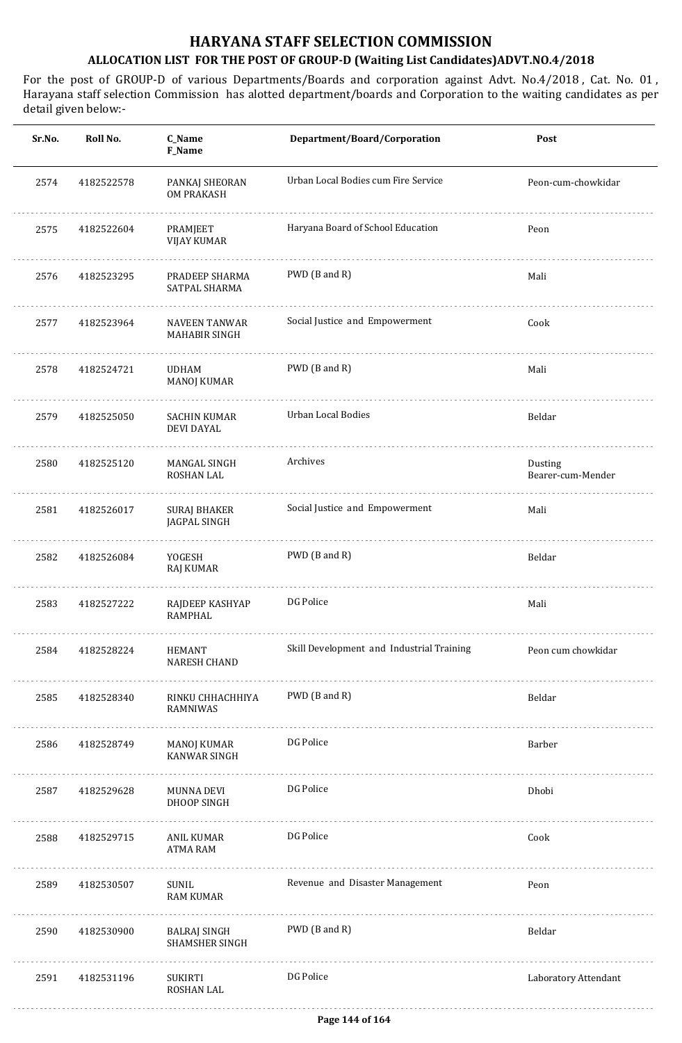| Sr.No. | Roll No.   | C_Name<br>F_Name                             | Department/Board/Corporation              | Post                         |
|--------|------------|----------------------------------------------|-------------------------------------------|------------------------------|
| 2574   | 4182522578 | PANKAJ SHEORAN<br><b>OM PRAKASH</b>          | Urban Local Bodies cum Fire Service       | Peon-cum-chowkidar           |
| 2575   | 4182522604 | PRAMJEET<br><b>VIJAY KUMAR</b>               | Haryana Board of School Education         | Peon                         |
| 2576   | 4182523295 | PRADEEP SHARMA<br>SATPAL SHARMA              | PWD (B and R)                             | Mali                         |
| 2577   | 4182523964 | <b>NAVEEN TANWAR</b><br>MAHABIR SINGH        | Social Justice and Empowerment            | Cook                         |
| 2578   | 4182524721 | <b>UDHAM</b><br><b>MANOJ KUMAR</b>           | PWD (B and R)                             | Mali                         |
| 2579   | 4182525050 | <b>SACHIN KUMAR</b><br><b>DEVI DAYAL</b>     | <b>Urban Local Bodies</b>                 | Beldar                       |
| 2580   | 4182525120 | MANGAL SINGH<br>ROSHAN LAL                   | Archives                                  | Dusting<br>Bearer-cum-Mender |
| 2581   | 4182526017 | <b>SURAJ BHAKER</b><br>JAGPAL SINGH          | Social Justice and Empowerment            | Mali                         |
| 2582   | 4182526084 | YOGESH<br>RAJ KUMAR                          | PWD (B and R)                             | Beldar                       |
| 2583   | 4182527222 | RAJDEEP KASHYAP<br><b>RAMPHAL</b>            | DG Police                                 | Mali                         |
| 2584   | 4182528224 | HEMANT<br><b>NARESH CHAND</b>                | Skill Development and Industrial Training | Peon cum chowkidar           |
| 2585   | 4182528340 | RINKU CHHACHHIYA<br>RAMNIWAS                 | PWD (B and R)                             | Beldar                       |
| 2586   | 4182528749 | MANOJ KUMAR<br><b>KANWAR SINGH</b>           | DG Police                                 | Barber                       |
| 2587   | 4182529628 | <b>MUNNA DEVI</b><br>DHOOP SINGH             | DG Police                                 | Dhobi                        |
| 2588   | 4182529715 | ANIL KUMAR<br><b>ATMA RAM</b>                | DG Police                                 | Cook                         |
| 2589   | 4182530507 | SUNIL<br><b>RAM KUMAR</b>                    | Revenue and Disaster Management           | Peon                         |
| 2590   | 4182530900 | <b>BALRAJ SINGH</b><br><b>SHAMSHER SINGH</b> | PWD (B and R)                             | Beldar                       |
| 2591   | 4182531196 | SUKIRTI<br>ROSHAN LAL                        | DG Police                                 | Laboratory Attendant         |
|        |            |                                              |                                           |                              |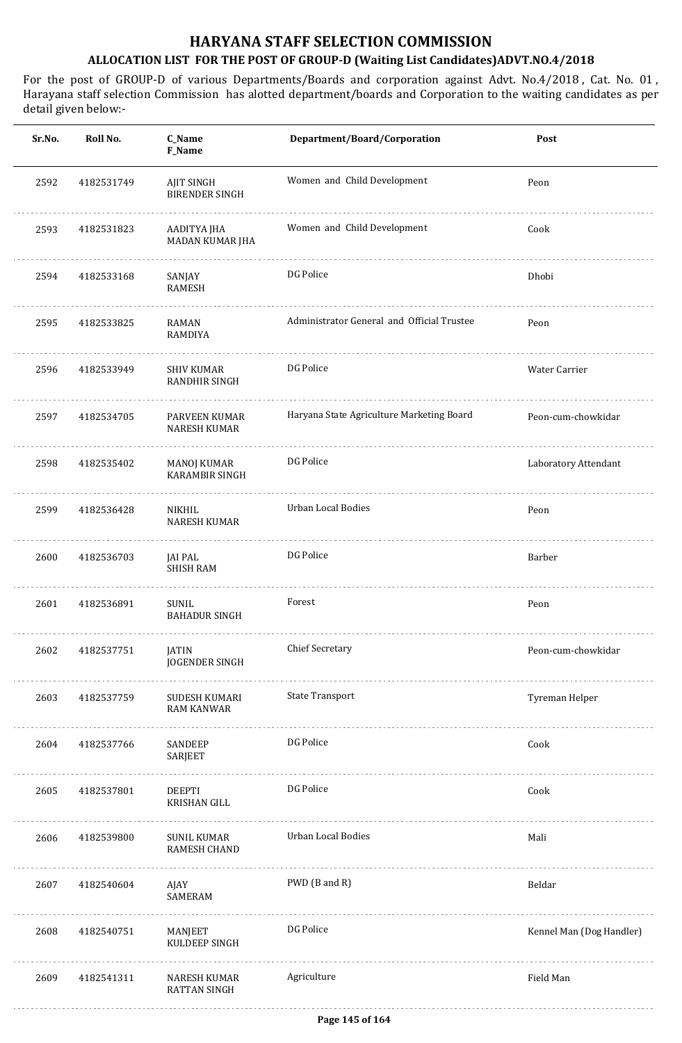| Sr.No. | Roll No.   | C_Name<br>F_Name                     | Department/Board/Corporation               | Post                     |
|--------|------------|--------------------------------------|--------------------------------------------|--------------------------|
| 2592   | 4182531749 | AJIT SINGH<br><b>BIRENDER SINGH</b>  | Women and Child Development                | Peon                     |
| 2593   | 4182531823 | AADITYA JHA<br>MADAN KUMAR JHA       | Women and Child Development                | Cook                     |
| 2594   | 4182533168 | SANJAY<br>RAMESH                     | DG Police                                  | Dhobi                    |
| 2595   | 4182533825 | RAMAN<br><b>RAMDIYA</b>              | Administrator General and Official Trustee | Peon                     |
| 2596   | 4182533949 | <b>SHIV KUMAR</b><br>RANDHIR SINGH   | DG Police                                  | Water Carrier            |
| 2597   | 4182534705 | PARVEEN KUMAR<br><b>NARESH KUMAR</b> | Haryana State Agriculture Marketing Board  | Peon-cum-chowkidar       |
| 2598   | 4182535402 | MANOJ KUMAR<br><b>KARAMBIR SINGH</b> | DG Police                                  | Laboratory Attendant     |
| 2599   | 4182536428 | NIKHIL<br><b>NARESH KUMAR</b>        | Urban Local Bodies                         | Peon                     |
| 2600   | 4182536703 | JAI PAL<br><b>SHISH RAM</b>          | DG Police                                  | Barber                   |
| 2601   | 4182536891 | <b>SUNIL</b><br><b>BAHADUR SINGH</b> | Forest                                     | Peon                     |
| 2602   | 4182537751 | JATIN<br>JOGENDER SINGH              | <b>Chief Secretary</b>                     | Peon-cum-chowkidar       |
| 2603   | 4182537759 | SUDESH KUMARI<br><b>RAM KANWAR</b>   | <b>State Transport</b>                     | Tyreman Helper           |
| 2604   | 4182537766 | SANDEEP<br>SARJEET                   | DG Police                                  | Cook                     |
| 2605   | 4182537801 | DEEPTI<br>KRISHAN GILL               | DG Police                                  | Cook                     |
| 2606   | 4182539800 | SUNIL KUMAR<br>RAMESH CHAND          | Urban Local Bodies                         | Mali                     |
| 2607   | 4182540604 | AJAY<br>SAMERAM                      | PWD (B and R)                              | Beldar                   |
| 2608   | 4182540751 | MANJEET<br>KULDEEP SINGH             | DG Police                                  | Kennel Man (Dog Handler) |
| 2609   | 4182541311 | NARESH KUMAR<br><b>RATTAN SINGH</b>  | Agriculture                                | Field Man                |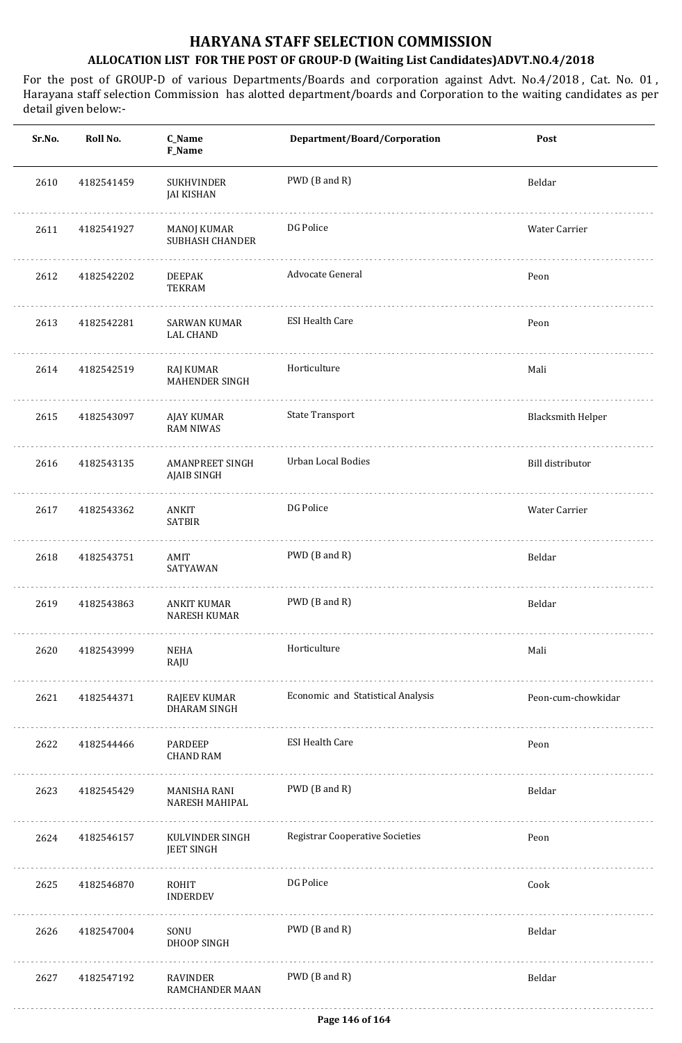| Sr.No. | Roll No.   | C_Name<br>F_Name                       | Department/Board/Corporation           | Post                     |
|--------|------------|----------------------------------------|----------------------------------------|--------------------------|
| 2610   | 4182541459 | <b>SUKHVINDER</b><br><b>JAI KISHAN</b> | PWD (B and R)                          | Beldar                   |
| 2611   | 4182541927 | MANOJ KUMAR<br><b>SUBHASH CHANDER</b>  | DG Police                              | Water Carrier            |
| 2612   | 4182542202 | .<br>DEEPAK<br><b>TEKRAM</b>           | Advocate General                       | Peon                     |
| 2613   | 4182542281 | SARWAN KUMAR<br><b>LAL CHAND</b>       | <b>ESI Health Care</b>                 | Peon                     |
| 2614   | 4182542519 | RAJ KUMAR<br><b>MAHENDER SINGH</b>     | Horticulture                           | Mali                     |
| 2615   | 4182543097 | AJAY KUMAR<br><b>RAM NIWAS</b>         | <b>State Transport</b>                 | <b>Blacksmith Helper</b> |
| 2616   | 4182543135 | AMANPREET SINGH<br>AJAIB SINGH         | Urban Local Bodies                     | Bill distributor         |
| 2617   | 4182543362 | ANKIT<br><b>SATBIR</b>                 | DG Police                              | Water Carrier            |
| 2618   | 4182543751 | AMIT<br>SATYAWAN                       | PWD (B and R)                          | Beldar                   |
| 2619   | 4182543863 | ANKIT KUMAR<br><b>NARESH KUMAR</b>     | PWD (B and R)                          | Beldar                   |
| 2620   | 4182543999 | <b>NEHA</b><br>RAJU                    | Horticulture<br>.                      | Mali                     |
| 2621   | 4182544371 | RAJEEV KUMAR<br><b>DHARAM SINGH</b>    | Economic and Statistical Analysis      | Peon-cum-chowkidar       |
| 2622   | 4182544466 | PARDEEP<br><b>CHAND RAM</b>            | <b>ESI Health Care</b>                 | Peon                     |
| 2623   | 4182545429 | MANISHA RANI<br>NARESH MAHIPAL         | PWD (B and R)                          | Beldar                   |
| 2624   | 4182546157 | KULVINDER SINGH<br><b>JEET SINGH</b>   | <b>Registrar Cooperative Societies</b> | Peon                     |
| 2625   | 4182546870 | ROHIT<br><b>INDERDEV</b>               | DG Police                              | Cook                     |
| 2626   | 4182547004 | SONU<br>DHOOP SINGH                    | PWD (B and R)                          | Beldar                   |
| 2627   | 4182547192 | RAVINDER<br>RAMCHANDER MAAN            | PWD (B and R)                          | Beldar                   |
|        |            |                                        |                                        |                          |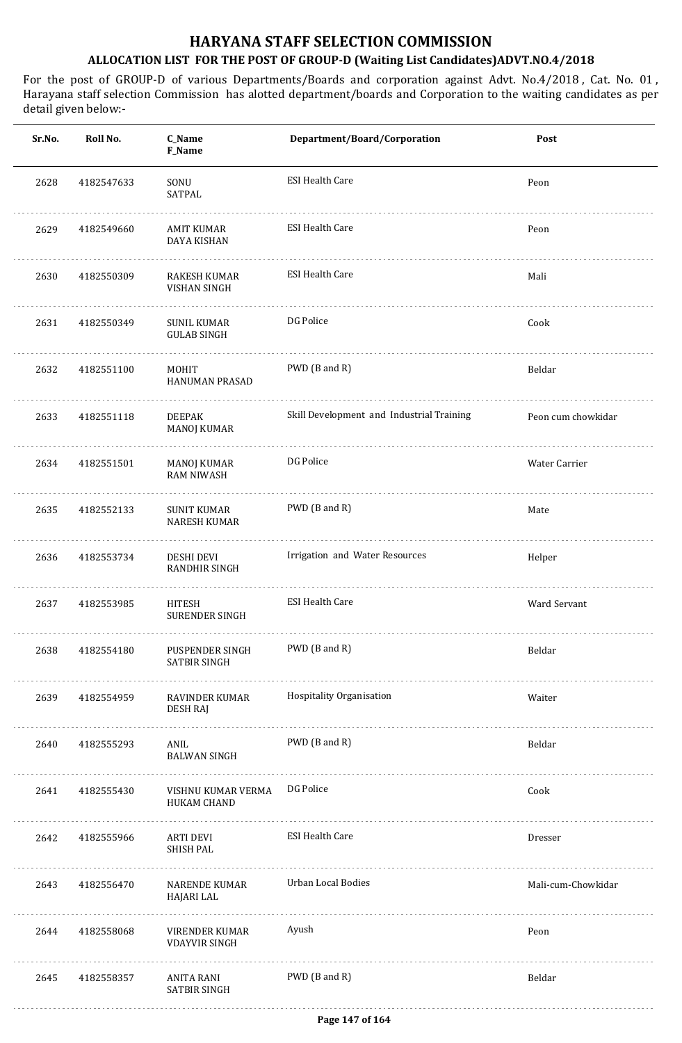| Sr.No. | Roll No.   | C_Name<br>F_Name                          | Department/Board/Corporation              | Post               |
|--------|------------|-------------------------------------------|-------------------------------------------|--------------------|
| 2628   | 4182547633 | SONU<br>SATPAL                            | <b>ESI Health Care</b>                    | Peon               |
| 2629   | 4182549660 | AMIT KUMAR<br>DAYA KISHAN                 | <b>ESI Health Care</b>                    | Peon               |
| 2630   | 4182550309 | RAKESH KUMAR<br>VISHAN SINGH              | <b>ESI Health Care</b>                    | Mali               |
| 2631   | 4182550349 | <b>SUNIL KUMAR</b><br><b>GULAB SINGH</b>  | DG Police                                 | Cook               |
| 2632   | 4182551100 | MOHIT<br><b>HANUMAN PRASAD</b>            | PWD (B and R)                             | Beldar             |
| 2633   | 4182551118 | <b>DEEPAK</b><br>MANOJ KUMAR              | Skill Development and Industrial Training | Peon cum chowkidar |
| 2634   | 4182551501 | MANOJ KUMAR<br><b>RAM NIWASH</b>          | DG Police                                 | Water Carrier      |
| 2635   | 4182552133 | <b>SUNIT KUMAR</b><br><b>NARESH KUMAR</b> | PWD (B and R)                             | Mate               |
| 2636   | 4182553734 | DESHI DEVI<br><b>RANDHIR SINGH</b>        | Irrigation and Water Resources            | Helper             |
| 2637   | 4182553985 | <b>HITESH</b><br><b>SURENDER SINGH</b>    | <b>ESI Health Care</b>                    | Ward Servant       |
| 2638   | 4182554180 | PUSPENDER SINGH<br><b>SATBIR SINGH</b>    | PWD (B and R)                             | Beldar             |
| 2639   | 4182554959 | RAVINDER KUMAR<br>DESH RAJ                | Hospitality Organisation                  | Waiter             |
| 2640   | 4182555293 | ANIL<br><b>BALWAN SINGH</b>               | PWD (B and R)                             | Beldar             |
| 2641   | 4182555430 | VISHNU KUMAR VERMA<br>HUKAM CHAND         | DG Police                                 | Cook               |
| 2642   | 4182555966 | ARTI DEVI<br><b>SHISH PAL</b>             | <b>ESI Health Care</b>                    | Dresser            |
| 2643   | 4182556470 | NARENDE KUMAR<br>HAJARI LAL               | Urban Local Bodies                        | Mali-cum-Chowkidar |
| 2644   | 4182558068 | VIRENDER KUMAR<br><b>VDAYVIR SINGH</b>    | Ayush                                     | Peon               |
| 2645   | 4182558357 | ANITA RANI<br>SATBIR SINGH                | PWD (B and R)                             | Beldar             |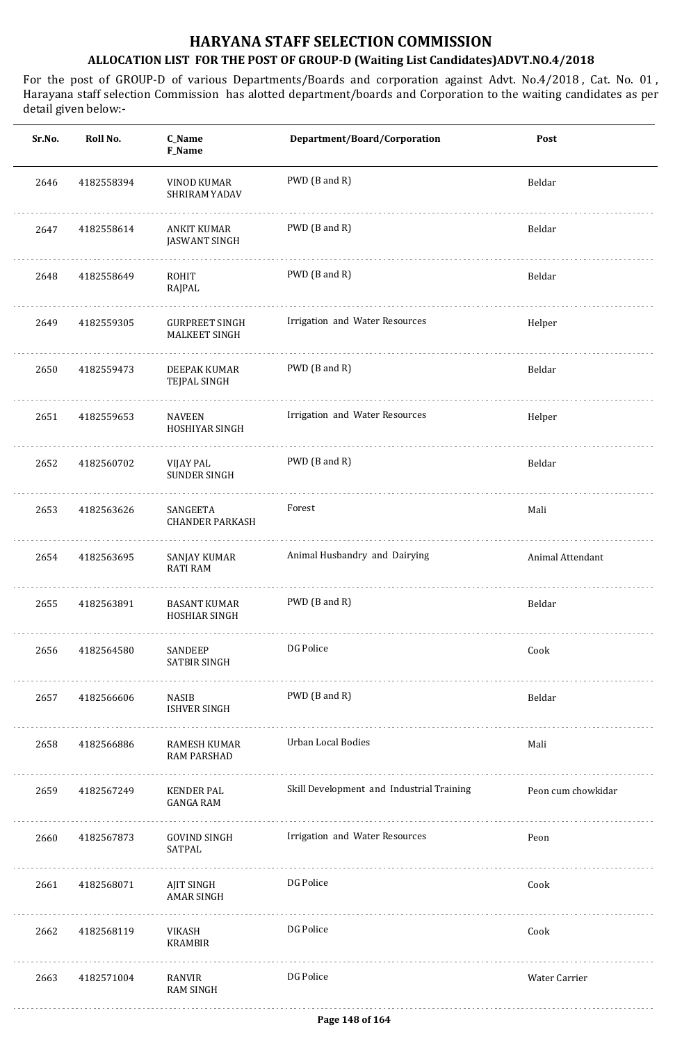| Sr.No. | Roll No.   | C_Name<br><b>F_Name</b>                | Department/Board/Corporation              | Post               |
|--------|------------|----------------------------------------|-------------------------------------------|--------------------|
| 2646   | 4182558394 | VINOD KUMAR<br>SHRIRAM YADAV           | PWD (B and R)                             | Beldar             |
| 2647   | 4182558614 | ANKIT KUMAR<br><b>JASWANT SINGH</b>    | PWD (B and R)                             | Beldar             |
| 2648   | 4182558649 | ROHIT<br>RAJPAL                        | PWD (B and R)                             | Beldar             |
| 2649   | 4182559305 | <b>GURPREET SINGH</b><br>MALKEET SINGH | Irrigation and Water Resources            | Helper             |
| 2650   | 4182559473 | DEEPAK KUMAR<br>TEJPAL SINGH           | PWD (B and R)                             | Beldar             |
| 2651   | 4182559653 | <b>NAVEEN</b><br>HOSHIYAR SINGH        | Irrigation and Water Resources            | Helper             |
| 2652   | 4182560702 | VIJAY PAL<br><b>SUNDER SINGH</b>       | PWD (B and R)                             | Beldar             |
| 2653   | 4182563626 | SANGEETA<br><b>CHANDER PARKASH</b>     | Forest                                    | Mali               |
| 2654   | 4182563695 | SANJAY KUMAR<br><b>RATI RAM</b>        | Animal Husbandry and Dairying             | Animal Attendant   |
| 2655   | 4182563891 | <b>BASANT KUMAR</b><br>HOSHIAR SINGH   | PWD (B and R)                             | Beldar             |
| 2656   | 4182564580 | SANDEEP<br>SATBIR SINGH<br>.           | DG Police                                 | Cook               |
| 2657   | 4182566606 | NASIB<br>ISHVER SINGH                  | PWD (B and R)                             | Beldar             |
| 2658   | 4182566886 | RAMESH KUMAR<br>RAM PARSHAD            | Urban Local Bodies                        | Mali               |
| 2659   | 4182567249 | KENDER PAL<br>GANGA RAM                | Skill Development and Industrial Training | Peon cum chowkidar |
| 2660   | 4182567873 | GOVIND SINGH<br>SATPAL                 | Irrigation and Water Resources            | Peon               |
| 2661   | 4182568071 | AJIT SINGH<br>AMAR SINGH               | DG Police                                 | Cook               |
| 2662   | 4182568119 | VIKASH<br><b>KRAMBIR</b>               | DG Police                                 | Cook               |
| 2663   | 4182571004 | RANVIR<br><b>RAM SINGH</b>             | DG Police                                 | Water Carrier      |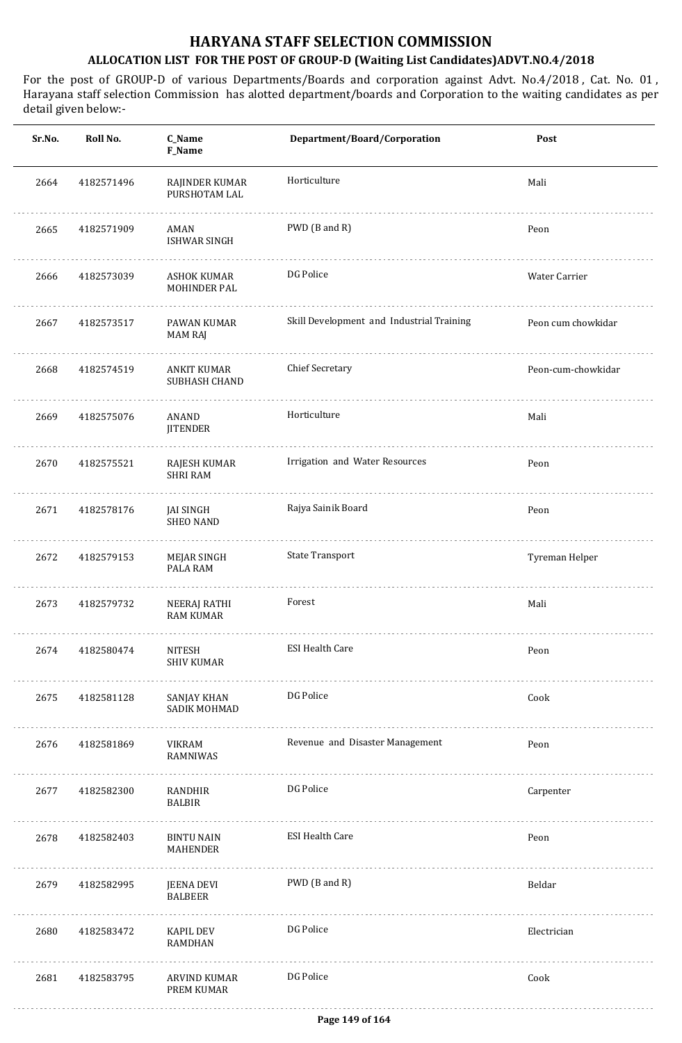| Sr.No. | Roll No.   | C_Name<br>F_Name                     | Department/Board/Corporation              | Post               |
|--------|------------|--------------------------------------|-------------------------------------------|--------------------|
| 2664   | 4182571496 | RAJINDER KUMAR<br>PURSHOTAM LAL      | Horticulture                              | Mali               |
| 2665   | 4182571909 | AMAN<br><b>ISHWAR SINGH</b>          | PWD (B and R)                             | Peon               |
| 2666   | 4182573039 | ASHOK KUMAR<br><b>MOHINDER PAL</b>   | DG Police                                 | Water Carrier      |
| 2667   | 4182573517 | PAWAN KUMAR<br><b>MAM RAJ</b>        | Skill Development and Industrial Training | Peon cum chowkidar |
| 2668   | 4182574519 | ANKIT KUMAR<br>SUBHASH CHAND         | <b>Chief Secretary</b>                    | Peon-cum-chowkidar |
| 2669   | 4182575076 | ANAND<br><b>JITENDER</b>             | Horticulture                              | Mali               |
| 2670   | 4182575521 | RAJESH KUMAR<br><b>SHRI RAM</b>      | Irrigation and Water Resources            | Peon               |
| 2671   | 4182578176 | <b>JAI SINGH</b><br><b>SHEO NAND</b> | Rajya Sainik Board                        | Peon               |
| 2672   | 4182579153 | MEJAR SINGH<br>PALA RAM              | <b>State Transport</b>                    | Tyreman Helper     |
| 2673   | 4182579732 | NEERAJ RATHI<br><b>RAM KUMAR</b>     | Forest                                    | Mali               |
| 2674   | 4182580474 | <b>NITESH</b><br><b>SHIV KUMAR</b>   | <b>ESI Health Care</b>                    | Peon               |
| 2675   | 4182581128 | SANJAY KHAN<br>SADIK MOHMAD          | DG Police                                 | Cook               |
| 2676   | 4182581869 | VIKRAM<br>RAMNIWAS                   | Revenue and Disaster Management           | Peon               |
| 2677   | 4182582300 | RANDHIR<br><b>BALBIR</b>             | DG Police                                 | Carpenter          |
| 2678   | 4182582403 | <b>BINTU NAIN</b><br>MAHENDER        | <b>ESI Health Care</b>                    | Peon               |
| 2679   | 4182582995 | JEENA DEVI<br><b>BALBEER</b>         | PWD (B and R)                             | Beldar             |
| 2680   | 4182583472 | KAPIL DEV<br><b>RAMDHAN</b>          | DG Police                                 | Electrician        |
| 2681   | 4182583795 | ARVIND KUMAR<br>PREM KUMAR           | DG Police                                 | Cook               |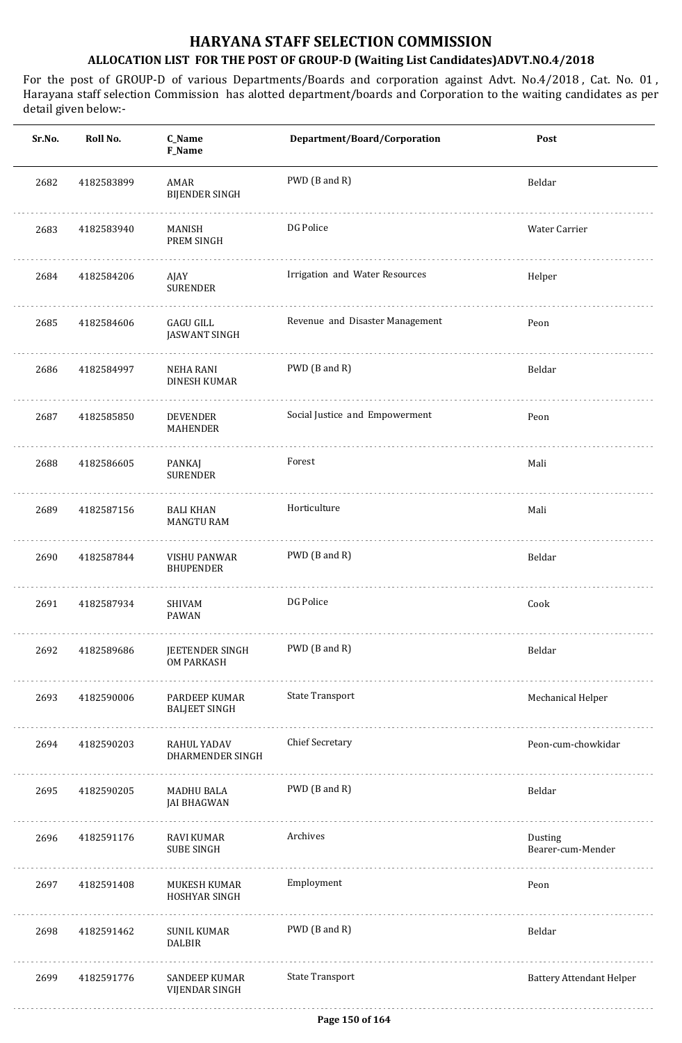| Sr.No. | Roll No.   | C_Name<br>F_Name                      | Department/Board/Corporation    | Post                            |
|--------|------------|---------------------------------------|---------------------------------|---------------------------------|
| 2682   | 4182583899 | AMAR<br><b>BIJENDER SINGH</b>         | PWD (B and R)                   | Beldar                          |
| 2683   | 4182583940 | MANISH<br>PREM SINGH                  | DG Police                       | Water Carrier                   |
| 2684   | 4182584206 | AJAY<br><b>SURENDER</b>               | Irrigation and Water Resources  | Helper                          |
| 2685   | 4182584606 | GAGU GILL<br><b>JASWANT SINGH</b>     | Revenue and Disaster Management | Peon                            |
| 2686   | 4182584997 | NEHA RANI<br><b>DINESH KUMAR</b>      | PWD (B and R)                   | Beldar                          |
| 2687   | 4182585850 | <b>DEVENDER</b><br>MAHENDER           | Social Justice and Empowerment  | Peon                            |
| 2688   | 4182586605 | PANKAJ<br><b>SURENDER</b>             | Forest                          | Mali                            |
| 2689   | 4182587156 | <b>BALI KHAN</b><br><b>MANGTU RAM</b> | Horticulture                    | Mali                            |
| 2690   | 4182587844 | VISHU PANWAR<br><b>BHUPENDER</b>      | PWD (B and R)                   | Beldar                          |
| 2691   | 4182587934 | <b>SHIVAM</b><br><b>PAWAN</b>         | DG Police                       | Cook                            |
| 2692   | 4182589686 | JEETENDER SINGH<br>OM PARKASH         | PWD (B and R)                   | Beldar                          |
| 2693   | 4182590006 | PARDEEP KUMAR<br><b>BALJEET SINGH</b> | <b>State Transport</b>          | Mechanical Helper               |
| 2694   | 4182590203 | RAHUL YADAV<br>DHARMENDER SINGH       | <b>Chief Secretary</b>          | Peon-cum-chowkidar              |
| 2695   | 4182590205 | MADHU BALA<br><b>JAI BHAGWAN</b>      | PWD (B and R)                   | Beldar                          |
| 2696   | 4182591176 | RAVI KUMAR<br><b>SUBE SINGH</b>       | Archives                        | Dusting<br>Bearer-cum-Mender    |
| 2697   | 4182591408 | MUKESH KUMAR<br>HOSHYAR SINGH         | Employment                      | Peon                            |
| 2698   | 4182591462 | <b>SUNIL KUMAR</b><br><b>DALBIR</b>   | PWD (B and R)                   | Beldar                          |
| 2699   | 4182591776 | SANDEEP KUMAR<br>VIJENDAR SINGH       | <b>State Transport</b>          | <b>Battery Attendant Helper</b> |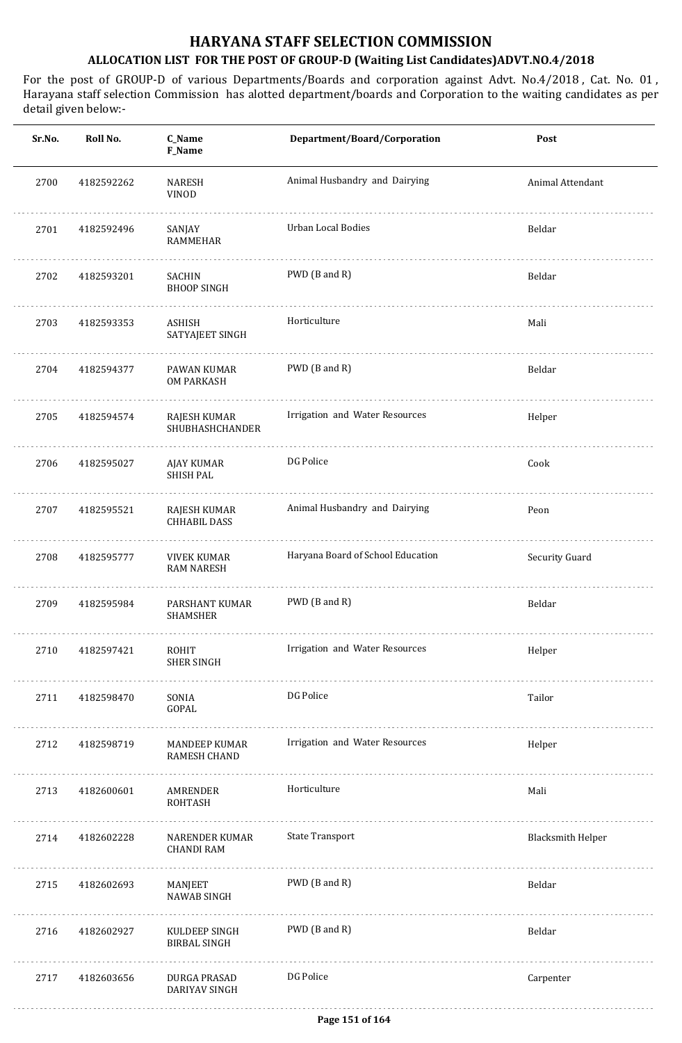| Sr.No. | Roll No.   | C_Name<br>F_Name                        | Department/Board/Corporation      | Post                     |
|--------|------------|-----------------------------------------|-----------------------------------|--------------------------|
| 2700   | 4182592262 | <b>NARESH</b><br>VINOD                  | Animal Husbandry and Dairying     | Animal Attendant         |
| 2701   | 4182592496 | SANJAY<br>RAMMEHAR                      | <b>Urban Local Bodies</b>         | Beldar                   |
| 2702   | 4182593201 | SACHIN<br><b>BHOOP SINGH</b>            | PWD (B and R)                     | Beldar                   |
| 2703   | 4182593353 | ASHISH<br>SATYAJEET SINGH               | Horticulture                      | Mali                     |
| 2704   | 4182594377 | PAWAN KUMAR<br><b>OM PARKASH</b>        | PWD (B and R)                     | Beldar                   |
| 2705   | 4182594574 | RAJESH KUMAR<br>SHUBHASHCHANDER         | Irrigation and Water Resources    | Helper                   |
| 2706   | 4182595027 | AJAY KUMAR<br><b>SHISH PAL</b>          | DG Police                         | Cook                     |
| 2707   | 4182595521 | RAJESH KUMAR<br><b>CHHABIL DASS</b>     | Animal Husbandry and Dairying     | Peon                     |
| 2708   | 4182595777 | <b>VIVEK KUMAR</b><br><b>RAM NARESH</b> | Haryana Board of School Education | Security Guard           |
| 2709   | 4182595984 | PARSHANT KUMAR<br>SHAMSHER              | PWD (B and R)                     | Beldar                   |
| 2710   | 4182597421 | ROHIT<br><b>SHER SINGH</b>              | Irrigation and Water Resources    | Helper                   |
| 2711   | 4182598470 | SONIA<br>GOPAL                          | DG Police                         | Tailor                   |
| 2712   | 4182598719 | MANDEEP KUMAR<br><b>RAMESH CHAND</b>    | Irrigation and Water Resources    | Helper                   |
| 2713   | 4182600601 | AMRENDER<br>ROHTASH                     | Horticulture                      | Mali                     |
| 2714   | 4182602228 | NARENDER KUMAR<br><b>CHANDI RAM</b>     | <b>State Transport</b>            | <b>Blacksmith Helper</b> |
| 2715   | 4182602693 | MANJEET<br>NAWAB SINGH                  | PWD (B and R)                     | Beldar                   |
| 2716   | 4182602927 | KULDEEP SINGH<br><b>BIRBAL SINGH</b>    | PWD (B and R)                     | Beldar                   |
| 2717   | 4182603656 | DURGA PRASAD<br>DARIYAV SINGH           | DG Police                         | Carpenter                |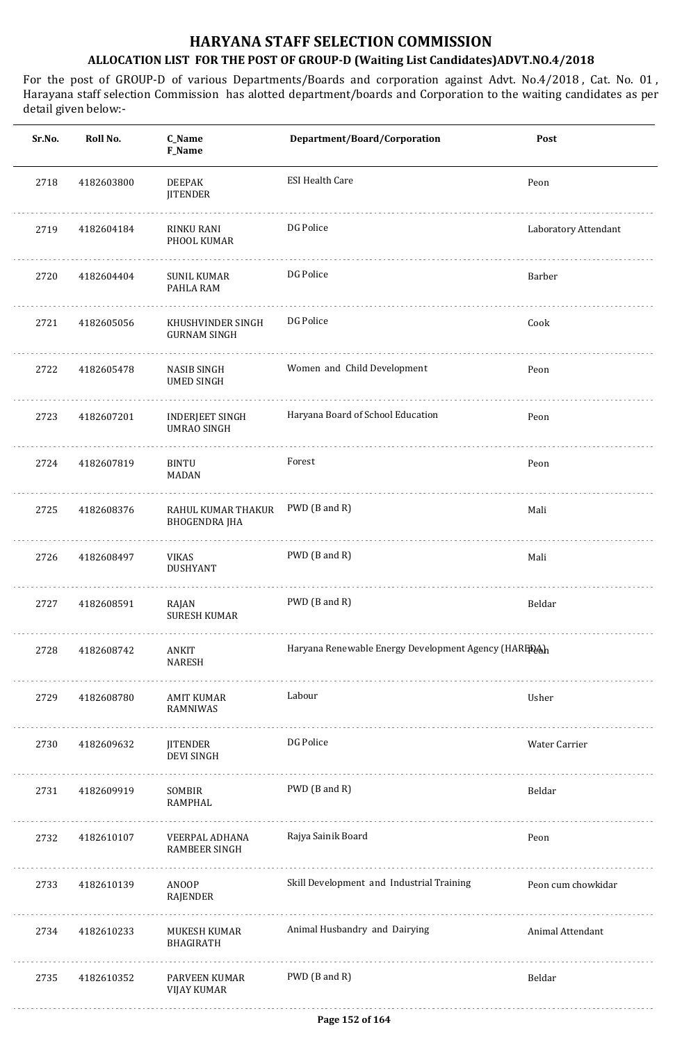| Sr.No. | Roll No.   | C_Name<br>F_Name                             | Department/Board/Corporation                        | Post                 |
|--------|------------|----------------------------------------------|-----------------------------------------------------|----------------------|
| 2718   | 4182603800 | <b>DEEPAK</b><br><b>JITENDER</b>             | <b>ESI Health Care</b>                              | Peon                 |
| 2719   | 4182604184 | <b>RINKU RANI</b><br>PHOOL KUMAR             | DG Police                                           | Laboratory Attendant |
| 2720   | 4182604404 | SUNIL KUMAR<br>PAHLA RAM                     | DG Police                                           | Barber               |
| 2721   | 4182605056 | KHUSHVINDER SINGH<br><b>GURNAM SINGH</b>     | DG Police                                           | Cook                 |
| 2722   | 4182605478 | NASIB SINGH<br><b>UMED SINGH</b>             | Women and Child Development                         | Peon                 |
| 2723   | 4182607201 | <b>INDERJEET SINGH</b><br><b>UMRAO SINGH</b> | Haryana Board of School Education                   | Peon                 |
| 2724   | 4182607819 | BINTU<br><b>MADAN</b>                        | Forest                                              | Peon                 |
| 2725   | 4182608376 | RAHUL KUMAR THAKUR<br><b>BHOGENDRA JHA</b>   | PWD (B and R)                                       | Mali                 |
| 2726   | 4182608497 | VIKAS<br><b>DUSHYANT</b>                     | PWD (B and R)                                       | Mali                 |
| 2727   | 4182608591 | RAJAN<br><b>SURESH KUMAR</b>                 | PWD (B and R)                                       | Beldar               |
| 2728   | 4182608742 | ANKIT<br><b>NARESH</b>                       | Haryana Renewable Energy Development Agency (HARED) |                      |
| 2729   | 4182608780 | <b>AMIT KUMAR</b><br>RAMNIWAS                | Labour                                              | Usher                |
| 2730   | 4182609632 | <b>JITENDER</b><br><b>DEVI SINGH</b>         | DG Police                                           | Water Carrier        |
| 2731   | 4182609919 | SOMBIR<br>RAMPHAL                            | PWD (B and R)                                       | Beldar               |
| 2732   | 4182610107 | VEERPAL ADHANA<br>RAMBEER SINGH              | Rajya Sainik Board                                  | Peon                 |
| 2733   | 4182610139 | ANOOP<br>RAJENDER                            | Skill Development and Industrial Training           | Peon cum chowkidar   |
| 2734   | 4182610233 | MUKESH KUMAR<br><b>BHAGIRATH</b>             | Animal Husbandry and Dairying                       | Animal Attendant     |
| 2735   | 4182610352 | PARVEEN KUMAR<br><b>VIJAY KUMAR</b>          | PWD (B and R)                                       | Beldar               |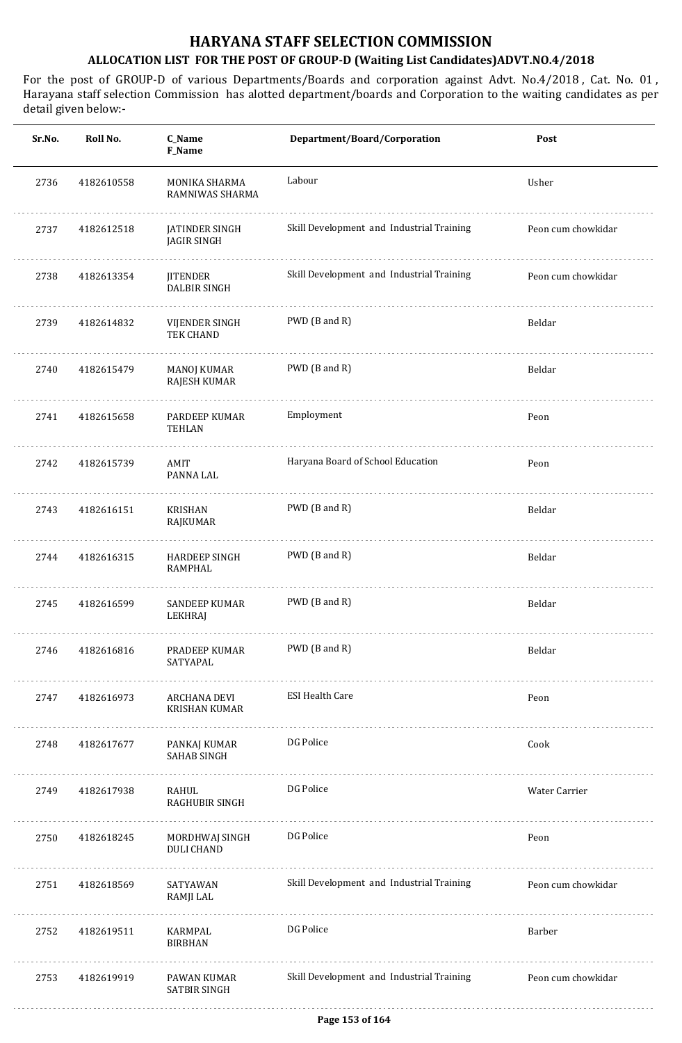| Roll No.   | C_Name<br>F_Name                     | Department/Board/Corporation              | Post               |
|------------|--------------------------------------|-------------------------------------------|--------------------|
| 4182610558 | MONIKA SHARMA<br>RAMNIWAS SHARMA     | Labour                                    | Usher              |
| 4182612518 | JATINDER SINGH<br><b>JAGIR SINGH</b> | Skill Development and Industrial Training | Peon cum chowkidar |
| 4182613354 | <b>JITENDER</b><br>DALBIR SINGH      | Skill Development and Industrial Training | Peon cum chowkidar |
| 4182614832 | VIJENDER SINGH<br>TEK CHAND          | PWD (B and R)                             | Beldar             |
| 4182615479 | <b>MANOJ KUMAR</b><br>RAJESH KUMAR   | PWD (B and R)                             | Beldar             |
| 4182615658 | PARDEEP KUMAR<br><b>TEHLAN</b>       | Employment                                | Peon               |
| 4182615739 | AMIT<br>PANNA LAL                    | Haryana Board of School Education         | Peon               |
| 4182616151 | KRISHAN<br>RAJKUMAR                  | PWD (B and R)                             | Beldar             |
| 4182616315 | HARDEEP SINGH<br><b>RAMPHAL</b>      | PWD (B and R)                             | Beldar             |
| 4182616599 | SANDEEP KUMAR<br>LEKHRAJ             | PWD (B and R)                             | Beldar             |
| 4182616816 | PRADEEP KUMAR<br>SATYAPAL            | PWD (B and R)                             | Beldar             |
| 4182616973 | ARCHANA DEVI<br><b>KRISHAN KUMAR</b> | <b>ESI Health Care</b>                    | Peon               |
| 4182617677 | PANKAJ KUMAR<br><b>SAHAB SINGH</b>   | DG Police                                 | Cook               |
| 4182617938 | RAHUL<br><b>RAGHUBIR SINGH</b>       | DG Police                                 | Water Carrier      |
| 4182618245 | MORDHWAJ SINGH<br><b>DULI CHAND</b>  | DG Police                                 | Peon               |
| 4182618569 | SATYAWAN<br>RAMJI LAL                | Skill Development and Industrial Training | Peon cum chowkidar |
| 4182619511 | KARMPAL<br><b>BIRBHAN</b>            | DG Police                                 | Barber             |
| 4182619919 | PAWAN KUMAR<br>SATBIR SINGH          | Skill Development and Industrial Training | Peon cum chowkidar |
|            |                                      |                                           |                    |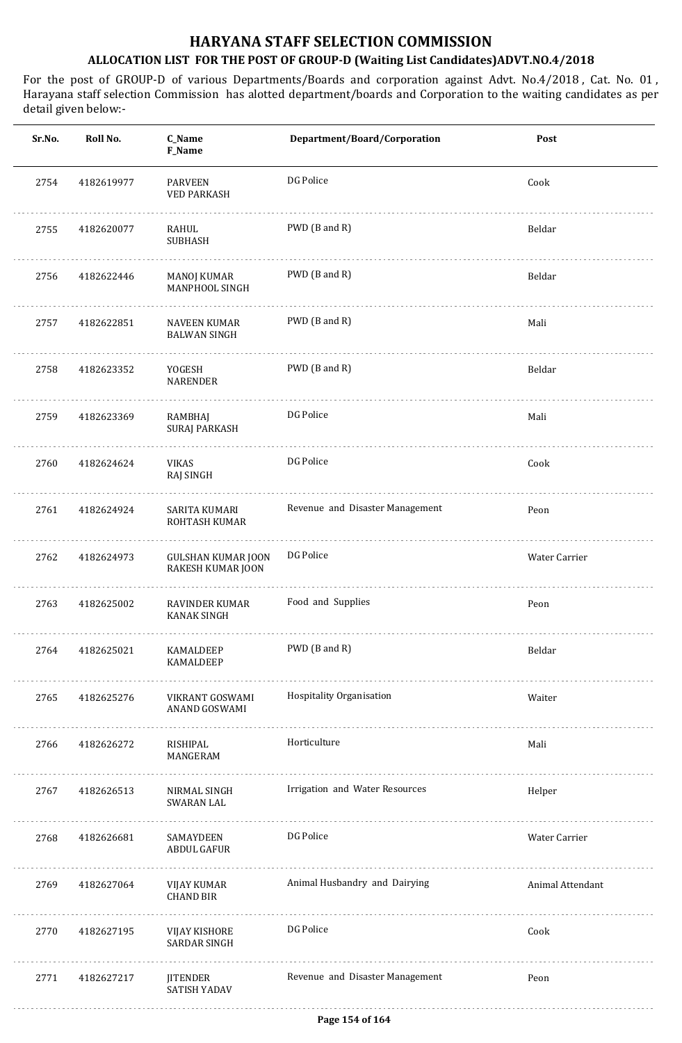| Sr.No. | Roll No.   | C_Name<br>F_Name                               | Department/Board/Corporation    | Post             |
|--------|------------|------------------------------------------------|---------------------------------|------------------|
| 2754   | 4182619977 | <b>PARVEEN</b><br><b>VED PARKASH</b>           | DG Police                       | Cook             |
| 2755   | 4182620077 | RAHUL<br><b>SUBHASH</b>                        | PWD (B and R)                   | Beldar           |
| 2756   | 4182622446 | MANOJ KUMAR<br>MANPHOOL SINGH                  | PWD (B and R)                   | Beldar           |
| 2757   | 4182622851 | NAVEEN KUMAR<br><b>BALWAN SINGH</b>            | PWD (B and R)                   | Mali             |
| 2758   | 4182623352 | YOGESH<br>NARENDER                             | PWD (B and R)                   | Beldar           |
| 2759   | 4182623369 | RAMBHAJ<br>SURAJ PARKASH                       | DG Police                       | Mali             |
| 2760   | 4182624624 | VIKAS<br>RAJ SINGH                             | DG Police                       | Cook             |
| 2761   | 4182624924 | SARITA KUMARI<br>ROHTASH KUMAR                 | Revenue and Disaster Management | Peon             |
| 2762   | 4182624973 | <b>GULSHAN KUMAR JOON</b><br>RAKESH KUMAR JOON | DG Police                       | Water Carrier    |
| 2763   | 4182625002 | RAVINDER KUMAR<br><b>KANAK SINGH</b>           | Food and Supplies               | Peon             |
| 2764   | 4182625021 | KAMALDEEP<br>KAMALDEEP                         | PWD (B and R)                   | Beldar           |
| 2765   | 4182625276 | VIKRANT GOSWAMI<br>ANAND GOSWAMI               | Hospitality Organisation        | Waiter           |
| 2766   | 4182626272 | RISHIPAL<br>MANGERAM                           | Horticulture                    | Mali             |
| 2767   | 4182626513 | NIRMAL SINGH<br>SWARAN LAL                     | Irrigation and Water Resources  | Helper           |
| 2768   | 4182626681 | SAMAYDEEN<br>ABDUL GAFUR                       | DG Police                       | Water Carrier    |
| 2769   | 4182627064 | VIJAY KUMAR<br><b>CHAND BIR</b>                | Animal Husbandry and Dairying   | Animal Attendant |
| 2770   | 4182627195 | VIJAY KISHORE<br><b>SARDAR SINGH</b>           | DG Police                       | Cook             |
| 2771   | 4182627217 | JITENDER<br>SATISH YADAV                       | Revenue and Disaster Management | Peon             |
|        |            |                                                |                                 |                  |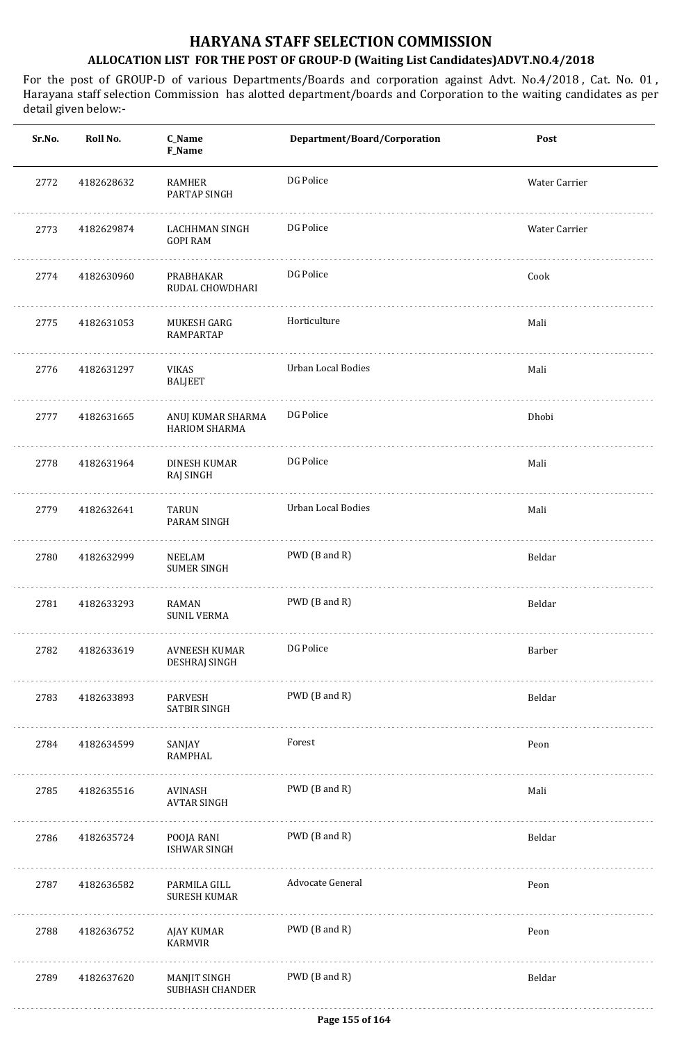| Sr.No. | Roll No.   | C_Name<br>F_Name                          | Department/Board/Corporation | Post          |
|--------|------------|-------------------------------------------|------------------------------|---------------|
| 2772   | 4182628632 | RAMHER<br>PARTAP SINGH                    | DG Police                    | Water Carrier |
| 2773   | 4182629874 | LACHHMAN SINGH<br><b>GOPI RAM</b>         | DG Police                    | Water Carrier |
| 2774   | 4182630960 | PRABHAKAR<br>RUDAL CHOWDHARI              | DG Police                    | Cook          |
| 2775   | 4182631053 | MUKESH GARG<br>RAMPARTAP                  | Horticulture                 | Mali          |
| 2776   | 4182631297 | VIKAS<br><b>BALJEET</b>                   | Urban Local Bodies           | Mali          |
| 2777   | 4182631665 | ANUJ KUMAR SHARMA<br><b>HARIOM SHARMA</b> | DG Police                    | Dhobi         |
| 2778   | 4182631964 | DINESH KUMAR<br>RAJ SINGH                 | DG Police                    | Mali          |
| 2779   | 4182632641 | TARUN<br>PARAM SINGH                      | Urban Local Bodies           | Mali          |
| 2780   | 4182632999 | NEELAM<br>SUMER SINGH                     | PWD (B and R)                | Beldar        |
| 2781   | 4182633293 | RAMAN<br><b>SUNIL VERMA</b>               | PWD (B and R)                | Beldar        |
| 2782   | 4182633619 | AVNEESH KUMAR<br>DESHRAJ SINGH            | DG Police                    | Barber        |
| 2783   | 4182633893 | PARVESH<br>SATBIR SINGH                   | PWD (B and R)                | Beldar        |
| 2784   | 4182634599 | SANJAY<br>RAMPHAL                         | Forest                       | Peon          |
| 2785   | 4182635516 | AVINASH<br>AVTAR SINGH                    | PWD (B and R)                | Mali          |
| 2786   | 4182635724 | POOJA RANI<br><b>ISHWAR SINGH</b><br>.    | PWD (B and R)                | Beldar        |
| 2787   | 4182636582 | PARMILA GILL<br><b>SURESH KUMAR</b>       | Advocate General             | Peon          |
| 2788   | 4182636752 | AJAY KUMAR<br>KARMVIR                     | PWD (B and R)                | Peon          |
| 2789   | 4182637620 | MANJIT SINGH<br><b>SUBHASH CHANDER</b>    | PWD (B and R)                | Beldar        |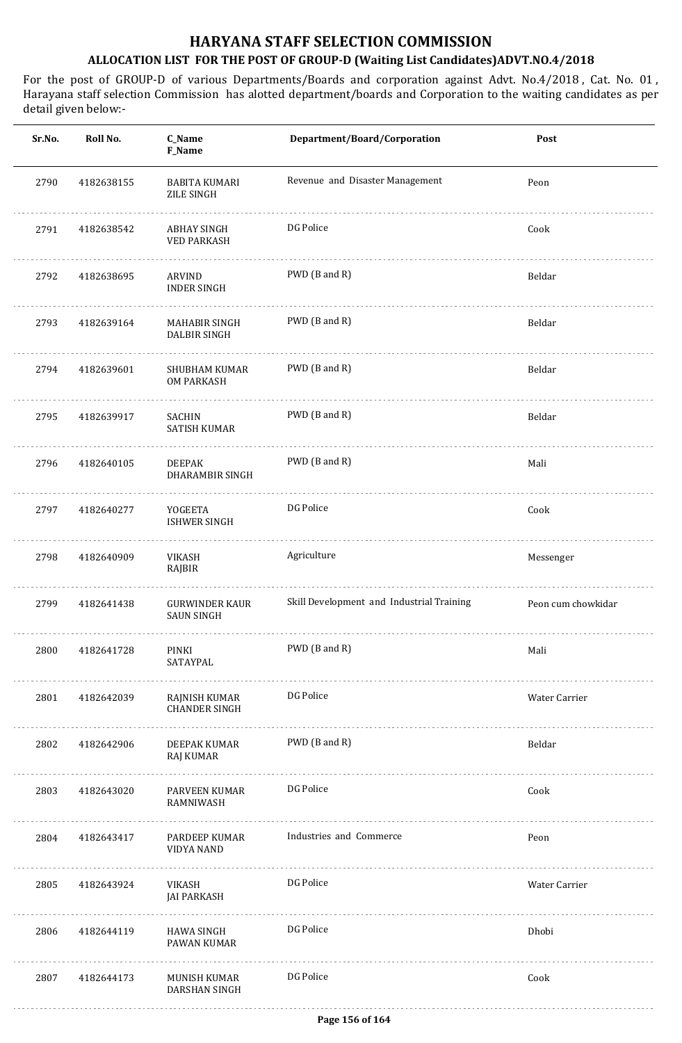| Sr.No. | Roll No.   | C_Name<br>F_Name                           | Department/Board/Corporation              | Post               |
|--------|------------|--------------------------------------------|-------------------------------------------|--------------------|
| 2790   | 4182638155 | BABITA KUMARI<br>ZILE SINGH                | Revenue and Disaster Management           | Peon               |
| 2791   | 4182638542 | ABHAY SINGH<br><b>VED PARKASH</b>          | DG Police                                 | Cook               |
| 2792   | 4182638695 | ARVIND<br><b>INDER SINGH</b>               | PWD (B and R)                             | Beldar             |
| 2793   | 4182639164 | MAHABIR SINGH<br><b>DALBIR SINGH</b>       | PWD (B and R)                             | Beldar             |
| 2794   | 4182639601 | SHUBHAM KUMAR<br><b>OM PARKASH</b>         | PWD (B and R)                             | Beldar             |
| 2795   | 4182639917 | SACHIN<br>SATISH KUMAR                     | PWD (B and R)                             | Beldar             |
| 2796   | 4182640105 | <b>DEEPAK</b><br>DHARAMBIR SINGH           | PWD (B and R)                             | Mali               |
| 2797   | 4182640277 | YOGEETA<br><b>ISHWER SINGH</b>             | DG Police                                 | Cook               |
| 2798   | 4182640909 | VIKASH<br>RAJBIR                           | Agriculture                               | Messenger          |
| 2799   | 4182641438 | <b>GURWINDER KAUR</b><br><b>SAUN SINGH</b> | Skill Development and Industrial Training | Peon cum chowkidar |
| 2800   | 4182641728 | PINKI<br>SATAYPAL                          | PWD (B and R)                             | Mali               |
| 2801   | 4182642039 | RAJNISH KUMAR<br><b>CHANDER SINGH</b>      | DG Police                                 | Water Carrier      |
| 2802   | 4182642906 | DEEPAK KUMAR<br><b>RAJ KUMAR</b>           | PWD (B and R)                             | Beldar             |
| 2803   | 4182643020 | PARVEEN KUMAR<br>RAMNIWASH                 | DG Police                                 | Cook               |
| 2804   | 4182643417 | PARDEEP KUMAR<br><b>VIDYA NAND</b>         | Industries and Commerce                   | Peon               |
| 2805   | 4182643924 | VIKASH<br><b>JAI PARKASH</b>               | DG Police                                 | Water Carrier      |
| 2806   | 4182644119 | HAWA SINGH<br>PAWAN KUMAR                  | DG Police                                 | Dhobi              |
| 2807   | 4182644173 | MUNISH KUMAR<br>DARSHAN SINGH              | DG Police                                 | Cook               |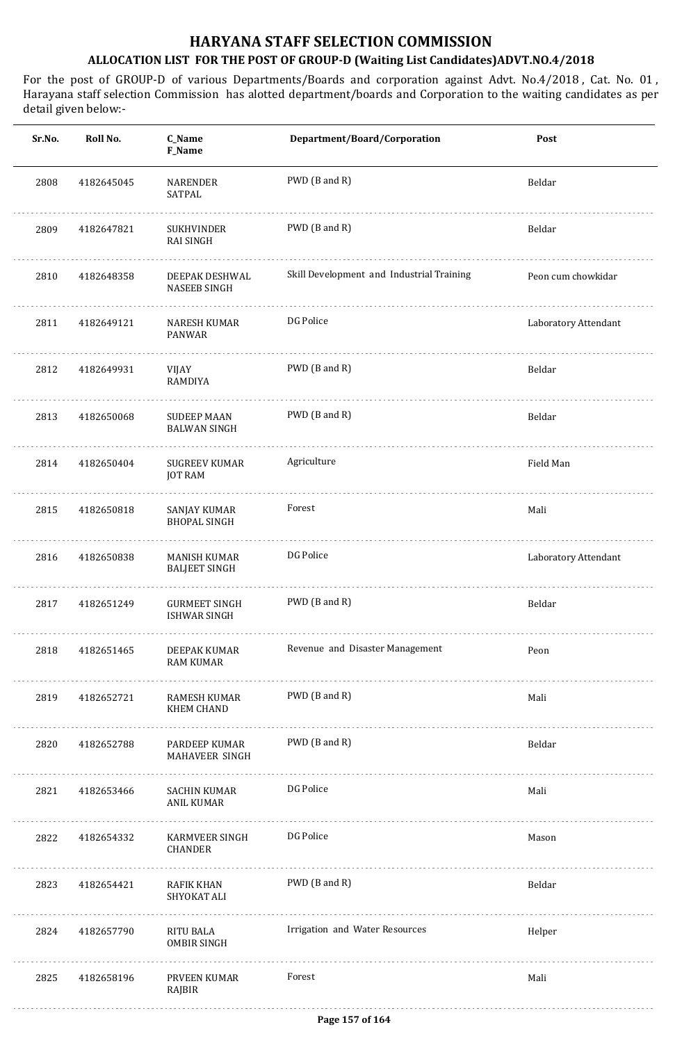| Sr.No. | Roll No.   | C_Name<br>F_Name                            | Department/Board/Corporation              | Post                 |
|--------|------------|---------------------------------------------|-------------------------------------------|----------------------|
| 2808   | 4182645045 | NARENDER<br>SATPAL                          | PWD (B and R)                             | Beldar               |
| 2809   | 4182647821 | SUKHVINDER<br><b>RAI SINGH</b>              | PWD (B and R)                             | Beldar               |
| 2810   | 4182648358 | DEEPAK DESHWAL<br><b>NASEEB SINGH</b>       | Skill Development and Industrial Training | Peon cum chowkidar   |
| 2811   | 4182649121 | NARESH KUMAR<br>PANWAR                      | DG Police                                 | Laboratory Attendant |
| 2812   | 4182649931 | VIJAY<br>RAMDIYA                            | PWD (B and R)                             | Beldar               |
| 2813   | 4182650068 | <b>SUDEEP MAAN</b><br><b>BALWAN SINGH</b>   | PWD (B and R)                             | Beldar               |
| 2814   | 4182650404 | SUGREEV KUMAR<br>JOT RAM                    | Agriculture                               | Field Man            |
| 2815   | 4182650818 | SANJAY KUMAR<br><b>BHOPAL SINGH</b>         | Forest                                    | Mali                 |
| 2816   | 4182650838 | <b>MANISH KUMAR</b><br><b>BALJEET SINGH</b> | DG Police                                 | Laboratory Attendant |
| 2817   | 4182651249 | <b>GURMEET SINGH</b><br><b>ISHWAR SINGH</b> | PWD (B and R)                             | Beldar               |
| 2818   | 4182651465 | DEEPAK KUMAR<br><b>RAM KUMAR</b>            | Revenue and Disaster Management           | Peon                 |
| 2819   | 4182652721 | RAMESH KUMAR<br><b>KHEM CHAND</b>           | PWD (B and R)                             | Mali                 |
| 2820   | 4182652788 | PARDEEP KUMAR<br>MAHAVEER SINGH             | PWD (B and R)                             | Beldar               |
| 2821   | 4182653466 | SACHIN KUMAR<br>ANIL KUMAR                  | DG Police                                 | Mali                 |
| 2822   | 4182654332 | KARMVEER SINGH<br><b>CHANDER</b>            | DG Police                                 | Mason                |
| 2823   | 4182654421 | RAFIK KHAN<br>SHYOKAT ALI                   | PWD (B and R)                             | Beldar               |
| 2824   | 4182657790 | RITU BALA<br><b>OMBIR SINGH</b>             | Irrigation and Water Resources            | Helper               |
| 2825   | 4182658196 | PRVEEN KUMAR<br>RAJBIR                      | Forest                                    | Mali                 |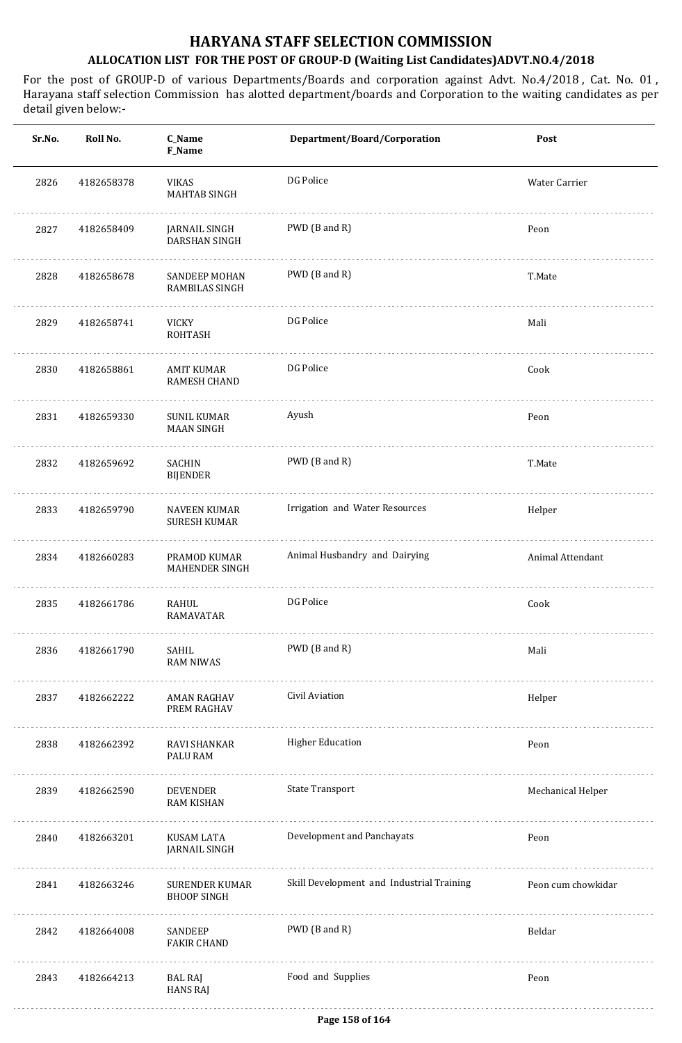| Sr.No. | Roll No.   | C_Name<br>F_Name                           | Department/Board/Corporation              | Post               |
|--------|------------|--------------------------------------------|-------------------------------------------|--------------------|
| 2826   | 4182658378 | <b>VIKAS</b><br><b>MAHTAB SINGH</b>        | DG Police                                 | Water Carrier      |
| 2827   | 4182658409 | JARNAIL SINGH<br>DARSHAN SINGH             | PWD (B and R)                             | Peon               |
| 2828   | 4182658678 | SANDEEP MOHAN<br>RAMBILAS SINGH            | PWD (B and R)                             | T.Mate             |
| 2829   | 4182658741 | VICKY<br><b>ROHTASH</b>                    | DG Police                                 | Mali               |
| 2830   | 4182658861 | AMIT KUMAR<br>RAMESH CHAND                 | DG Police                                 | Cook               |
| 2831   | 4182659330 | <b>SUNIL KUMAR</b><br><b>MAAN SINGH</b>    | Ayush                                     | Peon               |
| 2832   | 4182659692 | SACHIN<br><b>BIJENDER</b>                  | PWD (B and R)                             | T.Mate             |
| 2833   | 4182659790 | <b>NAVEEN KUMAR</b><br><b>SURESH KUMAR</b> | Irrigation and Water Resources            | Helper             |
| 2834   | 4182660283 | PRAMOD KUMAR<br><b>MAHENDER SINGH</b>      | Animal Husbandry and Dairying             | Animal Attendant   |
| 2835   | 4182661786 | RAHUL<br>RAMAVATAR                         | DG Police                                 | Cook               |
| 2836   | 4182661790 | SAHIL<br><b>RAM NIWAS</b>                  | PWD (B and R)                             | Mali               |
| 2837   | 4182662222 | <b>AMAN RAGHAV</b><br>PREM RAGHAV          | Civil Aviation                            | Helper             |
| 2838   | 4182662392 | RAVI SHANKAR<br>PALU RAM                   | <b>Higher Education</b>                   | Peon               |
| 2839   | 4182662590 | DEVENDER<br><b>RAM KISHAN</b>              | <b>State Transport</b>                    | Mechanical Helper  |
| 2840   | 4182663201 | KUSAM LATA<br><b>JARNAIL SINGH</b>         | Development and Panchayats                | Peon               |
| 2841   | 4182663246 | SURENDER KUMAR<br><b>BHOOP SINGH</b>       | Skill Development and Industrial Training | Peon cum chowkidar |
| 2842   | 4182664008 | SANDEEP<br><b>FAKIR CHAND</b>              | PWD (B and R)                             | Beldar             |
| 2843   | 4182664213 | <b>BAL RAJ</b><br><b>HANS RAJ</b>          | Food and Supplies                         | Peon               |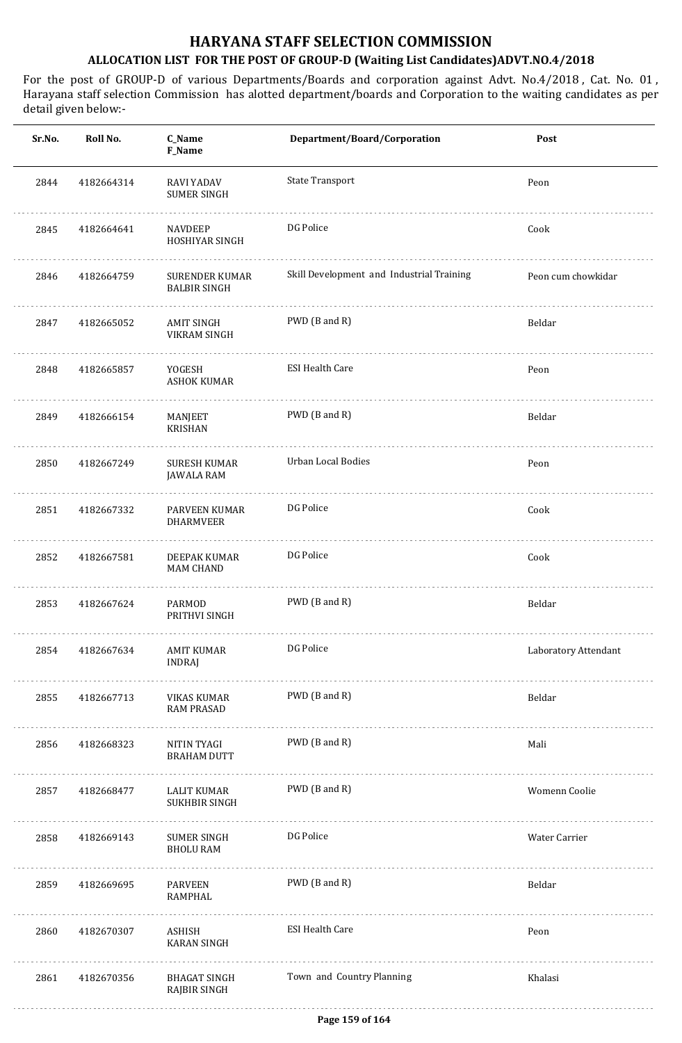| Sr.No. | Roll No.   | C_Name<br>F_Name                             | Department/Board/Corporation              | Post                 |
|--------|------------|----------------------------------------------|-------------------------------------------|----------------------|
| 2844   | 4182664314 | RAVI YADAV<br>SUMER SINGH                    | <b>State Transport</b>                    | Peon                 |
| 2845   | 4182664641 | <b>NAVDEEP</b><br>HOSHIYAR SINGH             | DG Police                                 | Cook                 |
| 2846   | 4182664759 | <b>SURENDER KUMAR</b><br><b>BALBIR SINGH</b> | Skill Development and Industrial Training | Peon cum chowkidar   |
| 2847   | 4182665052 | <b>AMIT SINGH</b><br>VIKRAM SINGH            | PWD (B and R)                             | Beldar               |
| 2848   | 4182665857 | YOGESH<br><b>ASHOK KUMAR</b>                 | <b>ESI Health Care</b>                    | Peon                 |
| 2849   | 4182666154 | MANJEET<br><b>KRISHAN</b>                    | PWD (B and R)                             | Beldar               |
| 2850   | 4182667249 | SURESH KUMAR<br>JAWALA RAM                   | Urban Local Bodies                        | Peon                 |
| 2851   | 4182667332 | PARVEEN KUMAR<br><b>DHARMVEER</b>            | DG Police                                 | Cook                 |
| 2852   | 4182667581 | DEEPAK KUMAR<br>MAM CHAND                    | DG Police                                 | Cook                 |
| 2853   | 4182667624 | PARMOD<br>PRITHVI SINGH                      | PWD (B and R)                             | Beldar               |
| 2854   | 4182667634 | AMIT KUMAR<br><b>INDRAJ</b>                  | DG Police                                 | Laboratory Attendant |
| 2855   | 4182667713 | VIKAS KUMAR<br><b>RAM PRASAD</b>             | PWD (B and R)                             | Beldar               |
| 2856   | 4182668323 | NITIN TYAGI<br><b>BRAHAM DUTT</b>            | PWD (B and R)                             | Mali                 |
| 2857   | 4182668477 | LALIT KUMAR<br>SUKHBIR SINGH                 | PWD (B and R)                             | Womenn Coolie        |
| 2858   | 4182669143 | <b>SUMER SINGH</b><br><b>BHOLU RAM</b>       | DG Police                                 | Water Carrier        |
| 2859   | 4182669695 | PARVEEN<br>RAMPHAL                           | PWD (B and R)                             | Beldar               |
| 2860   | 4182670307 | ASHISH<br><b>KARAN SINGH</b>                 | <b>ESI Health Care</b>                    | Peon                 |
| 2861   | 4182670356 | BHAGAT SINGH<br>RAJBIR SINGH                 | Town and Country Planning                 | Khalasi              |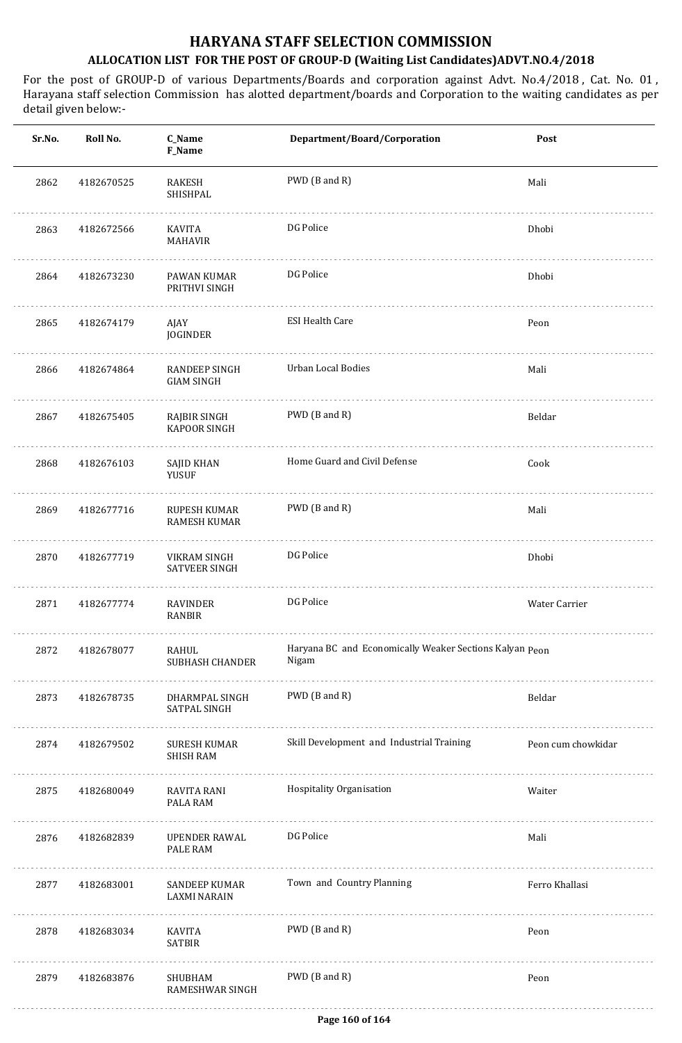| Sr.No. | Roll No.   | C_Name<br>F_Name                         | Department/Board/Corporation                                     | Post               |
|--------|------------|------------------------------------------|------------------------------------------------------------------|--------------------|
| 2862   | 4182670525 | <b>RAKESH</b><br>SHISHPAL                | PWD (B and R)                                                    | Mali               |
| 2863   | 4182672566 | KAVITA<br><b>MAHAVIR</b>                 | DG Police                                                        | Dhobi              |
| 2864   | 4182673230 | PAWAN KUMAR<br>PRITHVI SINGH             | DG Police                                                        | Dhobi              |
| 2865   | 4182674179 | AJAY<br><b>JOGINDER</b>                  | <b>ESI Health Care</b>                                           | Peon               |
| 2866   | 4182674864 | RANDEEP SINGH<br><b>GIAM SINGH</b>       | Urban Local Bodies                                               | Mali               |
| 2867   | 4182675405 | RAJBIR SINGH<br><b>KAPOOR SINGH</b><br>. | PWD (B and R)                                                    | Beldar             |
| 2868   | 4182676103 | SAJID KHAN<br>YUSUF                      | Home Guard and Civil Defense                                     | Cook               |
| 2869   | 4182677716 | RUPESH KUMAR<br><b>RAMESH KUMAR</b>      | PWD (B and R)                                                    | Mali               |
| 2870   | 4182677719 | VIKRAM SINGH<br><b>SATVEER SINGH</b>     | DG Police                                                        | Dhobi              |
| 2871   | 4182677774 | RAVINDER<br><b>RANBIR</b>                | DG Police                                                        | Water Carrier      |
| 2872   | 4182678077 | RAHUL<br>SUBHASH CHANDER                 | Haryana BC and Economically Weaker Sections Kalyan Peon<br>Nigam |                    |
| 2873   | 4182678735 | DHARMPAL SINGH<br>SATPAL SINGH           | PWD (B and R)                                                    | Beldar             |
| 2874   | 4182679502 | SURESH KUMAR<br><b>SHISH RAM</b>         | Skill Development and Industrial Training                        | Peon cum chowkidar |
| 2875   | 4182680049 | RAVITA RANI<br>PALA RAM                  | Hospitality Organisation                                         | Waiter             |
| 2876   | 4182682839 | UPENDER RAWAL<br>PALE RAM                | DG Police                                                        | Mali               |
| 2877   | 4182683001 | SANDEEP KUMAR<br>LAXMI NARAIN            | Town and Country Planning                                        | Ferro Khallasi     |
| 2878   | 4182683034 | KAVITA<br><b>SATBIR</b>                  | PWD (B and R)                                                    | Peon               |
| 2879   | 4182683876 | SHUBHAM<br>RAMESHWAR SINGH               | PWD (B and R)                                                    | Peon               |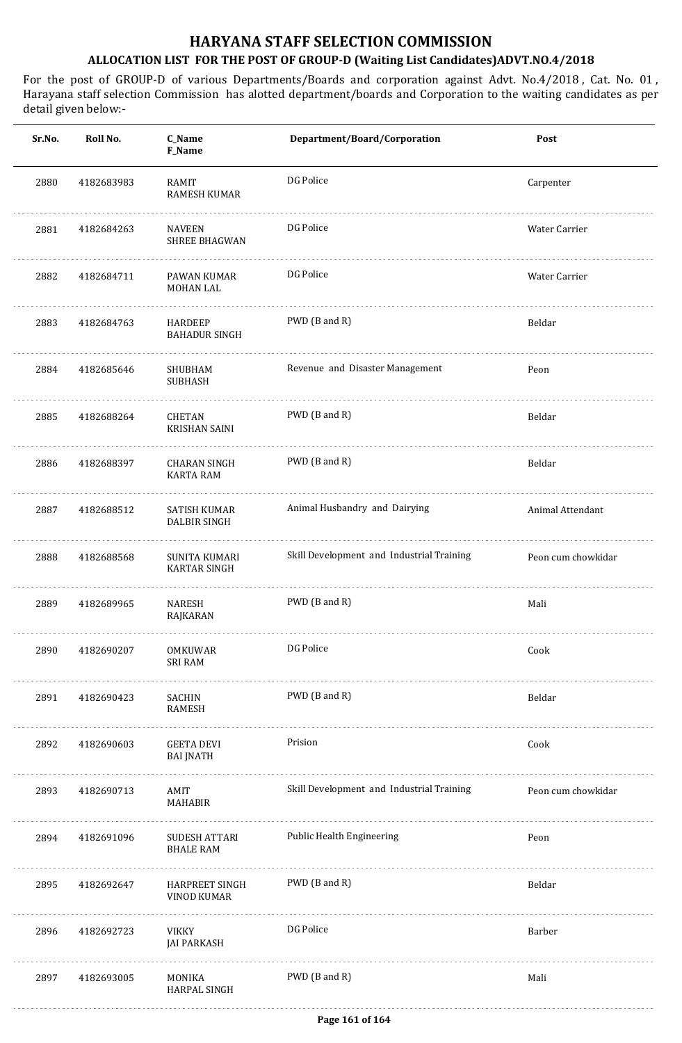| F_Name                                                      |                                           |                    |
|-------------------------------------------------------------|-------------------------------------------|--------------------|
| 2880<br>4182683983<br>RAMIT<br>RAMESH KUMAR                 | DG Police                                 | Carpenter          |
| 2881<br><b>NAVEEN</b><br>4182684263<br>SHREE BHAGWAN        | DG Police                                 | Water Carrier      |
| 2882<br>4182684711<br>PAWAN KUMAR<br>MOHAN LAL              | DG Police                                 | Water Carrier      |
| 2883<br>4182684763<br>HARDEEP<br><b>BAHADUR SINGH</b>       | PWD (B and R)                             | Beldar             |
| 2884<br>4182685646<br>SHUBHAM<br>SUBHASH                    | Revenue and Disaster Management           | Peon               |
| 2885<br>4182688264<br>CHETAN<br><b>KRISHAN SAINI</b>        | PWD (B and R)                             | Beldar             |
| 2886<br>4182688397<br>CHARAN SINGH<br><b>KARTA RAM</b>      | PWD (B and R)                             | Beldar             |
| 2887<br>4182688512<br>SATISH KUMAR<br>DALBIR SINGH          | Animal Husbandry and Dairying             | Animal Attendant   |
| 2888<br>4182688568<br>SUNITA KUMARI<br>KARTAR SINGH         | Skill Development and Industrial Training | Peon cum chowkidar |
| 2889<br>4182689965<br><b>NARESH</b><br>RAJKARAN             | PWD (B and R)                             | Mali               |
| 2890<br>4182690207<br>OMKUWAR<br><b>SRI RAM</b>             | DG Police                                 | Cook               |
| 2891<br>4182690423<br>SACHIN<br>RAMESH                      | PWD (B and R)                             | Beldar             |
| 2892<br>4182690603<br><b>GEETA DEVI</b><br><b>BAI JNATH</b> | Prision                                   | Cook               |
| 2893<br>4182690713<br>AMIT<br>MAHABIR                       | Skill Development and Industrial Training | Peon cum chowkidar |
| 2894<br>4182691096<br>SUDESH ATTARI<br><b>BHALE RAM</b>     | Public Health Engineering                 | Peon               |
| 2895<br>4182692647<br>HARPREET SINGH<br>VINOD KUMAR         | PWD (B and R)                             | Beldar             |
| 2896<br>4182692723<br>VIKKY<br><b>JAI PARKASH</b>           | DG Police                                 | Barber             |
| 2897<br>4182693005<br>MONIKA<br>HARPAL SINGH                | PWD (B and R)                             | Mali               |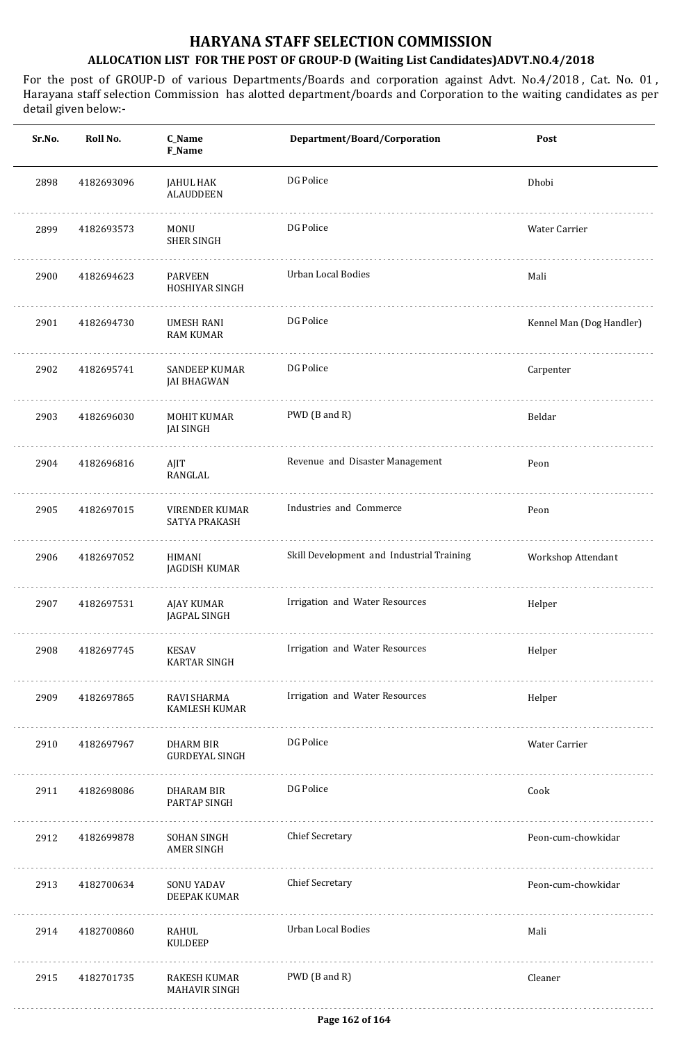| Sr.No. | Roll No.   | C_Name<br><b>F_Name</b>               | Department/Board/Corporation              | Post                     |
|--------|------------|---------------------------------------|-------------------------------------------|--------------------------|
| 2898   | 4182693096 | JAHUL HAK<br><b>ALAUDDEEN</b>         | DG Police                                 | Dhobi                    |
| 2899   | 4182693573 | <b>MONU</b><br><b>SHER SINGH</b>      | DG Police                                 | Water Carrier            |
| 2900   | 4182694623 | <b>PARVEEN</b><br>HOSHIYAR SINGH      | Urban Local Bodies                        | Mali                     |
| 2901   | 4182694730 | <b>UMESH RANI</b><br><b>RAM KUMAR</b> | DG Police                                 | Kennel Man (Dog Handler) |
| 2902   | 4182695741 | <b>SANDEEP KUMAR</b><br>JAI BHAGWAN   | DG Police                                 | Carpenter                |
| 2903   | 4182696030 | MOHIT KUMAR<br><b>JAI SINGH</b>       | PWD (B and R)                             | Beldar                   |
| 2904   | 4182696816 | AJIT<br>RANGLAL                       | Revenue and Disaster Management           | Peon                     |
| 2905   | 4182697015 | VIRENDER KUMAR<br>SATYA PRAKASH       | Industries and Commerce                   | Peon                     |
| 2906   | 4182697052 | HIMANI<br><b>JAGDISH KUMAR</b>        | Skill Development and Industrial Training | Workshop Attendant       |
| 2907   | 4182697531 | AJAY KUMAR<br>JAGPAL SINGH            | Irrigation and Water Resources            | Helper                   |
| 2908   | 4182697745 | KESAV<br><b>KARTAR SINGH</b>          | Irrigation and Water Resources            | Helper                   |
| 2909   | 4182697865 | .<br>RAVI SHARMA<br>KAMLESH KUMAR     | Irrigation and Water Resources            | Helper                   |
| 2910   | 4182697967 | DHARM BIR<br><b>GURDEYAL SINGH</b>    | DG Police                                 | Water Carrier            |
| 2911   | 4182698086 | DHARAM BIR<br>PARTAP SINGH            | DG Police                                 | Cook                     |
| 2912   | 4182699878 | SOHAN SINGH<br>AMER SINGH             | <b>Chief Secretary</b>                    | Peon-cum-chowkidar       |
| 2913   | 4182700634 | SONU YADAV<br>DEEPAK KUMAR            | <b>Chief Secretary</b>                    | Peon-cum-chowkidar       |
| 2914   | 4182700860 | RAHUL<br>KULDEEP                      | <b>Urban Local Bodies</b>                 | Mali                     |
| 2915   | 4182701735 | RAKESH KUMAR<br>MAHAVIR SINGH         | PWD (B and R)                             | Cleaner                  |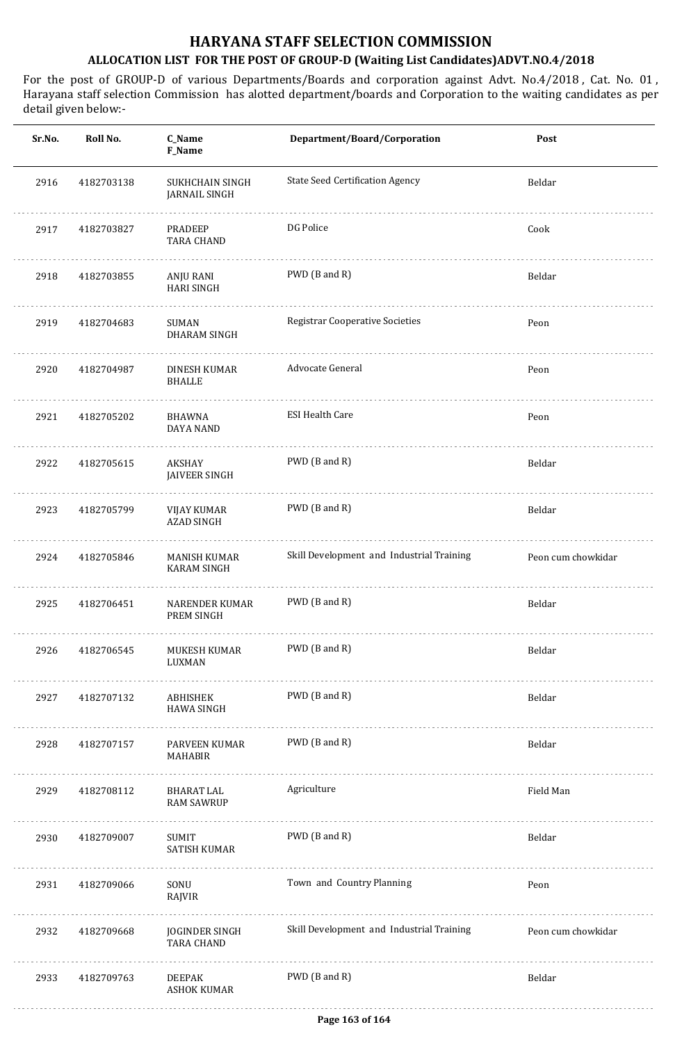| Sr.No. | Roll No.   | C_Name<br>F_Name                        | Department/Board/Corporation              | Post               |
|--------|------------|-----------------------------------------|-------------------------------------------|--------------------|
| 2916   | 4182703138 | SUKHCHAIN SINGH<br><b>JARNAIL SINGH</b> | <b>State Seed Certification Agency</b>    | Beldar             |
| 2917   | 4182703827 | <b>PRADEEP</b><br><b>TARA CHAND</b>     | DG Police                                 | Cook               |
| 2918   | 4182703855 | ANJU RANI<br><b>HARI SINGH</b>          | PWD (B and R)                             | Beldar             |
| 2919   | 4182704683 | <b>SUMAN</b><br><b>DHARAM SINGH</b>     | <b>Registrar Cooperative Societies</b>    | Peon               |
| 2920   | 4182704987 | DINESH KUMAR<br><b>BHALLE</b>           | <b>Advocate General</b>                   | Peon               |
| 2921   | 4182705202 | <b>BHAWNA</b><br><b>DAYA NAND</b>       | <b>ESI Health Care</b>                    | Peon               |
| 2922   | 4182705615 | AKSHAY<br>JAIVEER SINGH                 | PWD (B and R)                             | Beldar             |
| 2923   | 4182705799 | VIJAY KUMAR<br><b>AZAD SINGH</b>        | PWD (B and R)                             | Beldar             |
| 2924   | 4182705846 | MANISH KUMAR<br><b>KARAM SINGH</b>      | Skill Development and Industrial Training | Peon cum chowkidar |
| 2925   | 4182706451 | NARENDER KUMAR<br>PREM SINGH            | PWD (B and R)                             | Beldar             |
| 2926   | 4182706545 | MUKESH KUMAR<br>LUXMAN                  | PWD (B and R)                             | Beldar             |
| 2927   | 4182707132 | ABHISHEK<br>HAWA SINGH                  | PWD (B and R)                             | Beldar             |
| 2928   | 4182707157 | PARVEEN KUMAR<br>MAHABIR                | PWD (B and R)                             | Beldar             |
| 2929   | 4182708112 | BHARAT LAL<br><b>RAM SAWRUP</b>         | Agriculture                               | Field Man          |
| 2930   | 4182709007 | SUMIT<br>SATISH KUMAR                   | PWD (B and R)                             | Beldar             |
| 2931   | 4182709066 | SONU<br>RAJVIR                          | Town and Country Planning                 | Peon               |
| 2932   | 4182709668 | JOGINDER SINGH<br><b>TARA CHAND</b>     | Skill Development and Industrial Training | Peon cum chowkidar |
| 2933   | 4182709763 | DEEPAK<br><b>ASHOK KUMAR</b>            | PWD (B and R)                             | Beldar             |
|        |            |                                         |                                           |                    |